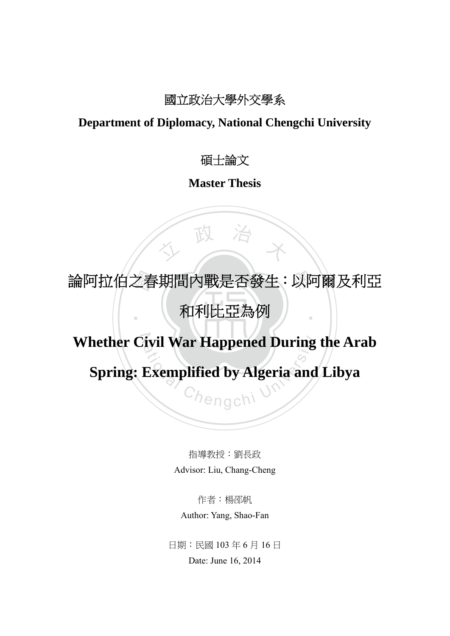### 國立政治大學外交學系

### **Department of Diplomacy, National Chengchi University**

碩士論文

**Master Thesis**

論阿拉伯之春期間內戰是否發生:以阿爾及利亞<br>|<br>| 和利比亞為例 ‧ 和利比亞為例

人 政 治 木

N **Whether Civil War Happened During the Arab** 

ivil War Happened During<br>Exemplified by Algeria and **Spring: Exemplified by Algeria and Libya**

> 指導教授:劉長政 Advisor: Liu, Chang-Cheng

作者:楊邵帆 Author: Yang, Shao-Fan

日期:民國 103 年 6 月 16 日 Date: June 16, 2014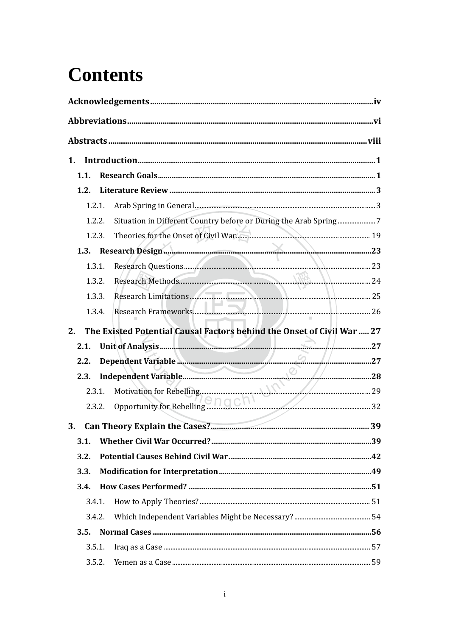## **Contents**

| 1. |        |                                                                        |  |
|----|--------|------------------------------------------------------------------------|--|
|    | 1.1.   |                                                                        |  |
|    | 1.2.   |                                                                        |  |
|    | 1.2.1. |                                                                        |  |
|    | 1.2.2. |                                                                        |  |
|    | 1.2.3. | Theories for the Onset of Civil War.                                   |  |
|    | 1.3.   | Research Design                                                        |  |
|    | 1.3.1. |                                                                        |  |
|    | 1.3.2. |                                                                        |  |
|    | 1.3.3. |                                                                        |  |
|    | 1.3.4. |                                                                        |  |
| 2. |        | The Existed Potential Causal Factors behind the Onset of Civil War  27 |  |
|    | 2.1.   |                                                                        |  |
|    | 2.2.   | Dependent Variable                                                     |  |
|    | 2.3.   | $\leq$                                                                 |  |
|    | 2.3.1. |                                                                        |  |
|    | 2.3.2. | Opportunity for Rebelling <b>PROCK 1996</b>                            |  |
|    |        |                                                                        |  |
| 3. |        |                                                                        |  |
|    | 3.1.   |                                                                        |  |
|    | 3.2.   |                                                                        |  |
|    | 3.3.   |                                                                        |  |
|    | 3.4.   |                                                                        |  |
|    | 3.4.1. |                                                                        |  |
|    | 3.4.2. |                                                                        |  |
|    | 3.5.   |                                                                        |  |
|    | 3.5.1. |                                                                        |  |
|    | 3.5.2. |                                                                        |  |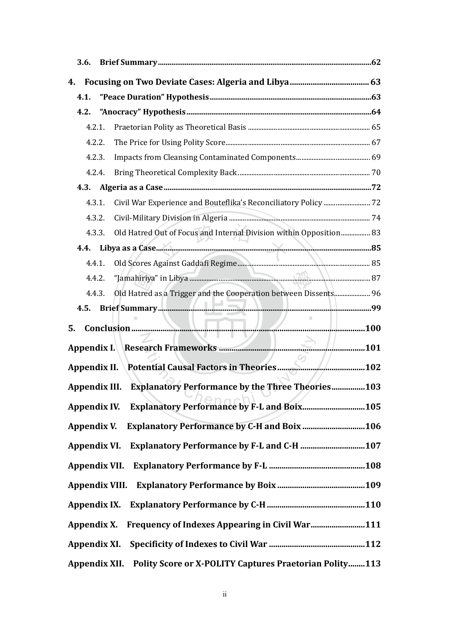| <b>3.6.</b>                                                   |                                                                              |  |  |  |  |
|---------------------------------------------------------------|------------------------------------------------------------------------------|--|--|--|--|
| 4.                                                            |                                                                              |  |  |  |  |
| 4.1.                                                          |                                                                              |  |  |  |  |
| 4.2.                                                          |                                                                              |  |  |  |  |
| 4.2.1.                                                        |                                                                              |  |  |  |  |
|                                                               | 4.2.2.                                                                       |  |  |  |  |
| 4.2.3.                                                        |                                                                              |  |  |  |  |
| 4.2.4.                                                        |                                                                              |  |  |  |  |
|                                                               |                                                                              |  |  |  |  |
| 4.3.1.                                                        | Civil War Experience and Bouteflika's Reconciliatory Policy  72              |  |  |  |  |
| 4.3.2.                                                        |                                                                              |  |  |  |  |
|                                                               | Old Hatred Out of Focus and Internal Division within Opposition 83<br>4.3.3. |  |  |  |  |
|                                                               |                                                                              |  |  |  |  |
| 4.4.1.                                                        |                                                                              |  |  |  |  |
|                                                               | 4.4.2.                                                                       |  |  |  |  |
|                                                               | Old Hatred as a Trigger and the Cooperation between Dissents 96<br>4.4.3.    |  |  |  |  |
| 4.5.                                                          | Brief Summary <b>Marshall Marshall Marshall Marshall</b> 199                 |  |  |  |  |
| 5.                                                            |                                                                              |  |  |  |  |
|                                                               | VII U                                                                        |  |  |  |  |
|                                                               |                                                                              |  |  |  |  |
|                                                               |                                                                              |  |  |  |  |
|                                                               | Appendix III. Explanatory Performance by the Three Theories103               |  |  |  |  |
| Appendix IV.                                                  |                                                                              |  |  |  |  |
| Appendix V.                                                   | <b>Explanatory Performance by C-H and Boix  106</b>                          |  |  |  |  |
|                                                               |                                                                              |  |  |  |  |
|                                                               | Appendix VII.                                                                |  |  |  |  |
|                                                               |                                                                              |  |  |  |  |
|                                                               |                                                                              |  |  |  |  |
| Frequency of Indexes Appearing in Civil War111<br>Appendix X. |                                                                              |  |  |  |  |
|                                                               |                                                                              |  |  |  |  |
|                                                               | Polity Score or X-POLITY Captures Praetorian Polity113<br>Appendix XII.      |  |  |  |  |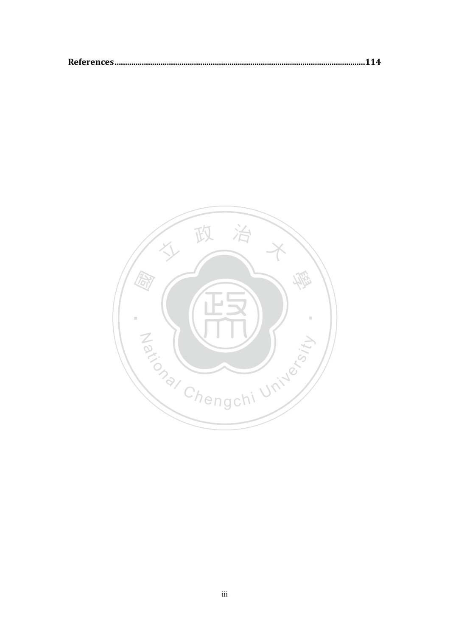|--|

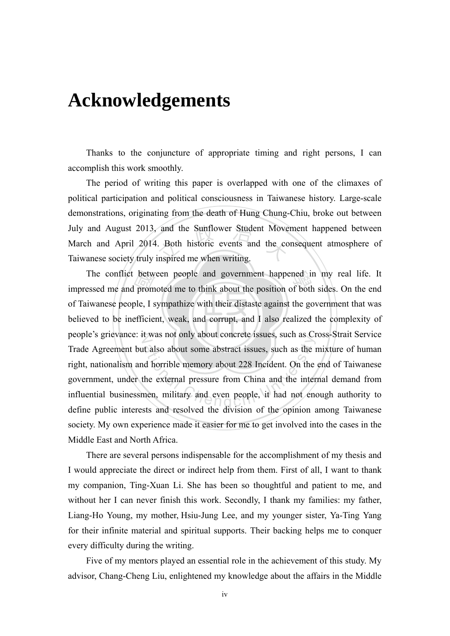## **Acknowledgements**

 Thanks to the conjuncture of appropriate timing and right persons, I can accomplish this work smoothly.

and the Sunflower Student Move<br>Both historic events and the compared me when writing. The period of writing this paper is overlapped with one of the climaxes of political participation and political consciousness in Taiwanese history. Large-scale demonstrations, originating from the death of Hung Chung-Chiu, broke out between July and August 2013, and the Sunflower Student Movement happened between March and April 2014. Both historic events and the consequent atmosphere of Taiwanese society truly inspired me when writing.

believed to be inefficient, weak, and corrupt, and I also realized the complexity of betw<br>| prom<br>| ple, I s<br>| efficie The conflict between people and government happened in my real life. It impressed me and promoted me to think about the position of both sides. On the end people's grievance: it was not only about concrete issues, such as Cross-Strait Service at also about some abstract issues, such as exert also about some abstract issues, such as the independent. On the external pressure from China and the inter-<br>the external pressure from China and the inter-<br>nen, military a impressed me and promoted me to think about the position of both sides. On the end of Taiwanese people, I sympathize with their distaste against the government that was Trade Agreement but also about some abstract issues, such as the mixture of human right, nationalism and horrible memory about 228 Incident. On the end of Taiwanese government, under the external pressure from China and the internal demand from influential businessmen, military and even people, it had not enough authority to define public interests and resolved the division of the opinion among Taiwanese society. My own experience made it easier for me to get involved into the cases in the Middle East and North Africa.

There are several persons indispensable for the accomplishment of my thesis and I would appreciate the direct or indirect help from them. First of all, I want to thank my companion, Ting-Xuan Li. She has been so thoughtful and patient to me, and without her I can never finish this work. Secondly, I thank my families: my father, Liang-Ho Young, my mother, Hsiu-Jung Lee, and my younger sister, Ya-Ting Yang for their infinite material and spiritual supports. Their backing helps me to conquer every difficulty during the writing.

Five of my mentors played an essential role in the achievement of this study. My advisor, Chang-Cheng Liu, enlightened my knowledge about the affairs in the Middle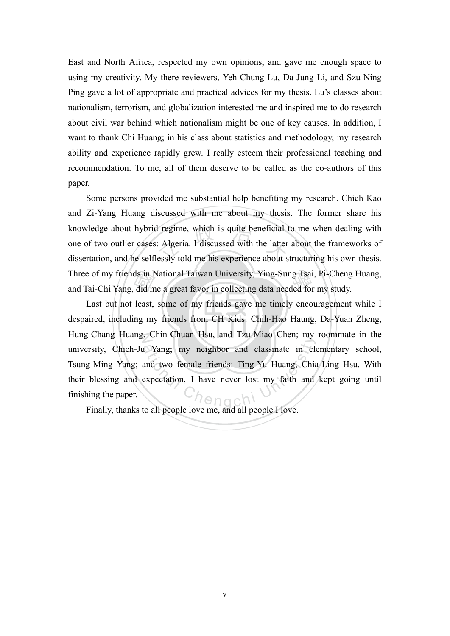East and North Africa, respected my own opinions, and gave me enough space to using my creativity. My there reviewers, Yeh-Chung Lu, Da-Jung Li, and Szu-Ning Ping gave a lot of appropriate and practical advices for my thesis. Lu's classes about nationalism, terrorism, and globalization interested me and inspired me to do research about civil war behind which nationalism might be one of key causes. In addition, I want to thank Chi Huang; in his class about statistics and methodology, my research ability and experience rapidly grew. I really esteem their professional teaching and recommendation. To me, all of them deserve to be called as the co-authors of this paper.

I regime, which is quite beneficial<br>
I Algeria. I discussed with the latter<br>
essly told me his experience about s Three of my friends in National Taiwan University, Ying-Sung Tsai, Pi-Cheng Huang,<br>and Tai-Chi Yang, did me a great favor in collecting data needed for my study. Some persons provided me substantial help benefiting my research. Chieh Kao and Zi-Yang Huang discussed with me about my thesis. The former share his knowledge about hybrid regime, which is quite beneficial to me when dealing with one of two outlier cases: Algeria. I discussed with the latter about the frameworks of dissertation, and he selflessly told me his experience about structuring his own thesis. and Tai-Chi Yang, did me a great favor in collecting data needed for my study.

despaired, including my friends from CH Kids: Chih-Hao Haung, Da-Yuan Zheng,  $\frac{d}{d}$  in 1<br>did m<br>least,<br>ng my N Hung-Chang Huang, Chin-Chuan Hsu, and Tzu-Miao Chen; my roommate in the ation Chengchi University and Tau May Chen, my<br>and two female friends: Ting-Yu Huang, Chia<br>expectation, I have never lost my faith and Last but not least, some of my friends gave me timely encouragement while I university, Chieh-Ju Yang; my neighbor and classmate in elementary school, Tsung-Ming Yang; and two female friends: Ting-Yu Huang, Chia-Ling Hsu. With their blessing and expectation, I have never lost my faith and kept going until finishing the paper.

Finally, thanks to all people love me, and all people I love.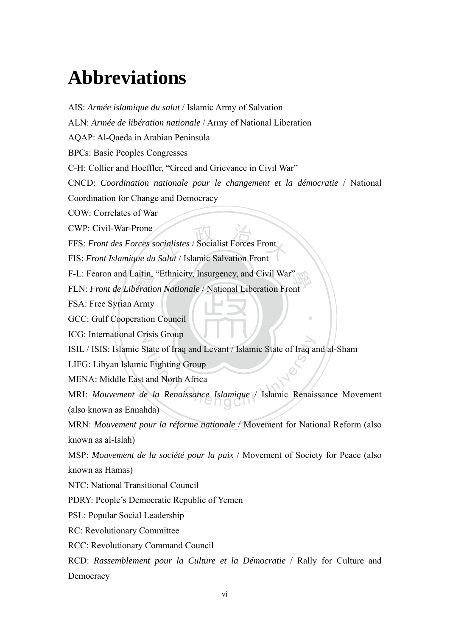## **Abbreviations**

GCC: Gulf Cooperation Council F-L: Fearon and Laitin, "Ethnicity, Insurgency, and Civil War"<br>FLN: *Front de Libération Nationale* / National Liberation Front<br>FSA: Free Syrian Army<br>GCC: Gulf Cooperation Council ocialistes / Socialist Forces Front ‧ ICG: International Crisis Group State of Iraq and Levant / Islamic State of Iraq and<br>
c Fighting Group<br>
and North Africa<br>
le la Renaissance Islamique / Islamic Renais AIS: *Armée islamique du salut* / Islamic Army of Salvation ALN: *Armée de libération nationale* / Army of National Liberation AQAP: Al-Qaeda in Arabian Peninsula BPCs: Basic Peoples Congresses C-H: Collier and Hoeffler, "Greed and Grievance in Civil War" CNCD: *Coordination nationale pour le changement et la démocratie* / National Coordination for Change and Democracy COW: Correlates of War CWP: Civil-War-Prone FFS: *Front des Forces socialistes* / Socialist Forces Front FIS: *Front Islamique du Salut* / Islamic Salvation Front F-L: Fearon and Laitin, "Ethnicity, Insurgency, and Civil War" FSA: Free Syrian Army ISIL / ISIS: Islamic State of Iraq and Levant / Islamic State of Iraq and al-Sham LIFG: Libyan Islamic Fighting Group MENA: Middle East and North Africa MRI: *Mouvement de la Renaissance Islamique* / Islamic Renaissance Movement (also known as Ennahda) MRN: *Mouvement pour la réforme nationale* / Movement for National Reform (also known as al-Islah) MSP: *Mouvement de la société pour la paix* / Movement of Society for Peace (also known as Hamas) NTC: National Transitional Council PDRY: People's Democratic Republic of Yemen PSL: Popular Social Leadership RC: Revolutionary Committee RCC: Revolutionary Command Council RCD: *Rassemblement pour la Culture et la Démocratie* / Rally for Culture and Democracy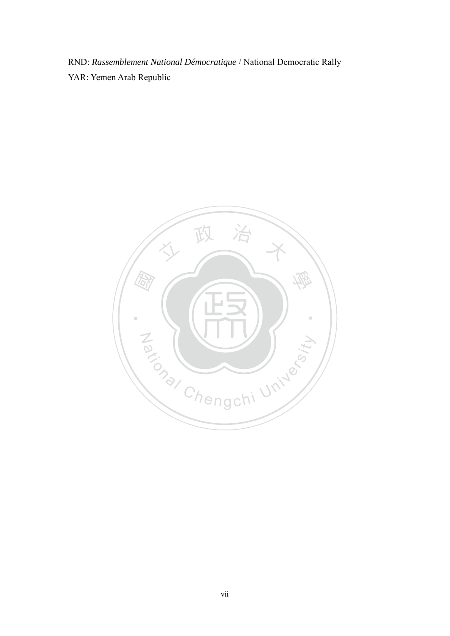RND: *Rassemblement National Démocratique* / National Democratic Rally YAR: Yemen Arab Republic

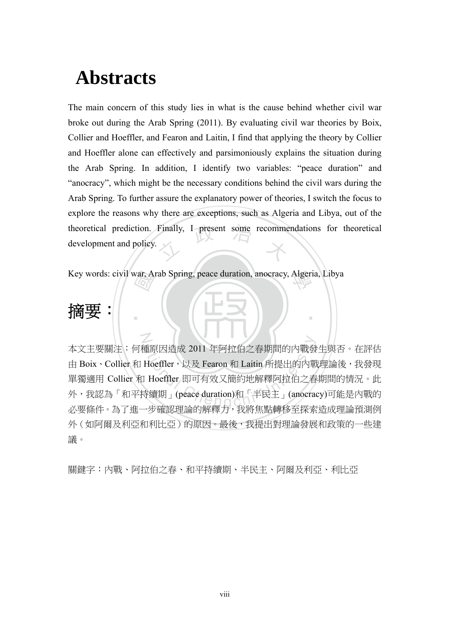## **Abstracts**

theoretical prediction. Finally, I present some recommendations for theoretical development and policy. The main concern of this study lies in what is the cause behind whether civil war broke out during the Arab Spring (2011). By evaluating civil war theories by Boix, Collier and Hoeffler, and Fearon and Laitin, I find that applying the theory by Collier and Hoeffler alone can effectively and parsimoniously explains the situation during the Arab Spring. In addition, I identify two variables: "peace duration" and "anocracy", which might be the necessary conditions behind the civil wars during the Arab Spring. To further assure the explanatory power of theories, I switch the focus to explore the reasons why there are exceptions, such as Algeria and Libya, out of the development and policy.

國 學 Key words: civil war, Arab Spring, peace duration, anocracy, Algeria, Libya

## 摘要:

N 重原因造成 2011 年阿拉伯之春期間的内戰發<br>Hoeffler,以及 Fearon 和 Laitin 所提出的内戰<br>I Hoeffler 即可有效又簡約地解釋阿拉伯之春<br>寺續期」(peace duration)和「半民主」(anocrat<br>-共確認理論的解釋力,我將焦點轉移至探索 本文主要關注:何種原因造成 2011 年阿拉伯之春期間的內戰發生與否。在評估 由 Boix、Collier 和 Hoeffler,以及 Fearon 和 Laitin 所提出的內戰理論後,我發現 單獨適用 Collier 和 Hoeffler 即可有效又簡約地解釋阿拉伯之春期間的情況。此 外,我認為「和平持續期」(peace duration)和「半民主」(anocracy)可能是內戰的 必要條件。為了進一步確認理論的解釋力,我將焦點轉移至探索造成理論預測例 外(如阿爾及利亞和利比亞)的原因。最後,我提出對理論發展和政策的一些建 議。

‧

關鍵字:內戰、阿拉伯之春、和平持續期、半民主、阿爾及利亞、利比亞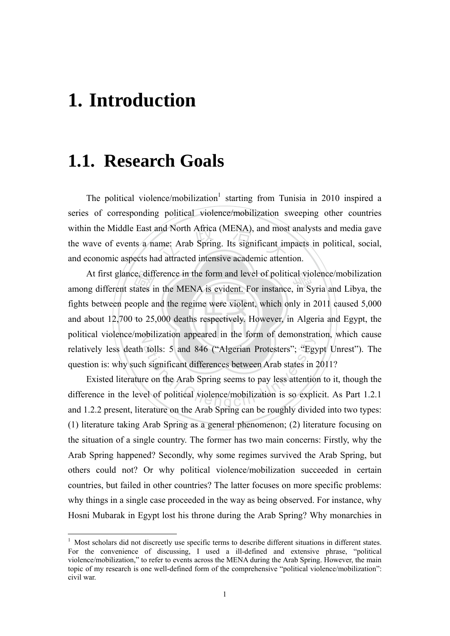## **1. Introduction**

1

## **1.1. Research Goals**

and North Africa (MENA), and most<br>time: Arab Spring. Its significant im<br>ad attracted intensive academic attent The political violence/mobilization<sup>1</sup> starting from Tunisia in 2010 inspired a series of corresponding political violence/mobilization sweeping other countries within the Middle East and North Africa (MENA), and most analysts and media gave the wave of events a name: Arab Spring. Its significant impacts in political, social, and economic aspects had attracted intensive academic attention.

and about 12,700 to 25,000 deaths respectively. However, in Algeria and Egypt, the e, diff<br>tates i<br>ople a<br>to 25 At first glance, difference in the form and level of political violence/mobilization<br>ng different states in the MENA is evident. For instance, in Syria and Libya, the political violence/mobilization appeared in the form of demonstration, which cause tolls: 5 and 846 ("Algerian Protesters"; "Egy<br>h significant differences between Arab states in 2<br>re on the Arab Spring seems to pay less attentio<br>el of political violence/mobilization is so expli among different states in the MENA is evident. For instance, in Syria and Libya, the fights between people and the regime were violent, which only in 2011 caused 5,000 relatively less death tolls: 5 and 846 ("Algerian Protesters"; "Egypt Unrest"). The question is: why such significant differences between Arab states in 2011?

Existed literature on the Arab Spring seems to pay less attention to it, though the difference in the level of political violence/mobilization is so explicit. As Part 1.2.1 and 1.2.2 present, literature on the Arab Spring can be roughly divided into two types: (1) literature taking Arab Spring as a general phenomenon; (2) literature focusing on the situation of a single country. The former has two main concerns: Firstly, why the Arab Spring happened? Secondly, why some regimes survived the Arab Spring, but others could not? Or why political violence/mobilization succeeded in certain countries, but failed in other countries? The latter focuses on more specific problems: why things in a single case proceeded in the way as being observed. For instance, why Hosni Mubarak in Egypt lost his throne during the Arab Spring? Why monarchies in

<sup>&</sup>lt;sup>1</sup> Most scholars did not discreetly use specific terms to describe different situations in different states. For the convenience of discussing, I used a ill-defined and extensive phrase, "political violence/mobilization," to refer to events across the MENA during the Arab Spring. However, the main topic of my research is one well-defined form of the comprehensive "political violence/mobilization": civil war.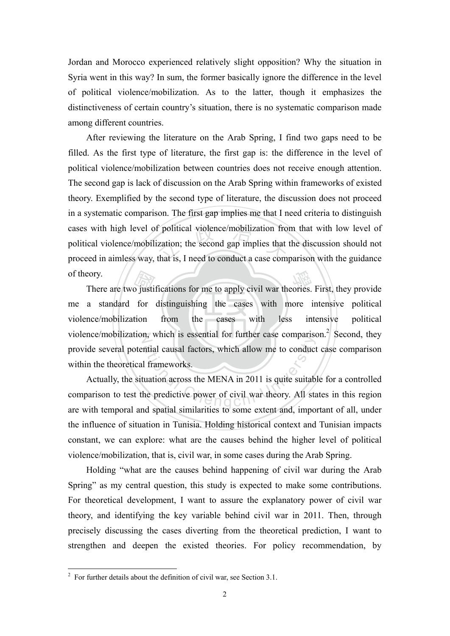Jordan and Morocco experienced relatively slight opposition? Why the situation in Syria went in this way? In sum, the former basically ignore the difference in the level of political violence/mobilization. As to the latter, though it emphasizes the distinctiveness of certain country's situation, there is no systematic comparison made among different countries.

cases with high level of political violence/mobilization from that with low level of political violence/mobilization; the second gap implies that the discussion should not proceed in aimless way, that is, I need to conduct After reviewing the literature on the Arab Spring, I find two gaps need to be filled. As the first type of literature, the first gap is: the difference in the level of political violence/mobilization between countries does not receive enough attention. The second gap is lack of discussion on the Arab Spring within frameworks of existed theory. Exemplified by the second type of literature, the discussion does not proceed in a systematic comparison. The first gap implies me that I need criteria to distinguish political violence/mobilization; the second gap implies that the discussion should not proceed in aimless way, that is, I need to conduct a case comparison with the guidance of theory.

violence/mobilization from the cases with less intensive political eory.<br>
There are two justifications for me to apply civil war theories. First, they provide<br>
a standard for distinguishing the cases with more intensive political<br>
nce/mobilization from the cases with less intensive politi intensive violence/mobilization, which is essential for further case comparison.<sup>2</sup> Second, they me a standard for distinguishing the cases with more intensive political provide several potential causal factors, which allow me to conduct case comparison within the theoretical frameworks.

ation and a comparison<br>atial causal factors, which allow me to conduct<br>ation across the MENA in 2011 is quite suitable predictive power of civil war theory. All standard Actually, the situation across the MENA in 2011 is quite suitable for a controlled comparison to test the predictive power of civil war theory. All states in this region are with temporal and spatial similarities to some extent and, important of all, under the influence of situation in Tunisia. Holding historical context and Tunisian impacts constant, we can explore: what are the causes behind the higher level of political violence/mobilization, that is, civil war, in some cases during the Arab Spring.

Holding "what are the causes behind happening of civil war during the Arab Spring" as my central question, this study is expected to make some contributions. For theoretical development, I want to assure the explanatory power of civil war theory, and identifying the key variable behind civil war in 2011. Then, through precisely discussing the cases diverting from the theoretical prediction, I want to strengthen and deepen the existed theories. For policy recommendation, by

<sup>&</sup>lt;sup>2</sup> For further details about the definition of civil war, see Section 3.1.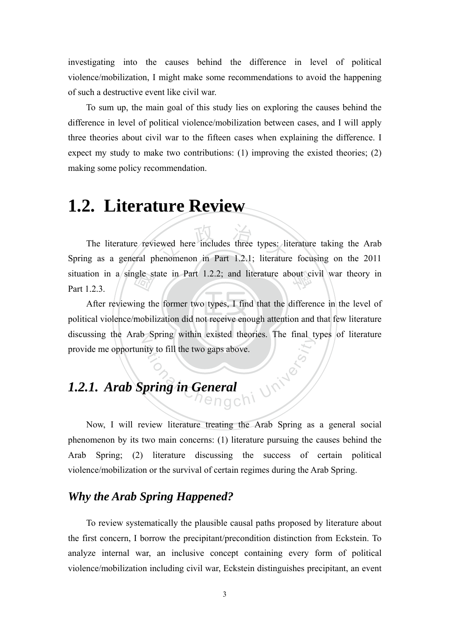investigating into the causes behind the difference in level of political violence/mobilization, I might make some recommendations to avoid the happening of such a destructive event like civil war.

To sum up, the main goal of this study lies on exploring the causes behind the difference in level of political violence/mobilization between cases, and I will apply three theories about civil war to the fifteen cases when explaining the difference. I expect my study to make two contributions: (1) improving the existed theories; (2) making some policy recommendation.

## **1.2. Literature Review**

ewed here includes three types: li situation in a single state in Part 1.2.2; and literature about civil war theory in Part 1.2.3. The literature reviewed here includes three types: literature taking the Arab Spring as a general phenomenon in Part 1.2.1; literature focusing on the 2011 Part 1.2.3.

political violence/mobilization did not receive enough attention and that few literature  $\frac{1}{\sqrt{2}}$ <br>ing th<br>mobil discussing the Arab Spring within existed theories. The final types of literature The Chengchi University to fill the two gaps above. After reviewing the former two types, I find that the difference in the level of provide me opportunity to fill the two gaps above.

### *1.2.1. Arab Spring in General*

Now, I will review literature treating the Arab Spring as a general social phenomenon by its two main concerns: (1) literature pursuing the causes behind the Arab Spring; (2) literature discussing the success of certain political violence/mobilization or the survival of certain regimes during the Arab Spring.

### *Why the Arab Spring Happened?*

To review systematically the plausible causal paths proposed by literature about the first concern, I borrow the precipitant/precondition distinction from Eckstein. To analyze internal war, an inclusive concept containing every form of political violence/mobilization including civil war, Eckstein distinguishes precipitant, an event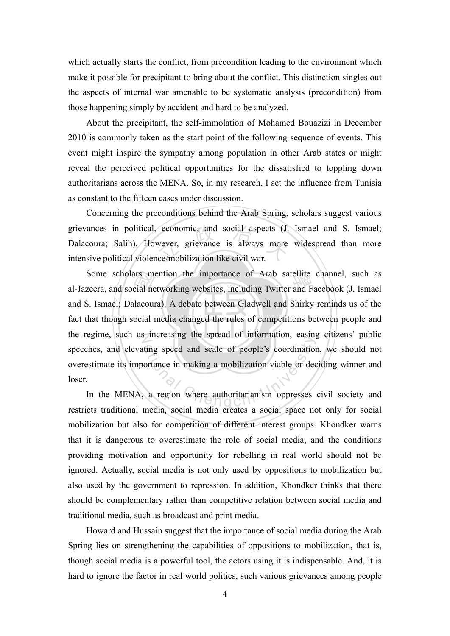which actually starts the conflict, from precondition leading to the environment which make it possible for precipitant to bring about the conflict. This distinction singles out the aspects of internal war amenable to be systematic analysis (precondition) from those happening simply by accident and hard to be analyzed.

About the precipitant, the self-immolation of Mohamed Bouazizi in December 2010 is commonly taken as the start point of the following sequence of events. This event might inspire the sympathy among population in other Arab states or might reveal the perceived political opportunities for the dissatisfied to toppling down authoritarians across the MENA. So, in my research, I set the influence from Tunisia as constant to the fifteen cases under discussion.

grievances in political, economic, and social aspects (J. Ismael and S. Ismael; Dalacoura; Salih). However, grievance is always more widespread than more intensive political violence/mobilization like civil war. Concerning the preconditions behind the Arab Spring, scholars suggest various Dalacoura; Salih). However, grievance is always more widespread than more intensive political violence/mobilization like civil war.

fact that though social media changed the rules of competitions between people and External recession<br>cial net<br>ocial 1 Some scholars mention the importance of Arab satellite channel, such as zeera, and social networking websites, including Twitter and Facebook (J. Ismael the regime, such as increasing the spread of information, easing citizens' public ting speed and scale of people's coordination<br>ortance in making a mobilization viable or dec<br>a region where authoritarianism oppresses al-Jazeera, and social networking websites, including Twitter and Facebook (J. Ismael and S. Ismael; Dalacoura). A debate between Gladwell and Shirky reminds us of the speeches, and elevating speed and scale of people's coordination, we should not overestimate its importance in making a mobilization viable or deciding winner and loser.

In the MENA, a region where authoritarianism oppresses civil society and restricts traditional media, social media creates a social space not only for social mobilization but also for competition of different interest groups. Khondker warns that it is dangerous to overestimate the role of social media, and the conditions providing motivation and opportunity for rebelling in real world should not be ignored. Actually, social media is not only used by oppositions to mobilization but also used by the government to repression. In addition, Khondker thinks that there should be complementary rather than competitive relation between social media and traditional media, such as broadcast and print media.

Howard and Hussain suggest that the importance of social media during the Arab Spring lies on strengthening the capabilities of oppositions to mobilization, that is, though social media is a powerful tool, the actors using it is indispensable. And, it is hard to ignore the factor in real world politics, such various grievances among people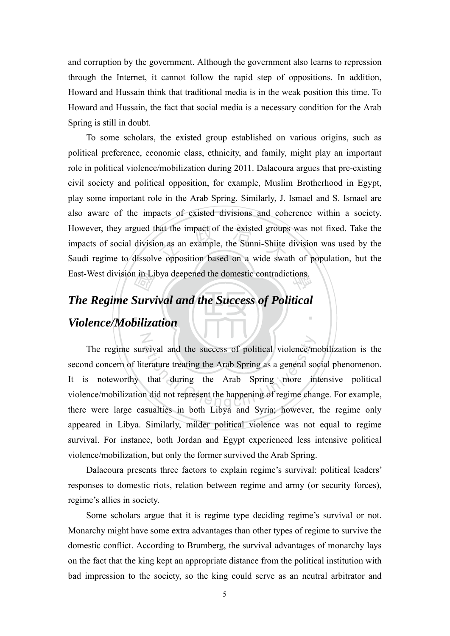and corruption by the government. Although the government also learns to repression through the Internet, it cannot follow the rapid step of oppositions. In addition, Howard and Hussain think that traditional media is in the weak position this time. To Howard and Hussain, the fact that social media is a necessary condition for the Arab Spring is still in doubt.

hat the impact of the existed groups<br>on as an example, the Sunni-Shiite<br>re opposition based on a wide swa East-West division in Libya deepened the domestic contradictions. To some scholars, the existed group established on various origins, such as political preference, economic class, ethnicity, and family, might play an important role in political violence/mobilization during 2011. Dalacoura argues that pre-existing civil society and political opposition, for example, Muslim Brotherhood in Egypt, play some important role in the Arab Spring. Similarly, J. Ismael and S. Ismael are also aware of the impacts of existed divisions and coherence within a society. However, they argued that the impact of the existed groups was not fixed. Take the impacts of social division as an example, the Sunni-Shiite division was used by the Saudi regime to dissolve opposition based on a wide swath of population, but the

### ‧*Violence/Mobilization*  n in Li<br>*Alay*<br>biliza ‧ *The Regime Survival and the Success of Political*

N

rvival and the success of political violence/m<br>terature treating the Arab Spring as a general so<br>that during the Arab Spring more in<br>n did not represent the happening of regime cha The regime survival and the success of political violence/mobilization is the second concern of literature treating the Arab Spring as a general social phenomenon. It is noteworthy that during the Arab Spring more intensive political violence/mobilization did not represent the happening of regime change. For example, there were large casualties in both Libya and Syria; however, the regime only appeared in Libya. Similarly, milder political violence was not equal to regime survival. For instance, both Jordan and Egypt experienced less intensive political violence/mobilization, but only the former survived the Arab Spring.

Dalacoura presents three factors to explain regime's survival: political leaders' responses to domestic riots, relation between regime and army (or security forces), regime's allies in society.

Some scholars argue that it is regime type deciding regime's survival or not. Monarchy might have some extra advantages than other types of regime to survive the domestic conflict. According to Brumberg, the survival advantages of monarchy lays on the fact that the king kept an appropriate distance from the political institution with bad impression to the society, so the king could serve as an neutral arbitrator and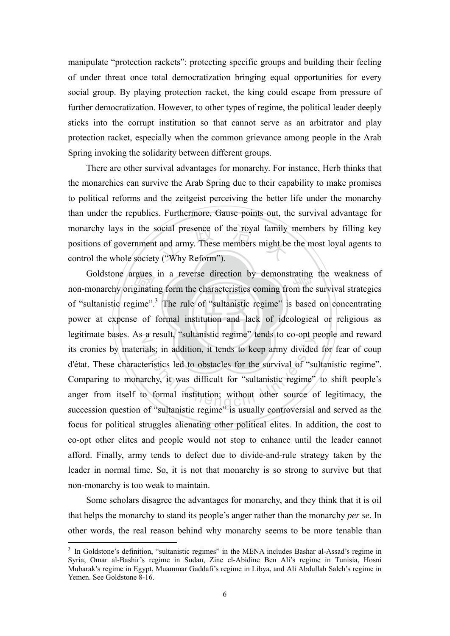manipulate "protection rackets": protecting specific groups and building their feeling of under threat once total democratization bringing equal opportunities for every social group. By playing protection racket, the king could escape from pressure of further democratization. However, to other types of regime, the political leader deeply sticks into the corrupt institution so that cannot serve as an arbitrator and play protection racket, especially when the common grievance among people in the Arab Spring invoking the solidarity between different groups.

ocial presence of the royal family<br>and army. These members might be<br> $y$  ("Why Reform"). There are other survival advantages for monarchy. For instance, Herb thinks that the monarchies can survive the Arab Spring due to their capability to make promises to political reforms and the zeitgeist perceiving the better life under the monarchy than under the republics. Furthermore, Gause points out, the survival advantage for monarchy lays in the social presence of the royal family members by filling key positions of government and army. These members might be the most loyal agents to control the whole society ("Why Reform").

power at expense of formal institution and lack of ideological or religious as rgues<br>ginatii<br>gime".<br>e of Goldstone argues in a reverse direction by demonstrating the weakness of monarchy originating form the characteristics coming from the survival strategies legitimate bases. As a result, "sultanistic regime" tends to co-opt people and reward a result, summate regime tends to co opt p<br>ials; in addition, it tends to keep army divided<br>teristics led to obstacles for the survival of "su<br>prechy, it was difficult for "sultanistic regime"<br>o formal institution; without non-monarchy originating form the characteristics coming from the survival strategies of "sultanistic regime".<sup>3</sup> The rule of "sultanistic regime" is based on concentrating its cronies by materials; in addition, it tends to keep army divided for fear of coup d'état. These characteristics led to obstacles for the survival of "sultanistic regime". Comparing to monarchy, it was difficult for "sultanistic regime" to shift people's anger from itself to formal institution; without other source of legitimacy, the succession question of "sultanistic regime" is usually controversial and served as the focus for political struggles alienating other political elites. In addition, the cost to co-opt other elites and people would not stop to enhance until the leader cannot afford. Finally, army tends to defect due to divide-and-rule strategy taken by the leader in normal time. So, it is not that monarchy is so strong to survive but that non-monarchy is too weak to maintain.

Some scholars disagree the advantages for monarchy, and they think that it is oil that helps the monarchy to stand its people's anger rather than the monarchy *per se*. In other words, the real reason behind why monarchy seems to be more tenable than

<u>.</u>

<sup>&</sup>lt;sup>3</sup> In Goldstone's definition, "sultanistic regimes" in the MENA includes Bashar al-Assad's regime in Syria, Omar al-Bashir's regime in Sudan, Zine el-Abidine Ben Ali's regime in Tunisia, Hosni Mubarak's regime in Egypt, Muammar Gaddafi's regime in Libya, and Ali Abdullah Saleh's regime in Yemen. See Goldstone 8-16.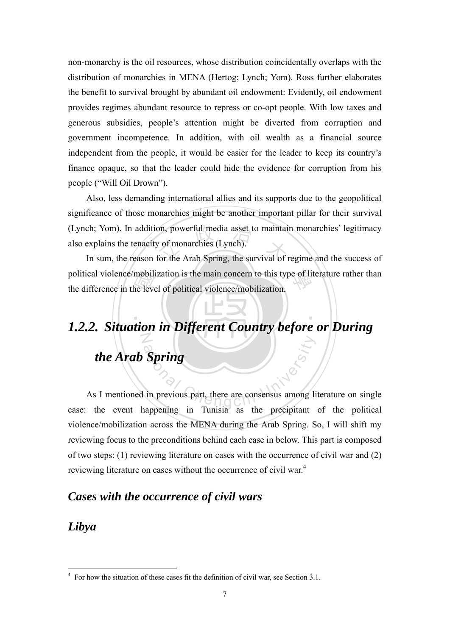non-monarchy is the oil resources, whose distribution coincidentally overlaps with the distribution of monarchies in MENA (Hertog; Lynch; Yom). Ross further elaborates the benefit to survival brought by abundant oil endowment: Evidently, oil endowment provides regimes abundant resource to repress or co-opt people. With low taxes and generous subsidies, people's attention might be diverted from corruption and government incompetence. In addition, with oil wealth as a financial source independent from the people, it would be easier for the leader to keep its country's finance opaque, so that the leader could hide the evidence for corruption from his people ("Will Oil Drown").

(Lynch; Yom). In addition, powerful media asset to maintain monarchies' legitimacy<br>also explains the tenacity of monarchies (Lynch).<br>In sum, the reason for the Arab Spring, the survival of regime and the success of Also, less demanding international allies and its supports due to the geopolitical significance of those monarchies might be another important pillar for their survival also explains the tenacity of monarchies (Lynch).

mobil<br>ne leve<br>tion political violence/mobilization is the main concern to this type of literature rather than<br>the difference in the level of political violence/mobilization. In sum, the reason for the Arab Spring, the survival of regime and the success of the difference in the level of political violence/mobilization.

### N *1.2.2. Situation in Different Country before or During*

‧

## *the Arab Spring*

Spring<br>and Chengchi University<br>of the Chengchi University<br>of the Chengchi University As I mentioned in previous part, there are consensus among literature on single case: the event happening in Tunisia as the precipitant of the political violence/mobilization across the MENA during the Arab Spring. So, I will shift my reviewing focus to the preconditions behind each case in below. This part is composed of two steps: (1) reviewing literature on cases with the occurrence of civil war and (2) reviewing literature on cases without the occurrence of civil war.<sup>4</sup>

### *Cases with the occurrence of civil wars*

### *Libya*

<sup>&</sup>lt;sup>4</sup> For how the situation of these cases fit the definition of civil war, see Section 3.1.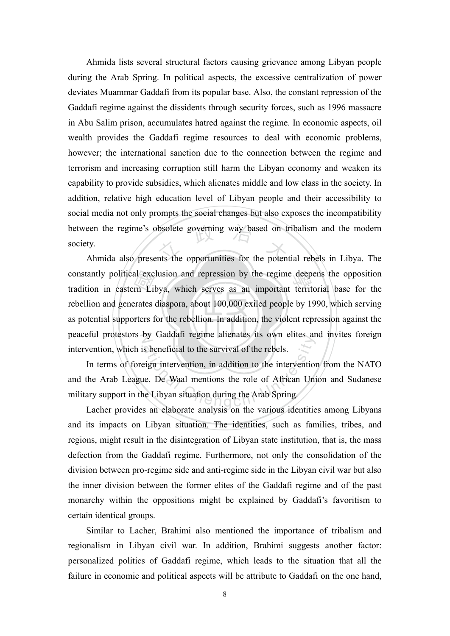between the regime's obsolete governing way based on tribalism and the modern<br>society.<br>Ahmida also presents the opportunities for the potential rebels in Libya. The Ahmida lists several structural factors causing grievance among Libyan people during the Arab Spring. In political aspects, the excessive centralization of power deviates Muammar Gaddafi from its popular base. Also, the constant repression of the Gaddafi regime against the dissidents through security forces, such as 1996 massacre in Abu Salim prison, accumulates hatred against the regime. In economic aspects, oil wealth provides the Gaddafi regime resources to deal with economic problems, however; the international sanction due to the connection between the regime and terrorism and increasing corruption still harm the Libyan economy and weaken its capability to provide subsidies, which alienates middle and low class in the society. In addition, relative high education level of Libyan people and their accessibility to social media not only prompts the social changes but also exposes the incompatibility society.

as potential supporters for the rebellion. In addition, the violent repression against the al exc<br>rn Lil<br>erates<br>rters f constantly political exclusion and repression by the regime deepens the opposition<br>tradition in eastern Libya, which serves as an important territorial base for the peaceful protestors by Gaddafi regime alienates its own elites and invites foreign Ahmida also presents the opportunities for the potential rebels in Libya. The tradition in eastern Libya, which serves as an important territorial base for the rebellion and generates diaspora, about 100,000 exiled people by 1990, which serving intervention, which is beneficial to the survival of the rebels.

by Gadaari regime anenates its own entes and<br>s beneficial to the survival of the rebels.<br>eign intervention, in addition to the intervention<br>ne, De Waal mentions the role of African University In terms of foreign intervention, in addition to the intervention from the NATO and the Arab League, De Waal mentions the role of African Union and Sudanese military support in the Libyan situation during the Arab Spring.

Lacher provides an elaborate analysis on the various identities among Libyans and its impacts on Libyan situation. The identities, such as families, tribes, and regions, might result in the disintegration of Libyan state institution, that is, the mass defection from the Gaddafi regime. Furthermore, not only the consolidation of the division between pro-regime side and anti-regime side in the Libyan civil war but also the inner division between the former elites of the Gaddafi regime and of the past monarchy within the oppositions might be explained by Gaddafi's favoritism to certain identical groups.

Similar to Lacher, Brahimi also mentioned the importance of tribalism and regionalism in Libyan civil war. In addition, Brahimi suggests another factor: personalized politics of Gaddafi regime, which leads to the situation that all the failure in economic and political aspects will be attribute to Gaddafi on the one hand,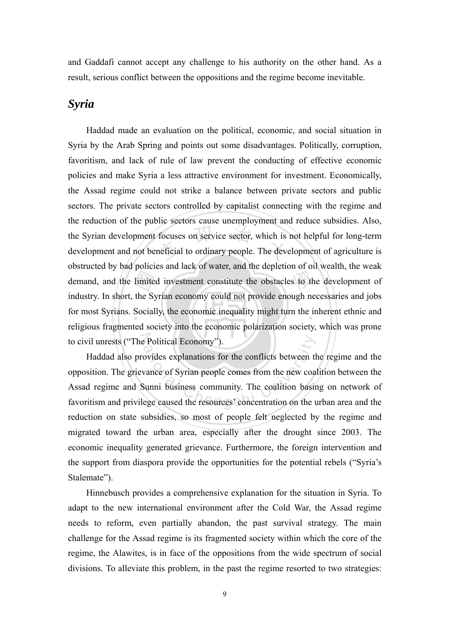and Gaddafi cannot accept any challenge to his authority on the other hand. As a result, serious conflict between the oppositions and the regime become inevitable.

### *Syria*

limite<br>the Sy<br>Social focuses on service sector, which is<br>neficial to ordinary people. The deve s to the for most Syrians. Socially, the economic inequality might turn the inherent ethnic and to civil unrests ("The Political Economy"). Haddad made an evaluation on the political, economic, and social situation in Syria by the Arab Spring and points out some disadvantages. Politically, corruption, favoritism, and lack of rule of law prevent the conducting of effective economic policies and make Syria a less attractive environment for investment. Economically, the Assad regime could not strike a balance between private sectors and public sectors. The private sectors controlled by capitalist connecting with the regime and the reduction of the public sectors cause unemployment and reduce subsidies. Also, the Syrian development focuses on service sector, which is not helpful for long-term development and not beneficial to ordinary people. The development of agriculture is obstructed by bad policies and lack of water, and the depletion of oil wealth, the weak demand, and the limited investment constitute the obstacles to the development of industry. In short, the Syrian economy could not provide enough necessaries and jobs religious fragmented society into the economic polarization society, which was prone

Political Economy").<br>
Sovides explanations for the conflicts between the<br>
vance of Syrian people comes from the new coa<br>
Sunni business community. The coalition basine<br>
ege caused the resources' concentration on the u Haddad also provides explanations for the conflicts between the regime and the opposition. The grievance of Syrian people comes from the new coalition between the Assad regime and Sunni business community. The coalition basing on network of favoritism and privilege caused the resources' concentration on the urban area and the reduction on state subsidies, so most of people felt neglected by the regime and migrated toward the urban area, especially after the drought since 2003. The economic inequality generated grievance. Furthermore, the foreign intervention and the support from diaspora provide the opportunities for the potential rebels ("Syria's Stalemate").

Hinnebusch provides a comprehensive explanation for the situation in Syria. To adapt to the new international environment after the Cold War, the Assad regime needs to reform, even partially abandon, the past survival strategy. The main challenge for the Assad regime is its fragmented society within which the core of the regime, the Alawites, is in face of the oppositions from the wide spectrum of social divisions. To alleviate this problem, in the past the regime resorted to two strategies: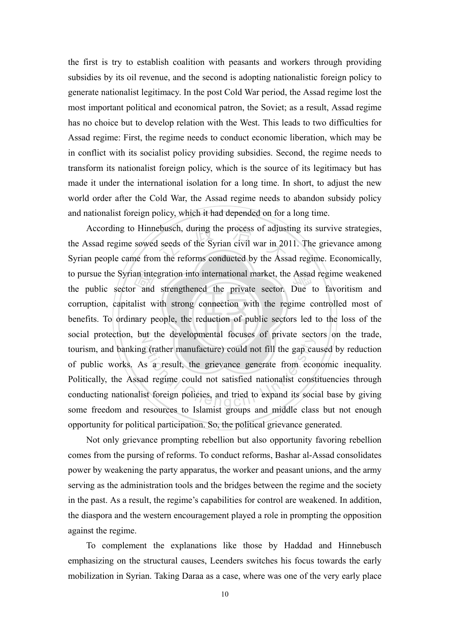the first is try to establish coalition with peasants and workers through providing subsidies by its oil revenue, and the second is adopting nationalistic foreign policy to generate nationalist legitimacy. In the post Cold War period, the Assad regime lost the most important political and economical patron, the Soviet; as a result, Assad regime has no choice but to develop relation with the West. This leads to two difficulties for Assad regime: First, the regime needs to conduct economic liberation, which may be in conflict with its socialist policy providing subsidies. Second, the regime needs to transform its nationalist foreign policy, which is the source of its legitimacy but has made it under the international isolation for a long time. In short, to adjust the new world order after the Cold War, the Assad regime needs to abandon subsidy policy and nationalist foreign policy, which it had depended on for a long time.

benefits. To ordinary people, the reduction of public sectors led to the loss of the an inte<br>r and<br>llist w<br>ary p ebusch, during the process of adjust<br>I seeds of the Syrian civil war in 20<br>In the reforms conducted by the Asse to pursue the Syrian integration into international market, the Assad regime weakened<br>the public sector and strengthened the private sector. Due to favoritism and social protection, but the developmental focuses of private sectors on the trade, at the developmental focuses of private seeds<br>g (rather manufacture) could not fill the gap cars<br>as a result, the grievance generate from eco-<br>d regime could not satisfied nationalist const<br>st foreign policies, and tried t According to Hinnebusch, during the process of adjusting its survive strategies, the Assad regime sowed seeds of the Syrian civil war in 2011. The grievance among Syrian people came from the reforms conducted by the Assad regime. Economically, the public sector and strengthened the private sector. Due to favoritism and corruption, capitalist with strong connection with the regime controlled most of tourism, and banking (rather manufacture) could not fill the gap caused by reduction of public works. As a result, the grievance generate from economic inequality. Politically, the Assad regime could not satisfied nationalist constituencies through conducting nationalist foreign policies, and tried to expand its social base by giving some freedom and resources to Islamist groups and middle class but not enough opportunity for political participation. So, the political grievance generated.

Not only grievance prompting rebellion but also opportunity favoring rebellion comes from the pursing of reforms. To conduct reforms, Bashar al-Assad consolidates power by weakening the party apparatus, the worker and peasant unions, and the army serving as the administration tools and the bridges between the regime and the society in the past. As a result, the regime's capabilities for control are weakened. In addition, the diaspora and the western encouragement played a role in prompting the opposition against the regime.

To complement the explanations like those by Haddad and Hinnebusch emphasizing on the structural causes, Leenders switches his focus towards the early mobilization in Syrian. Taking Daraa as a case, where was one of the very early place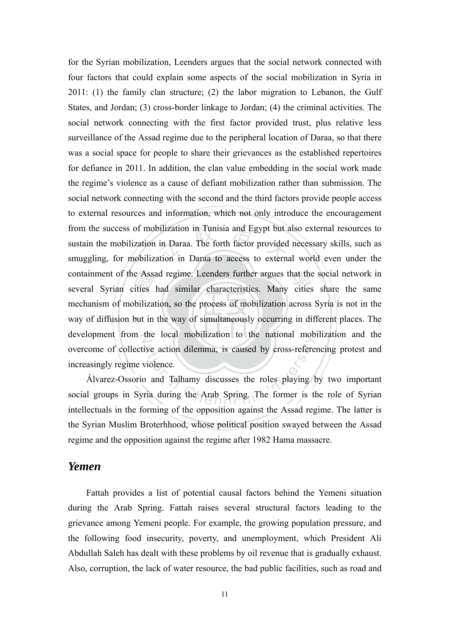way of diffusion but in the way of simultaneously occurring in different places. The e Assa<br>ities<br>biliza<br>but in from the success of mobilization in Tunisia and Egypt but also external resources to<br>sustain the mobilization in Daraa. The forth factor provided necessary skills, such as<br>smuggling, for mobilization in Daraa to access to containment of the Assad regime. Leenders further argues that the social network in<br>several Syrian cities had similar characteristics. Many cities share the same development from the local mobilization to the national mobilization and the for the Syrian mobilization, Leenders argues that the social network connected with four factors that could explain some aspects of the social mobilization in Syria in 2011: (1) the family clan structure; (2) the labor migration to Lebanon, the Gulf States, and Jordan; (3) cross-border linkage to Jordan; (4) the criminal activities. The social network connecting with the first factor provided trust, plus relative less surveillance of the Assad regime due to the peripheral location of Daraa, so that there was a social space for people to share their grievances as the established repertoires for defiance in 2011. In addition, the clan value embedding in the social work made the regime's violence as a cause of defiant mobilization rather than submission. The social network connecting with the second and the third factors provide people access to external resources and information, which not only introduce the encouragement sustain the mobilization in Daraa. The forth factor provided necessary skills, such as smuggling, for mobilization in Daraa to access to external world even under the several Syrian cities had similar characteristics. Many cities share the same mechanism of mobilization, so the process of mobilization across Syria is not in the overcome of collective action dilemma, is caused by cross-referencing protest and increasingly regime violence.

ation dilemma, is caused by cross-refered<br>violence.<br>and Talhamy discusses the roles playing by<br>ria during the Arab Spring. The former is the composition against the Assed role Álvarez-Ossorio and Talhamy discusses the roles playing by two important social groups in Syria during the Arab Spring. The former is the role of Syrian intellectuals in the forming of the opposition against the Assad regime. The latter is the Syrian Muslim Broterhhood, whose political position swayed between the Assad regime and the opposition against the regime after 1982 Hama massacre.

### *Yemen*

Fattah provides a list of potential causal factors behind the Yemeni situation during the Arab Spring. Fattah raises several structural factors leading to the grievance among Yemeni people. For example, the growing population pressure, and the following food insecurity, poverty, and unemployment, which President Ali Abdullah Saleh has dealt with these problems by oil revenue that is gradually exhaust. Also, corruption, the lack of water resource, the bad public facilities, such as road and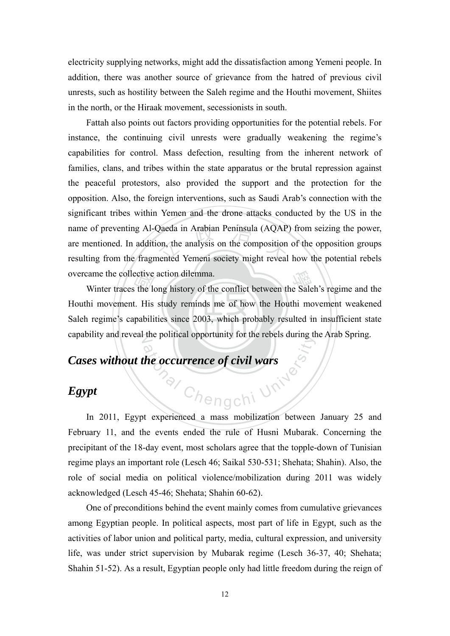electricity supplying networks, might add the dissatisfaction among Yemeni people. In addition, there was another source of grievance from the hatred of previous civil unrests, such as hostility between the Saleh regime and the Houthi movement, Shiites in the north, or the Hiraak movement, secessionists in south.

name of preventing Al-Qaeda in Arabian Peninsula (AQAP) from seizing the power, are mentioned. In addition, the analysis on the composition of the opposition groups resulting from the fragmented Yemeni society might reveal Fattah also points out factors providing opportunities for the potential rebels. For instance, the continuing civil unrests were gradually weakening the regime's capabilities for control. Mass defection, resulting from the inherent network of families, clans, and tribes within the state apparatus or the brutal repression against the peaceful protestors, also provided the support and the protection for the opposition. Also, the foreign interventions, such as Saudi Arab's connection with the significant tribes within Yemen and the drone attacks conducted by the US in the are mentioned. In addition, the analysis on the composition of the opposition groups resulting from the fragmented Yemeni society might reveal how the potential rebels overcame the collective action dilemma.

Saleh regime's capabilities since 2003, which probably resulted in insufficient state Extending Winter traces the long history of the conflict between the Saleh's regime and the hi movement. His study reminds me of how the Houthi movement weakened a regime's capabilities since 2003, which probably resulted capability and reveal the political opportunity for the rebels during the Arab Spring. Houthi movement. His study reminds me of how the Houthi movement weakened

# Mangchi University *Cases without the occurrence of civil wars*

### *Egypt*

In 2011, Egypt experienced a mass mobilization between January 25 and February 11, and the events ended the rule of Husni Mubarak. Concerning the precipitant of the 18-day event, most scholars agree that the topple-down of Tunisian regime plays an important role (Lesch 46; Saikal 530-531; Shehata; Shahin). Also, the role of social media on political violence/mobilization during 2011 was widely acknowledged (Lesch 45-46; Shehata; Shahin 60-62).

One of preconditions behind the event mainly comes from cumulative grievances among Egyptian people. In political aspects, most part of life in Egypt, such as the activities of labor union and political party, media, cultural expression, and university life, was under strict supervision by Mubarak regime (Lesch 36-37, 40; Shehata; Shahin 51-52). As a result, Egyptian people only had little freedom during the reign of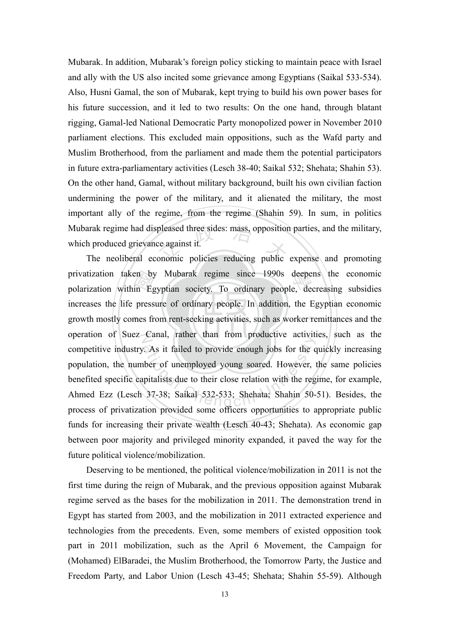arak regime had displeased three sides: mass, opposition parties, and the military,<br>h produced grievance against it.<br>The neoliberal economic policies reducing public expense and promoting Mubarak. In addition, Mubarak's foreign policy sticking to maintain peace with Israel and ally with the US also incited some grievance among Egyptians (Saikal 533-534). Also, Husni Gamal, the son of Mubarak, kept trying to build his own power bases for his future succession, and it led to two results: On the one hand, through blatant rigging, Gamal-led National Democratic Party monopolized power in November 2010 parliament elections. This excluded main oppositions, such as the Wafd party and Muslim Brotherhood, from the parliament and made them the potential participators in future extra-parliamentary activities (Lesch 38-40; Saikal 532; Shehata; Shahin 53). On the other hand, Gamal, without military background, built his own civilian faction undermining the power of the military, and it alienated the military, the most important ally of the regime, from the regime (Shahin 59). In sum, in politics Mubarak regime had displeased three sides: mass, opposition parties, and the military, which produced grievance against it.

growth mostly comes from rent-seeking activities, such as worker remittances and the en by<br>in Eg<br>press<br>mes fr privatization taken by Mubarak regime since 1990s deepens the economic<br>polarization within Egyptian society. To ordinary people, decreasing subsidies operation of Suez Canal, rather than from productive activities, such as the As it failed to provide enough jobs for the c<br>there of unemployed young soared. However, initialists due to their close relation with the reg<br>37-38; Saikal 532-533; Shehata; Shahin 50polarization within Egyptian society. To ordinary people, decreasing subsidies increases the life pressure of ordinary people. In addition, the Egyptian economic competitive industry. As it failed to provide enough jobs for the quickly increasing population, the number of unemployed young soared. However, the same policies benefited specific capitalists due to their close relation with the regime, for example, Ahmed Ezz (Lesch 37-38; Saikal 532-533; Shehata; Shahin 50-51). Besides, the process of privatization provided some officers opportunities to appropriate public funds for increasing their private wealth (Lesch 40-43; Shehata). As economic gap between poor majority and privileged minority expanded, it paved the way for the future political violence/mobilization.

Deserving to be mentioned, the political violence/mobilization in 2011 is not the first time during the reign of Mubarak, and the previous opposition against Mubarak regime served as the bases for the mobilization in 2011. The demonstration trend in Egypt has started from 2003, and the mobilization in 2011 extracted experience and technologies from the precedents. Even, some members of existed opposition took part in 2011 mobilization, such as the April 6 Movement, the Campaign for (Mohamed) ElBaradei, the Muslim Brotherhood, the Tomorrow Party, the Justice and Freedom Party, and Labor Union (Lesch 43-45; Shehata; Shahin 55-59). Although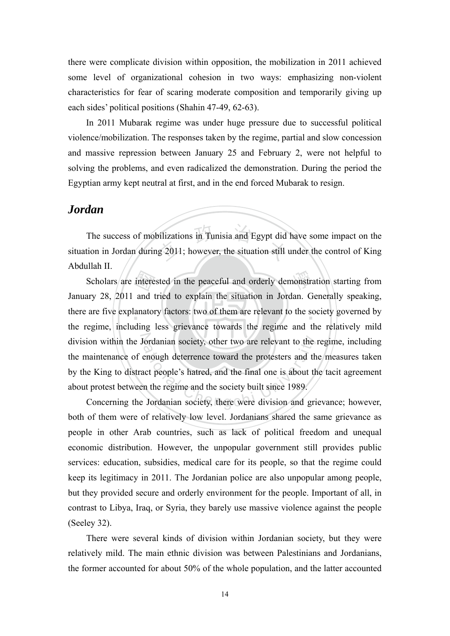there were complicate division within opposition, the mobilization in 2011 achieved some level of organizational cohesion in two ways: emphasizing non-violent characteristics for fear of scaring moderate composition and temporarily giving up each sides' political positions (Shahin 47-49, 62-63).

In 2011 Mubarak regime was under huge pressure due to successful political violence/mobilization. The responses taken by the regime, partial and slow concession and massive repression between January 25 and February 2, were not helpful to solving the problems, and even radicalized the demonstration. During the period the Egyptian army kept neutral at first, and in the end forced Mubarak to resign.

### *Jordan*

vilizations in Tunisia and Egypt did<br>g 2011; however, the situation still The success of mobilizations in Tunisia and Egypt did have some impact on the situation in Jordan during 2011; however, the situation still under the control of King Abdullah II.

interested in the peaceful and orderly demonstrated and tried to explain the situation in Jordan. G<br>anatory factors: two of them are relevant to the set there are five explanatory factors: two of them are relevant to the society governed by division within the Jordanian society, other two are relevant to the regime, including ordanian society, other two are relevant to the<br>enough deterrence toward the protesters and th<br>act people's hatred, and the final one is about th<br>n the regime and the society built since 1989.<br>Jordanian society, there were Scholars are interested in the peaceful and orderly demonstration starting from January 28, 2011 and tried to explain the situation in Jordan. Generally speaking, the regime, including less grievance towards the regime and the relatively mild the maintenance of enough deterrence toward the protesters and the measures taken by the King to distract people's hatred, and the final one is about the tacit agreement about protest between the regime and the society built since 1989.

Concerning the Jordanian society, there were division and grievance; however, both of them were of relatively low level. Jordanians shared the same grievance as people in other Arab countries, such as lack of political freedom and unequal economic distribution. However, the unpopular government still provides public services: education, subsidies, medical care for its people, so that the regime could keep its legitimacy in 2011. The Jordanian police are also unpopular among people, but they provided secure and orderly environment for the people. Important of all, in contrast to Libya, Iraq, or Syria, they barely use massive violence against the people (Seeley 32).

There were several kinds of division within Jordanian society, but they were relatively mild. The main ethnic division was between Palestinians and Jordanians, the former accounted for about 50% of the whole population, and the latter accounted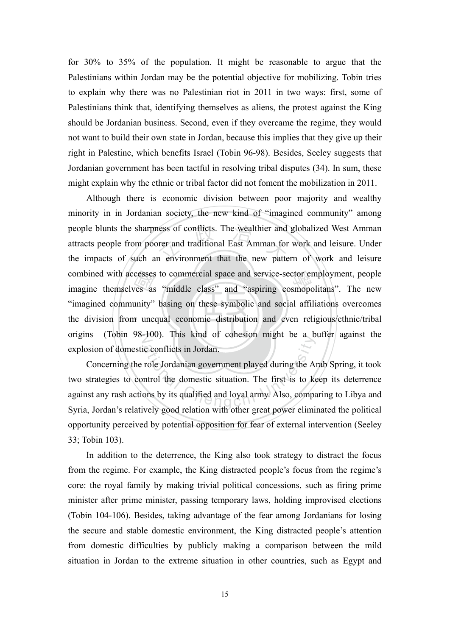for 30% to 35% of the population. It might be reasonable to argue that the Palestinians within Jordan may be the potential objective for mobilizing. Tobin tries to explain why there was no Palestinian riot in 2011 in two ways: first, some of Palestinians think that, identifying themselves as aliens, the protest against the King should be Jordanian business. Second, even if they overcame the regime, they would not want to build their own state in Jordan, because this implies that they give up their right in Palestine, which benefits Israel (Tobin 96-98). Besides, Seeley suggests that Jordanian government has been tactful in resolving tribal disputes (34). In sum, these might explain why the ethnic or tribal factor did not foment the mobilization in 2011.

the division from unequal economic distribution and even religious/ethnic/tribal cesses<br>
ves as<br>
unity"<br>
1 une ness of conflicts. The wealthier and<br>orer and traditional East Amman for<br>n environment that the new patte combined with accesses to commercial space and service-sector employment, people imagine themselves as "middle class" and "aspiring cosmopolitans". The new origins (Tobin 98-100). This kind of cohesion might be a buffer against the Although there is economic division between poor majority and wealthy minority in in Jordanian society, the new kind of "imagined community" among people blunts the sharpness of conflicts. The wealthier and globalized West Amman attracts people from poorer and traditional East Amman for work and leisure. Under the impacts of such an environment that the new pattern of work and leisure imagine themselves as "middle class" and "aspiring cosmopolitans". The new "imagined community" basing on these symbolic and social affiliations overcomes explosion of domestic conflicts in Jordan.

roo). This kind of conesion high oc a b<br>ic conflicts in Jordan.<br>note Jordanian government played during the A<br>ntrol the domestic situation. The first is to ke<br>ons by its qualified and loyal army. Also, compared Concerning the role Jordanian government played during the Arab Spring, it took two strategies to control the domestic situation. The first is to keep its deterrence against any rash actions by its qualified and loyal army. Also, comparing to Libya and Syria, Jordan's relatively good relation with other great power eliminated the political opportunity perceived by potential opposition for fear of external intervention (Seeley 33; Tobin 103).

In addition to the deterrence, the King also took strategy to distract the focus from the regime. For example, the King distracted people's focus from the regime's core: the royal family by making trivial political concessions, such as firing prime minister after prime minister, passing temporary laws, holding improvised elections (Tobin 104-106). Besides, taking advantage of the fear among Jordanians for losing the secure and stable domestic environment, the King distracted people's attention from domestic difficulties by publicly making a comparison between the mild situation in Jordan to the extreme situation in other countries, such as Egypt and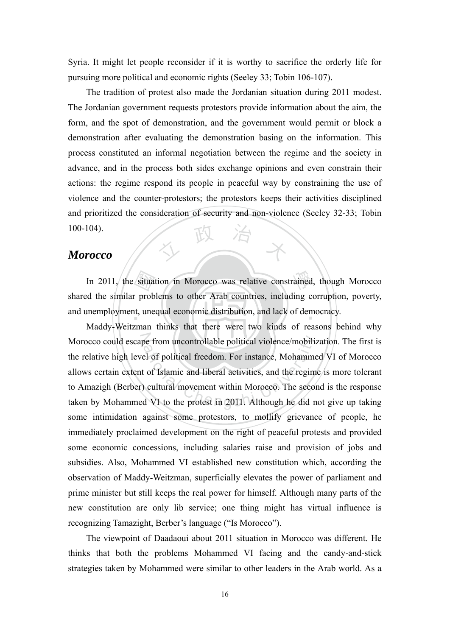Syria. It might let people reconsider if it is worthy to sacrifice the orderly life for pursuing more political and economic rights (Seeley 33; Tobin 106-107).

**正又** The tradition of protest also made the Jordanian situation during 2011 modest. The Jordanian government requests protestors provide information about the aim, the form, and the spot of demonstration, and the government would permit or block a demonstration after evaluating the demonstration basing on the information. This process constituted an informal negotiation between the regime and the society in advance, and in the process both sides exchange opinions and even constrain their actions: the regime respond its people in peaceful way by constraining the use of violence and the counter-protestors; the protestors keeps their activities disciplined and prioritized the consideration of security and non-violence (Seeley 32-33; Tobin 100-104).

### *Morocco*

situa<br>r prob<br>t, une rained and unemployment, unequal economic distribution, and lack of democracy. In 2011, the situation in Morocco was relative constrained, though Morocco shared the similar problems to other Arab countries, including corruption, poverty,

N Morocco could escape from uncontrollable political violence/mobilization. The first is The from uncontrollable political violence/mobilized of political freedom. For instance, Mohammet of Islamic and liberal activities, and the regim cultural movement within Morocco. The second VI to the protest in 2011. Alt Maddy-Weitzman thinks that there were two kinds of reasons behind why the relative high level of political freedom. For instance, Mohammed VI of Morocco allows certain extent of Islamic and liberal activities, and the regime is more tolerant to Amazigh (Berber) cultural movement within Morocco. The second is the response taken by Mohammed VI to the protest in 2011. Although he did not give up taking some intimidation against some protestors, to mollify grievance of people, he immediately proclaimed development on the right of peaceful protests and provided some economic concessions, including salaries raise and provision of jobs and subsidies. Also, Mohammed VI established new constitution which, according the observation of Maddy-Weitzman, superficially elevates the power of parliament and prime minister but still keeps the real power for himself. Although many parts of the new constitution are only lib service; one thing might has virtual influence is recognizing Tamazight, Berber's language ("Is Morocco").

The viewpoint of Daadaoui about 2011 situation in Morocco was different. He thinks that both the problems Mohammed VI facing and the candy-and-stick strategies taken by Mohammed were similar to other leaders in the Arab world. As a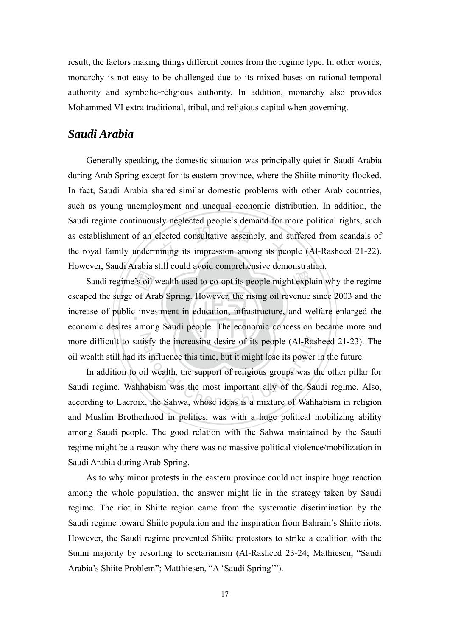result, the factors making things different comes from the regime type. In other words, monarchy is not easy to be challenged due to its mixed bases on rational-temporal authority and symbolic-religious authority. In addition, monarchy also provides Mohammed VI extra traditional, tribal, and religious capital when governing.

### *Saudi Arabia*

elected consultative assembly, and s<br>ining its impression among its pec Generally speaking, the domestic situation was principally quiet in Saudi Arabia during Arab Spring except for its eastern province, where the Shiite minority flocked. In fact, Saudi Arabia shared similar domestic problems with other Arab countries, such as young unemployment and unequal economic distribution. In addition, the Saudi regime continuously neglected people's demand for more political rights, such as establishment of an elected consultative assembly, and suffered from scandals of the royal family undermining its impression among its people (Al-Rasheed 21-22). However, Saudi Arabia still could avoid comprehensive demonstration.

s oil<br>of Arc<br>inves t expla increase of public investment in education, infrastructure, and welfare enlarged the more difficult to satisfy the increasing desire of its people (Al-Rasheed 21-23). The Saudi regime's oil wealth used to co-opt its people might explain why the regime escaped the surge of Arab Spring. However, the rising oil revenue since 2003 and the economic desires among Saudi people. The economic concession became more and oil wealth still had its influence this time, but it might lose its power in the future.

isfy the increasing desire of its people (Al-Rass<br>s influence this time, but it might lose its power<br>il wealth, the support of religious groups was t<br>nabism was the most important ally of the San<br>x, the Sahwa, whose ideas In addition to oil wealth, the support of religious groups was the other pillar for Saudi regime. Wahhabism was the most important ally of the Saudi regime. Also, according to Lacroix, the Sahwa, whose ideas is a mixture of Wahhabism in religion and Muslim Brotherhood in politics, was with a huge political mobilizing ability among Saudi people. The good relation with the Sahwa maintained by the Saudi regime might be a reason why there was no massive political violence/mobilization in Saudi Arabia during Arab Spring.

As to why minor protests in the eastern province could not inspire huge reaction among the whole population, the answer might lie in the strategy taken by Saudi regime. The riot in Shiite region came from the systematic discrimination by the Saudi regime toward Shiite population and the inspiration from Bahrain's Shiite riots. However, the Saudi regime prevented Shiite protestors to strike a coalition with the Sunni majority by resorting to sectarianism (Al-Rasheed 23-24; Mathiesen, "Saudi Arabia's Shiite Problem"; Matthiesen, "A 'Saudi Spring'").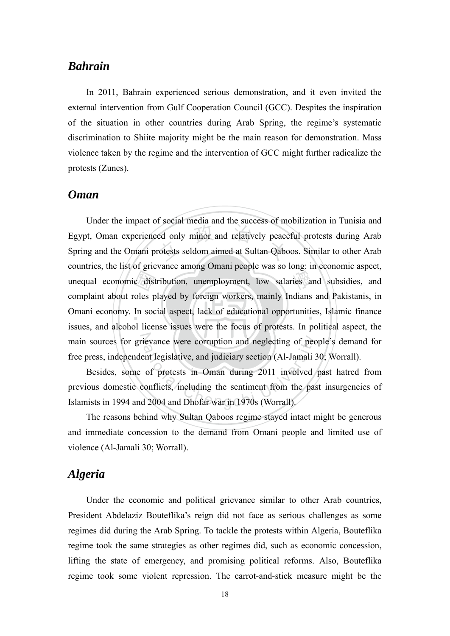### *Bahrain*

In 2011, Bahrain experienced serious demonstration, and it even invited the external intervention from Gulf Cooperation Council (GCC). Despites the inspiration of the situation in other countries during Arab Spring, the regime's systematic discrimination to Shiite majority might be the main reason for demonstration. Mass violence taken by the regime and the intervention of GCC might further radicalize the protests (Zunes).

### *Oman*

e dist<br>voles p<br>l lice ed only minor and relatively peace<br>rotests seldom aimed at Sultan Qabc ries a Omani economy. In social aspect, lack of educational opportunities, Islamic finance main sources for grievance were corruption and neglecting of people's demand for Under the impact of social media and the success of mobilization in Tunisia and Egypt, Oman experienced only minor and relatively peaceful protests during Arab Spring and the Omani protests seldom aimed at Sultan Qaboos. Similar to other Arab countries, the list of grievance among Omani people was so long: in economic aspect, unequal economic distribution, unemployment, low salaries and subsidies, and complaint about roles played by foreign workers, mainly Indians and Pakistanis, in issues, and alcohol license issues were the focus of protests. In political aspect, the free press, independent legislative, and judiciary section (Al-Jamali 30; Worrall).

ievance were corruption and neglecting of pecent legislative, and judiciary section (Al-Jamali 3 of protests in Oman during 2011 involved conflicts, including the sentiment from the pase of 2004 and Dhofar war in 1970s (Wo Besides, some of protests in Oman during 2011 involved past hatred from previous domestic conflicts, including the sentiment from the past insurgencies of Islamists in 1994 and 2004 and Dhofar war in 1970s (Worrall).

The reasons behind why Sultan Qaboos regime stayed intact might be generous and immediate concession to the demand from Omani people and limited use of violence (Al-Jamali 30; Worrall).

### *Algeria*

Under the economic and political grievance similar to other Arab countries, President Abdelaziz Bouteflika's reign did not face as serious challenges as some regimes did during the Arab Spring. To tackle the protests within Algeria, Bouteflika regime took the same strategies as other regimes did, such as economic concession, lifting the state of emergency, and promising political reforms. Also, Bouteflika regime took some violent repression. The carrot-and-stick measure might be the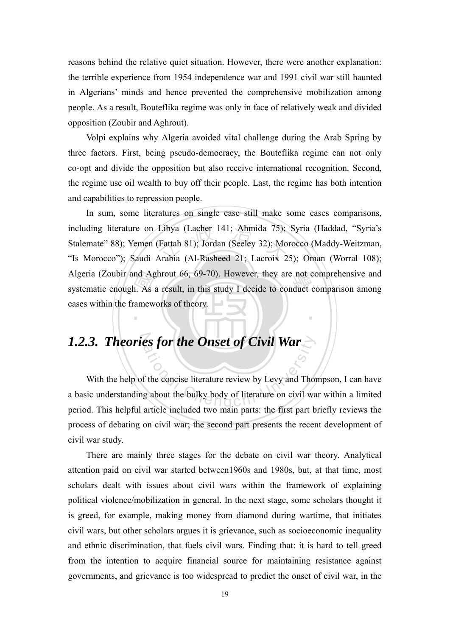reasons behind the relative quiet situation. However, there were another explanation: the terrible experience from 1954 independence war and 1991 civil war still haunted in Algerians' minds and hence prevented the comprehensive mobilization among people. As a result, Bouteflika regime was only in face of relatively weak and divided opposition (Zoubir and Aghrout).

Volpi explains why Algeria avoided vital challenge during the Arab Spring by three factors. First, being pseudo-democracy, the Bouteflika regime can not only co-opt and divide the opposition but also receive international recognition. Second, the regime use oil wealth to buy off their people. Last, the regime has both intention and capabilities to repression people.

nd Ag<br>
1. As<br>
amew<br>
1. Libya (Lacher 141; Ahmida 75);<br>(Fattah 81); Jordan (Seeley 32); Mo<br>Arabia (Al-Rasheed 21; Lacroix 2 Algeria (Zoubir and Aghrout 66, 69-70). However, they are not comprehensive and systematic enough. As a result, in this study I decide to conduct comparison among ‧ In sum, some literatures on single case still make some cases comparisons, including literature on Libya (Lacher 141; Ahmida 75); Syria (Haddad, "Syria's Stalemate" 88); Yemen (Fattah 81); Jordan (Seeley 32); Morocco (Maddy-Weitzman, "Is Morocco"); Saudi Arabia (Al-Rasheed 21; Lacroix 25); Oman (Worral 108); systematic enough. As a result, in this study I decide to conduct comparison among cases within the frameworks of theory.

**1.2.3. Theories for the Onset of Civil War**<br>With the help of the concise literature review by Levy and Thomas basic understanding about the bulky body of literature on civil was With the help of the concise literature review by Levy and Thompson, I can have a basic understanding about the bulky body of literature on civil war within a limited period. This helpful article included two main parts: the first part briefly reviews the process of debating on civil war; the second part presents the recent development of civil war study.

There are mainly three stages for the debate on civil war theory. Analytical attention paid on civil war started between1960s and 1980s, but, at that time, most scholars dealt with issues about civil wars within the framework of explaining political violence/mobilization in general. In the next stage, some scholars thought it is greed, for example, making money from diamond during wartime, that initiates civil wars, but other scholars argues it is grievance, such as socioeconomic inequality and ethnic discrimination, that fuels civil wars. Finding that: it is hard to tell greed from the intention to acquire financial source for maintaining resistance against governments, and grievance is too widespread to predict the onset of civil war, in the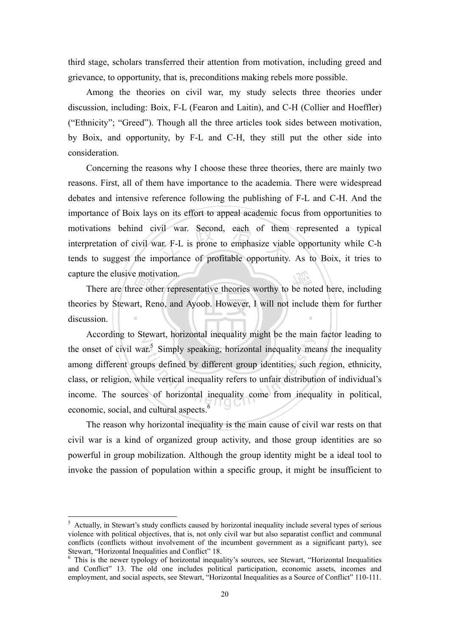third stage, scholars transferred their attention from motivation, including greed and grievance, to opportunity, that is, preconditions making rebels more possible.

Among the theories on civil war, my study selects three theories under discussion, including: Boix, F-L (Fearon and Laitin), and C-H (Collier and Hoeffler) ("Ethnicity"; "Greed"). Though all the three articles took sides between motivation, by Boix, and opportunity, by F-L and C-H, they still put the other side into consideration.

motivations behind civil war. Second, each of them represented a typical<br>interpretation of civil war F-L is prone to emphasize viable opportunity while C-h<br>tends to suggest the importance of profitable opportunity. As to B Concerning the reasons why I choose these three theories, there are mainly two reasons. First, all of them have importance to the academia. There were widespread debates and intensive reference following the publishing of F-L and C-H. And the importance of Boix lays on its effort to appeal academic focus from opportunities to interpretation of civil war. F-L is prone to emphasize viable opportunity while C-h tends to suggest the importance of profitable opportunity. As to Boix, it tries to capture the elusive motivation.

There are three other representative theories worthy to be noted here, including<br>ies by Stewart, Reno, and Ayoob. However, I will not include them for further<br>ssion. ‧ theories by Stewart, Reno, and Ayoob. However, I will not include them for further discussion.

N According to Stewart, horizontal inequality might be the main factor leading to ational including might of the main<br>at<sup>5</sup> Simply speaking, horizontal inequality means<br>the vertical inequality refers to unfair distributions of horizontal inequality come from inequ the onset of civil war.<sup>5</sup> Simply speaking, horizontal inequality means the inequality among different groups defined by different group identities, such region, ethnicity, class, or religion, while vertical inequality refers to unfair distribution of individual's income. The sources of horizontal inequality come from inequality in political, economic, social, and cultural aspects.<sup>6</sup>

The reason why horizontal inequality is the main cause of civil war rests on that civil war is a kind of organized group activity, and those group identities are so powerful in group mobilization. Although the group identity might be a ideal tool to invoke the passion of population within a specific group, it might be insufficient to

<u>.</u>

<sup>&</sup>lt;sup>5</sup> Actually, in Stewart's study conflicts caused by horizontal inequality include several types of serious violence with political objectives, that is, not only civil war but also separatist conflict and communal conflicts (conflicts without involvement of the incumbent government as a significant party), see Stewart, "Horizontal Inequalities and Conflict" 18.<br>
<sup>6</sup> This is the newer typology of horizontal inequality's sources, see Stewart, "Horizontal Inequalities"

and Conflict" 13. The old one includes political participation, economic assets, incomes and employment, and social aspects, see Stewart, "Horizontal Inequalities as a Source of Conflict" 110-111.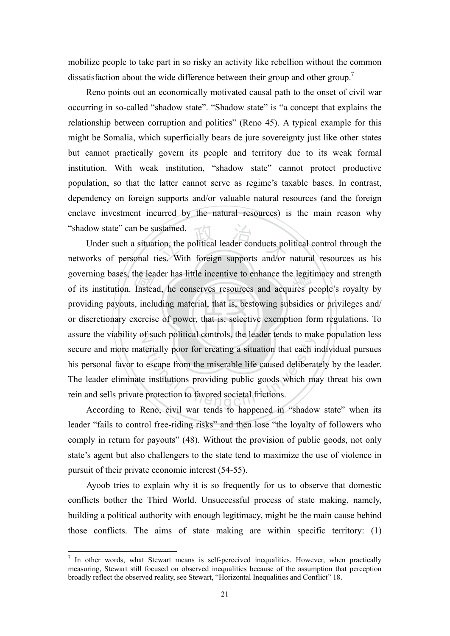mobilize people to take part in so risky an activity like rebellion without the common dissatisfaction about the wide difference between their group and other group.<sup>7</sup>

Reno points out an economically motivated causal path to the onset of civil war occurring in so-called "shadow state". "Shadow state" is "a concept that explains the relationship between corruption and politics" (Reno 45). A typical example for this might be Somalia, which superficially bears de jure sovereignty just like other states but cannot practically govern its people and territory due to its weak formal institution. With weak institution, "shadow state" cannot protect productive population, so that the latter cannot serve as regime's taxable bases. In contrast, dependency on foreign supports and/or valuable natural resources (and the foreign enclave investment incurred by the natural resources) is the main reason why "shadow state" can be sustained.

or discretionary exercise of power, that is, selective exemption form regulations. To the lea<br>Instea<br>
i, inclus<br>
xercis istained.<br>
ion, the political leader conducts political<br>
ies. With foreign supports and/or governing bases, the leader has little incentive to enhance the legitimacy and strength<br>of its institution. Instead, he conserves resources and acquires people's royalty by assure the viability of such political controls, the leader tends to make population less terially poor for creating a situation that each is<br>terially poor for creating a situation that each is<br>example to example the caused deliberary<br>protection to favored societal frictions. Under such a situation, the political leader conducts political control through the networks of personal ties. With foreign supports and/or natural resources as his of its institution. Instead, he conserves resources and acquires people's royalty by providing payouts, including material, that is, bestowing subsidies or privileges and/ secure and more materially poor for creating a situation that each individual pursues his personal favor to escape from the miserable life caused deliberately by the leader. The leader eliminate institutions providing public goods which may threat his own rein and sells private protection to favored societal frictions.

 According to Reno, civil war tends to happened in "shadow state" when its leader "fails to control free-riding risks" and then lose "the loyalty of followers who comply in return for payouts" (48). Without the provision of public goods, not only state's agent but also challengers to the state tend to maximize the use of violence in pursuit of their private economic interest (54-55).

Ayoob tries to explain why it is so frequently for us to observe that domestic conflicts bother the Third World. Unsuccessful process of state making, namely, building a political authority with enough legitimacy, might be the main cause behind those conflicts. The aims of state making are within specific territory: (1)

1

 $<sup>7</sup>$  In other words, what Stewart means is self-perceived inequalities. However, when practically</sup> measuring, Stewart still focused on observed inequalities because of the assumption that perception broadly reflect the observed reality, see Stewart, "Horizontal Inequalities and Conflict" 18.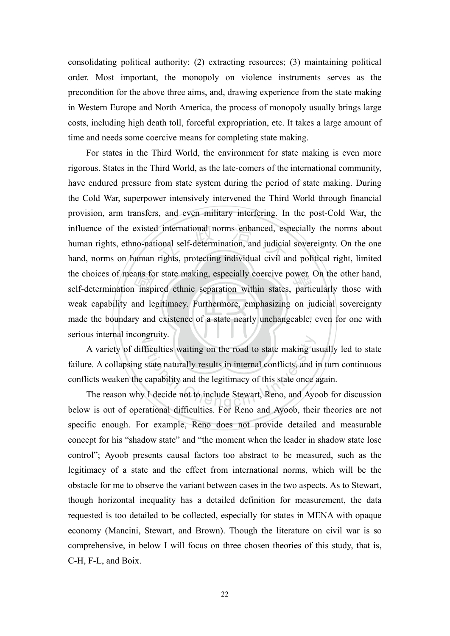consolidating political authority; (2) extracting resources; (3) maintaining political order. Most important, the monopoly on violence instruments serves as the precondition for the above three aims, and, drawing experience from the state making in Western Europe and North America, the process of monopoly usually brings large costs, including high death toll, forceful expropriation, etc. It takes a large amount of time and needs some coercive means for completing state making.

made the boundary and existence of a state nearly unchangeable, even for one with ans fo<br>inspi<br>and le<br>y and I international norms enhanced, especial self-determination, and judicial<br>rights, protecting individual civil and the choices of means for state making, especially coercive power. On the other hand, self-determination inspired ethnic separation within states, particularly those with serious internal incongruity. For states in the Third World, the environment for state making is even more rigorous. States in the Third World, as the late-comers of the international community, have endured pressure from state system during the period of state making. During the Cold War, superpower intensively intervened the Third World through financial provision, arm transfers, and even military interfering. In the post-Cold War, the influence of the existed international norms enhanced, especially the norms about human rights, ethno-national self-determination, and judicial sovereignty. On the one hand, norms on human rights, protecting individual civil and political right, limited self-determination inspired ethnic separation within states, particularly those with weak capability and legitimacy. Furthermore, emphasizing on judicial sovereignty

Fieulties waiting on the road to state making ustate naturally results in internal conflicts, and is capability and the legitimacy of this state once and Ayer I decide not to include Stewart, Reno, and Ayer I decide diffic A variety of difficulties waiting on the road to state making usually led to state failure. A collapsing state naturally results in internal conflicts, and in turn continuous conflicts weaken the capability and the legitimacy of this state once again.

The reason why I decide not to include Stewart, Reno, and Ayoob for discussion below is out of operational difficulties. For Reno and Ayoob, their theories are not specific enough. For example, Reno does not provide detailed and measurable concept for his "shadow state" and "the moment when the leader in shadow state lose control"; Ayoob presents causal factors too abstract to be measured, such as the legitimacy of a state and the effect from international norms, which will be the obstacle for me to observe the variant between cases in the two aspects. As to Stewart, though horizontal inequality has a detailed definition for measurement, the data requested is too detailed to be collected, especially for states in MENA with opaque economy (Mancini, Stewart, and Brown). Though the literature on civil war is so comprehensive, in below I will focus on three chosen theories of this study, that is, C-H, F-L, and Boix.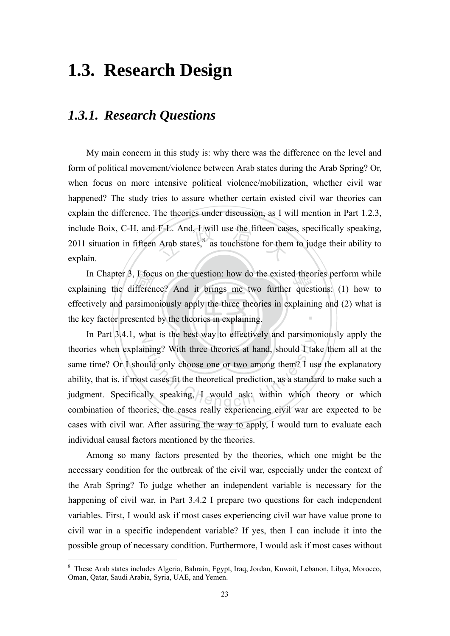## **1.3. Research Design**

### *1.3.1. Research Questions*

F-L. And, I will use the fifteen case Arab states, $8$  as touchstone for ther My main concern in this study is: why there was the difference on the level and form of political movement/violence between Arab states during the Arab Spring? Or, when focus on more intensive political violence/mobilization, whether civil war happened? The study tries to assure whether certain existed civil war theories can explain the difference. The theories under discussion, as I will mention in Part 1.2.3, include Boix, C-H, and F-L. And, I will use the fifteen cases, specifically speaking, 2011 situation in fifteen Arab states, $8\$ as touchstone for them to judge their ability to explain.

the key factor presented by the theories in explaining. If focus<br>
fferen<br>
Internations<br>
sented In Chapter 3, I focus on the question: how do the existed theories perform while  $\mu$  ining the difference? And it brings me two further questions: (1) how to ‧ explaining the difference? And it brings me two further questions: (1) how to effectively and parsimoniously apply the three theories in explaining and (2) what is

In Part 3.4.1, what is the best way to effectively and parsimoniously apply the ining? With three theories at hand, should I tal<br>and only choose one or two among them? I us<br>st cases fit the theoretical prediction, as a standa<br>ally speaking, I would ask: within which theories when explaining? With three theories at hand, should I take them all at the same time? Or I should only choose one or two among them? I use the explanatory ability, that is, if most cases fit the theoretical prediction, as a standard to make such a judgment. Specifically speaking, I would ask: within which theory or which combination of theories, the cases really experiencing civil war are expected to be cases with civil war. After assuring the way to apply, I would turn to evaluate each individual causal factors mentioned by the theories.

Among so many factors presented by the theories, which one might be the necessary condition for the outbreak of the civil war, especially under the context of the Arab Spring? To judge whether an independent variable is necessary for the happening of civil war, in Part 3.4.2 I prepare two questions for each independent variables. First, I would ask if most cases experiencing civil war have value prone to civil war in a specific independent variable? If yes, then I can include it into the possible group of necessary condition. Furthermore, I would ask if most cases without

1

<sup>&</sup>lt;sup>8</sup> These Arab states includes Algeria, Bahrain, Egypt, Iraq, Jordan, Kuwait, Lebanon, Libya, Morocco, Oman, Qatar, Saudi Arabia, Syria, UAE, and Yemen.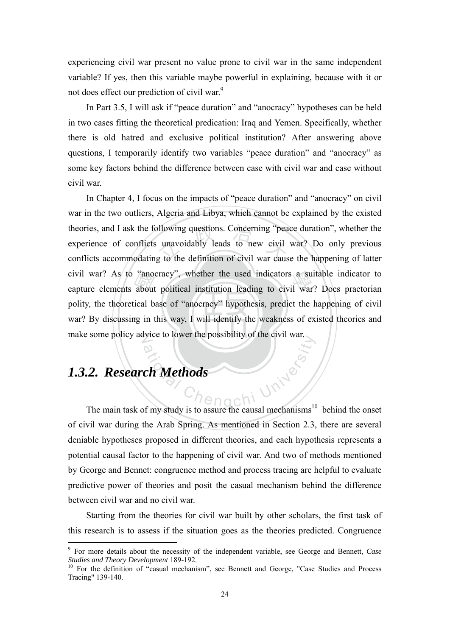experiencing civil war present no value prone to civil war in the same independent variable? If yes, then this variable maybe powerful in explaining, because with it or not does effect our prediction of civil war.<sup>9</sup>

In Part 3.5, I will ask if "peace duration" and "anocracy" hypotheses can be held in two cases fitting the theoretical predication: Iraq and Yemen. Specifically, whether there is old hatred and exclusive political institution? After answering above questions, I temporarily identify two variables "peace duration" and "anocracy" as some key factors behind the difference between case with civil war and case without civil war.

war? By discussing in this way, I will identify the weakness of existed theories and ano<br>about<br>ical b<br>ng in t blowing questions. Concerning "pea<br>unavoidably leads to new civil<br>g to the definition of civil war caus civil war? As to "anocracy", whether the used indicators a suitable indicator to capture elements about political institution leading to civil war? Does praetorian make some policy advice to lower the possibility of the civil war. In Chapter 4, I focus on the impacts of "peace duration" and "anocracy" on civil war in the two outliers, Algeria and Libya, which cannot be explained by the existed theories, and I ask the following questions. Concerning "peace duration", whether the experience of conflicts unavoidably leads to new civil war? Do only previous conflicts accommodating to the definition of civil war cause the happening of latter capture elements about political institution leading to civil war? Does praetorian polity, the theoretical base of "anocracy" hypothesis, predict the happening of civil

## hengchi University *1.3.2. Research Methods*

The main task of my study is to assure the causal mechanisms<sup>10</sup> behind the onset of civil war during the Arab Spring. As mentioned in Section 2.3, there are several deniable hypotheses proposed in different theories, and each hypothesis represents a potential causal factor to the happening of civil war. And two of methods mentioned by George and Bennet: congruence method and process tracing are helpful to evaluate predictive power of theories and posit the casual mechanism behind the difference between civil war and no civil war.

Starting from the theories for civil war built by other scholars, the first task of this research is to assess if the situation goes as the theories predicted. Congruence

 9 For more details about the necessity of the independent variable, see George and Bennett, *Case Studies and Theory Development* 189-192.<br><sup>10</sup> For the definition of "casual mechanism", see Bennett and George, "Case Studies and Process

Tracing" 139-140.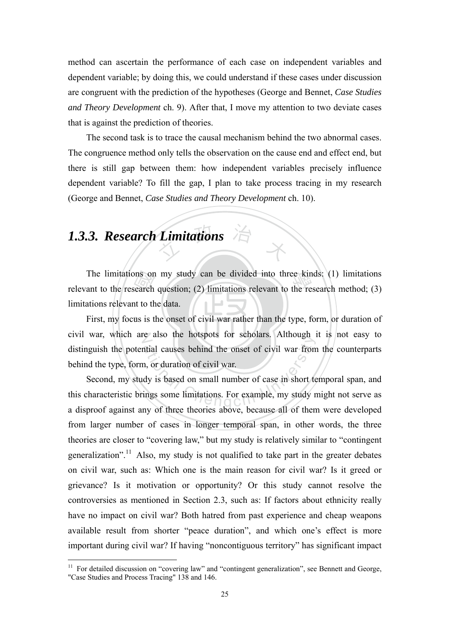method can ascertain the performance of each case on independent variables and dependent variable; by doing this, we could understand if these cases under discussion are congruent with the prediction of the hypotheses (George and Bennet, *Case Studies and Theory Development* ch. 9). After that, I move my attention to two deviate cases that is against the prediction of theories.

The second task is to trace the causal mechanism behind the two abnormal cases. The congruence method only tells the observation on the cause end and effect end, but there is still gap between them: how independent variables precisely influence dependent variable? To fill the gap, I plan to take process tracing in my research (George and Bennet, *Case Studies and Theory Development* ch. 10).

## Limitations **X** *1.3.3. Research Limitations*

1

ons on<br>search<br>nt to th<br>us is t The limitations on my study can be divided into three kinds: (1) limitations ant to the research question; (2) limitations relevant to the research method; (3) relevant to the research question; (2) limitations relevant to the research method; (3) limitations relevant to the data.

11 First, my focus is the onset of civil war rather than the type, form, or duration of civil war, which are also the hotspots for scholars. Although it is not easy to distinguish the potential causes behind the onset of civil war from the counterparts behind the type, form, or duration of civil war.

atial causes behind the onset of civil war from<br>a, or duration of civil war.<br>dy is based on small number of case in short te<br>ings some limitations. For example, my study r<br>my of three theories above, because all of then Second, my study is based on small number of case in short temporal span, and this characteristic brings some limitations. For example, my study might not serve as a disproof against any of three theories above, because all of them were developed from larger number of cases in longer temporal span, in other words, the three theories are closer to "covering law," but my study is relatively similar to "contingent generalization".<sup>11</sup> Also, my study is not qualified to take part in the greater debates on civil war, such as: Which one is the main reason for civil war? Is it greed or grievance? Is it motivation or opportunity? Or this study cannot resolve the controversies as mentioned in Section 2.3, such as: If factors about ethnicity really have no impact on civil war? Both hatred from past experience and cheap weapons available result from shorter "peace duration", and which one's effect is more important during civil war? If having "noncontiguous territory" has significant impact

<sup>&</sup>lt;sup>11</sup> For detailed discussion on "covering law" and "contingent generalization", see Bennett and George, "Case Studies and Process Tracing" 138 and 146.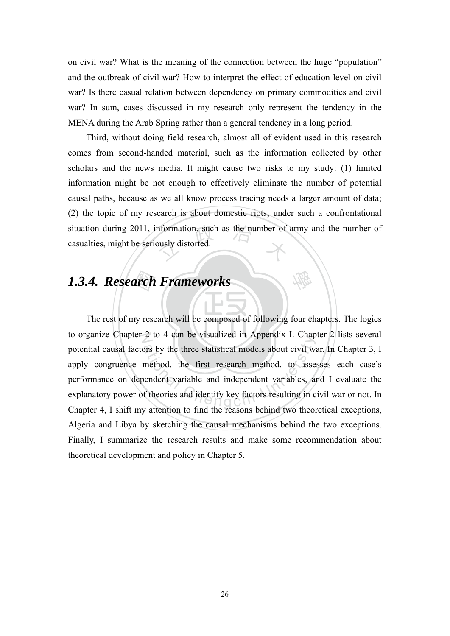on civil war? What is the meaning of the connection between the huge "population" and the outbreak of civil war? How to interpret the effect of education level on civil war? Is there casual relation between dependency on primary commodities and civil war? In sum, cases discussed in my research only represent the tendency in the MENA during the Arab Spring rather than a general tendency in a long period.

situation during 2011, information, such as the number of army and the number of casualties, might be seriously distorted. Third, without doing field research, almost all of evident used in this research comes from second-handed material, such as the information collected by other scholars and the news media. It might cause two risks to my study: (1) limited information might be not enough to effectively eliminate the number of potential causal paths, because as we all know process tracing needs a larger amount of data; (2) the topic of my research is about domestic riots; under such a confrontational casualties, might be seriously distorted.

學

The rest of my research will be composed of following four chapters. The logics **1.3.4. Research Frameworks**<br>The rest of my research will be compose to organize Chapter 2 to 4 can be visualized in Appendix I. Chapter 2 lists several 2 to 4 can be visualized in Appendix 1. Chap<br>ors by the three statistical models about civil was<br>method, the first research method, to asset<br>bendent variables, and identify key factors resulting in c potential causal factors by the three statistical models about civil war. In Chapter 3, I apply congruence method, the first research method, to assesses each case's performance on dependent variable and independent variables, and I evaluate the explanatory power of theories and identify key factors resulting in civil war or not. In Chapter 4, I shift my attention to find the reasons behind two theoretical exceptions, Algeria and Libya by sketching the causal mechanisms behind the two exceptions. Finally, I summarize the research results and make some recommendation about theoretical development and policy in Chapter 5.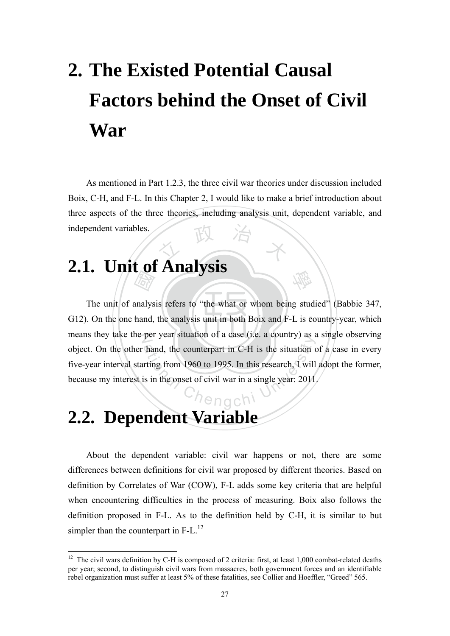# **2. The Existed Potential Causal Factors behind the Onset of Civil War**

文 政 治 木 As mentioned in Part 1.2.3, the three civil war theories under discussion included Boix, C-H, and F-L. In this Chapter 2, I would like to make a brief introduction about three aspects of the three theories, including analysis unit, dependent variable, and independent variables.

## **2.1. Unit of Analysis**

G12). On the one hand, the analysis unit in both Boix and F-L is country-year, which **CONTACT STATE** means they take the per year situation of a case (i.e. a country) as a single observing hand, the counterpart in C-H is the situation of the situation of the situation of the situation of the situation of the situation of the situation of the situation of the situation of the situation of the situation of th The unit of analysis refers to "the what or whom being studied" (Babbie 347, object. On the other hand, the counterpart in C-H is the situation of a case in every five-year interval starting from 1960 to 1995. In this research, I will adopt the former, because my interest is in the onset of civil war in a single year: 2011.

學

## **2.2. Dependent Variable**

1

About the dependent variable: civil war happens or not, there are some differences between definitions for civil war proposed by different theories. Based on definition by Correlates of War (COW), F-L adds some key criteria that are helpful when encountering difficulties in the process of measuring. Boix also follows the definition proposed in F-L. As to the definition held by C-H, it is similar to but simpler than the counterpart in  $F-L$ .<sup>12</sup>

<sup>&</sup>lt;sup>12</sup> The civil wars definition by C-H is composed of 2 criteria: first, at least 1,000 combat-related deaths per year; second, to distinguish civil wars from massacres, both government forces and an identifiable rebel organization must suffer at least 5% of these fatalities, see Collier and Hoeffler, "Greed" 565.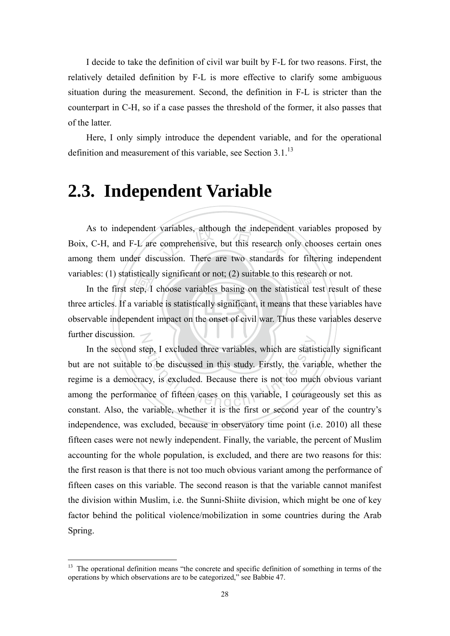I decide to take the definition of civil war built by F-L for two reasons. First, the relatively detailed definition by F-L is more effective to clarify some ambiguous situation during the measurement. Second, the definition in F-L is stricter than the counterpart in C-H, so if a case passes the threshold of the former, it also passes that of the latter.

Here, I only simply introduce the dependent variable, and for the operational definition and measurement of this variable, see Section 3.1.<sup>13</sup>

# **2.3. Independent Variable**

variables, although the independer<br>comprehensive, but this research of<br>cussion. There are two standards variables: (1) statistically significant or not; (2) suitable to this research or not.<br>In the first step, I choose variables basing on the statistical test result of As to independent variables, although the independent variables proposed by Boix, C-H, and F-L are comprehensive, but this research only chooses certain ones among them under discussion. There are two standards for filtering independent

observable independent impact on the onset of civil war. Thus these variables deserve sticall<br>tep, I<br>variab<br>ndent N In the first step, I choose variables basing on the statistical test result of these three articles. If a variable is statistically significant, it means that these variables have further discussion.

tep, I excluded three variables, which are statis<br>to be discussed in this study. Firstly, the variacy, is excluded. Because there is not too muc<br>nee of fifteen cases on this variable, I courag In the second step, I excluded three variables, which are statistically significant but are not suitable to be discussed in this study. Firstly, the variable, whether the regime is a democracy, is excluded. Because there is not too much obvious variant among the performance of fifteen cases on this variable, I courageously set this as constant. Also, the variable, whether it is the first or second year of the country's independence, was excluded, because in observatory time point (i.e. 2010) all these fifteen cases were not newly independent. Finally, the variable, the percent of Muslim accounting for the whole population, is excluded, and there are two reasons for this: the first reason is that there is not too much obvious variant among the performance of fifteen cases on this variable. The second reason is that the variable cannot manifest the division within Muslim, i.e. the Sunni-Shiite division, which might be one of key factor behind the political violence/mobilization in some countries during the Arab Spring.

1

<sup>&</sup>lt;sup>13</sup> The operational definition means "the concrete and specific definition of something in terms of the operations by which observations are to be categorized," see Babbie 47.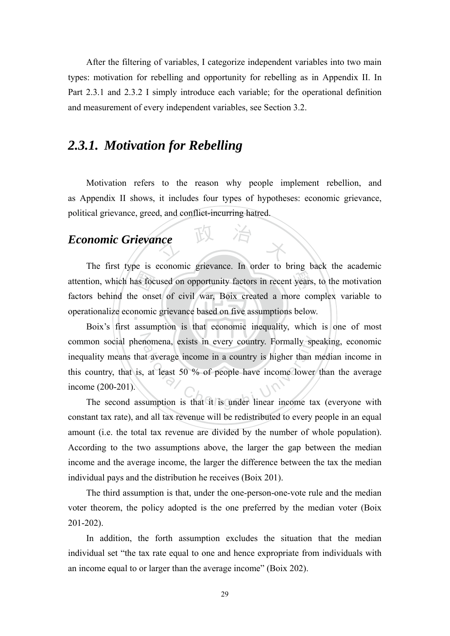After the filtering of variables, I categorize independent variables into two main types: motivation for rebelling and opportunity for rebelling as in Appendix II. In Part 2.3.1 and 2.3.2 I simply introduce each variable; for the operational definition and measurement of every independent variables, see Section 3.2.

# *2.3.1. Motivation for Rebelling*

Motivation refers to the reason why people implement rebellion, and as Appendix II shows, it includes four types of hypotheses: economic grievance, political grievance, greed, and conflict-incurring hatred.

# *Economic Grievance*

as foc<br>e ons<br>nomic<br>assum nce 政 治 木 t years operationalize economic grievance based on five assumptions below. The first type is economic grievance. In order to bring back the academic attention, which has focused on opportunity factors in recent years, to the motivation factors behind the onset of civil war, Boix created a more complex variable to

common social phenomena, exists in every country. Formally speaking, economic momena, exists in every country. Formally spend average income in a country is higher than a<br>at least 50 % of people have income lower<br>sumption is that it is under linear income ta Boix's first assumption is that economic inequality, which is one of most inequality means that average income in a country is higher than median income in this country, that is, at least 50 % of people have income lower than the average income (200-201).

The second assumption is that it is under linear income tax (everyone with constant tax rate), and all tax revenue will be redistributed to every people in an equal amount (i.e. the total tax revenue are divided by the number of whole population). According to the two assumptions above, the larger the gap between the median income and the average income, the larger the difference between the tax the median individual pays and the distribution he receives (Boix 201).

The third assumption is that, under the one-person-one-vote rule and the median voter theorem, the policy adopted is the one preferred by the median voter (Boix 201-202).

In addition, the forth assumption excludes the situation that the median individual set "the tax rate equal to one and hence expropriate from individuals with an income equal to or larger than the average income" (Boix 202).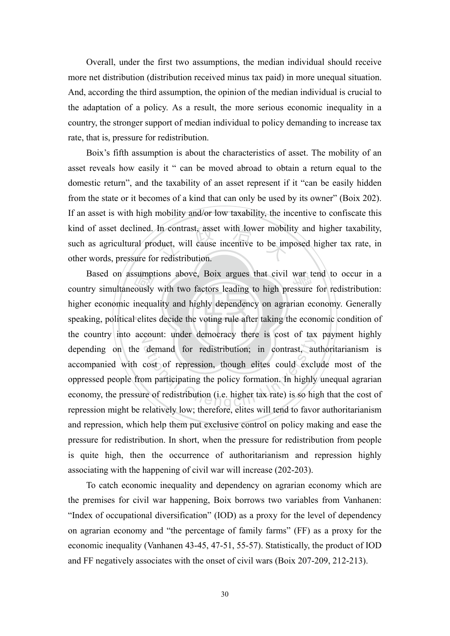Overall, under the first two assumptions, the median individual should receive more net distribution (distribution received minus tax paid) in more unequal situation. And, according the third assumption, the opinion of the median individual is crucial to the adaptation of a policy. As a result, the more serious economic inequality in a country, the stronger support of median individual to policy demanding to increase tax rate, that is, pressure for redistribution.

kind of asset declined. In contrast, asset with lower mobility and higher taxability, such as agricultural product, will cause incentive to be imposed higher tax rate, in other words, pressure for redistribution. Boix's fifth assumption is about the characteristics of asset. The mobility of an asset reveals how easily it " can be moved abroad to obtain a return equal to the domestic return", and the taxability of an asset represent if it "can be easily hidden from the state or it becomes of a kind that can only be used by its owner" (Boix 202). If an asset is with high mobility and/or low taxability, the incentive to confiscate this such as agricultural product, will cause incentive to be imposed higher tax rate, in other words, pressure for redistribution.

speaking, political elites decide the voting rule after taking the economic condition of sumpt<br>cously<br>inequa<br>l elites Based on assumptions above, Boix argues that civil war tend to occur in a try simultaneously with two factors leading to high pressure for redistribution: the country into account: under democracy there is cost of tax payment highly demand for redistribution; in contrast, au<br>cost of repression, though elites could excl<br>om participating the policy formation. In highly<br>re of redistribution (i.e. higher tax rate) is so higher country simultaneously with two factors leading to high pressure for redistribution: higher economic inequality and highly dependency on agrarian economy. Generally depending on the demand for redistribution; in contrast, authoritarianism is accompanied with cost of repression, though elites could exclude most of the oppressed people from participating the policy formation. In highly unequal agrarian economy, the pressure of redistribution (i.e. higher tax rate) is so high that the cost of repression might be relatively low; therefore, elites will tend to favor authoritarianism and repression, which help them put exclusive control on policy making and ease the pressure for redistribution. In short, when the pressure for redistribution from people is quite high, then the occurrence of authoritarianism and repression highly associating with the happening of civil war will increase (202-203).

To catch economic inequality and dependency on agrarian economy which are the premises for civil war happening, Boix borrows two variables from Vanhanen: "Index of occupational diversification" (IOD) as a proxy for the level of dependency on agrarian economy and "the percentage of family farms" (FF) as a proxy for the economic inequality (Vanhanen 43-45, 47-51, 55-57). Statistically, the product of IOD and FF negatively associates with the onset of civil wars (Boix 207-209, 212-213).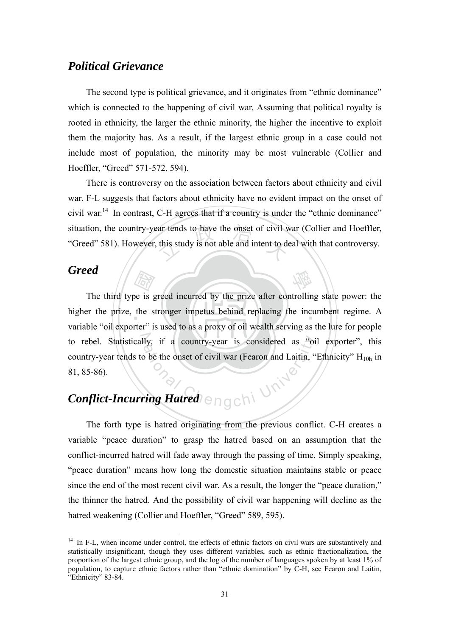## *Political Grievance*

The second type is political grievance, and it originates from "ethnic dominance" which is connected to the happening of civil war. Assuming that political royalty is rooted in ethnicity, the larger the ethnic minority, the higher the incentive to exploit them the majority has. As a result, if the largest ethnic group in a case could not include most of population, the minority may be most vulnerable (Collier and Hoeffler, "Greed" 571-572, 594).

Figure 2.1 and the same terms of civil vertical this study is not able and intent to do There is controversy on the association between factors about ethnicity and civil war. F-L suggests that factors about ethnicity have no evident impact on the onset of civil war.14 In contrast, C-H agrees that if a country is under the "ethnic dominance" situation, the country-year tends to have the onset of civil war (Collier and Hoeffler, "Greed" 581). However, this study is not able and intent to deal with that controversy.

### *Greed*

1

 $\begin{bmatrix} \overrightarrow{AB} \\ \overrightarrow{BA} \\ \overrightarrow{BC} \end{bmatrix}$ <br>
be is g<br>
the s 學 higher the prize, the stronger impetus behind replacing the incumbent regime. A to rebel. Statistically, if a country-year is considered as "oil exporter", this My, if a country-year is considered as "oi The third type is greed incurred by the prize after controlling state power: the variable "oil exporter" is used to as a proxy of oil wealth serving as the lure for people country-year tends to be the onset of civil war (Fearon and Laitin, "Ethnicity"  $H_{10h}$  in 81, 85-86).

# *Conflict-Incurring Hatred*

The forth type is hatred originating from the previous conflict. C-H creates a variable "peace duration" to grasp the hatred based on an assumption that the conflict-incurred hatred will fade away through the passing of time. Simply speaking, "peace duration" means how long the domestic situation maintains stable or peace since the end of the most recent civil war. As a result, the longer the "peace duration," the thinner the hatred. And the possibility of civil war happening will decline as the hatred weakening (Collier and Hoeffler, "Greed" 589, 595).

<sup>&</sup>lt;sup>14</sup> In F-L, when income under control, the effects of ethnic factors on civil wars are substantively and statistically insignificant, though they uses different variables, such as ethnic fractionalization, the proportion of the largest ethnic group, and the log of the number of languages spoken by at least 1% of population, to capture ethnic factors rather than "ethnic domination" by C-H, see Fearon and Laitin, "Ethnicity" 83-84.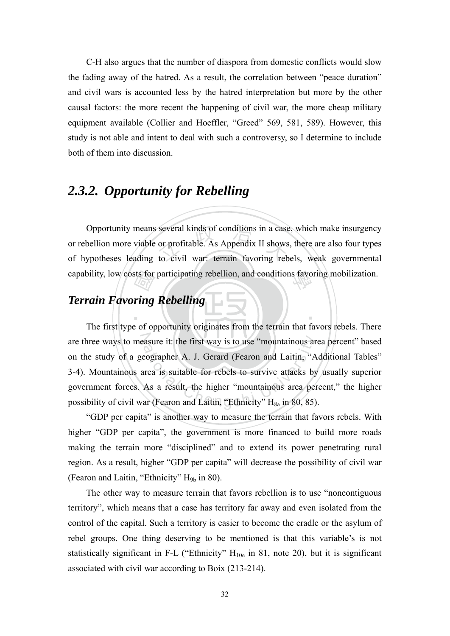C-H also argues that the number of diaspora from domestic conflicts would slow the fading away of the hatred. As a result, the correlation between "peace duration" and civil wars is accounted less by the hatred interpretation but more by the other causal factors: the more recent the happening of civil war, the more cheap military equipment available (Collier and Hoeffler, "Greed" 569, 581, 589). However, this study is not able and intent to deal with such a controversy, so I determine to include both of them into discussion.

# *2.3.2. Opportunity for Rebelling*

Opportunity means several kinds of conditions in a case, which make insurgency<br>or rebellion more viable or profitable. As Appendix II shows, there are also four types<br>of hypotheses leading to civil war: terrain favoring re capability, low costs for participating rebellion, and conditions favoring mobilization. Opportunity means several kinds of conditions in a case, which make insurgency or rebellion more viable or profitable. As Appendix II shows, there are also four types

# sts for<br>*ring*<br>and of or *Terrain Favoring Rebelling*

are three ways to measure it: the first way is to use "mountainous area percent" based France it: the first way is to use "mountainous are<br>eographer A. J. Gerard (Fearon and Laitin, "A<br>area is suitable for rebels to survive attacks by<br>As a result, the higher "mountainous area per<br>ar (Fearon and Laitin, "Eth The first type of opportunity originates from the terrain that favors rebels. There on the study of a geographer A. J. Gerard (Fearon and Laitin, "Additional Tables" 3-4). Mountainous area is suitable for rebels to survive attacks by usually superior government forces. As a result, the higher "mountainous area percent," the higher possibility of civil war (Fearon and Laitin, "Ethnicity"  $H_{8a}$  in 80, 85).

‧

"GDP per capita" is another way to measure the terrain that favors rebels. With higher "GDP per capita", the government is more financed to build more roads making the terrain more "disciplined" and to extend its power penetrating rural region. As a result, higher "GDP per capita" will decrease the possibility of civil war (Fearon and Laitin, "Ethnicity"  $H_{9b}$  in 80).

The other way to measure terrain that favors rebellion is to use "noncontiguous territory", which means that a case has territory far away and even isolated from the control of the capital. Such a territory is easier to become the cradle or the asylum of rebel groups. One thing deserving to be mentioned is that this variable's is not statistically significant in F-L ("Ethnicity"  $H_{10e}$  in 81, note 20), but it is significant associated with civil war according to Boix (213-214).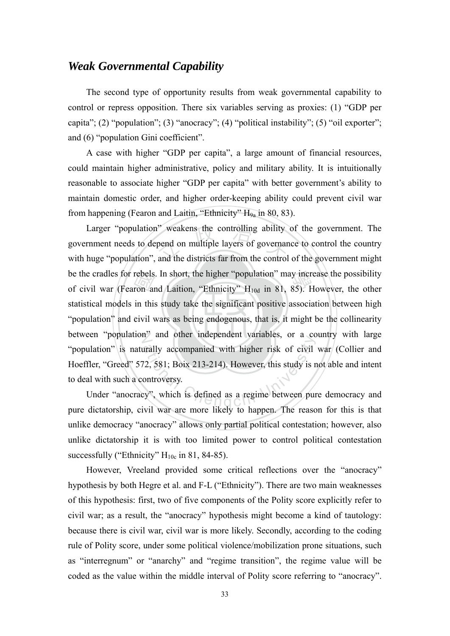## *Weak Governmental Capability*

The second type of opportunity results from weak governmental capability to control or repress opposition. There six variables serving as proxies: (1) "GDP per capita"; (2) "population"; (3) "anocracy"; (4) "political instability"; (5) "oil exporter"; and (6) "population Gini coefficient".

A case with higher "GDP per capita", a large amount of financial resources, could maintain higher administrative, policy and military ability. It is intuitionally reasonable to associate higher "GDP per capita" with better government's ability to maintain domestic order, and higher order-keeping ability could prevent civil war from happening (Fearon and Laitin, "Ethnicity"  $H_{9a}$  in 80, 83).

"population" and civil wars as being endogenous, that is, it might be the collinearity rebels<br>ron an<br>in this<br>civil y Larger "population" weakens the controlling ability of the government. The rnment needs to depend on multiple layers of governance to control the country huge "population", and the districts far from the control of the gov be the cradles for rebels. In short, the higher "population" may increase the possibility<br>of civil war (Fearon and Laition, "Ethnicity" H<sub>10d</sub> in 81, 85). However, the other between "population" and other independent variables, or a country with large at the called the imaginative variables, or a countries and the study is reported to the study is reported to the study is reported to the study is reported to the study is reported to the study is reported to the study is government needs to depend on multiple layers of governance to control the country with huge "population", and the districts far from the control of the government might of civil war (Fearon and Laition, "Ethnicity"  $H_{10d}$  in 81, 85). However, the other statistical models in this study take the significant positive association between high "population" is naturally accompanied with higher risk of civil war (Collier and Hoeffler, "Greed" 572, 581; Boix 213-214). However, this study is not able and intent to deal with such a controversy.

Under "anocracy", which is defined as a regime between pure democracy and pure dictatorship, civil war are more likely to happen. The reason for this is that unlike democracy "anocracy" allows only partial political contestation; however, also unlike dictatorship it is with too limited power to control political contestation successfully ("Ethnicity"  $H_{10c}$  in 81, 84-85).

However, Vreeland provided some critical reflections over the "anocracy" hypothesis by both Hegre et al. and F-L ("Ethnicity"). There are two main weaknesses of this hypothesis: first, two of five components of the Polity score explicitly refer to civil war; as a result, the "anocracy" hypothesis might become a kind of tautology: because there is civil war, civil war is more likely. Secondly, according to the coding rule of Polity score, under some political violence/mobilization prone situations, such as "interregnum" or "anarchy" and "regime transition", the regime value will be coded as the value within the middle interval of Polity score referring to "anocracy".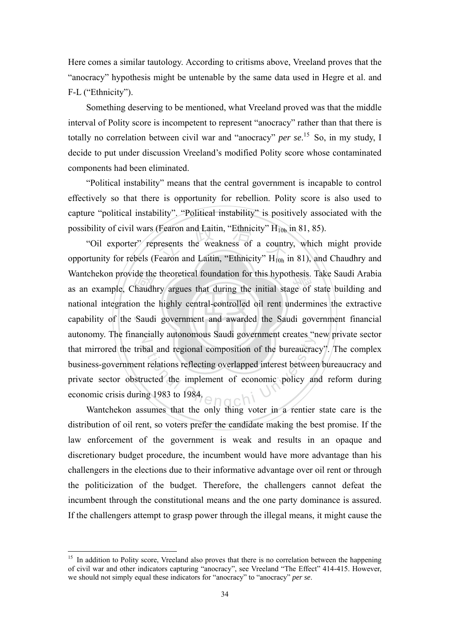Here comes a similar tautology. According to critisms above, Vreeland proves that the "anocracy" hypothesis might be untenable by the same data used in Hegre et al. and F-L ("Ethnicity").

Something deserving to be mentioned, what Vreeland proved was that the middle interval of Polity score is incompetent to represent "anocracy" rather than that there is totally no correlation between civil war and "anocracy" *per se*. 15 So, in my study, I decide to put under discussion Vreeland's modified Polity score whose contaminated components had been eliminated.

"Political instability" means that the central government is incapable to control effectively so that there is opportunity for rebellion. Polity score is also used to capture "political instability". "Political instability" is positively associated with the possibility of civil wars (Fearon and Laitin, "Ethnicity"  $H_{10b}$  in 81, 85).

capability of the Saudi government and awarded the Saudi government financial ide the<br>haudh<br>on the<br>Saudi (Fearon and Laitin, "Ethnicity"  $H_{10b}$ <br>presents the weakness of a countr<br>Fearon and Laitin, "Ethnicity"  $H_{10b}$ Wantchekon provide the theoretical foundation for this hypothesis. Take Saudi Arabia<br>as an example. Chaudhry argues that during the initial stage of state building and autonomy. The financially autonomous Saudi government creates "new private sector bal and regional composition of the bureaucracist<br>trelations reflecting overlapped interest between<br>ucted the implement of economic policy are<br>ng 1983 to 1984. "Oil exporter" represents the weakness of a country, which might provide opportunity for rebels (Fearon and Laitin, "Ethnicity" H<sub>10h</sub> in 81), and Chaudhry and as an example, Chaudhry argues that during the initial stage of state building and national integration the highly central-controlled oil rent undermines the extractive that mirrored the tribal and regional composition of the bureaucracy". The complex business-government relations reflecting overlapped interest between bureaucracy and private sector obstructed the implement of economic policy and reform during economic crisis during 1983 to 1984.

Wantchekon assumes that the only thing voter in a rentier state care is the distribution of oil rent, so voters prefer the candidate making the best promise. If the law enforcement of the government is weak and results in an opaque and discretionary budget procedure, the incumbent would have more advantage than his challengers in the elections due to their informative advantage over oil rent or through the politicization of the budget. Therefore, the challengers cannot defeat the incumbent through the constitutional means and the one party dominance is assured. If the challengers attempt to grasp power through the illegal means, it might cause the

1

<sup>&</sup>lt;sup>15</sup> In addition to Polity score, Vreeland also proves that there is no correlation between the happening of civil war and other indicators capturing "anocracy", see Vreeland "The Effect" 414-415. However, we should not simply equal these indicators for "anocracy" to "anocracy" *per se*.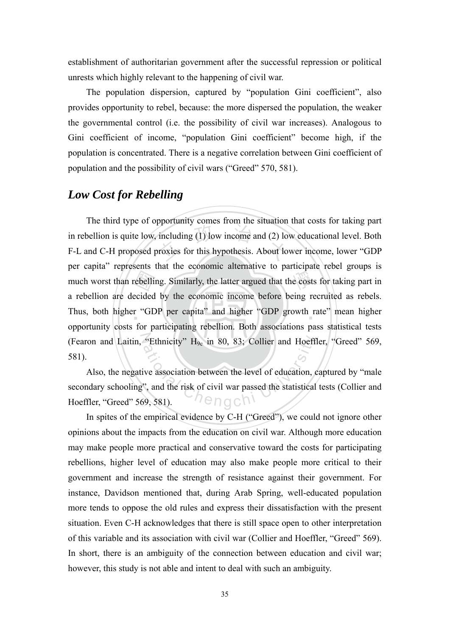establishment of authoritarian government after the successful repression or political unrests which highly relevant to the happening of civil war.

The population dispersion, captured by "population Gini coefficient", also provides opportunity to rebel, because: the more dispersed the population, the weaker the governmental control (i.e. the possibility of civil war increases). Analogous to Gini coefficient of income, "population Gini coefficient" become high, if the population is concentrated. There is a negative correlation between Gini coefficient of population and the possibility of civil wars ("Greed" 570, 581).

### *Low Cost for Rebelling*

rebelli<br>ecided<br>r "GE<br>for n including (1) low income and (2) lo<br>proxies for this hypothesis. About lo e cost Thus, both higher "GDP per capita" and higher "GDP growth rate" mean higher The third type of opportunity comes from the situation that costs for taking part in rebellion is quite low, including (1) low income and (2) low educational level. Both F-L and C-H proposed proxies for this hypothesis. About lower income, lower "GDP per capita" represents that the economic alternative to participate rebel groups is much worst than rebelling. Similarly, the latter argued that the costs for taking part in a rebellion are decided by the economic income before being recruited as rebels. opportunity costs for participating rebellion. Both associations pass statistical tests 581).

(Fearon and Laitin, "Ethnicity" H<sub>9c</sub> in 80, 83; Collier and Hoeffler, "Greed" 569, 581).<br>Also, the negative association between the level of education, captured by "male secondary schooling", and the risk of civil war pa Also, the negative association between the level of education, captured by "male secondary schooling", and the risk of civil war passed the statistical tests (Collier and Hoeffler, "Greed" 569, 581).

In spites of the empirical evidence by C-H ("Greed"), we could not ignore other opinions about the impacts from the education on civil war. Although more education may make people more practical and conservative toward the costs for participating rebellions, higher level of education may also make people more critical to their government and increase the strength of resistance against their government. For instance, Davidson mentioned that, during Arab Spring, well-educated population more tends to oppose the old rules and express their dissatisfaction with the present situation. Even C-H acknowledges that there is still space open to other interpretation of this variable and its association with civil war (Collier and Hoeffler, "Greed" 569). In short, there is an ambiguity of the connection between education and civil war; however, this study is not able and intent to deal with such an ambiguity.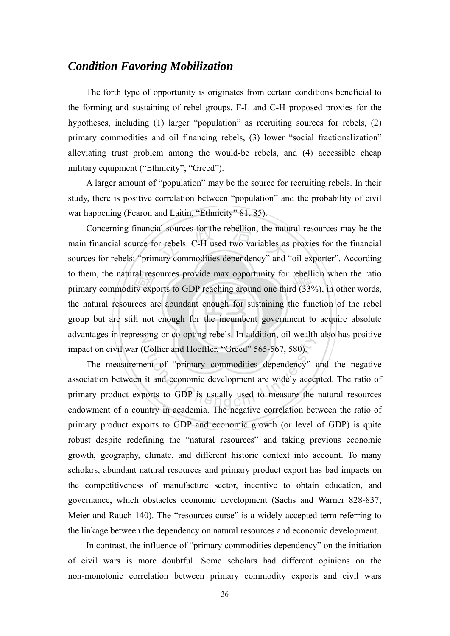## *Condition Favoring Mobilization*

The forth type of opportunity is originates from certain conditions beneficial to the forming and sustaining of rebel groups. F-L and C-H proposed proxies for the hypotheses, including (1) larger "population" as recruiting sources for rebels, (2) primary commodities and oil financing rebels, (3) lower "social fractionalization" alleviating trust problem among the would-be rebels, and (4) accessible cheap military equipment ("Ethnicity"; "Greed").

A larger amount of "population" may be the source for recruiting rebels. In their study, there is positive correlation between "population" and the probability of civil war happening (Fearon and Laitin, "Ethnicity" 81, 85).

group but are still not enough for the incumbent government to acquire absolute ral res<br>ty exp<br>rces an<br>Il not Concerning financial sources for the rebellion, the natural resources may be the main financial source for rebels. C-H used two variables as proxies for the financial sources for rebels: "primary commodities dependency" an to them, the natural resources provide max opportunity for rebellion when the ratio primary commodity exports to GDP reaching around one third (33%), in other words, advantages in repressing or co-opting rebels. In addition, oil wealth also has positive Concerning financial sources for the rebellion, the natural resources may be the main financial source for rebels. C-H used two variables as proxies for the financial primary commodity exports to GDP reaching around one third (33%), in other words, the natural resources are abundant enough for sustaining the function of the rebel impact on civil war (Collier and Hoeffler, "Greed" 565-567, 580).

Sing of co-opting recess. In addition, on weaking<br>Collier and Hoeffler, "Greed" 565-567, 580).<br>ent of "primary commodities dependency"<br>it and economic development are widely accessorts to GDP is usually used to measure the The measurement of "primary commodities dependency" and the negative association between it and economic development are widely accepted. The ratio of primary product exports to GDP is usually used to measure the natural resources endowment of a country in academia. The negative correlation between the ratio of primary product exports to GDP and economic growth (or level of GDP) is quite robust despite redefining the "natural resources" and taking previous economic growth, geography, climate, and different historic context into account. To many scholars, abundant natural resources and primary product export has bad impacts on the competitiveness of manufacture sector, incentive to obtain education, and governance, which obstacles economic development (Sachs and Warner 828-837; Meier and Rauch 140). The "resources curse" is a widely accepted term referring to the linkage between the dependency on natural resources and economic development.

In contrast, the influence of "primary commodities dependency" on the initiation of civil wars is more doubtful. Some scholars had different opinions on the non-monotonic correlation between primary commodity exports and civil wars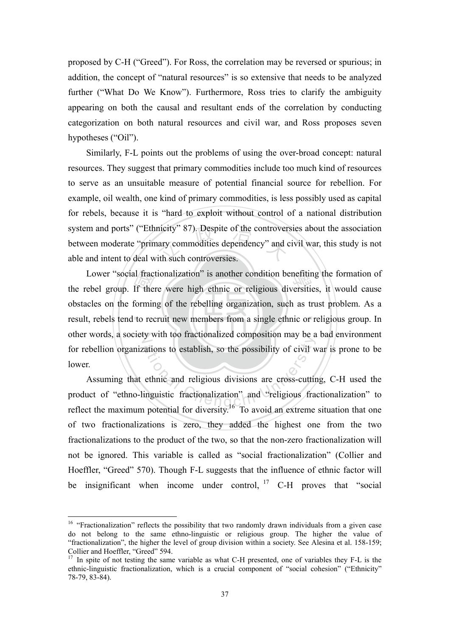proposed by C-H ("Greed"). For Ross, the correlation may be reversed or spurious; in addition, the concept of "natural resources" is so extensive that needs to be analyzed further ("What Do We Know"). Furthermore, Ross tries to clarify the ambiguity appearing on both the causal and resultant ends of the correlation by conducting categorization on both natural resources and civil war, and Ross proposes seven hypotheses ("Oil").

micity" 87). Despite of the controver<br>hary commodities dependency" and controlling the such controversies. Similarly, F-L points out the problems of using the over-broad concept: natural resources. They suggest that primary commodities include too much kind of resources to serve as an unsuitable measure of potential financial source for rebellion. For example, oil wealth, one kind of primary commodities, is less possibly used as capital for rebels, because it is "hard to exploit without control of a national distribution system and ports" ("Ethnicity" 87). Despite of the controversies about the association between moderate "primary commodities dependency" and civil war, this study is not able and intent to deal with such controversies.

result, rebels tend to recruit new members from a single ethnic or religious group. In al fraction<br>If the<br>formin<br>to red Lower "social fractionalization" is another condition benefiting the formation of ebel group. If there were high ethnic or religious diversities, it would cause other words, a society with too fractionalized composition may be a bad environment the rebel group. If there were high ethnic or religious diversities, it would cause obstacles on the forming of the rebelling organization, such as trust problem. As a for rebellion organizations to establish, so the possibility of civil war is prone to be lower.

by with the nationalized composition may be a<br>attions to establish, so the possibility of civil v<br>ethnic and religious divisions are cross-cuttin<br>inguistic fractionalization" and "religious fractionalization" for diversity Assuming that ethnic and religious divisions are cross-cutting, C-H used the product of "ethno-linguistic fractionalization" and "religious fractionalization" to reflect the maximum potential for diversity.16 To avoid an extreme situation that one of two fractionalizations is zero, they added the highest one from the two fractionalizations to the product of the two, so that the non-zero fractionalization will not be ignored. This variable is called as "social fractionalization" (Collier and Hoeffler, "Greed" 570). Though F-L suggests that the influence of ethnic factor will be insignificant when income under control,  $17$  C-H proves that "social

<u>.</u>

<sup>&</sup>lt;sup>16</sup> "Fractionalization" reflects the possibility that two randomly drawn individuals from a given case do not belong to the same ethno-linguistic or religious group. The higher the value of "fractionalization", the higher the level of group division within a society. See Alesina et al. 158-159; Collier and Hoeffler, "Greed" 594.

<sup>&</sup>lt;sup>17</sup> In spite of not testing the same variable as what C-H presented, one of variables they F-L is the ethnic-linguistic fractionalization, which is a crucial component of "social cohesion" ("Ethnicity" 78-79, 83-84).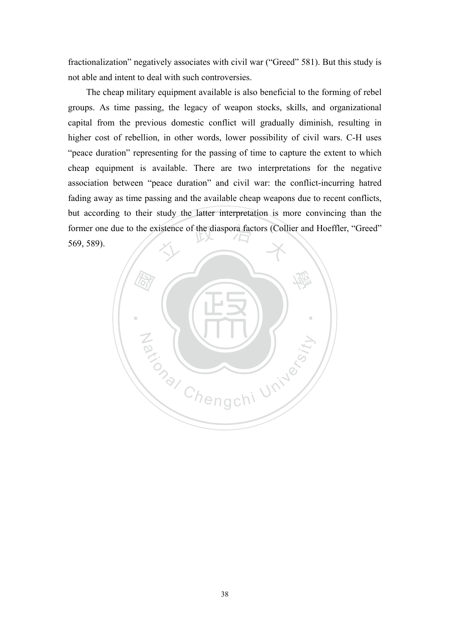fractionalization" negatively associates with civil war ("Greed" 581). But this study is not able and intent to deal with such controversies.

former one due to the existence of the diaspora factors (Collier and Hoeffler, "Greed"<br>569, 589). The cheap military equipment available is also beneficial to the forming of rebel groups. As time passing, the legacy of weapon stocks, skills, and organizational capital from the previous domestic conflict will gradually diminish, resulting in higher cost of rebellion, in other words, lower possibility of civil wars. C-H uses "peace duration" representing for the passing of time to capture the extent to which cheap equipment is available. There are two interpretations for the negative association between "peace duration" and civil war: the conflict-incurring hatred fading away as time passing and the available cheap weapons due to recent conflicts, but according to their study the latter interpretation is more convincing than the 569, 589).

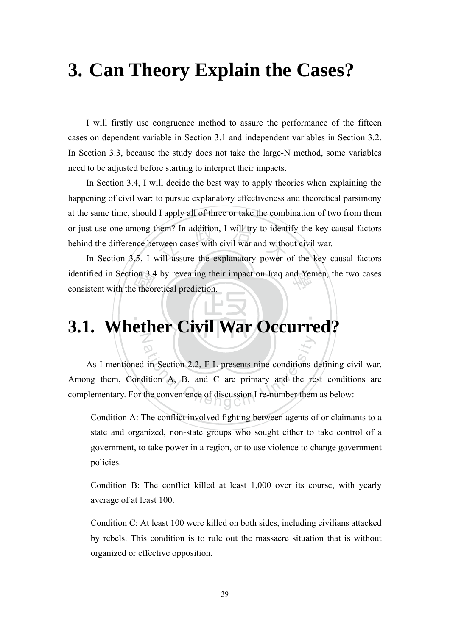# **3. Can Theory Explain the Cases?**

I will firstly use congruence method to assure the performance of the fifteen cases on dependent variable in Section 3.1 and independent variables in Section 3.2. In Section 3.3, because the study does not take the large-N method, some variables need to be adjusted before starting to interpret their impacts.

hem? In addition, I will try to ident<br>tween cases with civil war and witho<br>vill assure the explanatory power o In Section 3.4, I will decide the best way to apply theories when explaining the happening of civil war: to pursue explanatory effectiveness and theoretical parsimony at the same time, should I apply all of three or take the combination of two from them or just use one among them? In addition, I will try to identify the key causal factors behind the difference between cases with civil war and without civil war.

on 3.4<br>e theor<br>**o th** identified in Section 3.4 by revealing their impact on Iraq and Yemen, the two cases consistent with the theoretical prediction. In Section 3.5, I will assure the explanatory power of the key causal factors consistent with the theoretical prediction.

### ‧ N **3.1. Whether Civil War Occurred?**

ational Chengen<br>
in Section 2.2, F-L presents nine conditions due to the convenience of discussion I re-number them<br>
the convenience of discussion I re-number them As I mentioned in Section 2.2, F-L presents nine conditions defining civil war. Among them, Condition A, B, and C are primary and the rest conditions are complementary. For the convenience of discussion I re-number them as below:

Condition A: The conflict involved fighting between agents of or claimants to a state and organized, non-state groups who sought either to take control of a government, to take power in a region, or to use violence to change government policies.

Condition B: The conflict killed at least 1,000 over its course, with yearly average of at least 100.

Condition C: At least 100 were killed on both sides, including civilians attacked by rebels. This condition is to rule out the massacre situation that is without organized or effective opposition.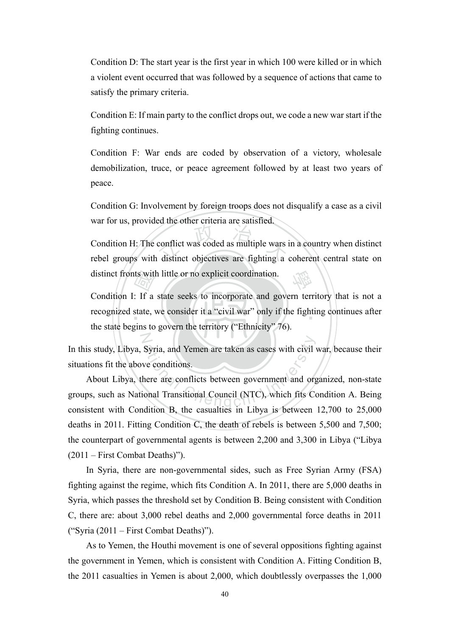Condition D: The start year is the first year in which 100 were killed or in which a violent event occurred that was followed by a sequence of actions that came to satisfy the primary criteria.

Condition E: If main party to the conflict drops out, we code a new war start if the fighting continues.

Condition F: War ends are coded by observation of a victory, wholesale demobilization, truce, or peace agreement followed by at least two years of peace.

Condition G: Involvement by foreign troops does not disqualify a case as a civil war for us, provided the other criteria are satisfied.

conflict was coded as multiple wars is 學 Condition H: The conflict was coded as multiple wars in a country when distinct rebel groups with distinct objectives are fighting a coherent central state on distinct fronts with little or no explicit coordination.

ts with<br>The state,<br>The state is to recognized state, we consider it a "civil war" only if the fighting continues after Condition I: If a state seeks to incorporate and govern territory that is not a the state begins to govern the territory ("Ethnicity" 76).

In this study, Libya, Syria, and Yemen are taken as cases with civil war, because their situations fit the above conditions.

Syria, and Yemen are taken as cases with civil<br>there are conflicts between government and organizational Transitional Council (NTC), which fits Constitution B, the consultion in Library is between About Libya, there are conflicts between government and organized, non-state groups, such as National Transitional Council (NTC), which fits Condition A. Being consistent with Condition B, the casualties in Libya is between 12,700 to 25,000 deaths in 2011. Fitting Condition C, the death of rebels is between 5,500 and 7,500; the counterpart of governmental agents is between 2,200 and 3,300 in Libya ("Libya (2011 – First Combat Deaths)").

 In Syria, there are non-governmental sides, such as Free Syrian Army (FSA) fighting against the regime, which fits Condition A. In 2011, there are 5,000 deaths in Syria, which passes the threshold set by Condition B. Being consistent with Condition C, there are: about 3,000 rebel deaths and 2,000 governmental force deaths in 2011 ("Syria (2011 – First Combat Deaths)").

As to Yemen, the Houthi movement is one of several oppositions fighting against the government in Yemen, which is consistent with Condition A. Fitting Condition B, the 2011 casualties in Yemen is about 2,000, which doubtlessly overpasses the 1,000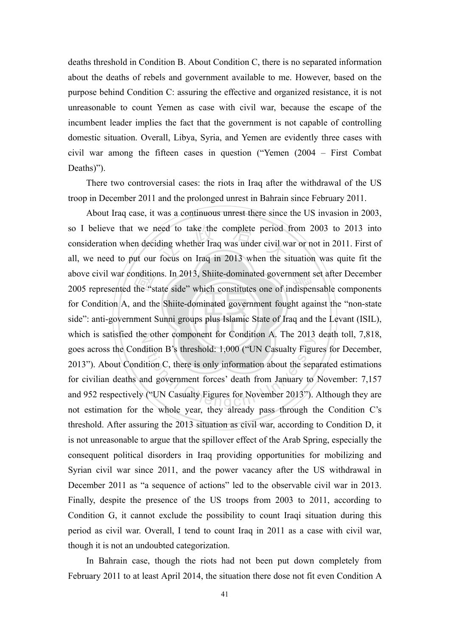deaths threshold in Condition B. About Condition C, there is no separated information about the deaths of rebels and government available to me. However, based on the purpose behind Condition C: assuring the effective and organized resistance, it is not unreasonable to count Yemen as case with civil war, because the escape of the incumbent leader implies the fact that the government is not capable of controlling domestic situation. Overall, Libya, Syria, and Yemen are evidently three cases with civil war among the fifteen cases in question ("Yemen (2004 – First Combat Deaths)").

There two controversial cases: the riots in Iraq after the withdrawal of the US troop in December 2011 and the prolonged unrest in Bahrain since February 2011.

side": anti-government Sunni groups plus Islamic State of Iraq and the Levant (ISIL), mditic<br>the "s<br>and th<br>ment ! eed to take the complete period<br>ding whether Iraq was under civil w<br>focus on Iraq in 2013 when the si above civil war conditions. In 2013, Shiite-dominated government set after December<br>2005 represented the "state side" which constitutes one of indispensable components which is satisfied the other component for Condition A. The 2013 death toll, 7,818, dition B's threshold: 1,000 ("UN Casualty Figure<br>ition C, there is only information about the separation C, there is only information about the separation<br>and government forces' death from January to<br>("UN Casualty Figures About Iraq case, it was a continuous unrest there since the US invasion in 2003, so I believe that we need to take the complete period from 2003 to 2013 into consideration when deciding whether Iraq was under civil war or not in 2011. First of all, we need to put our focus on Iraq in 2013 when the situation was quite fit the 2005 represented the "state side" which constitutes one of indispensable components for Condition A, and the Shiite-dominated government fought against the "non-state goes across the Condition B's threshold: 1,000 ("UN Casualty Figures for December, 2013"). About Condition C, there is only information about the separated estimations for civilian deaths and government forces' death from January to November: 7,157 and 952 respectively ("UN Casualty Figures for November 2013"). Although they are not estimation for the whole year, they already pass through the Condition C's threshold. After assuring the 2013 situation as civil war, according to Condition D, it is not unreasonable to argue that the spillover effect of the Arab Spring, especially the consequent political disorders in Iraq providing opportunities for mobilizing and Syrian civil war since 2011, and the power vacancy after the US withdrawal in December 2011 as "a sequence of actions" led to the observable civil war in 2013. Finally, despite the presence of the US troops from 2003 to 2011, according to Condition G, it cannot exclude the possibility to count Iraqi situation during this period as civil war. Overall, I tend to count Iraq in 2011 as a case with civil war, though it is not an undoubted categorization.

In Bahrain case, though the riots had not been put down completely from February 2011 to at least April 2014, the situation there dose not fit even Condition A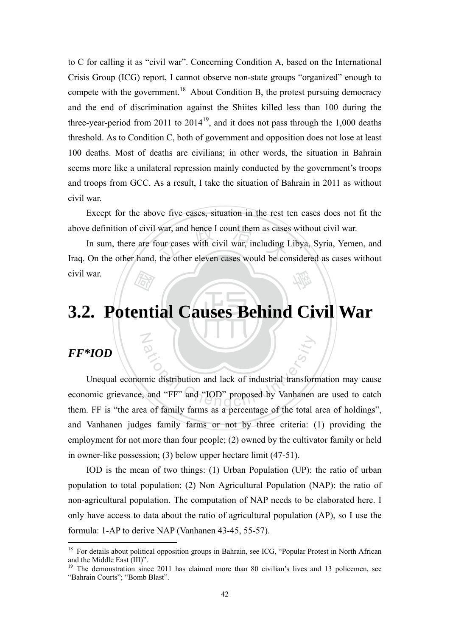to C for calling it as "civil war". Concerning Condition A, based on the International Crisis Group (ICG) report, I cannot observe non-state groups "organized" enough to compete with the government.<sup>18</sup> About Condition B, the protest pursuing democracy and the end of discrimination against the Shiites killed less than 100 during the three-year-period from 2011 to  $2014^{19}$ , and it does not pass through the 1,000 deaths threshold. As to Condition C, both of government and opposition does not lose at least 100 deaths. Most of deaths are civilians; in other words, the situation in Bahrain seems more like a unilateral repression mainly conducted by the government's troops and troops from GCC. As a result, I take the situation of Bahrain in 2011 as without civil war.

Except for the above five cases, situation in the rest ten cases does not fit the above definition of civil war, and hence I count them as cases without civil war.

war, and hence I count them as cases<br>our cases with civil war, including I<br>the other eleven cases would be co 學 In sum, there are four cases with civil war, including Libya, Syria, Yemen, and Iraq. On the other hand, the other eleven cases would be considered as cases without civil war.

# ‧*圖*<br>ent ‧ **3.2. Potential Causes Behind Civil War**

## *FF\*IOD*

<u>.</u>

N

ational Chengchi University of the total contract of formula and "FF" and "IOD" proposed by Vanhanen Unequal economic distribution and lack of industrial transformation may cause economic grievance, and "FF" and "IOD" proposed by Vanhanen are used to catch them. FF is "the area of family farms as a percentage of the total area of holdings", and Vanhanen judges family farms or not by three criteria: (1) providing the employment for not more than four people; (2) owned by the cultivator family or held in owner-like possession; (3) below upper hectare limit (47-51).

IOD is the mean of two things: (1) Urban Population (UP): the ratio of urban population to total population; (2) Non Agricultural Population (NAP): the ratio of non-agricultural population. The computation of NAP needs to be elaborated here. I only have access to data about the ratio of agricultural population (AP), so I use the formula: 1-AP to derive NAP (Vanhanen 43-45, 55-57).

<sup>&</sup>lt;sup>18</sup> For details about political opposition groups in Bahrain, see ICG, "Popular Protest in North African and the Middle East (III)".

<sup>&</sup>lt;sup>19</sup> The demonstration since 2011 has claimed more than 80 civilian's lives and 13 policemen, see "Bahrain Courts"; "Bomb Blast".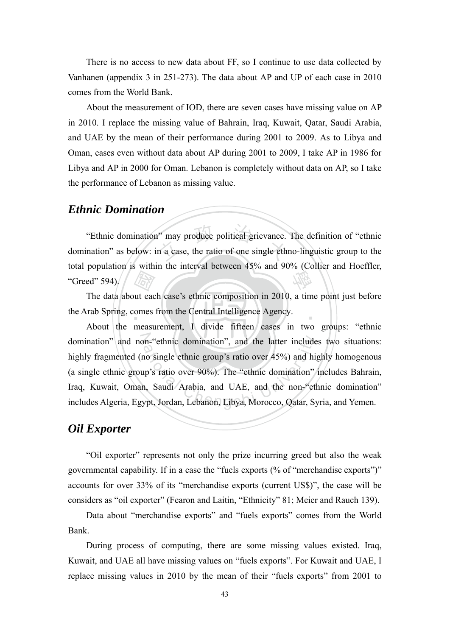There is no access to new data about FF, so I continue to use data collected by Vanhanen (appendix 3 in 251-273). The data about AP and UP of each case in 2010 comes from the World Bank.

About the measurement of IOD, there are seven cases have missing value on AP in 2010. I replace the missing value of Bahrain, Iraq, Kuwait, Qatar, Saudi Arabia, and UAE by the mean of their performance during 2001 to 2009. As to Libya and Oman, cases even without data about AP during 2001 to 2009, I take AP in 1986 for Libya and AP in 2000 for Oman. Lebanon is completely without data on AP, so I take the performance of Lebanon as missing value.

#### *Ethnic Domination*

may produce political grievance.<br>n a case, the ratio of one single ethn 學 "Ethnic domination" may produce political grievance. The definition of "ethnic domination" as below: in a case, the ratio of one single ethno-linguistic group to the total population is within the interval between 45% and 90% (Collier and Hoeffler, "Greed"  $594$ )

**THE**<br>
ut ead<br>
measure ‧ The data about each case's ethnic composition in 2010, a time point just before the Arab Spring, comes from the Central Intelligence Agency.

domination" and non-"ethnic domination", and the latter includes two situations: on-"ethnic domination", and the latter include<br>no single ethnic group's ratio over 45%) and hi<br>up's ratio over 90%). The "ethnic domination"<br>n, Saudi Arabia, and UAE, and the non-"etl<br>ypt, Jordan, Lebanon, Libya, Morocco, About the measurement, I divide fifteen cases in two groups: "ethnic highly fragmented (no single ethnic group's ratio over 45%) and highly homogenous (a single ethnic group's ratio over 90%). The "ethnic domination" includes Bahrain, Iraq, Kuwait, Oman, Saudi Arabia, and UAE, and the non-"ethnic domination" includes Algeria, Egypt, Jordan, Lebanon, Libya, Morocco, Qatar, Syria, and Yemen.

#### *Oil Exporter*

"Oil exporter" represents not only the prize incurring greed but also the weak governmental capability. If in a case the "fuels exports (% of "merchandise exports")" accounts for over 33% of its "merchandise exports (current US\$)", the case will be considers as "oil exporter" (Fearon and Laitin, "Ethnicity" 81; Meier and Rauch 139).

Data about "merchandise exports" and "fuels exports" comes from the World Bank.

During process of computing, there are some missing values existed. Iraq, Kuwait, and UAE all have missing values on "fuels exports". For Kuwait and UAE, I replace missing values in 2010 by the mean of their "fuels exports" from 2001 to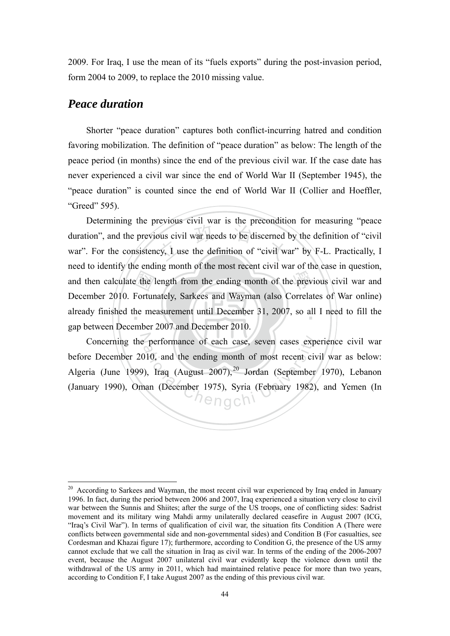2009. For Iraq, I use the mean of its "fuels exports" during the post-invasion period, form 2004 to 2009, to replace the 2010 missing value.

## *Peace duration*

1

Shorter "peace duration" captures both conflict-incurring hatred and condition favoring mobilization. The definition of "peace duration" as below: The length of the peace period (in months) since the end of the previous civil war. If the case date has never experienced a civil war since the end of World War II (September 1945), the "peace duration" is counted since the end of World War II (Collier and Hoeffler, "Greed" 595).

e the letter<br>Forture<br>mber ous civil war needs to be discerned locy, I use the definition of "civil was e prev already finished the measurement until December 31, 2007, so all I need to fill the Determining the previous civil war is the precondition for measuring "peace duration", and the previous civil war needs to be discerned by the definition of "civil war". For the consistency, I use the definition of "civil war" by F-L. Practically, I need to identify the ending month of the most recent civil war of the case in question, and then calculate the length from the ending month of the previous civil war and December 2010. Fortunately, Sarkees and Wayman (also Correlates of War online) gap between December 2007 and December 2010.

Concerning the performance of each case, seven cases experience civil war performance of each case, seven cases exp<br>
10, and the ending month of most recent civ<br>
2007), Iraq (August 2007), <sup>20</sup> Jordan (September<br>
1975), Syria (February 1982) before December 2010, and the ending month of most recent civil war as below: Algeria (June 1999), Iraq (August 2007),<sup>20</sup> Jordan (September 1970), Lebanon (January 1990), Oman (December 1975), Syria (February 1982), and Yemen (In

 $20$  According to Sarkees and Wayman, the most recent civil war experienced by Iraq ended in January 1996. In fact, during the period between 2006 and 2007, Iraq experienced a situation very close to civil war between the Sunnis and Shiites; after the surge of the US troops, one of conflicting sides: Sadrist movement and its military wing Mahdi army unilaterally declared ceasefire in August 2007 (ICG, "Iraq's Civil War"). In terms of qualification of civil war, the situation fits Condition A (There were conflicts between governmental side and non-governmental sides) and Condition B (For casualties, see Cordesman and Khazai figure 17); furthermore, according to Condition G, the presence of the US army cannot exclude that we call the situation in Iraq as civil war. In terms of the ending of the 2006-2007 event, because the August 2007 unilateral civil war evidently keep the violence down until the withdrawal of the US army in 2011, which had maintained relative peace for more than two years, according to Condition F, I take August 2007 as the ending of this previous civil war.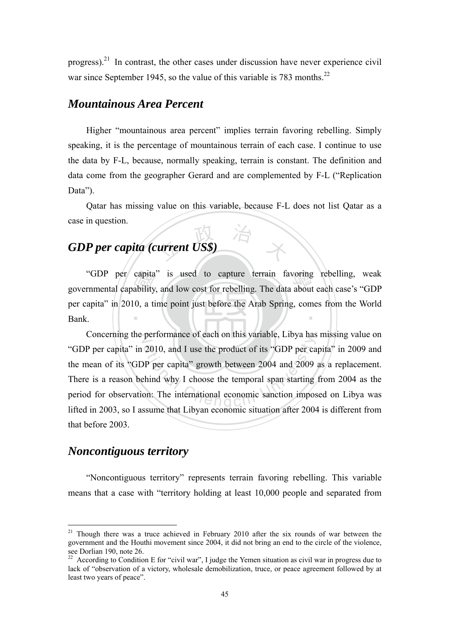progress).<sup>21</sup> In contrast, the other cases under discussion have never experience civil war since September 1945, so the value of this variable is 783 months.<sup>22</sup>

#### *Mountainous Area Percent*

Higher "mountainous area percent" implies terrain favoring rebelling. Simply speaking, it is the percentage of mountainous terrain of each case. I continue to use the data by F-L, because, normally speaking, terrain is constant. The definition and data come from the geographer Gerard and are complemented by F-L ("Replication Data").

Qatar has missing value on this variable, because F-L does not list Qatar as a case in question.

# $\frac{1}{2}$  arrent US\$ *GDP per capita (current US\$)*

capita<br>ability<br>0, a ti "GDP per capita" is used to capture terrain favoring rebelling, weak<br>rnmental capability, and low cost for rebelling. The data about each case's "GDP ‧ governmental capability, and low cost for rebelling. The data about each case's "GDP per capita" in 2010, a time point just before the Arab Spring, comes from the World Bank.

Concerning the performance of each on this variable, Libya has missing value on performance of each off this variable, Endya has<br>2010, and I use the product of its "GDP per ca<br>pP per capita" growth between 2004 and 2009<br>thind why I choose the temporal span starting<br>on: The international economic sanct "GDP per capita" in 2010, and I use the product of its "GDP per capita" in 2009 and the mean of its "GDP per capita" growth between 2004 and 2009 as a replacement. There is a reason behind why I choose the temporal span starting from 2004 as the period for observation: The international economic sanction imposed on Libya was lifted in 2003, so I assume that Libyan economic situation after 2004 is different from that before 2003.

# *Noncontiguous territory*

1

"Noncontiguous territory" represents terrain favoring rebelling. This variable means that a case with "territory holding at least 10,000 people and separated from

 $21$  Though there was a truce achieved in February 2010 after the six rounds of war between the government and the Houthi movement since 2004, it did not bring an end to the circle of the violence, see Dorlian 190, note 26.

 $22$  According to Condition E for "civil war", I judge the Yemen situation as civil war in progress due to lack of "observation of a victory, wholesale demobilization, truce, or peace agreement followed by at least two years of peace".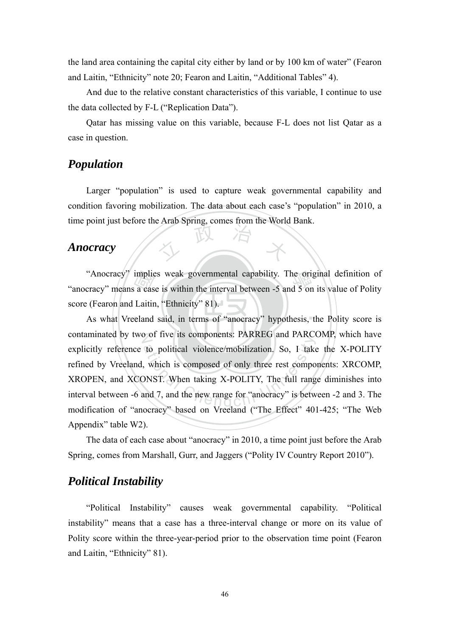the land area containing the capital city either by land or by 100 km of water" (Fearon and Laitin, "Ethnicity" note 20; Fearon and Laitin, "Additional Tables" 4).

And due to the relative constant characteristics of this variable, I continue to use the data collected by F-L ("Replication Data").

Qatar has missing value on this variable, because F-L does not list Qatar as a case in question.

## *Population*

文 政 治 木 Larger "population" is used to capture weak governmental capability and condition favoring mobilization. The data about each case's "population" in 2010, a time point just before the Arab Spring, comes from the World Bank.

#### *Anocracy*

implie<br>a cas<br>Laitin<br>eland "Anocracy" implies weak governmental capability. The original definition of cracy" means a case is within the interval between -5 and 5 on its value of Polity "anocracy" means a case is within the interval between -5 and 5 on its value of Polity score (Fearon and Laitin, "Ethnicity" 81).

‧As what Vreeland said, in terms of "anocracy" hypothesis, the Polity score is contaminated by two of five its components: PARREG and PARCOMP, which have to political violence/mobilization. So, I take<br>which is composed of only three rest compo<br>DNST. When taking X-POLITY, The full range and 7, and the new range for "anocracy" is between explicitly reference to political violence/mobilization. So, I take the X-POLITY refined by Vreeland, which is composed of only three rest components: XRCOMP, XROPEN, and XCONST. When taking X-POLITY, The full range diminishes into interval between -6 and 7, and the new range for "anocracy" is between -2 and 3. The modification of "anocracy" based on Vreeland ("The Effect" 401-425; "The Web Appendix" table W2).

The data of each case about "anocracy" in 2010, a time point just before the Arab Spring, comes from Marshall, Gurr, and Jaggers ("Polity IV Country Report 2010").

## *Political Instability*

"Political Instability" causes weak governmental capability. "Political instability" means that a case has a three-interval change or more on its value of Polity score within the three-year-period prior to the observation time point (Fearon and Laitin, "Ethnicity" 81).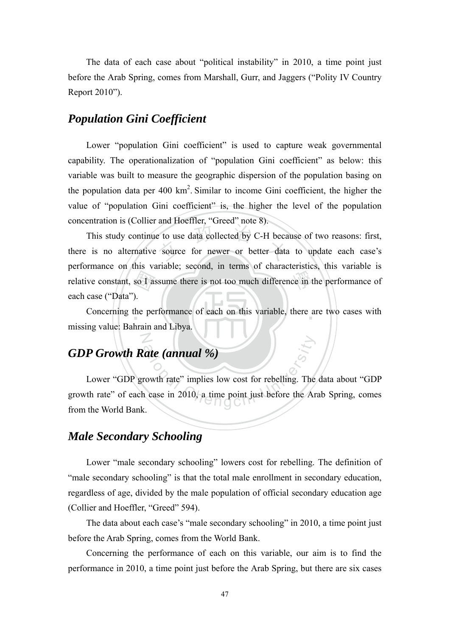The data of each case about "political instability" in 2010, a time point just before the Arab Spring, comes from Marshall, Gurr, and Jaggers ("Polity IV Country Report 2010").

### *Population Gini Coefficient*

Lower "population Gini coefficient" is used to capture weak governmental capability. The operationalization of "population Gini coefficient" as below: this variable was built to measure the geographic dispersion of the population basing on the population data per  $400 \text{ km}^2$ . Similar to income Gini coefficient, the higher the value of "population Gini coefficient" is, the higher the level of the population concentration is (Collier and Hoeffler, "Greed" note 8).

so I as<br>
).<br>
the pe e to use data collected by C-H because ce in t This study continue to use data collected by C-H because of two reasons: first, there is no alternative source for newer or better data to update each case's performance on this variable; second, in terms of characteristics, this variable is relative constant, so I assume there is not too much difference in the performance of each case ("Data").

Concerning the performance of each on this variable, there are two cases with missing value: Bahrain and Libya.

# *GDP Growth Rate (annual %)*

N

ate (annual %)<br>rowth rate" implies low cost for rebelling. The<br>a case in 2010, a time point just before the Ar Lower "GDP growth rate" implies low cost for rebelling. The data about "GDP growth rate" of each case in 2010, a time point just before the Arab Spring, comes from the World Bank.

## *Male Secondary Schooling*

Lower "male secondary schooling" lowers cost for rebelling. The definition of "male secondary schooling" is that the total male enrollment in secondary education, regardless of age, divided by the male population of official secondary education age (Collier and Hoeffler, "Greed" 594).

The data about each case's "male secondary schooling" in 2010, a time point just before the Arab Spring, comes from the World Bank.

Concerning the performance of each on this variable, our aim is to find the performance in 2010, a time point just before the Arab Spring, but there are six cases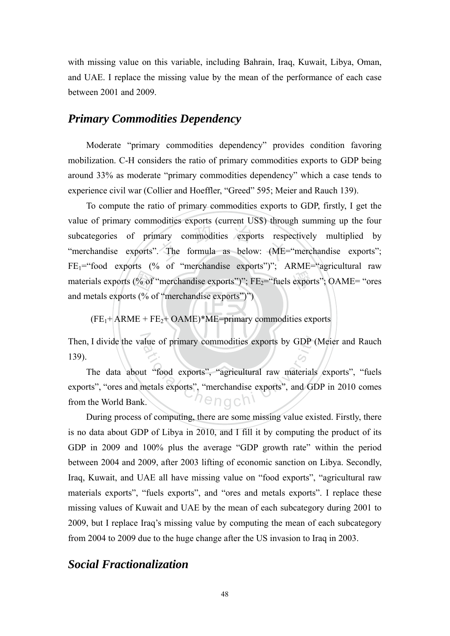with missing value on this variable, including Bahrain, Iraq, Kuwait, Libya, Oman, and UAE. I replace the missing value by the mean of the performance of each case between 2001 and 2009.

#### *Primary Commodities Dependency*

Moderate "primary commodities dependency" provides condition favoring mobilization. C-H considers the ratio of primary commodities exports to GDP being around 33% as moderate "primary commodities dependency" which a case tends to experience civil war (Collier and Hoeffler, "Greed" 595; Meier and Rauch 139).

 $\frac{(96 \text{ of } +)(96 \text{ of } +)(1)}{100 \text{ of } + \text{F}}$ mary commodities exports responsively.<br>The formula as below: (ME= materials exports (% of "merchandise exports")"; FE<sub>2</sub>="fuels exports"; OAME= "ores To compute the ratio of primary commodities exports to GDP, firstly, I get the value of primary commodities exports (current US\$) through summing up the four subcategories of primary commodities exports respectively multiplied by "merchandise exports". The formula as below: (ME="merchandise exports";  $FE_1$ ="food exports (% of "merchandise exports")"; ARME="agricultural raw and metals exports (% of "merchandise exports")")

 $(FE<sub>1</sub>+ARME + FE<sub>2</sub>+OAME)*ME=primary$  commodities exports

139).

Then, I divide the value of primary commodities exports by GDP (Meier and Rauch 139).<br>
The data about "food exports", "agricultural raw materials exports", "fuels exports", "ores and metals exports", "merchandise exports", The data about "food exports", "agricultural raw materials exports", "fuels exports", "ores and metals exports", "merchandise exports", and GDP in 2010 comes from the World Bank.

During process of computing, there are some missing value existed. Firstly, there is no data about GDP of Libya in 2010, and I fill it by computing the product of its GDP in 2009 and 100% plus the average "GDP growth rate" within the period between 2004 and 2009, after 2003 lifting of economic sanction on Libya. Secondly, Iraq, Kuwait, and UAE all have missing value on "food exports", "agricultural raw materials exports", "fuels exports", and "ores and metals exports". I replace these missing values of Kuwait and UAE by the mean of each subcategory during 2001 to 2009, but I replace Iraq's missing value by computing the mean of each subcategory from 2004 to 2009 due to the huge change after the US invasion to Iraq in 2003.

### *Social Fractionalization*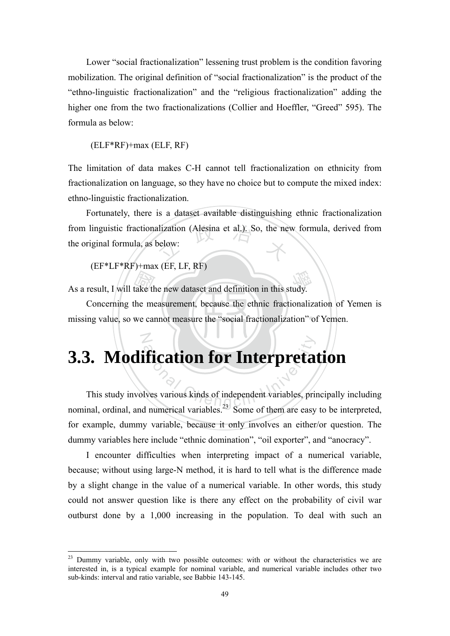Lower "social fractionalization" lessening trust problem is the condition favoring mobilization. The original definition of "social fractionalization" is the product of the "ethno-linguistic fractionalization" and the "religious fractionalization" adding the higher one from the two fractionalizations (Collier and Hoeffler, "Greed" 595). The formula as below:

#### (ELF\*RF)+max (ELF, RF)

The limitation of data makes C-H cannot tell fractionalization on ethnicity from fractionalization on language, so they have no choice but to compute the mixed index: ethno-linguistic fractionalization.

from linguistic fractionalization (Alesina et al.). So, the new formula, derived from the original formula, as below: Fortunately, there is a dataset available distinguishing ethnic fractionalization the original formula, as below:

#### (EF\*LF\*RF)+max (EF, LF, RF)

N

1

As a result, I will take the new dataset and definition in this study.

missing value, so we cannot measure the "social fractionalization" of Yemen. take the me Concerning the measurement, because the ethnic fractionalization of Yemen is

# **3.3. Modification for Interpretation**

**defication for Interpreta**<br>lives various kinds of independent variables, printing a conservation of them are ensured. This study involves various kinds of independent variables, principally including nominal, ordinal, and numerical variables.<sup>23</sup> Some of them are easy to be interpreted, for example, dummy variable, because it only involves an either/or question. The dummy variables here include "ethnic domination", "oil exporter", and "anocracy".

I encounter difficulties when interpreting impact of a numerical variable, because; without using large-N method, it is hard to tell what is the difference made by a slight change in the value of a numerical variable. In other words, this study could not answer question like is there any effect on the probability of civil war outburst done by a 1,000 increasing in the population. To deal with such an

 $23$  Dummy variable, only with two possible outcomes: with or without the characteristics we are interested in, is a typical example for nominal variable, and numerical variable includes other two sub-kinds: interval and ratio variable, see Babbie 143-145.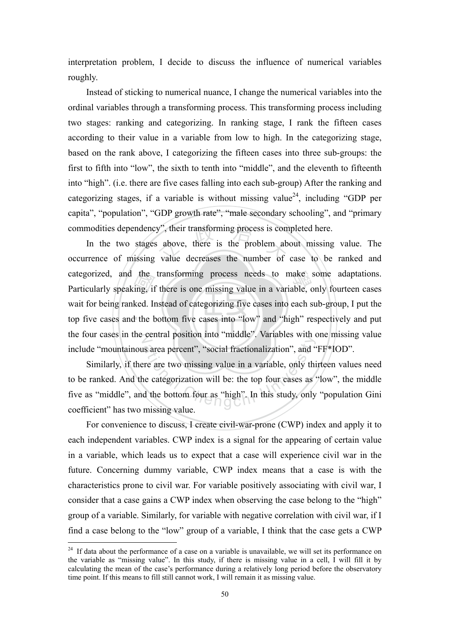interpretation problem, I decide to discuss the influence of numerical variables roughly.

Instead of sticking to numerical nuance, I change the numerical variables into the ordinal variables through a transforming process. This transforming process including two stages: ranking and categorizing. In ranking stage, I rank the fifteen cases according to their value in a variable from low to high. In the categorizing stage, based on the rank above, I categorizing the fifteen cases into three sub-groups: the first to fifth into "low", the sixth to tenth into "middle", and the eleventh to fifteenth into "high". (i.e. there are five cases falling into each sub-group) After the ranking and categorizing stages, if a variable is without missing value<sup>24</sup>, including "GDP per capita", "population", "GDP growth rate", "male secondary schooling", and "primary commodities dependency", their transforming process is completed here.

‧the<br>ing, if<br>ked. In<br>the b commodities dependency", their transforming process is completed here.<br>In the two stages above, there is the problem about missing value. The<br>occurrence of missing value decreases the number of case to be ranked and exategorized, and the transforming process needs to make some adaptations.<br>Particularly speaking, if there is one missing value in a variable, only fourteen cases top five cases and the bottom five cases into "low" and "high" respectively and put the four cases in the central position into "middle". Variables with one missing value In the two stages above, there is the problem about missing value. The Particularly speaking, if there is one missing value in a variable, only fourteen cases wait for being ranked. Instead of categorizing five cases into each sub-group, I put the include "mountainous area percent", "social fractionalization", and "FF\*IOD".

ation into the matter. Valudics with values are are two missing value in a variable, only this categorization will be: the top four cases as d the bottom four as "high". In this study, only missing value Similarly, if there are two missing value in a variable, only thirteen values need to be ranked. And the categorization will be: the top four cases as "low", the middle five as "middle", and the bottom four as "high". In this study, only "population Gini coefficient" has two missing value.

For convenience to discuss, I create civil-war-prone (CWP) index and apply it to each independent variables. CWP index is a signal for the appearing of certain value in a variable, which leads us to expect that a case will experience civil war in the future. Concerning dummy variable, CWP index means that a case is with the characteristics prone to civil war. For variable positively associating with civil war, I consider that a case gains a CWP index when observing the case belong to the "high" group of a variable. Similarly, for variable with negative correlation with civil war, if I find a case belong to the "low" group of a variable, I think that the case gets a CWP

<u>.</u>

 $24$  If data about the performance of a case on a variable is unavailable, we will set its performance on the variable as "missing value". In this study, if there is missing value in a cell, I will fill it by calculating the mean of the case's performance during a relatively long period before the observatory time point. If this means to fill still cannot work, I will remain it as missing value.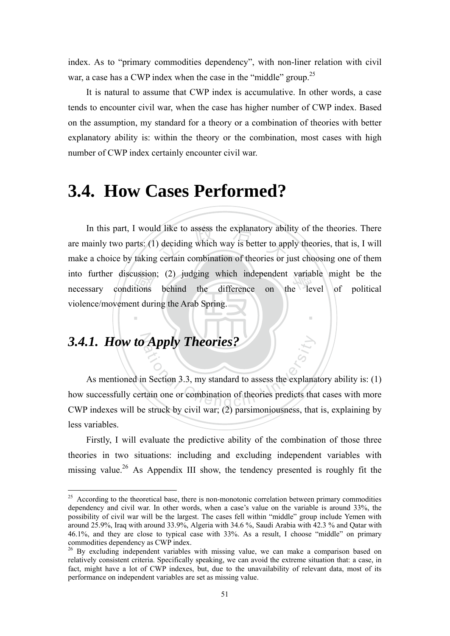index. As to "primary commodities dependency", with non-liner relation with civil war, a case has a CWP index when the case in the "middle" group.<sup>25</sup>

It is natural to assume that CWP index is accumulative. In other words, a case tends to encounter civil war, when the case has higher number of CWP index. Based on the assumption, my standard for a theory or a combination of theories with better explanatory ability is: within the theory or the combination, most cases with high number of CWP index certainly encounter civil war.

# **3.4. How Cases Performed?**

ussion<br>tions<br>nt duri d like to assess the explanatory abil<br>deciding which way is better to app<br>certain combination of theories or j into further discussion; (2) judging which independent variable might be the necessary conditions behind the difference on the level of political ‧ In this part, I would like to assess the explanatory ability of the theories. There are mainly two parts: (1) deciding which way is better to apply theories, that is, I will make a choice by taking certain combination of theories or just choosing one of them necessary conditions behind the difference on the level of political violence/movement during the Arab Spring.

# 3.4.1. How to Apply Theories?

<u>.</u>

**Apply Theories?**<br>an Section 3.3, my standard to assess the explanation one or combination of theories predicts that As mentioned in Section 3.3, my standard to assess the explanatory ability is: (1) how successfully certain one or combination of theories predicts that cases with more CWP indexes will be struck by civil war; (2) parsimoniousness, that is, explaining by less variables.

Firstly, I will evaluate the predictive ability of the combination of those three theories in two situations: including and excluding independent variables with missing value.<sup>26</sup> As Appendix III show, the tendency presented is roughly fit the

<sup>&</sup>lt;sup>25</sup> According to the theoretical base, there is non-monotonic correlation between primary commodities dependency and civil war. In other words, when a case's value on the variable is around 33%, the possibility of civil war will be the largest. The cases fell within "middle" group include Yemen with around 25.9%, Iraq with around 33.9%, Algeria with 34.6 %, Saudi Arabia with 42.3 % and Qatar with 46.1%, and they are close to typical case with 33%. As a result, I choose "middle" on primary commodities dependency as CWP index.

<sup>&</sup>lt;sup>26</sup> By excluding independent variables with missing value, we can make a comparison based on relatively consistent criteria. Specifically speaking, we can avoid the extreme situation that: a case, in fact, might have a lot of CWP indexes, but, due to the unavailability of relevant data, most of its performance on independent variables are set as missing value.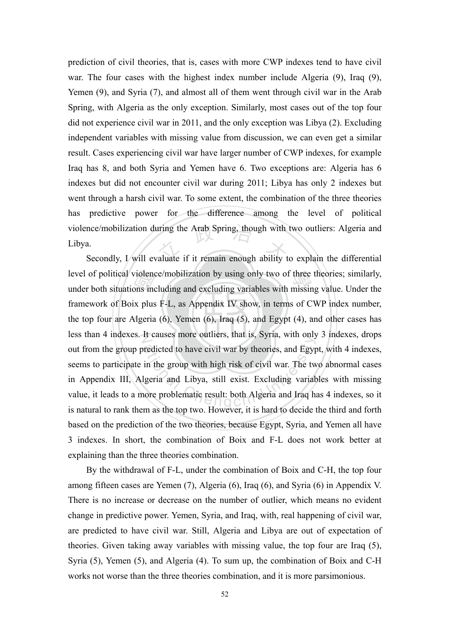violence/mobilization during the Arab Spring, though with two outliers: Algeria and<br>Libya.<br>Secondly, I will evaluate if it remain enough ability to explain the differential prediction of civil theories, that is, cases with more CWP indexes tend to have civil war. The four cases with the highest index number include Algeria (9), Iraq (9), Yemen (9), and Syria (7), and almost all of them went through civil war in the Arab Spring, with Algeria as the only exception. Similarly, most cases out of the top four did not experience civil war in 2011, and the only exception was Libya (2). Excluding independent variables with missing value from discussion, we can even get a similar result. Cases experiencing civil war have larger number of CWP indexes, for example Iraq has 8, and both Syria and Yemen have 6. Two exceptions are: Algeria has 6 indexes but did not encounter civil war during 2011; Libya has only 2 indexes but went through a harsh civil war. To some extent, the combination of the three theories has predictive power for the difference among the level of political Libya.

the top four are Algeria (6), Yemen (6), Iraq (5), and Egypt (4), and other cases has violene<br>ons inc<br>x plus<br>dgeria level of political violence/mobilization by using only two of three theories; similarly,<br>under both situations including and excluding variables with missing value. Under the less than 4 indexes. It causes more outliers, that is, Syria, with only 3 indexes, drops at tas, Syria, with only<br>redicted to have civil war by theories, and Egyp<br>in the group with high risk of civil war. The twide<br>ligeria and Libya, still exist. Excluding variat<br>nore problematic result: both Algeria and Iraq Secondly, I will evaluate if it remain enough ability to explain the differential under both situations including and excluding variables with missing value. Under the framework of Boix plus F-L, as Appendix IV show, in terms of CWP index number, out from the group predicted to have civil war by theories, and Egypt, with 4 indexes, seems to participate in the group with high risk of civil war. The two abnormal cases in Appendix III, Algeria and Libya, still exist. Excluding variables with missing value, it leads to a more problematic result: both Algeria and Iraq has 4 indexes, so it is natural to rank them as the top two. However, it is hard to decide the third and forth based on the prediction of the two theories, because Egypt, Syria, and Yemen all have 3 indexes. In short, the combination of Boix and F-L does not work better at explaining than the three theories combination.

By the withdrawal of F-L, under the combination of Boix and C-H, the top four among fifteen cases are Yemen (7), Algeria (6), Iraq (6), and Syria (6) in Appendix V. There is no increase or decrease on the number of outlier, which means no evident change in predictive power. Yemen, Syria, and Iraq, with, real happening of civil war, are predicted to have civil war. Still, Algeria and Libya are out of expectation of theories. Given taking away variables with missing value, the top four are Iraq (5), Syria (5), Yemen (5), and Algeria (4). To sum up, the combination of Boix and C-H works not worse than the three theories combination, and it is more parsimonious.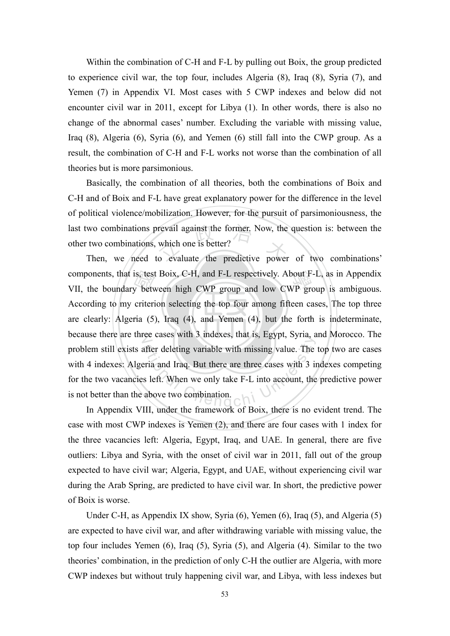Within the combination of C-H and F-L by pulling out Boix, the group predicted to experience civil war, the top four, includes Algeria (8), Iraq (8), Syria (7), and Yemen (7) in Appendix VI. Most cases with 5 CWP indexes and below did not encounter civil war in 2011, except for Libya (1). In other words, there is also no change of the abnormal cases' number. Excluding the variable with missing value, Iraq (8), Algeria (6), Syria (6), and Yemen (6) still fall into the CWP group. As a result, the combination of C-H and F-L works not worse than the combination of all theories but is more parsimonious.

last two combinations prevail against the former. Now, the question is: between the other two combinations, which one is better?<br>Then, we need to evaluate the predictive power of two combinations' Basically, the combination of all theories, both the combinations of Boix and C-H and of Boix and F-L have great explanatory power for the difference in the level of political violence/mobilization. However, for the pursuit of parsimoniousness, the other two combinations, which one is better?

are clearly: Algeria  $(5)$ , Iraq  $(4)$ , and Yemen  $(4)$ , but the forth is indeterminate, is, test<br>y betw<br>criteri<br>ria (5) components, that is, test Boix, C-H, and F-L respectively. About F-L, as in Appendix<br>VII, the boundary between high CWP group and low CWP group is ambiguous. because there are three cases with 3 indexes, that is, Egypt, Syria, and Morocco. The after deleting variable with missing value. The<br>aria and Iraq. But there are three cases with 3 is<br>a left. When we only take F-L into account, the<br>above two combination. Then, we need to evaluate the predictive power of two combinations' VII, the boundary between high CWP group and low CWP group is ambiguous. According to my criterion selecting the top four among fifteen cases, The top three problem still exists after deleting variable with missing value. The top two are cases with 4 indexes: Algeria and Iraq. But there are three cases with 3 indexes competing for the two vacancies left. When we only take F-L into account, the predictive power is not better than the above two combination.

In Appendix VIII, under the framework of Boix, there is no evident trend. The case with most CWP indexes is Yemen (2), and there are four cases with 1 index for the three vacancies left: Algeria, Egypt, Iraq, and UAE. In general, there are five outliers: Libya and Syria, with the onset of civil war in 2011, fall out of the group expected to have civil war; Algeria, Egypt, and UAE, without experiencing civil war during the Arab Spring, are predicted to have civil war. In short, the predictive power of Boix is worse.

Under C-H, as Appendix IX show, Syria (6), Yemen (6), Iraq (5), and Algeria (5) are expected to have civil war, and after withdrawing variable with missing value, the top four includes Yemen (6), Iraq (5), Syria (5), and Algeria (4). Similar to the two theories' combination, in the prediction of only C-H the outlier are Algeria, with more CWP indexes but without truly happening civil war, and Libya, with less indexes but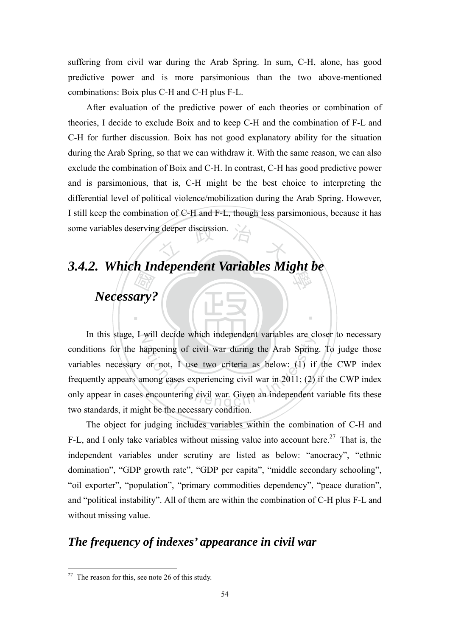suffering from civil war during the Arab Spring. In sum, C-H, alone, has good predictive power and is more parsimonious than the two above-mentioned combinations: Boix plus C-H and C-H plus F-L.

g deeper discussion. After evaluation of the predictive power of each theories or combination of theories, I decide to exclude Boix and to keep C-H and the combination of F-L and C-H for further discussion. Boix has not good explanatory ability for the situation during the Arab Spring, so that we can withdraw it. With the same reason, we can also exclude the combination of Boix and C-H. In contrast, C-H has good predictive power and is parsimonious, that is, C-H might be the best choice to interpreting the differential level of political violence/mobilization during the Arab Spring. However, I still keep the combination of C-H and F-L, though less parsimonious, because it has some variables deserving deeper discussion.

# 學 *3.4.2. Which Independent Variables Might be*

# 國 *Necessary?*

In this stage, I will decide which independent variables are closer to necessary with decide which independent variables are enappening of civil war during the Arab Spring<br>or not, I use two criteria as below: (1) if<br>mong cases experiencing civil war in 2011; (2)<br>encountering civil war. Given an indepen conditions for the happening of civil war during the Arab Spring. To judge those variables necessary or not, I use two criteria as below: (1) if the CWP index frequently appears among cases experiencing civil war in 2011; (2) if the CWP index only appear in cases encountering civil war. Given an independent variable fits these two standards, it might be the necessary condition.

‧

The object for judging includes variables within the combination of C-H and F-L, and I only take variables without missing value into account here.<sup>27</sup> That is, the independent variables under scrutiny are listed as below: "anocracy", "ethnic domination", "GDP growth rate", "GDP per capita", "middle secondary schooling", "oil exporter", "population", "primary commodities dependency", "peace duration", and "political instability". All of them are within the combination of C-H plus F-L and without missing value.

# *The frequency of indexes' appearance in civil war*

<u>.</u>

 $27$  The reason for this, see note 26 of this study.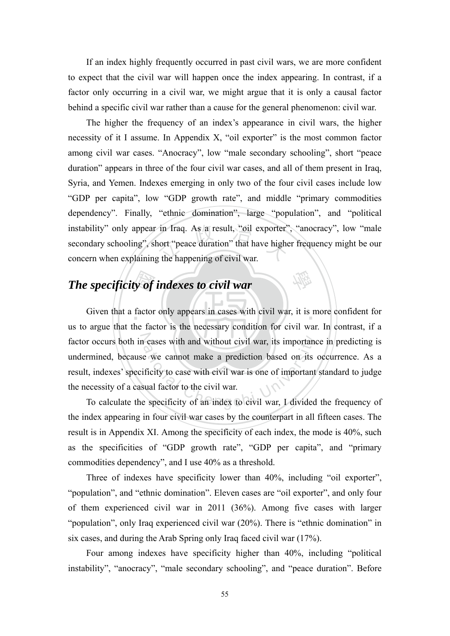If an index highly frequently occurred in past civil wars, we are more confident to expect that the civil war will happen once the index appearing. In contrast, if a factor only occurring in a civil war, we might argue that it is only a causal factor behind a specific civil war rather than a cause for the general phenomenon: civil war.

in Iraq. As a result, "oil exporter"<br>nort "peace duration" that have higher<br>g the happening of civil war. The higher the frequency of an index's appearance in civil wars, the higher necessity of it I assume. In Appendix X, "oil exporter" is the most common factor among civil war cases. "Anocracy", low "male secondary schooling", short "peace duration" appears in three of the four civil war cases, and all of them present in Iraq, Syria, and Yemen. Indexes emerging in only two of the four civil cases include low "GDP per capita", low "GDP growth rate", and middle "primary commodities dependency". Finally, "ethnic domination", large "population", and "political instability" only appear in Iraq. As a result, "oil exporter", "anocracy", low "male secondary schooling", short "peace duration" that have higher frequency might be our concern when explaining the happening of civil war.

# *The specificity of indexes to civil war*

**y of**<br>factor Given that a factor only appears in cases with civil war, it is more confident for factor occurs both in cases with and without civil war, its importance in predicting is The cases with and without civil war, its importance we cannot make a prediction based on its ificity to case with civil war is one of important sual factor to the civil war.<br>Sual factor to the civil war. us to argue that the factor is the necessary condition for civil war. In contrast, if a undermined, because we cannot make a prediction based on its occurrence. As a result, indexes' specificity to case with civil war is one of important standard to judge the necessity of a casual factor to the civil war.

學

To calculate the specificity of an index to civil war, I divided the frequency of the index appearing in four civil war cases by the counterpart in all fifteen cases. The result is in Appendix XI. Among the specificity of each index, the mode is 40%, such as the specificities of "GDP growth rate", "GDP per capita", and "primary commodities dependency", and I use 40% as a threshold.

Three of indexes have specificity lower than 40%, including "oil exporter", "population", and "ethnic domination". Eleven cases are "oil exporter", and only four of them experienced civil war in 2011 (36%). Among five cases with larger "population", only Iraq experienced civil war (20%). There is "ethnic domination" in six cases, and during the Arab Spring only Iraq faced civil war (17%).

Four among indexes have specificity higher than 40%, including "political instability", "anocracy", "male secondary schooling", and "peace duration". Before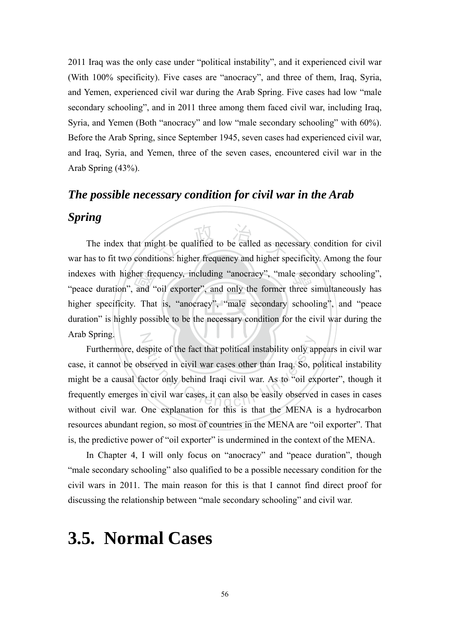2011 Iraq was the only case under "political instability", and it experienced civil war (With 100% specificity). Five cases are "anocracy", and three of them, Iraq, Syria, and Yemen, experienced civil war during the Arab Spring. Five cases had low "male secondary schooling", and in 2011 three among them faced civil war, including Iraq, Syria, and Yemen (Both "anocracy" and low "male secondary schooling" with 60%). Before the Arab Spring, since September 1945, seven cases had experienced civil war, and Iraq, Syria, and Yemen, three of the seven cases, encountered civil war in the Arab Spring (43%).

## *The possible necessary condition for civil war in the Arab*

#### *Spring*

duration" is highly possible to be the necessary condition for the civil war during the ner free<br>and<br>Tha<br>y poss the qualified to be called as necessions: higher frequency and higher sp indexes with higher frequency, including "anocracy", "male secondary schooling", "peace duration", and "oil exporter", and only the former three simultaneously has N The index that might be qualified to be called as necessary condition for civil war has to fit two conditions: higher frequency and higher specificity. Among the four "peace duration", and "oil exporter", and only the former three simultaneously has higher specificity. That is, "anocracy", "male secondary schooling", and "peace Arab Spring.

Expite of the fact that political instability only apserved in civil war cases other than Iraq. So, particle of the University of the expansion civil war cases, it can also be easily observed Furthermore, despite of the fact that political instability only appears in civil war case, it cannot be observed in civil war cases other than Iraq. So, political instability might be a causal factor only behind Iraqi civil war. As to "oil exporter", though it frequently emerges in civil war cases, it can also be easily observed in cases in cases without civil war. One explanation for this is that the MENA is a hydrocarbon resources abundant region, so most of countries in the MENA are "oil exporter". That is, the predictive power of "oil exporter" is undermined in the context of the MENA.

In Chapter 4, I will only focus on "anocracy" and "peace duration", though "male secondary schooling" also qualified to be a possible necessary condition for the civil wars in 2011. The main reason for this is that I cannot find direct proof for discussing the relationship between "male secondary schooling" and civil war.

# **3.5. Normal Cases**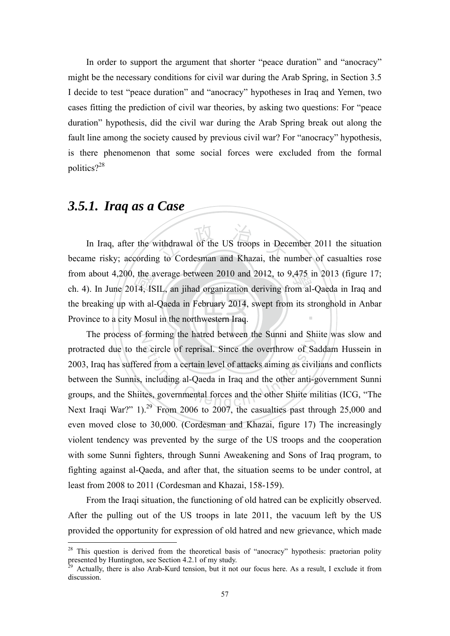In order to support the argument that shorter "peace duration" and "anocracy" might be the necessary conditions for civil war during the Arab Spring, in Section 3.5 I decide to test "peace duration" and "anocracy" hypotheses in Iraq and Yemen, two cases fitting the prediction of civil war theories, by asking two questions: For "peace duration" hypothesis, did the civil war during the Arab Spring break out along the fault line among the society caused by previous civil war? For "anocracy" hypothesis, is there phenomenon that some social forces were excluded from the formal politics?<sup>28</sup>

## *3.5.1. Iraq as a Case*

<u>.</u>

Province to a city Mosul in the northwestern Iraq. the a<br>14, IS<br>ith al-<br>Mosu vithdrawal of the US troops in Dec<br>g to Cordesman and Khazai, the n from about 4,200, the average between 2010 and 2012, to 9,475 in 2013 (figure 17; ch. 4). In June 2014, ISIL, an iihad organization deriving from al-Oaeda in Iraq and ‧ In Iraq, after the withdrawal of the US troops in December 2011 the situation became risky; according to Cordesman and Khazai, the number of casualties rose ch. 4). In June 2014, ISIL, an jihad organization deriving from al-Qaeda in Iraq and the breaking up with al-Qaeda in February 2014, swept from its stronghold in Anbar

The process of forming the hatred between the Sunni and Shiite was slow and e circle of reprisal. Since the overthrow of Sa<br>ed from a certain level of attacks aiming as civil<br>including al-Qaeda in Iraq and the other anti-g<br>tes, governmental forces and the other Shiite m protracted due to the circle of reprisal. Since the overthrow of Saddam Hussein in 2003, Iraq has suffered from a certain level of attacks aiming as civilians and conflicts between the Sunnis, including al-Qaeda in Iraq and the other anti-government Sunni groups, and the Shiites, governmental forces and the other Shiite militias (ICG, "The Next Iraqi War?"  $1$ ).<sup>29</sup> From 2006 to 2007, the casualties past through 25,000 and even moved close to 30,000. (Cordesman and Khazai, figure 17) The increasingly violent tendency was prevented by the surge of the US troops and the cooperation with some Sunni fighters, through Sunni Aweakening and Sons of Iraq program, to fighting against al-Qaeda, and after that, the situation seems to be under control, at least from 2008 to 2011 (Cordesman and Khazai, 158-159).

From the Iraqi situation, the functioning of old hatred can be explicitly observed. After the pulling out of the US troops in late 2011, the vacuum left by the US provided the opportunity for expression of old hatred and new grievance, which made

 $28$  This question is derived from the theoretical basis of "anocracy" hypothesis: praetorian polity presented by Huntington, see Section 4.2.1 of my study.<br><sup>29</sup> Actually, there is also Arab-Kurd tension, but it not our focus here. As a result, I exclude it from

discussion.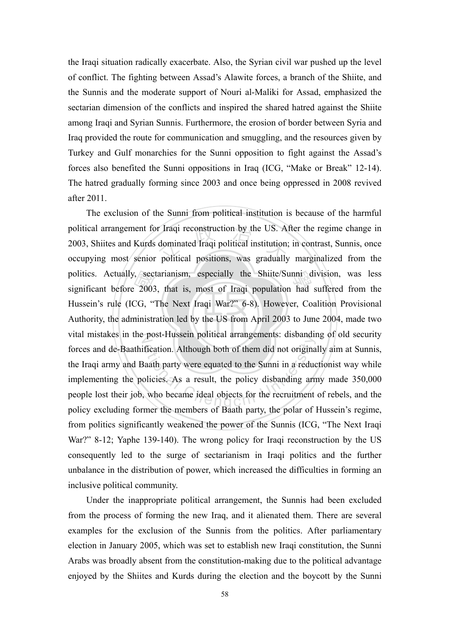the Iraqi situation radically exacerbate. Also, the Syrian civil war pushed up the level of conflict. The fighting between Assad's Alawite forces, a branch of the Shiite, and the Sunnis and the moderate support of Nouri al-Maliki for Assad, emphasized the sectarian dimension of the conflicts and inspired the shared hatred against the Shiite among Iraqi and Syrian Sunnis. Furthermore, the erosion of border between Syria and Iraq provided the route for communication and smuggling, and the resources given by Turkey and Gulf monarchies for the Sunni opposition to fight against the Assad's forces also benefited the Sunni oppositions in Iraq (ICG, "Make or Break" 12-14). The hatred gradually forming since 2003 and once being oppressed in 2008 revived after 2011.

Authority, the administration led by the US from April 2003 to June 2004, made two sec:<br> $2003$ <br> $CG, "$ <br>ministr political arrangement for Iraqi reconstruction by the US. After the regime change in 2003, Shiites and Kurds dominated Iraqi political institution; in contrast, Sunnis, once occupying most senior political positions, was g politics. Actually, sectarianism, especially the Shiite/Sunni division, was less<br>significant before 2003, that is, most of Iragi population had suffered from the vital mistakes in the post-Hussein political arrangements: disbanding of old security Fication. Although both of them did not original<br>at party were equated to the Sunni in a reduce<br>olicies. As a result, the policy disbanding are,<br>who became ideal objects for the recruitment The exclusion of the Sunni from political institution is because of the harmful 2003, Shiites and Kurds dominated Iraqi political institution; in contrast, Sunnis, once occupying most senior political positions, was gradually marginalized from the significant before 2003, that is, most of Iraqi population had suffered from the Hussein's rule (ICG, "The Next Iraqi War?" 6-8). However, Coalition Provisional forces and de-Baathification. Although both of them did not originally aim at Sunnis, the Iraqi army and Baath party were equated to the Sunni in a reductionist way while implementing the policies. As a result, the policy disbanding army made 350,000 people lost their job, who became ideal objects for the recruitment of rebels, and the policy excluding former the members of Baath party, the polar of Hussein's regime, from politics significantly weakened the power of the Sunnis (ICG, "The Next Iraqi War?" 8-12; Yaphe 139-140). The wrong policy for Iraqi reconstruction by the US consequently led to the surge of sectarianism in Iraqi politics and the further unbalance in the distribution of power, which increased the difficulties in forming an inclusive political community.

Under the inappropriate political arrangement, the Sunnis had been excluded from the process of forming the new Iraq, and it alienated them. There are several examples for the exclusion of the Sunnis from the politics. After parliamentary election in January 2005, which was set to establish new Iraqi constitution, the Sunni Arabs was broadly absent from the constitution-making due to the political advantage enjoyed by the Shiites and Kurds during the election and the boycott by the Sunni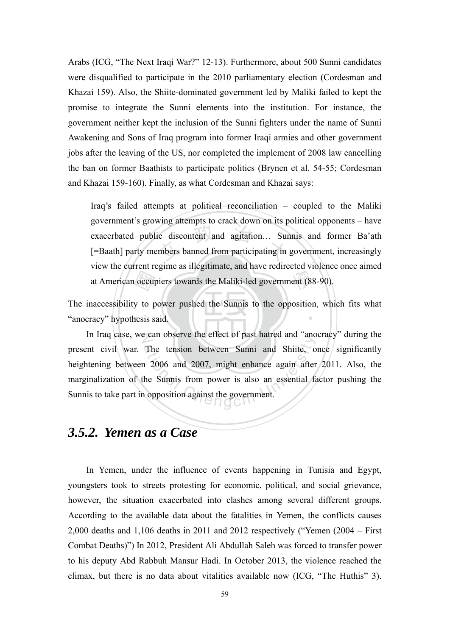Arabs (ICG, "The Next Iraqi War?" 12-13). Furthermore, about 500 Sunni candidates were disqualified to participate in the 2010 parliamentary election (Cordesman and Khazai 159). Also, the Shiite-dominated government led by Maliki failed to kept the promise to integrate the Sunni elements into the institution. For instance, the government neither kept the inclusion of the Sunni fighters under the name of Sunni Awakening and Sons of Iraq program into former Iraqi armies and other government jobs after the leaving of the US, nor completed the implement of 2008 law cancelling the ban on former Baathists to participate politics (Brynen et al. 54-55; Cordesman and Khazai 159-160). Finally, as what Cordesman and Khazai says:

ic discontent and agitation... Surf ent (88 Iraq's failed attempts at political reconciliation – coupled to the Maliki government's growing attempts to crack down on its political opponents – have exacerbated public discontent and agitation… Sunnis and former Ba'ath [=Baath] party members banned from participating in government, increasingly view the current regime as illegitimate, and have redirected violence once aimed at American occupiers towards the Maliki-led government (88-90).

‧"anocracy" hypothesis said. occup<br>y to p<br>nesis s ‧ The inaccessibility to power pushed the Sunnis to the opposition, which fits what

In Iraq case, we can observe the effect of past hatred and "anocracy" during the The tension between Sunni and Shiite, on 2006 and 2007, might enhance again after<br>the Sunnis from power is also an essential factory opposition against the government. present civil war. The tension between Sunni and Shiite, once significantly heightening between 2006 and 2007, might enhance again after 2011. Also, the marginalization of the Sunnis from power is also an essential factor pushing the Sunnis to take part in opposition against the government.

# *3.5.2. Yemen as a Case*

In Yemen, under the influence of events happening in Tunisia and Egypt, youngsters took to streets protesting for economic, political, and social grievance, however, the situation exacerbated into clashes among several different groups. According to the available data about the fatalities in Yemen, the conflicts causes 2,000 deaths and 1,106 deaths in 2011 and 2012 respectively ("Yemen (2004 – First Combat Deaths)") In 2012, President Ali Abdullah Saleh was forced to transfer power to his deputy Abd Rabbuh Mansur Hadi. In October 2013, the violence reached the climax, but there is no data about vitalities available now (ICG, "The Huthis" 3).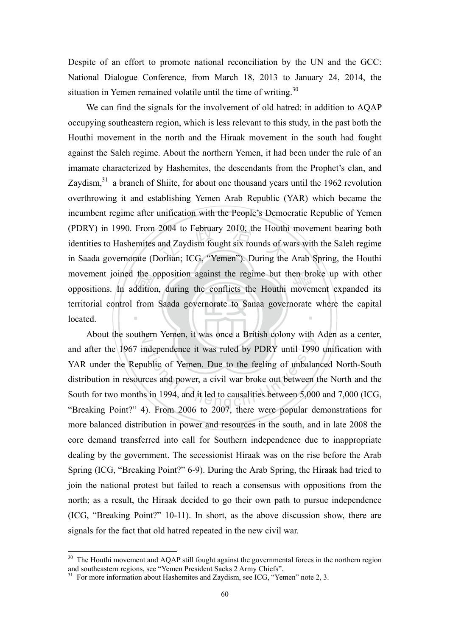Despite of an effort to promote national reconciliation by the UN and the GCC: National Dialogue Conference, from March 18, 2013 to January 24, 2014, the situation in Yemen remained volatile until the time of writing.<sup>30</sup>

the c<br>ddition<br>from 2004 to February 2010, the Houthi<br>and Zaydism fought six rounds of w<br>Jorlian; ICG, "Yemen"). During the movement joined the opposition against the regime but then broke up with other<br>oppositions. In addition, during the conflicts the Houthi movement expanded its ‧ We can find the signals for the involvement of old hatred: in addition to AQAP occupying southeastern region, which is less relevant to this study, in the past both the Houthi movement in the north and the Hiraak movement in the south had fought against the Saleh regime. About the northern Yemen, it had been under the rule of an imamate characterized by Hashemites, the descendants from the Prophet's clan, and Zaydism, $31$  a branch of Shiite, for about one thousand years until the 1962 revolution overthrowing it and establishing Yemen Arab Republic (YAR) which became the incumbent regime after unification with the People's Democratic Republic of Yemen (PDRY) in 1990. From 2004 to February 2010, the Houthi movement bearing both identities to Hashemites and Zaydism fought six rounds of wars with the Saleh regime in Saada governorate (Dorlian; ICG, "Yemen"). During the Arab Spring, the Houthi oppositions. In addition, during the conflicts the Houthi movement expanded its territorial control from Saada governorate to Sanaa governorate where the capital located.

N About the southern Yemen, it was once a British colony with Aden as a center, ndependence it was uled by PDRY until 1990<br>ublic of Yemen. Due to the feeling of unbalar<br>rces and power, a civil war broke out between<br>s in 1994, and it led to causalities between 5,000 and after the 1967 independence it was ruled by PDRY until 1990 unification with YAR under the Republic of Yemen. Due to the feeling of unbalanced North-South distribution in resources and power, a civil war broke out between the North and the South for two months in 1994, and it led to causalities between 5,000 and 7,000 (ICG, "Breaking Point?" 4). From 2006 to 2007, there were popular demonstrations for more balanced distribution in power and resources in the south, and in late 2008 the core demand transferred into call for Southern independence due to inappropriate dealing by the government. The secessionist Hiraak was on the rise before the Arab Spring (ICG, "Breaking Point?" 6-9). During the Arab Spring, the Hiraak had tried to join the national protest but failed to reach a consensus with oppositions from the north; as a result, the Hiraak decided to go their own path to pursue independence (ICG, "Breaking Point?" 10-11). In short, as the above discussion show, there are signals for the fact that old hatred repeated in the new civil war.

1

<sup>&</sup>lt;sup>30</sup> The Houthi movement and AQAP still fought against the governmental forces in the northern region and southeastern regions, see "Yemen President Sacks 2 Army Chiefs".<br><sup>31</sup> For more information about Hashemites and Zaydism, see ICG, "Yemen" note 2, 3.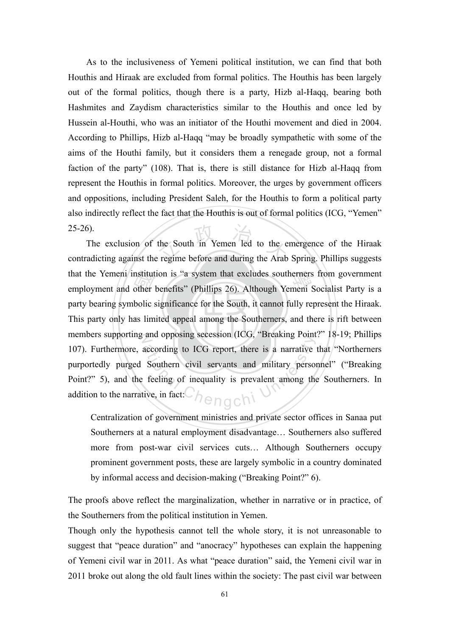As to the inclusiveness of Yemeni political institution, we can find that both Houthis and Hiraak are excluded from formal politics. The Houthis has been largely out of the formal politics, though there is a party, Hizb al-Haqq, bearing both Hashmites and Zaydism characteristics similar to the Houthis and once led by Hussein al-Houthi, who was an initiator of the Houthi movement and died in 2004. According to Phillips, Hizb al-Haqq "may be broadly sympathetic with some of the aims of the Houthi family, but it considers them a renegade group, not a formal faction of the party" (108). That is, there is still distance for Hizb al-Haqq from represent the Houthis in formal politics. Moreover, the urges by government officers and oppositions, including President Saleh, for the Houthis to form a political party also indirectly reflect the fact that the Houthis is out of formal politics (ICG, "Yemen"  $25-26$ ).

This party only has limited appeal among the Southerners, and there is rift between that the Yemeni institution is "a system that excludes southerners from government<br>employment and other benefits" (Phillips 26). Although Yemeni Socialist Party is a<br>party bearing symbolic significance for the South, it ca the South in Yemen Ted to the e members supporting and opposing secession (ICG, "Breaking Point?" 18-19; Phillips according to ICG report, there is a narrative<br>Southern civil servants and military person<br>feeling of inequality is prevalent among the<br>ive, in fact: The exclusion of the South in Yemen led to the emergence of the Hiraak contradicting against the regime before and during the Arab Spring. Phillips suggests that the Yemeni institution is "a system that excludes southerners from government party bearing symbolic significance for the South, it cannot fully represent the Hiraak. 107). Furthermore, according to ICG report, there is a narrative that "Northerners purportedly purged Southern civil servants and military personnel" ("Breaking Point?" 5), and the feeling of inequality is prevalent among the Southerners. In addition to the narrative, in fact:

Centralization of government ministries and private sector offices in Sanaa put Southerners at a natural employment disadvantage… Southerners also suffered more from post-war civil services cuts… Although Southerners occupy prominent government posts, these are largely symbolic in a country dominated by informal access and decision-making ("Breaking Point?" 6).

The proofs above reflect the marginalization, whether in narrative or in practice, of the Southerners from the political institution in Yemen.

Though only the hypothesis cannot tell the whole story, it is not unreasonable to suggest that "peace duration" and "anocracy" hypotheses can explain the happening of Yemeni civil war in 2011. As what "peace duration" said, the Yemeni civil war in 2011 broke out along the old fault lines within the society: The past civil war between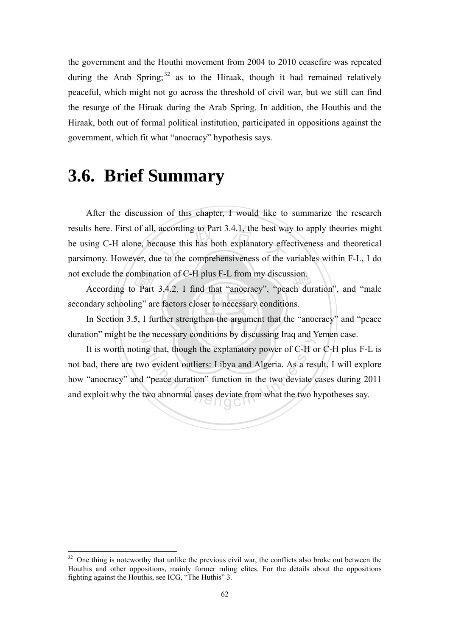the government and the Houthi movement from 2004 to 2010 ceasefire was repeated during the Arab Spring; $32$  as to the Hiraak, though it had remained relatively peaceful, which might not go across the threshold of civil war, but we still can find the resurge of the Hiraak during the Arab Spring. In addition, the Houthis and the Hiraak, both out of formal political institution, participated in oppositions against the government, which fit what "anocracy" hypothesis says.

# **3.6. Brief Summary**

1

results here. First of all, according to Part 3.4.1, the best way to apply theories might<br>be using C-H alone, because this has both explanatory effectiveness and theoretical<br>parsimony. However, due to the comprehensiveness After the discussion of this chapter, I would like to summarize the research be using C-H alone, because this has both explanatory effectiveness and theoretical parsimony. However, due to the comprehensiveness of the variables within F-L, I do not exclude the combination of C-H plus F-L from my discussion.

xclude the combination of C-H plus F-L from my discussion.<br>According to Part 3.4.2, I find that "anocracy", "peach duration", and "male<br>ndary schooling" are factors closer to necessary conditions.<br>In Section 3.5, I further secondary schooling" are factors closer to necessary conditions.

In Section 3.5, I further strengthen the argument that the "anocracy" and "peace duration" might be the necessary conditions by discussing Iraq and Yemen case.

ational Chengchi University Subclessing Haq and A<br>ang that, though the explanatory power of C-H or<br>wo evident outliers: Libya and Algeria. As a res<br>in the two deviate of two abnormal cases deviate from what the two h It is worth noting that, though the explanatory power of C-H or C-H plus F-L is not bad, there are two evident outliers: Libya and Algeria. As a result, I will explore how "anocracy" and "peace duration" function in the two deviate cases during 2011 and exploit why the two abnormal cases deviate from what the two hypotheses say.

 $32$  One thing is noteworthy that unlike the previous civil war, the conflicts also broke out between the Houthis and other oppositions, mainly former ruling elites. For the details about the oppositions fighting against the Houthis, see ICG, "The Huthis" 3.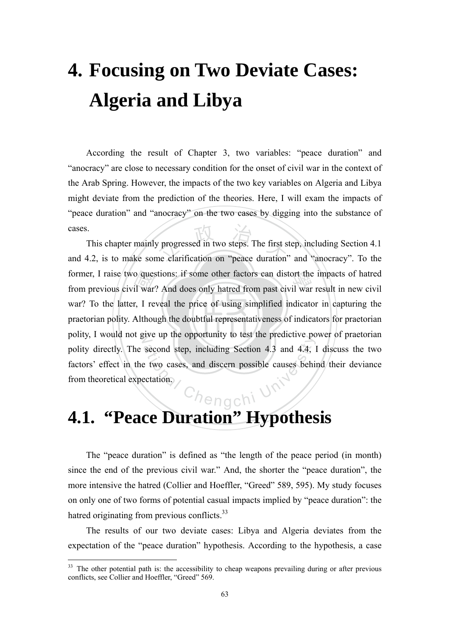# **4. Focusing on Two Deviate Cases: Algeria and Libya**

According the result of Chapter 3, two variables: "peace duration" and "anocracy" are close to necessary condition for the onset of civil war in the context of the Arab Spring. However, the impacts of the two key variables on Algeria and Libya might deviate from the prediction of the theories. Here, I will exam the impacts of "peace duration" and "anocracy" on the two cases by digging into the substance of cases.

praetorian polity. Although the doubtful representativeness of indicators for praetorian o ques<br>il war<br>r, I re<br>Althou progressed in two steps. The first s<br>ne clarification on "peace duration" former, I raise two questions: if some other factors can distort the impacts of hatred<br>from previous civil war? And does only hatred from past civil war result in new civil polity, I would not give up the opportunity to test the predictive power of praetorian Ch<sub>engc</sub>hi U<sup>ni</sup> This chapter mainly progressed in two steps. The first step, including Section 4.1 and 4.2, is to make some clarification on "peace duration" and "anocracy". To the from previous civil war? And does only hatred from past civil war result in new civil war? To the latter, I reveal the price of using simplified indicator in capturing the polity directly. The second step, including Section 4.3 and 4.4, I discuss the two factors' effect in the two cases, and discern possible causes behind their deviance from theoretical expectation.

# **4.1. "Peace Duration" Hypothesis**

The "peace duration" is defined as "the length of the peace period (in month) since the end of the previous civil war." And, the shorter the "peace duration", the more intensive the hatred (Collier and Hoeffler, "Greed" 589, 595). My study focuses on only one of two forms of potential casual impacts implied by "peace duration": the hatred originating from previous conflicts.<sup>33</sup>

The results of our two deviate cases: Libya and Algeria deviates from the expectation of the "peace duration" hypothesis. According to the hypothesis, a case

1

<sup>&</sup>lt;sup>33</sup> The other potential path is: the accessibility to cheap weapons prevailing during or after previous conflicts, see Collier and Hoeffler, "Greed" 569.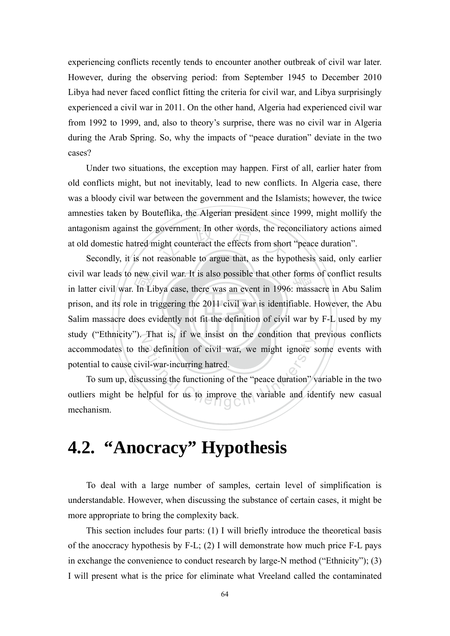experiencing conflicts recently tends to encounter another outbreak of civil war later. However, during the observing period: from September 1945 to December 2010 Libya had never faced conflict fitting the criteria for civil war, and Libya surprisingly experienced a civil war in 2011. On the other hand, Algeria had experienced civil war from 1992 to 1999, and, also to theory's surprise, there was no civil war in Algeria during the Arab Spring. So, why the impacts of "peace duration" deviate in the two cases?

government. In other words, the receight counteract the effects from shor<br>reasonable to argue that, as the hyp Under two situations, the exception may happen. First of all, earlier hater from old conflicts might, but not inevitably, lead to new conflicts. In Algeria case, there was a bloody civil war between the government and the Islamists; however, the twice amnesties taken by Bouteflika, the Algerian president since 1999, might mollify the antagonism against the government. In other words, the reconciliatory actions aimed at old domestic hatred might counteract the effects from short "peace duration".

Salim massacre does evidently not fit the definition of civil war by F-L used by my new c<br>In Li<br>e in tr<br>oes ev civil war leads to new civil war. It is also possible that other forms of conflict results<br>in latter civil war. In Libya case, there was an event in 1996: massacre in Abu Salim study ("Ethnicity"). That is, if we insist on the condition that previous conflicts Secondly, it is not reasonable to argue that, as the hypothesis said, only earlier in latter civil war. In Libya case, there was an event in 1996: massacre in Abu Salim prison, and its role in triggering the 2011 civil war is identifiable. However, the Abu accommodates to the definition of civil war, we might ignore some events with potential to cause civil-war-incurring hatred.

That is, if we misst on the condition that p<br>he definition of civil war, we might ignore s<br>vil-war-incurring hatred.<br>ussing the functioning of the "peace duration" y<br>elpful for us to improve the variable and ide To sum up, discussing the functioning of the "peace duration" variable in the two outliers might be helpful for us to improve the variable and identify new casual mechanism.

## **4.2. "Anocracy" Hypothesis**

To deal with a large number of samples, certain level of simplification is understandable. However, when discussing the substance of certain cases, it might be more appropriate to bring the complexity back.

This section includes four parts: (1) I will briefly introduce the theoretical basis of the anoccracy hypothesis by F-L; (2) I will demonstrate how much price F-L pays in exchange the convenience to conduct research by large-N method ("Ethnicity"); (3) I will present what is the price for eliminate what Vreeland called the contaminated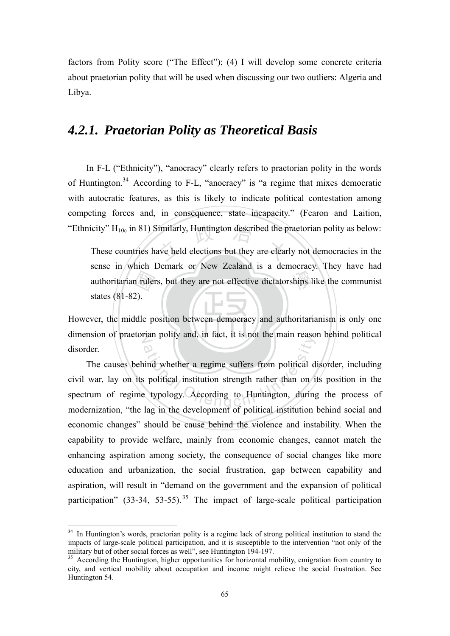factors from Polity score ("The Effect"); (4) I will develop some concrete criteria about praetorian polity that will be used when discussing our two outliers: Algeria and Libya.

#### *4.2.1. Praetorian Polity as Theoretical Basis*

In F-L ("Ethnicity"), "anocracy" clearly refers to praetorian polity in the words of Huntington.34 According to F-L, "anocracy" is "a regime that mixes democratic with autocratic features, as this is likely to indicate political contestation among competing forces and, in consequence, state incapacity." (Fearon and Laition, "Ethnicity"  $H_{10c}$  in 81) Similarly, Huntington described the praetorian polity as below:

n ruler<br>2).<br>Idle p  $\overline{\phantom{a}}$  imilarly, Huntington described the p<br>ave held elections but they are clear ships l These countries have held elections but they are clearly not democracies in the sense in which Demark or New Zealand is a democracy. They have had authoritarian rulers, but they are not effective dictatorships like the communist states (81-82).

‧However, the middle position between democracy and authoritarianism is only one dimension of praetorian polity and, in fact, it is not the main reason behind political disorder.

The main reason<br>aind whether a regime suffers from political d<br>is political institution strength rather than on<br>it typology. According to Huntington, during<br>leg in the development of political institution The causes behind whether a regime suffers from political disorder, including civil war, lay on its political institution strength rather than on its position in the spectrum of regime typology. According to Huntington, during the process of modernization, "the lag in the development of political institution behind social and economic changes" should be cause behind the violence and instability. When the capability to provide welfare, mainly from economic changes, cannot match the enhancing aspiration among society, the consequence of social changes like more education and urbanization, the social frustration, gap between capability and aspiration, will result in "demand on the government and the expansion of political participation"  $(33-34, 53-55)$ . The impact of large-scale political participation

<sup>&</sup>lt;sup>34</sup> In Huntington's words, praetorian polity is a regime lack of strong political institution to stand the impacts of large-scale political participation, and it is susceptible to the intervention "not only of the military but of other social forces as well", see Huntington 194-197.

<sup>&</sup>lt;sup>35</sup> According the Huntington, higher opportunities for horizontal mobility, emigration from country to city, and vertical mobility about occupation and income might relieve the social frustration. See Huntington 54.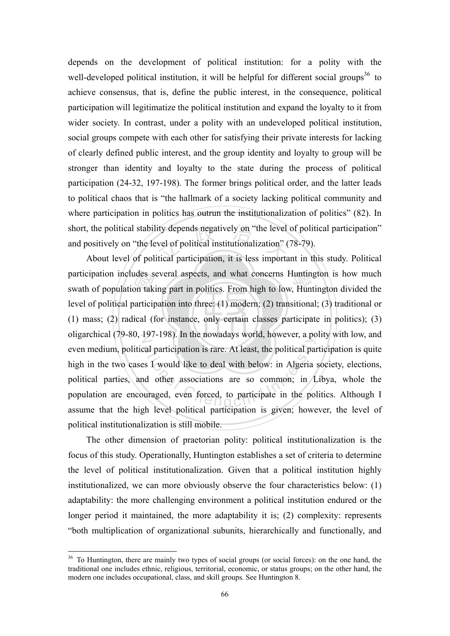ity depends negatively on "the level<br>vel of political institutionalization" (<br>itical participation, it is less importa depends on the development of political institution: for a polity with the well-developed political institution, it will be helpful for different social groups<sup>36</sup> to achieve consensus, that is, define the public interest, in the consequence, political participation will legitimatize the political institution and expand the loyalty to it from wider society. In contrast, under a polity with an undeveloped political institution, social groups compete with each other for satisfying their private interests for lacking of clearly defined public interest, and the group identity and loyalty to group will be stronger than identity and loyalty to the state during the process of political participation (24-32, 197-198). The former brings political order, and the latter leads to political chaos that is "the hallmark of a society lacking political community and where participation in politics has outrun the institutionalization of politics" (82). In short, the political stability depends negatively on "the level of political participation" and positively on "the level of political institutionalization" (78-79).

(1) mass; (2) radical (for instance, only certain classes participate in politics); (3) udes s<br>on tak<br>particip<br>ical (1 participation includes several aspects, and what concerns Huntington is how much<br>swath of population taking part in politics. From high to low, Huntington divided the oligarchical (79-80, 197-198). In the nowadays world, however, a polity with low, and ational participation is rare. At least, the political participation is rare. At least, the political participate is a Viennich University of the Associations are so common; in I algeria was developed to participate in the About level of political participation, it is less important in this study. Political swath of population taking part in politics. From high to low, Huntington divided the level of political participation into three: (1) modern; (2) transitional; (3) traditional or even medium, political participation is rare. At least, the political participation is quite high in the two cases I would like to deal with below: in Algeria society, elections, political parties, and other associations are so common; in Libya, whole the population are encouraged, even forced, to participate in the politics. Although I assume that the high level political participation is given; however, the level of political institutionalization is still mobile.

The other dimension of praetorian polity: political institutionalization is the focus of this study. Operationally, Huntington establishes a set of criteria to determine the level of political institutionalization. Given that a political institution highly institutionalized, we can more obviously observe the four characteristics below: (1) adaptability: the more challenging environment a political institution endured or the longer period it maintained, the more adaptability it is; (2) complexity: represents "both multiplication of organizational subunits, hierarchically and functionally, and

<sup>&</sup>lt;sup>36</sup> To Huntington, there are mainly two types of social groups (or social forces): on the one hand, the traditional one includes ethnic, religious, territorial, economic, or status groups; on the other hand, the modern one includes occupational, class, and skill groups. See Huntington 8.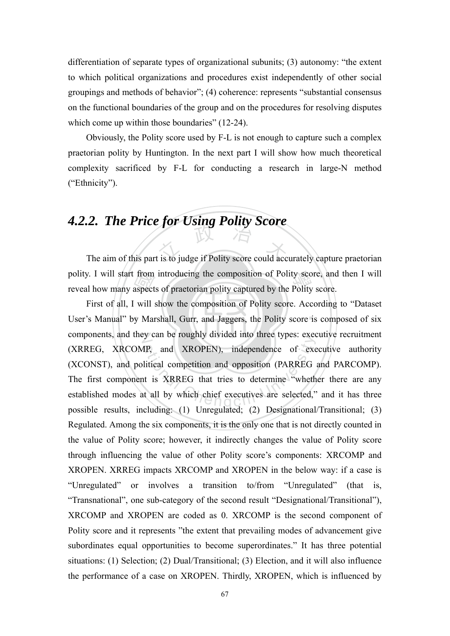differentiation of separate types of organizational subunits; (3) autonomy: "the extent to which political organizations and procedures exist independently of other social groupings and methods of behavior"; (4) coherence: represents "substantial consensus on the functional boundaries of the group and on the procedures for resolving disputes which come up within those boundaries" (12-24).

Obviously, the Polity score used by F-L is not enough to capture such a complex praetorian polity by Huntington. In the next part I will show how much theoretical complexity sacrificed by F-L for conducting a research in large-N method ("Ethnicity").

### *4.2.2. The Price for Using Polity Score*

The aim of this part is to judge if Polity score could accurately capture praetorian polity. I will start from introducing the composition of Polity score, and then I will<br>reveal how many aspects of praetorian polity captured by the Polity score. reveal how many aspects of praetorian polity captured by the Polity score.

User's Manual" by Marshall, Gurr, and Jaggers, the Polity score is composed of six from<br>aspect<br>will<br>y Mar components, and they can be roughly divided into three types: executive recruitment Fig. 21. and XROPEN), independence of exercities and XROPEN), independence of exercities it is XRREG that tries to determine "wheth the all by which chief executives are selected," First of all, I will show the composition of Polity score. According to "Dataset (XRREG, XRCOMP, and XROPEN), independence of executive authority (XCONST), and political competition and opposition (PARREG and PARCOMP). The first component is XRREG that tries to determine "whether there are any established modes at all by which chief executives are selected," and it has three possible results, including: (1) Unregulated; (2) Designational/Transitional; (3) Regulated. Among the six components, it is the only one that is not directly counted in the value of Polity score; however, it indirectly changes the value of Polity score through influencing the value of other Polity score's components: XRCOMP and XROPEN. XRREG impacts XRCOMP and XROPEN in the below way: if a case is "Unregulated" or involves a transition to/from "Unregulated" (that is, "Transnational", one sub-category of the second result "Designational/Transitional"), XRCOMP and XROPEN are coded as 0. XRCOMP is the second component of Polity score and it represents "the extent that prevailing modes of advancement give subordinates equal opportunities to become superordinates." It has three potential situations: (1) Selection; (2) Dual/Transitional; (3) Election, and it will also influence the performance of a case on XROPEN. Thirdly, XROPEN, which is influenced by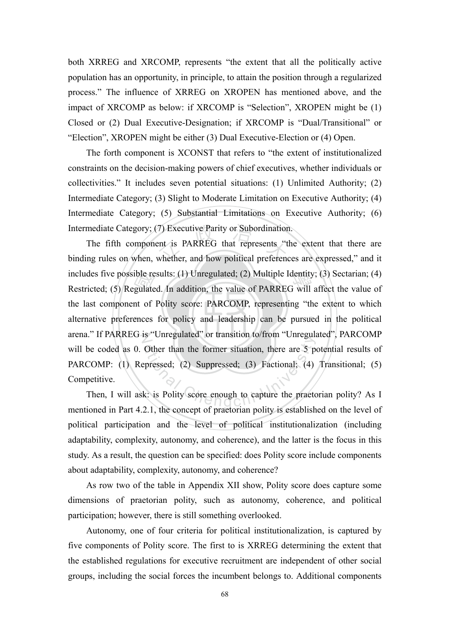both XRREG and XRCOMP, represents "the extent that all the politically active population has an opportunity, in principle, to attain the position through a regularized process." The influence of XRREG on XROPEN has mentioned above, and the impact of XRCOMP as below: if XRCOMP is "Selection", XROPEN might be (1) Closed or (2) Dual Executive-Designation; if XRCOMP is "Dual/Transitional" or "Election", XROPEN might be either (3) Dual Executive-Election or (4) Open.

The forth component is XCONST that refers to "the extent of institutionalized constraints on the decision-making powers of chief executives, whether individuals or collectivities." It includes seven potential situations: (1) Unlimited Authority; (2) Intermediate Category; (3) Slight to Moderate Limitation on Executive Authority; (4) Intermediate Category; (5) Substantial Limitations on Executive Authority; (6) Intermediate Category; (7) Executive Parity or Subordination.

alternative preferences for policy and leadership can be pursued in the political ible re<br>gulate<br>nt of<br>ences 7) Executive Parity or Subordination<br>ent is PARREG that represents "the<br>whether, and how political preference includes five possible results: (1) Unregulated; (2) Multiple Identity; (3) Sectarian; (4)<br>Restricted: (5) Regulated. In addition, the value of PARREG will affect the value of arena." If PARREG is "Unregulated" or transition to/from "Unregulated", PARCOMP Solved Subseminated of transfer to hold transfer of the concept<br>Other than the former situation, there are 5 p<br>epressed; (2) Suppressed; (3) Factional; (4)<br>k: is Polity score enough to capture the praeto The fifth component is PARREG that represents "the extent that there are binding rules on when, whether, and how political preferences are expressed," and it Restricted; (5) Regulated. In addition, the value of PARREG will affect the value of the last component of Polity score: PARCOMP, representing "the extent to which will be coded as 0. Other than the former situation, there are 5 potential results of PARCOMP: (1) Repressed; (2) Suppressed; (3) Factional; (4) Transitional; (5) Competitive.

Then, I will ask: is Polity score enough to capture the praetorian polity? As I mentioned in Part 4.2.1, the concept of praetorian polity is established on the level of political participation and the level of political institutionalization (including adaptability, complexity, autonomy, and coherence), and the latter is the focus in this study. As a result, the question can be specified: does Polity score include components about adaptability, complexity, autonomy, and coherence?

As row two of the table in Appendix XII show, Polity score does capture some dimensions of praetorian polity, such as autonomy, coherence, and political participation; however, there is still something overlooked.

Autonomy, one of four criteria for political institutionalization, is captured by five components of Polity score. The first to is XRREG determining the extent that the established regulations for executive recruitment are independent of other social groups, including the social forces the incumbent belongs to. Additional components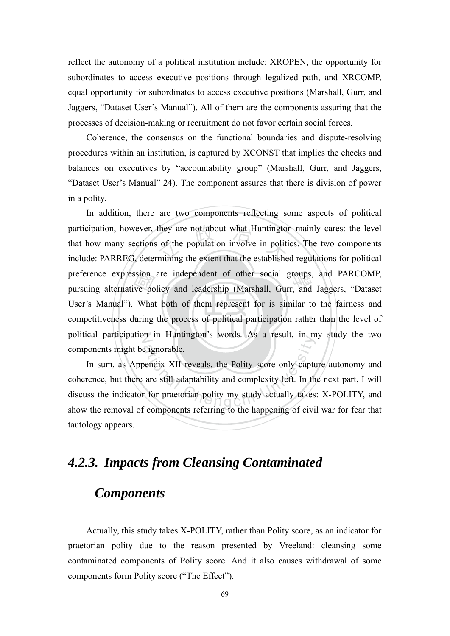reflect the autonomy of a political institution include: XROPEN, the opportunity for subordinates to access executive positions through legalized path, and XRCOMP, equal opportunity for subordinates to access executive positions (Marshall, Gurr, and Jaggers, "Dataset User's Manual"). All of them are the components assuring that the processes of decision-making or recruitment do not favor certain social forces.

Coherence, the consensus on the functional boundaries and dispute-resolving procedures within an institution, is captured by XCONST that implies the checks and balances on executives by "accountability group" (Marshall, Gurr, and Jaggers, "Dataset User's Manual" 24). The component assures that there is division of power in a polity.

competitiveness during the process of political participation rather than the level of ssion<br>ve po<br>What<br>luring they are not about what Huntington<br>of the population involve in polition<br>mining the extent that the establishe preference expression are independent of other social groups, and PARCOMP, pursuing alternative policy and leadership (Marshall, Gurr, and Jaggers, "Dataset political participation in Huntington's words. As a result, in my study the two In addition, there are two components reflecting some aspects of political participation, however, they are not about what Huntington mainly cares: the level that how many sections of the population involve in politics. The two components include: PARREG, determining the extent that the established regulations for political pursuing alternative policy and leadership (Marshall, Gurr, and Jaggers, "Dataset User's Manual"). What both of them represent for is similar to the fairness and components might be ignorable.

at the material chemical Chengchi States and the testant, the metallic entries<br>eignorable.<br>are still adaptability and complexity left. In the<br>form polity my study actually takes In sum, as Appendix XII reveals, the Polity score only capture autonomy and coherence, but there are still adaptability and complexity left. In the next part, I will discuss the indicator for praetorian polity my study actually takes: X-POLITY, and show the removal of components referring to the happening of civil war for fear that tautology appears.

#### *4.2.3. Impacts from Cleansing Contaminated*

#### *Components*

Actually, this study takes X-POLITY, rather than Polity score, as an indicator for praetorian polity due to the reason presented by Vreeland: cleansing some contaminated components of Polity score. And it also causes withdrawal of some components form Polity score ("The Effect").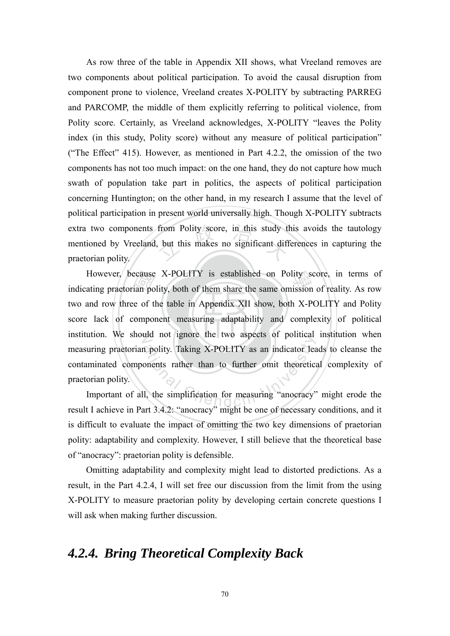from Polity score, in this study to<br>but this makes no significant diff As row three of the table in Appendix XII shows, what Vreeland removes are two components about political participation. To avoid the causal disruption from component prone to violence, Vreeland creates X-POLITY by subtracting PARREG and PARCOMP, the middle of them explicitly referring to political violence, from Polity score. Certainly, as Vreeland acknowledges, X-POLITY "leaves the Polity index (in this study, Polity score) without any measure of political participation" ("The Effect" 415). However, as mentioned in Part 4.2.2, the omission of the two components has not too much impact: on the one hand, they do not capture how much swath of population take part in politics, the aspects of political participation concerning Huntington; on the other hand, in my research I assume that the level of political participation in present world universally high. Though X-POLITY subtracts extra two components from Polity score, in this study this avoids the tautology mentioned by Vreeland, but this makes no significant differences in capturing the praetorian polity.

score lack of component measuring adaptability and complexity of political ecause<br>ian po<br>e of t<br>ompo However, because X-POLITY is established on Polity score, in terms of ating praetorian polity, both of them share the same omission of reality. As row institution. We should not ignore the two aspects of political institution when ational Technical Chengchi University<br>and polity. Taking X-POLITY as an indicator lead<br>onents rather than to further omit theoretics<br>and the simplification for measuring "anocracy"<br>art 3.4.2: "anocracy" might be one of poe indicating praetorian polity, both of them share the same omission of reality. As row two and row three of the table in Appendix XII show, both X-POLITY and Polity measuring praetorian polity. Taking X-POLITY as an indicator leads to cleanse the contaminated components rather than to further omit theoretical complexity of praetorian polity.

Important of all, the simplification for measuring "anocracy" might erode the result I achieve in Part 3.4.2: "anocracy" might be one of necessary conditions, and it is difficult to evaluate the impact of omitting the two key dimensions of praetorian polity: adaptability and complexity. However, I still believe that the theoretical base of "anocracy": praetorian polity is defensible.

Omitting adaptability and complexity might lead to distorted predictions. As a result, in the Part 4.2.4, I will set free our discussion from the limit from the using X-POLITY to measure praetorian polity by developing certain concrete questions I will ask when making further discussion.

#### *4.2.4. Bring Theoretical Complexity Back*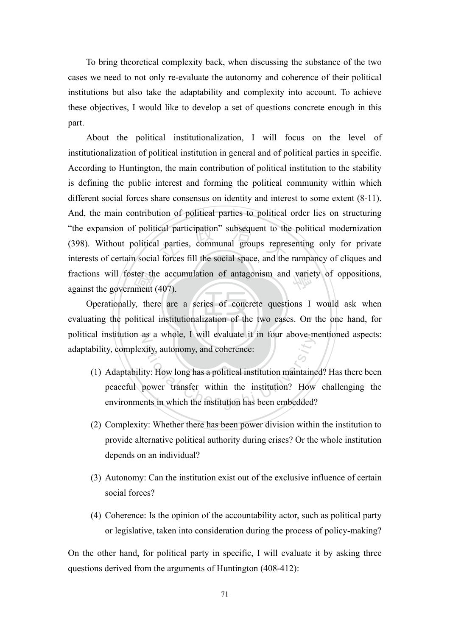To bring theoretical complexity back, when discussing the substance of the two cases we need to not only re-evaluate the autonomy and coherence of their political institutions but also take the adaptability and complexity into account. To achieve these objectives, I would like to develop a set of questions concrete enough in this part.

"the expansion of political participation" subsequent to the political modernization (398). Without political parties, communal groups representing only for private interests of certain social forces fill the social space, fractions will foster the accumulation of antagonism and variety of oppositions, against the government (407). About the political institutionalization, I will focus on the level of institutionalization of political institution in general and of political parties in specific. According to Huntington, the main contribution of political institution to the stability is defining the public interest and forming the political community within which different social forces share consensus on identity and interest to some extent (8-11). And, the main contribution of political parties to political order lies on structuring (398). Without political parties, communal groups representing only for private interests of certain social forces fill the social space, and the rampancy of cliques and against the government (407).

evaluating the political institutionalization of the two cases. On the one hand, for ter the<br>ment<br>y, then<br>litical political institution as a whole, I will evaluate it in four above-mentioned aspects: Operationally, there are a series of concrete questions I would ask when adaptability, complexity, autonomy, and coherence:

- ative a whole, 1 with evaluate it in four above in<br>ty: How long has a political institution maintaine<br>power transfer within the institution? How<br>ents in which the institution has been embedded? (1) Adaptability: How long has a political institution maintained? Has there been peaceful power transfer within the institution? How challenging the environments in which the institution has been embedded?
- (2) Complexity: Whether there has been power division within the institution to provide alternative political authority during crises? Or the whole institution depends on an individual?
- (3) Autonomy: Can the institution exist out of the exclusive influence of certain social forces?
- (4) Coherence: Is the opinion of the accountability actor, such as political party or legislative, taken into consideration during the process of policy-making?

On the other hand, for political party in specific, I will evaluate it by asking three questions derived from the arguments of Huntington (408-412):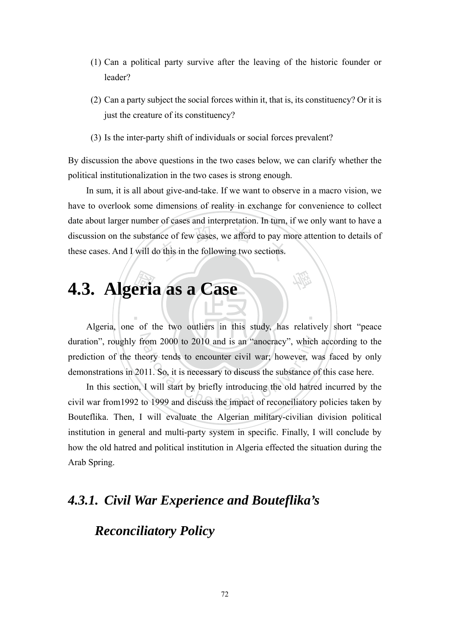- (1) Can a political party survive after the leaving of the historic founder or leader?
- (2) Can a party subject the social forces within it, that is, its constituency? Or it is just the creature of its constituency?
- (3) Is the inter-party shift of individuals or social forces prevalent?

By discussion the above questions in the two cases below, we can clarify whether the political institutionalization in the two cases is strong enough.

nce of few cases, we afford to pay m<br>o this in the following two sections. In sum, it is all about give-and-take. If we want to observe in a macro vision, we have to overlook some dimensions of reality in exchange for convenience to collect date about larger number of cases and interpretation. In turn, if we only want to have a discussion on the substance of few cases, we afford to pay more attention to details of these cases. And I will do this in the following two sections.

學

‧

# eri:<br>eri: **4.3. Algeria as a Case**

duration", roughly from 2000 to 2010 and is an "anocracy", which according to the From 2000 to 2010 and is an "anocracy", which<br>eory tends to encounter civil war; however, w<br>11. So, it is necessary to discuss the substance of<br>T will start by briefly introducing the old hatre<br>to 1999 and discuss the impa Algeria, one of the two outliers in this study, has relatively short "peace prediction of the theory tends to encounter civil war; however, was faced by only demonstrations in 2011. So, it is necessary to discuss the substance of this case here.

In this section, I will start by briefly introducing the old hatred incurred by the civil war from1992 to 1999 and discuss the impact of reconciliatory policies taken by Bouteflika. Then, I will evaluate the Algerian military-civilian division political institution in general and multi-party system in specific. Finally, I will conclude by how the old hatred and political institution in Algeria effected the situation during the Arab Spring.

#### *4.3.1. Civil War Experience and Bouteflika's*

#### *Reconciliatory Policy*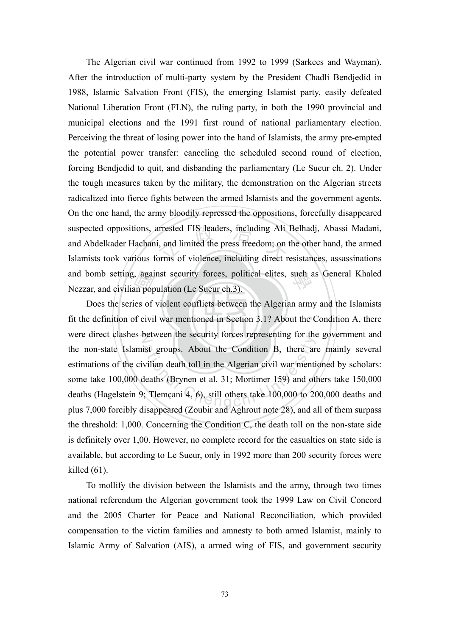arrested FIS leaders, including Ali<br>i, and limited the press freedom; on<br>orms of violence, including direct r and bomb setting, against security forces, political elites, such as General Khaled<br>Nezzar, and civilian population (Le Sueur ch.3). The Algerian civil war continued from 1992 to 1999 (Sarkees and Wayman). After the introduction of multi-party system by the President Chadli Bendjedid in 1988, Islamic Salvation Front (FIS), the emerging Islamist party, easily defeated National Liberation Front (FLN), the ruling party, in both the 1990 provincial and municipal elections and the 1991 first round of national parliamentary election. Perceiving the threat of losing power into the hand of Islamists, the army pre-empted the potential power transfer: canceling the scheduled second round of election, forcing Bendjedid to quit, and disbanding the parliamentary (Le Sueur ch. 2). Under the tough measures taken by the military, the demonstration on the Algerian streets radicalized into fierce fights between the armed Islamists and the government agents. On the one hand, the army bloodily repressed the oppositions, forcefully disappeared suspected oppositions, arrested FIS leaders, including Ali Belhadj, Abassi Madani, and Abdelkader Hachani, and limited the press freedom; on the other hand, the armed Islamists took various forms of violence, including direct resistances, assassinations Nezzar, and civilian population (Le Sueur ch.3).

fit the definition of civil war mentioned in Section 3.1? About the Condition A, there <sub>1</sub>, agai<br>
an pop<br>
ies of<br>
of civil were direct clashes between the security forces representing for the government and ist groups. About the Condition B, there are vilian death toll in the Algerian civil war menti-<br>leaths (Brynen et al. 31; Mortimer 159) and ot<br>; Tlemçani 4, 6), still others take 100,000 to 20 Does the series of violent conflicts between the Algerian army and the Islamists the non-state Islamist groups. About the Condition B, there are mainly several estimations of the civilian death toll in the Algerian civil war mentioned by scholars: some take 100,000 deaths (Brynen et al. 31; Mortimer 159) and others take 150,000 deaths (Hagelstein 9; Tlemçani 4, 6), still others take 100,000 to 200,000 deaths and plus 7,000 forcibly disappeared (Zoubir and Aghrout note 28), and all of them surpass the threshold: 1,000. Concerning the Condition C, the death toll on the non-state side is definitely over 1,00. However, no complete record for the casualties on state side is available, but according to Le Sueur, only in 1992 more than 200 security forces were killed (61).

To mollify the division between the Islamists and the army, through two times national referendum the Algerian government took the 1999 Law on Civil Concord and the 2005 Charter for Peace and National Reconciliation, which provided compensation to the victim families and amnesty to both armed Islamist, mainly to Islamic Army of Salvation (AIS), a armed wing of FIS, and government security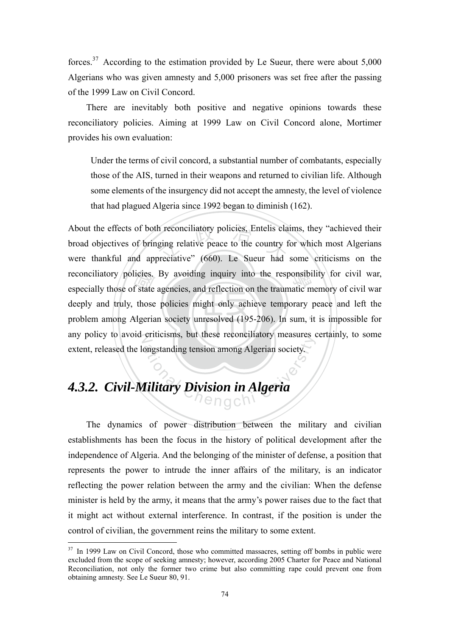forces.<sup>37</sup> According to the estimation provided by Le Sueur, there were about  $5,000$ Algerians who was given amnesty and 5,000 prisoners was set free after the passing of the 1999 Law on Civil Concord.

There are inevitably both positive and negative opinions towards these reconciliatory policies. Aiming at 1999 Law on Civil Concord alone, Mortimer provides his own evaluation:

Under the terms of civil concord, a substantial number of combatants, especially those of the AIS, turned in their weapons and returned to civilian life. Although some elements of the insurgency did not accept the amnesty, the level of violence that had plagued Algeria since 1992 began to diminish (162).

problem among Algerian society unresolved (195-206). In sum, it is impossible for licies.<br>f state<br>those<br>dgeria h reconciliatory policies, Entelis cla<br>ging relative peace to the country f<br>preciative" (660). Le Sueur had reconciliatory policies. By avoiding inquiry into the responsibility for civil war, especially those of state agencies, and reflection on the traumatic memory of civil war any policy to avoid criticisms, but these reconciliatory measures certainly, to some Sumessiss, our diese reconciliativy measures to<br>negstanding tension among Algerian society. About the effects of both reconciliatory policies, Entelis claims, they "achieved their broad objectives of bringing relative peace to the country for which most Algerians were thankful and appreciative" (660). Le Sueur had some criticisms on the especially those of state agencies, and reflection on the traumatic memory of civil war deeply and truly, those policies might only achieve temporary peace and left the extent, released the longstanding tension among Algerian society.

### *4.3.2. Civil-Military Division in Algeria*

<u>.</u>

The dynamics of power distribution between the military and civilian establishments has been the focus in the history of political development after the independence of Algeria. And the belonging of the minister of defense, a position that represents the power to intrude the inner affairs of the military, is an indicator reflecting the power relation between the army and the civilian: When the defense minister is held by the army, it means that the army's power raises due to the fact that it might act without external interference. In contrast, if the position is under the control of civilian, the government reins the military to some extent.

<sup>&</sup>lt;sup>37</sup> In 1999 Law on Civil Concord, those who committed massacres, setting off bombs in public were excluded from the scope of seeking amnesty; however, according 2005 Charter for Peace and National Reconciliation, not only the former two crime but also committing rape could prevent one from obtaining amnesty. See Le Sueur 80, 91.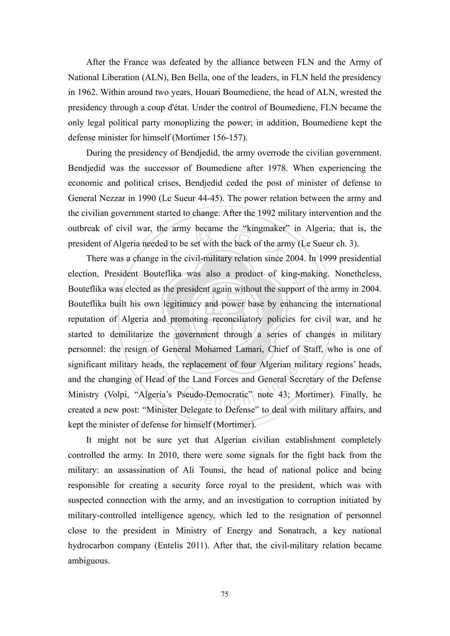After the France was defeated by the alliance between FLN and the Army of National Liberation (ALN), Ben Bella, one of the leaders, in FLN held the presidency in 1962. Within around two years, Houari Boumediene, the head of ALN, wrested the presidency through a coup d'état. Under the control of Boumediene, FLN became the only legal political party monoplizing the power; in addition, Boumediene kept the defense minister for himself (Mortimer 156-157).

outbreak of civil war, the army became the "kingmaker" in Algeria; that is, the president of Algeria needed to be set with the back of the army (Le Sueur ch. 3).<br>There was a change in the civil-military relation since 2004 During the presidency of Bendjedid, the army overrode the civilian government. Bendjedid was the successor of Boumediene after 1978. When experiencing the economic and political crises, Bendjedid ceded the post of minister of defense to General Nezzar in 1990 (Le Sueur 44-45). The power relation between the army and the civilian government started to change. After the 1992 military intervention and the president of Algeria needed to be set with the back of the army (Le Sueur ch. 3).

reputation of Algeria and promoting reconciliatory policies for civil war, and he nt Bou<br>ected a<br>is ow<br>geria a election, President Bouteflika was also a product of king-making. Nonetheless,<br>Bouteflika was elected as the president again without the support of the army in 2004. started to demilitarize the government through a series of changes in military ation of General Mohamed Lamari, Chief of State<br>heads, the replacement of four Algerian militar<br>Head of the Land Forces and General Secreta<br>Igeria's Pseudo-Democratic'' note 43; Mortiin There was a change in the civil-military relation since 2004. In 1999 presidential Bouteflika was elected as the president again without the support of the army in 2004. Bouteflika built his own legitimacy and power base by enhancing the international personnel: the resign of General Mohamed Lamari, Chief of Staff, who is one of significant military heads, the replacement of four Algerian military regions' heads, and the changing of Head of the Land Forces and General Secretary of the Defense Ministry (Volpi, "Algeria's Pseudo-Democratic" note 43; Mortimer). Finally, he created a new post: "Minister Delegate to Defense" to deal with military affairs, and kept the minister of defense for himself (Mortimer).

 It might not be sure yet that Algerian civilian establishment completely controlled the army. In 2010, there were some signals for the fight back from the military: an assassination of Ali Tounsi, the head of national police and being responsible for creating a security force royal to the president, which was with suspected connection with the army, and an investigation to corruption initiated by military-controlled intelligence agency, which led to the resignation of personnel close to the president in Ministry of Energy and Sonatrach, a key national hydrocarbon company (Entelis 2011). After that, the civil-military relation became ambiguous.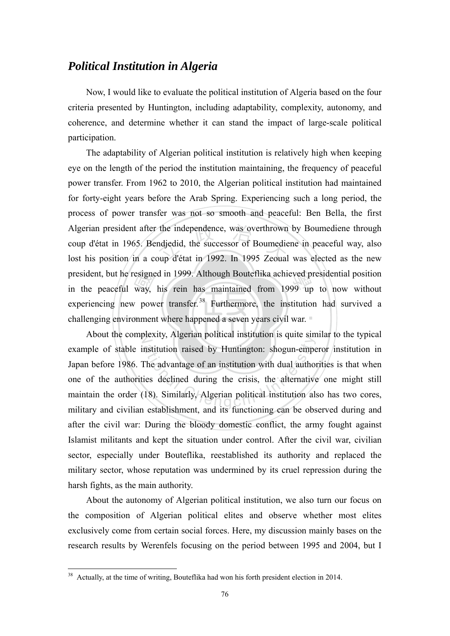#### *Political Institution in Algeria*

Now, I would like to evaluate the political institution of Algeria based on the four criteria presented by Huntington, including adaptability, complexity, autonomy, and coherence, and determine whether it can stand the impact of large-scale political participation.

challenging environment where happened a seven years civil war. esigne<br>way,<br>7 pow<br>pnmen the independence, was overthrown<br>ndjedid, the successor of Boumedie<br>oup d'état in 1992. In 1995 Zeoual president, but he resigned in 1999. Although Bouteflika achieved presidential position<br>in the peaceful way, his rein has maintained from 1999 up to now without The adaptability of Algerian political institution is relatively high when keeping eye on the length of the period the institution maintaining, the frequency of peaceful power transfer. From 1962 to 2010, the Algerian political institution had maintained for forty-eight years before the Arab Spring. Experiencing such a long period, the process of power transfer was not so smooth and peaceful: Ben Bella, the first Algerian president after the independence, was overthrown by Boumediene through coup d'état in 1965. Bendjedid, the successor of Boumediene in peaceful way, also lost his position in a coup d'état in 1992. In 1995 Zeoual was elected as the new president, but he resigned in 1999. Although Bouteflika achieved presidential position experiencing new power transfer.<sup>38</sup> Furthermore, the institution had survived a

N About the complexity, Algerian political institution is quite similar to the typical Franchi Equite and Settlem Strategies and authority, and its declined during the crisis, the alternative<br>its declined during the crisis, the alternative<br>18). Similarly, Algerian political institution also controlled example of stable institution raised by Huntington: shogun-emperor institution in Japan before 1986. The advantage of an institution with dual authorities is that when one of the authorities declined during the crisis, the alternative one might still maintain the order (18). Similarly, Algerian political institution also has two cores, military and civilian establishment, and its functioning can be observed during and after the civil war: During the bloody domestic conflict, the army fought against Islamist militants and kept the situation under control. After the civil war, civilian sector, especially under Bouteflika, reestablished its authority and replaced the military sector, whose reputation was undermined by its cruel repression during the harsh fights, as the main authority.

 About the autonomy of Algerian political institution, we also turn our focus on the composition of Algerian political elites and observe whether most elites exclusively come from certain social forces. Here, my discussion mainly bases on the research results by Werenfels focusing on the period between 1995 and 2004, but I

<u>.</u>

 $38$  Actually, at the time of writing, Bouteflika had won his forth president election in 2014.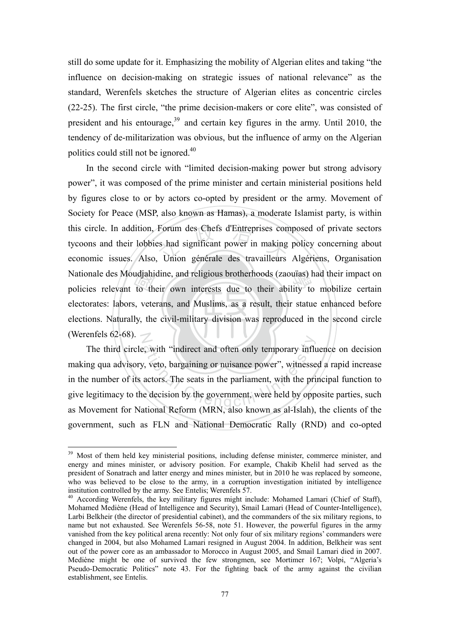still do some update for it. Emphasizing the mobility of Algerian elites and taking "the influence on decision-making on strategic issues of national relevance" as the standard, Werenfels sketches the structure of Algerian elites as concentric circles (22-25). The first circle, "the prime decision-makers or core elite", was consisted of president and his entourage, $39$  and certain key figures in the army. Until 2010, the tendency of de-militarization was obvious, but the influence of army on the Algerian politics could still not be ignored.<sup>40</sup>

elections. Naturally, the civil-military division was reproduced in the second circle udjahi<br>to th<br>s, vete<br>ly, the Forum des Chefs d'Entreprises con<br>es had significant power in making<br>Union générale des travailleurs Nationale des Moudjahidine, and religious brotherhoods (zaouïas) had their impact on<br>policies relevant to their own interests due to their ability to mobilize certain (Werenfels 62-68).  $\mathbb{Z}$ In the second circle with "limited decision-making power but strong advisory power", it was composed of the prime minister and certain ministerial positions held by figures close to or by actors co-opted by president or the army. Movement of Society for Peace (MSP, also known as Hamas), a moderate Islamist party, is within this circle. In addition, Forum des Chefs d'Entreprises composed of private sectors tycoons and their lobbies had significant power in making policy concerning about economic issues. Also, Union générale des travailleurs Algériens, Organisation policies relevant to their own interests due to their ability to mobilize certain electorates: labors, veterans, and Muslims, as a result, their statue enhanced before

ative, with "indirect and often only temporary influte, with the price were decision by the government, with the price decision by the government, were held by opportional Poform (MPN also known as al Islah) The third circle, with "indirect and often only temporary influence on decision making qua advisory, veto, bargaining or nuisance power", witnessed a rapid increase in the number of its actors. The seats in the parliament, with the principal function to give legitimacy to the decision by the government, were held by opposite parties, such as Movement for National Reform (MRN, also known as al-Islah), the clients of the government, such as FLN and National Democratic Rally (RND) and co-opted

<sup>&</sup>lt;sup>39</sup> Most of them held key ministerial positions, including defense minister, commerce minister, and energy and mines minister, or advisory position. For example, Chakib Khelil had served as the president of Sonatrach and latter energy and mines minister, but in 2010 he was replaced by someone, who was believed to be close to the army, in a corruption investigation initiated by intelligence institution controlled by the army. See Entelis; Werenfels 57.

 $10<sup>40</sup>$  According Werenfels, the key military figures might include: Mohamed Lamari (Chief of Staff), Mohamed Mediène (Head of Intelligence and Security), Smail Lamari (Head of Counter-Intelligence), Larbi Belkheir (the director of presidential cabinet), and the commanders of the six military regions, to name but not exhausted. See Werenfels 56-58, note 51. However, the powerful figures in the army vanished from the key political arena recently: Not only four of six military regions' commanders were changed in 2004, but also Mohamed Lamari resigned in August 2004. In addition, Belkheir was sent out of the power core as an ambassador to Morocco in August 2005, and Smail Lamari died in 2007. Mediène might be one of survived the few strongmen, see Mortimer 167; Volpi, "Algeria's Pseudo-Democratic Politics" note 43. For the fighting back of the army against the civilian establishment, see Entelis.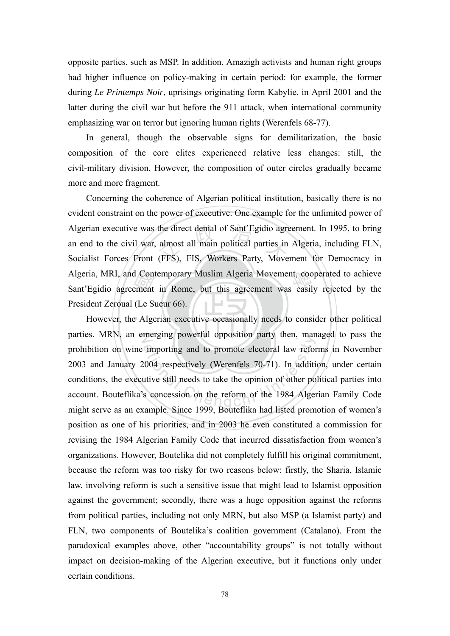opposite parties, such as MSP. In addition, Amazigh activists and human right groups had higher influence on policy-making in certain period: for example, the former during *Le Printemps Noir*, uprisings originating form Kabylie, in April 2001 and the latter during the civil war but before the 911 attack, when international community emphasizing war on terror but ignoring human rights (Werenfels 68-77).

In general, though the observable signs for demilitarization, the basic composition of the core elites experienced relative less changes: still, the civil-military division. However, the composition of outer circles gradually became more and more fragment.

d Cont<br>ement<br>(Le St)<br>e Alge the direct denial of Sant'Egidio agrees<br>almost all main political parties in<br>(FFS), FIS, Workers Party, Move Algeria, MRI, and Contemporary Muslim Algeria Movement, cooperated to achieve<br>Sant'Egidio agreement in Rome, but this agreement was easily rejected by the Concerning the coherence of Algerian political institution, basically there is no evident constraint on the power of executive. One example for the unlimited power of Algerian executive was the direct denial of Sant'Egidio agreement. In 1995, to bring an end to the civil war, almost all main political parties in Algeria, including FLN, Socialist Forces Front (FFS), FIS, Workers Party, Movement for Democracy in Sant'Egidio agreement in Rome, but this agreement was easily rejected by the President Zeroual (Le Sueur 66).

However, the Algerian executive occasionally needs to consider other political N parties. MRN, an emerging powerful opposition party then, managed to pass the increasing powerful opposition party then, main<br>importing and to promote electoral law reform<br>2004 respectively (Werenfels 70-71). In addititive still needs to take the opinion of other portion of the 1984 Alger prohibition on wine importing and to promote electoral law reforms in November 2003 and January 2004 respectively (Werenfels 70-71). In addition, under certain conditions, the executive still needs to take the opinion of other political parties into account. Bouteflika's concession on the reform of the 1984 Algerian Family Code might serve as an example. Since 1999, Bouteflika had listed promotion of women's position as one of his priorities, and in 2003 he even constituted a commission for revising the 1984 Algerian Family Code that incurred dissatisfaction from women's organizations. However, Boutelika did not completely fulfill his original commitment, because the reform was too risky for two reasons below: firstly, the Sharia, Islamic law, involving reform is such a sensitive issue that might lead to Islamist opposition against the government; secondly, there was a huge opposition against the reforms from political parties, including not only MRN, but also MSP (a Islamist party) and FLN, two components of Boutelika's coalition government (Catalano). From the paradoxical examples above, other "accountability groups" is not totally without impact on decision-making of the Algerian executive, but it functions only under certain conditions.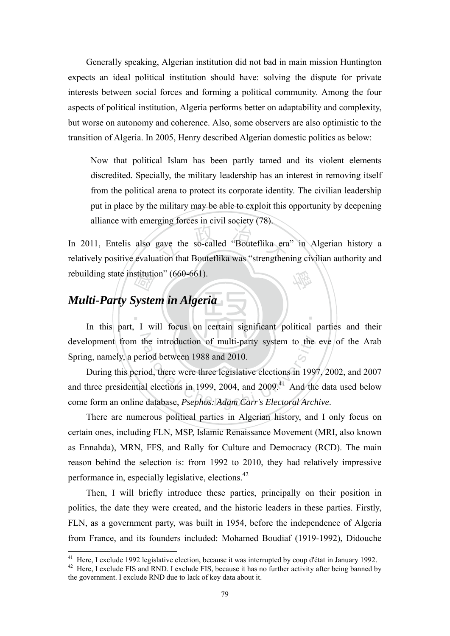Generally speaking, Algerian institution did not bad in main mission Huntington expects an ideal political institution should have: solving the dispute for private interests between social forces and forming a political community. Among the four aspects of political institution, Algeria performs better on adaptability and complexity, but worse on autonomy and coherence. Also, some observers are also optimistic to the transition of Algeria. In 2005, Henry described Algerian domestic politics as below:

Now that political Islam has been partly tamed and its violent elements discredited. Specially, the military leadership has an interest in removing itself from the political arena to protect its corporate identity. The civilian leadership put in place by the military may be able to exploit this opportunity by deepening alliance with emerging forces in civil society (78).

gave the so-called "Bouteflika era<br>ation that Bouteflika was "strengthen 學 In 2011, Entelis also gave the so-called "Bouteflika era" in Algerian history a relatively positive evaluation that Bouteflika was "strengthening civilian authority and rebuilding state institution" (660-661).

# stitutie<br>Sys*te*<br>LW *Multi-Party System in Algeria*

1

development from the introduction of multi-party system to the eve of the Arab In this part, I will focus on certain significant political parties and their Spring, namely, a period between 1988 and 2010.

‧

he introduction of multi-party system to the<br>riod between 1988 and 2010.<br>iod, there were three legislative elections in 199<br>al elections in 1999, 2004, and 2009.<sup>41</sup> And the<br>database, *Psephos: Adam Carr's Electoral Arch* During this period, there were three legislative elections in 1997, 2002, and 2007 and three presidential elections in 1999, 2004, and  $2009<sup>41</sup>$  And the data used below come form an online database, *Psephos: Adam Carr's Electoral Archive*.

There are numerous political parties in Algerian history, and I only focus on certain ones, including FLN, MSP, Islamic Renaissance Movement (MRI, also known as Ennahda), MRN, FFS, and Rally for Culture and Democracy (RCD). The main reason behind the selection is: from 1992 to 2010, they had relatively impressive performance in, especially legislative, elections.42

Then, I will briefly introduce these parties, principally on their position in politics, the date they were created, and the historic leaders in these parties. Firstly, FLN, as a government party, was built in 1954, before the independence of Algeria from France, and its founders included: Mohamed Boudiaf (1919-1992), Didouche

<sup>&</sup>lt;sup>41</sup> Here, I exclude 1992 legislative election, because it was interrupted by coup d'état in January 1992.<br><sup>42</sup> Here, I exclude FIS and RND. I exclude FIS, because it has no further activity after being banned by the government. I exclude RND due to lack of key data about it.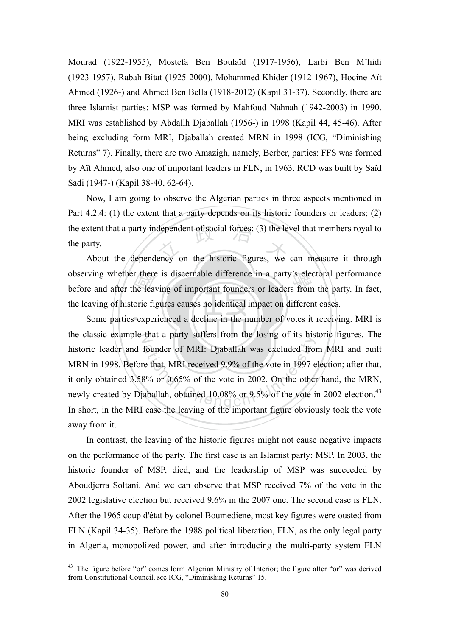Mourad (1922-1955), Mostefa Ben Boulaïd (1917-1956), Larbi Ben M'hidi (1923-1957), Rabah Bitat (1925-2000), Mohammed Khider (1912-1967), Hocine Aït Ahmed (1926-) and Ahmed Ben Bella (1918-2012) (Kapil 31-37). Secondly, there are three Islamist parties: MSP was formed by Mahfoud Nahnah (1942-2003) in 1990. MRI was established by Abdallh Djaballah (1956-) in 1998 (Kapil 44, 45-46). After being excluding form MRI, Djaballah created MRN in 1998 (ICG, "Diminishing Returns" 7). Finally, there are two Amazigh, namely, Berber, parties: FFS was formed by Aït Ahmed, also one of important leaders in FLN, in 1963. RCD was built by Saïd Sadi (1947-) (Kapil 38-40, 62-64).

xtent that a party independent of social forces; (3) the level that members royal to arty.<br>About the dependency on the historic figures, we can measure it through Now, I am going to observe the Algerian parties in three aspects mentioned in Part 4.2.4: (1) the extent that a party depends on its historic founders or leaders; (2) the extent that a party independent of social forces; (3) the level that members royal to the party.

r there<br>he lea<br>oric fi<br>exper observing whether there is discernable difference in a party's electoral performance<br>before and after the leaving of important founders or leaders from the party. In fact, before and after the leaving of important founders or leaders from the party. In fact, the leaving of historic figures causes no identical impact on different cases.

Some parties experienced a decline in the number of votes it receiving. MRI is the classic example that a party suffers from the losing of its historic figures. The founder of MRI: Djaballah was excluded from<br>the that, MRI received 9.9% of the vote in 1997 e<br>8% or 0.65% of the vote in 2002. On the other<br>aballah, obtained 10.08% or 9.5% of the vote is historic leader and founder of MRI: Djaballah was excluded from MRI and built MRN in 1998. Before that, MRI received 9.9% of the vote in 1997 election; after that, it only obtained 3.58% or 0.65% of the vote in 2002. On the other hand, the MRN, newly created by Diaballah, obtained  $10.08\%$  or  $9.5\%$  of the vote in 2002 election.<sup>43</sup> In short, in the MRI case the leaving of the important figure obviously took the vote away from it.

In contrast, the leaving of the historic figures might not cause negative impacts on the performance of the party. The first case is an Islamist party: MSP. In 2003, the historic founder of MSP, died, and the leadership of MSP was succeeded by Aboudjerra Soltani. And we can observe that MSP received 7% of the vote in the 2002 legislative election but received 9.6% in the 2007 one. The second case is FLN. After the 1965 coup d'état by colonel Boumediene, most key figures were ousted from FLN (Kapil 34-35). Before the 1988 political liberation, FLN, as the only legal party in Algeria, monopolized power, and after introducing the multi-party system FLN

<sup>&</sup>lt;sup>43</sup> The figure before "or" comes form Algerian Ministry of Interior; the figure after "or" was derived from Constitutional Council, see ICG, "Diminishing Returns" 15.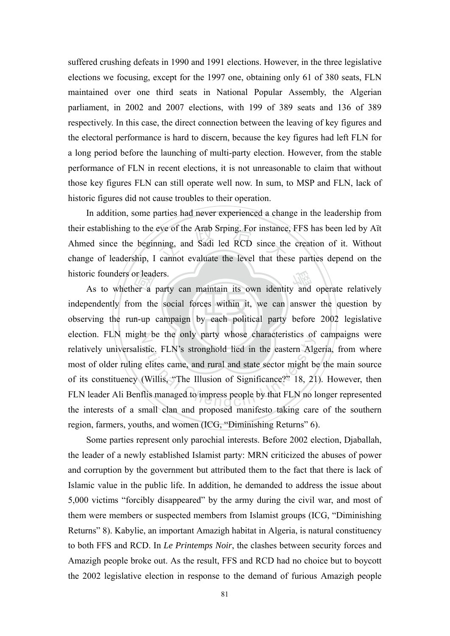suffered crushing defeats in 1990 and 1991 elections. However, in the three legislative elections we focusing, except for the 1997 one, obtaining only 61 of 380 seats, FLN maintained over one third seats in National Popular Assembly, the Algerian parliament, in 2002 and 2007 elections, with 199 of 389 seats and 136 of 389 respectively. In this case, the direct connection between the leaving of key figures and the electoral performance is hard to discern, because the key figures had left FLN for a long period before the launching of multi-party election. However, from the stable performance of FLN in recent elections, it is not unreasonable to claim that without those key figures FLN can still operate well now. In sum, to MSP and FLN, lack of historic figures did not cause troubles to their operation.

eve of the Arab Srping. For instance<br>ning, and Sadi led RCD since the<br>cannot evaluate the level that the France and a party can maintain its own identity and operate relatively and the whether a party can maintain its own identity and operate relatively In addition, some parties had never experienced a change in the leadership from their establishing to the eve of the Arab Srping. For instance, FFS has been led by Aït Ahmed since the beginning, and Sadi led RCD since the creation of it. Without change of leadership, I cannot evaluate the level that these parties depend on the historic founders or leaders.

n or lead<br>
er a<br>
om the<br>
n-up observing the run-up campaign by each political party before 2002 legislative election. FLN might be the only party whose characteristics of campaigns were ation Carlo and party whose enaracteristics of<br>stic. FLN's stronghold lied in the eastern Alg<br>elites came, and rural and state sector might b<br>Willis, "The Illusion of Significance?" 18, 21<br>lis managed to impress people by independently from the social forces within it, we can answer the question by relatively universalistic. FLN's stronghold lied in the eastern Algeria, from where most of older ruling elites came, and rural and state sector might be the main source of its constituency (Willis, "The Illusion of Significance?" 18, 21). However, then FLN leader Ali Benflis managed to impress people by that FLN no longer represented the interests of a small clan and proposed manifesto taking care of the southern region, farmers, youths, and women (ICG, "Diminishing Returns" 6).

Some parties represent only parochial interests. Before 2002 election, Djaballah, the leader of a newly established Islamist party: MRN criticized the abuses of power and corruption by the government but attributed them to the fact that there is lack of Islamic value in the public life. In addition, he demanded to address the issue about 5,000 victims "forcibly disappeared" by the army during the civil war, and most of them were members or suspected members from Islamist groups (ICG, "Diminishing Returns" 8). Kabylie, an important Amazigh habitat in Algeria, is natural constituency to both FFS and RCD. In *Le Printemps Noir*, the clashes between security forces and Amazigh people broke out. As the result, FFS and RCD had no choice but to boycott the 2002 legislative election in response to the demand of furious Amazigh people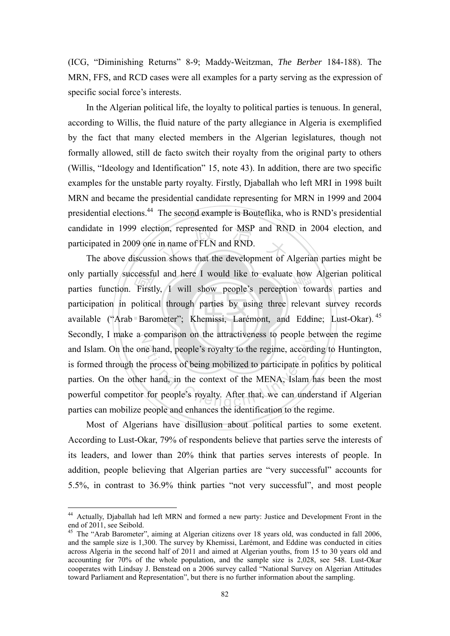(ICG, "Diminishing Returns" 8-9; Maddy-Weitzman, *The Berber* 184-188). The MRN, FFS, and RCD cases were all examples for a party serving as the expression of specific social force's interests.

candidate in 1999 election, represented for MSP and RND in 2004 election, and participated in 2009 one in name of FLN and RND.<br>The above discussion shows that the development of Algerian parties might be In the Algerian political life, the loyalty to political parties is tenuous. In general, according to Willis, the fluid nature of the party allegiance in Algeria is exemplified by the fact that many elected members in the Algerian legislatures, though not formally allowed, still de facto switch their royalty from the original party to others (Willis, "Ideology and Identification" 15, note 43). In addition, there are two specific examples for the unstable party royalty. Firstly, Djaballah who left MRI in 1998 built MRN and became the presidential candidate representing for MRN in 1999 and 2004 presidential elections.44 The second example is Bouteflika, who is RND's presidential participated in 2009 one in name of FLN and RND.

available ("Arab Barometer"; Khemissi, Larémont, and Eddine; Lust-Okar).<sup>45</sup> cessft<br>Firstl<br>politica<br>Barc only partially successful and here I would like to evaluate how Algerian political<br>parties function. Firstly, I will show people's perception towards parties and Secondly, I make a comparison on the attractiveness to people between the regime comparison on the attactiveness to people of<br>the hand, people's royalty to the regime, accordi<br>e process of being mobilized to participate in p<br>r hand, in the context of the MENA, Islam h<br>for people's royalty. After that, The above discussion shows that the development of Algerian parties might be parties function. Firstly, I will show people's perception towards parties and participation in political through parties by using three relevant survey records and Islam. On the one hand, people's royalty to the regime, according to Huntington, is formed through the process of being mobilized to participate in politics by political parties. On the other hand, in the context of the MENA, Islam has been the most powerful competitor for people's royalty. After that, we can understand if Algerian parties can mobilize people and enhances the identification to the regime.

Most of Algerians have disillusion about political parties to some exetent. According to Lust-Okar, 79% of respondents believe that parties serve the interests of its leaders, and lower than 20% think that parties serves interests of people. In addition, people believing that Algerian parties are "very successful" accounts for 5.5%, in contrast to 36.9% think parties "not very successful", and most people

<sup>44</sup> Actually, Djaballah had left MRN and formed a new party: Justice and Development Front in the end of 2011, see Seibold.

<sup>&</sup>lt;sup>45</sup> The "Arab Barometer", aiming at Algerian citizens over 18 years old, was conducted in fall 2006, and the sample size is 1,300. The survey by Khemissi, Larémont, and Eddine was conducted in cities across Algeria in the second half of 2011 and aimed at Algerian youths, from 15 to 30 years old and accounting for 70% of the whole population, and the sample size is 2,028, see 548. Lust-Okar cooperates with Lindsay J. Benstead on a 2006 survey called "National Survey on Algerian Attitudes toward Parliament and Representation", but there is no further information about the sampling.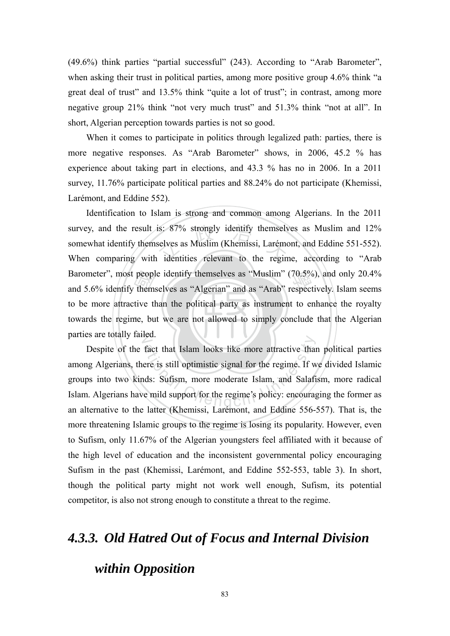(49.6%) think parties "partial successful" (243). According to "Arab Barometer", when asking their trust in political parties, among more positive group 4.6% think "a great deal of trust" and 13.5% think "quite a lot of trust"; in contrast, among more negative group 21% think "not very much trust" and 51.3% think "not at all". In short, Algerian perception towards parties is not so good.

When it comes to participate in politics through legalized path: parties, there is more negative responses. As "Arab Barometer" shows, in 2006, 45.2 % has experience about taking part in elections, and 43.3 % has no in 2006. In a 2011 survey, 11.76% participate political parties and 88.24% do not participate (Khemissi, Larémont, and Eddine 552).

towards the regime, but we are not allowed to simply conclude that the Algerian Barometer", most people identify themselves as "Muslim" (70.5%), and only 20.4% and 5.6% identify themselves as "Algerian" and as "Arab" respectively. Islam seems to be more attractive than the political party as instrumen survey, and the result is: 87% strongly identify themselves as Muslim and 12% somewhat identify themselves as Muslim (Khemissi, Larémont, and Eddine 551-552).<br>When comparing with identities relevant to the regime, accordin parties are totally failed. Identification to Islam is strong and common among Algerians. In the 2011 survey, and the result is: 87% strongly identify themselves as Muslim and 12% somewhat identify themselves as Muslim (Khemissi, Larémont, and Eddine 551-552). Barometer", most people identify themselves as "Muslim" (70.5%), and only 20.4% to be more attractive than the political party as instrument to enhance the royalty

Fact that Islam looks like more attractive than<br>ere is still optimistic signal for the regime. If w<br>nds: Sufism, more moderate Islam, and Salafi<br>e mild support for the regime's policy: encourage Despite of the fact that Islam looks like more attractive than political parties among Algerians, there is still optimistic signal for the regime. If we divided Islamic groups into two kinds: Sufism, more moderate Islam, and Salafism, more radical Islam. Algerians have mild support for the regime's policy: encouraging the former as an alternative to the latter (Khemissi, Larémont, and Eddine 556-557). That is, the more threatening Islamic groups to the regime is losing its popularity. However, even to Sufism, only 11.67% of the Algerian youngsters feel affiliated with it because of the high level of education and the inconsistent governmental policy encouraging Sufism in the past (Khemissi, Larémont, and Eddine 552-553, table 3). In short, though the political party might not work well enough, Sufism, its potential competitor, is also not strong enough to constitute a threat to the regime.

#### *4.3.3. Old Hatred Out of Focus and Internal Division*

#### *within Opposition*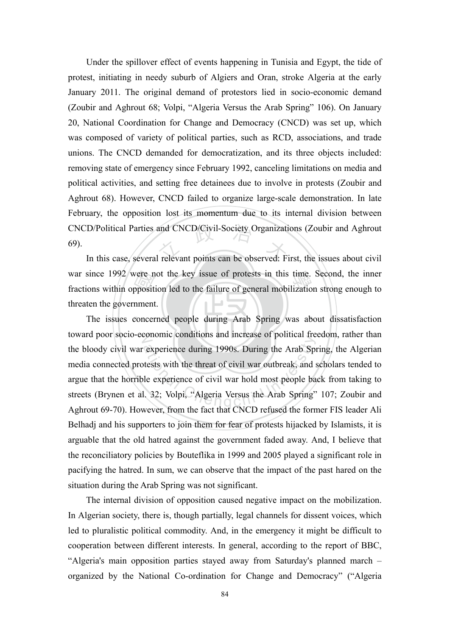CNCD/Political Parties and CNCD/Civil-Society Organizations (Zoubir and Aghrout 69).<br>In this case, several relevant points can be observed: First, the issues about civil Under the spillover effect of events happening in Tunisia and Egypt, the tide of protest, initiating in needy suburb of Algiers and Oran, stroke Algeria at the early January 2011. The original demand of protestors lied in socio-economic demand (Zoubir and Aghrout 68; Volpi, "Algeria Versus the Arab Spring" 106). On January 20, National Coordination for Change and Democracy (CNCD) was set up, which was composed of variety of political parties, such as RCD, associations, and trade unions. The CNCD demanded for democratization, and its three objects included: removing state of emergency since February 1992, canceling limitations on media and political activities, and setting free detainees due to involve in protests (Zoubir and Aghrout 68). However, CNCD failed to organize large-scale demonstration. In late February, the opposition lost its momentum due to its internal division between 69).

vere n<br>pposit<br>nment<br>concer war since 1992 were not the key issue of protests in this time. Second, the inner<br>fractions within opposition led to the failure of general mobilization strong enough to In this case, several relevant points can be observed: First, the issues about civil fractions within opposition led to the failure of general mobilization strong enough to threaten the government.

‧The issues concerned people during Arab Spring was about dissatisfaction toward poor socio-economic conditions and increase of political freedom, rather than experience during 1990s. During the Arab Spitests with the threat of civil war outbreak, and spitests with the threat of civil war outbreak, and spitests with the threat of civil war hold most people ball. 32; Volpi, "Alge the bloody civil war experience during 1990s. During the Arab Spring, the Algerian media connected protests with the threat of civil war outbreak, and scholars tended to argue that the horrible experience of civil war hold most people back from taking to streets (Brynen et al. 32; Volpi, "Algeria Versus the Arab Spring" 107; Zoubir and Aghrout 69-70). However, from the fact that CNCD refused the former FIS leader Ali Belhadj and his supporters to join them for fear of protests hijacked by Islamists, it is arguable that the old hatred against the government faded away. And, I believe that the reconciliatory policies by Bouteflika in 1999 and 2005 played a significant role in pacifying the hatred. In sum, we can observe that the impact of the past hared on the situation during the Arab Spring was not significant.

 The internal division of opposition caused negative impact on the mobilization. In Algerian society, there is, though partially, legal channels for dissent voices, which led to pluralistic political commodity. And, in the emergency it might be difficult to cooperation between different interests. In general, according to the report of BBC, "Algeria's main opposition parties stayed away from Saturday's planned march – organized by the National Co-ordination for Change and Democracy" ("Algeria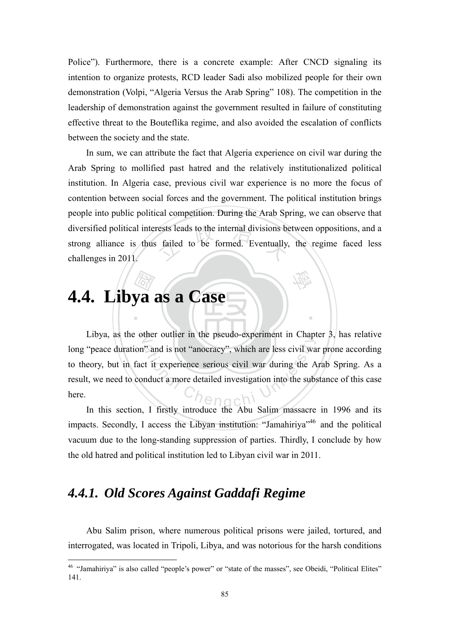Police"). Furthermore, there is a concrete example: After CNCD signaling its intention to organize protests, RCD leader Sadi also mobilized people for their own demonstration (Volpi, "Algeria Versus the Arab Spring" 108). The competition in the leadership of demonstration against the government resulted in failure of constituting effective threat to the Bouteflika regime, and also avoided the escalation of conflicts between the society and the state.

rests leads to the internal divisions be<br>failed to be formed. Eventually, In sum, we can attribute the fact that Algeria experience on civil war during the Arab Spring to mollified past hatred and the relatively institutionalized political institution. In Algeria case, previous civil war experience is no more the focus of contention between social forces and the government. The political institution brings people into public political competition. During the Arab Spring, we can observe that diversified political interests leads to the internal divisions between oppositions, and a strong alliance is thus failed to be formed. Eventually, the regime faced less challenges in 2011.

學

‧

# 國 **4.4. Libya as a Case**

Libya, as the other outlier in the pseudo-experiment in Chapter  $3$ , has relative <sup>2</sup> and is not "anocracy", which are less civil was<br>at it experience serious civil war during the A<br>nduct a more detailed investigation into the sublong "peace duration" and is not "anocracy", which are less civil war prone according to theory, but in fact it experience serious civil war during the Arab Spring. As a result, we need to conduct a more detailed investigation into the substance of this case here.

In this section, I firstly introduce the Abu Salim massacre in 1996 and its impacts. Secondly, I access the Libyan institution: "Jamahiriya"<sup>46</sup> and the political vacuum due to the long-standing suppression of parties. Thirdly, I conclude by how the old hatred and political institution led to Libyan civil war in 2011.

#### *4.4.1. Old Scores Against Gaddafi Regime*

1

Abu Salim prison, where numerous political prisons were jailed, tortured, and interrogated, was located in Tripoli, Libya, and was notorious for the harsh conditions

<sup>46 &</sup>quot;Jamahiriya" is also called "people's power" or "state of the masses", see Obeidi, "Political Elites" 141.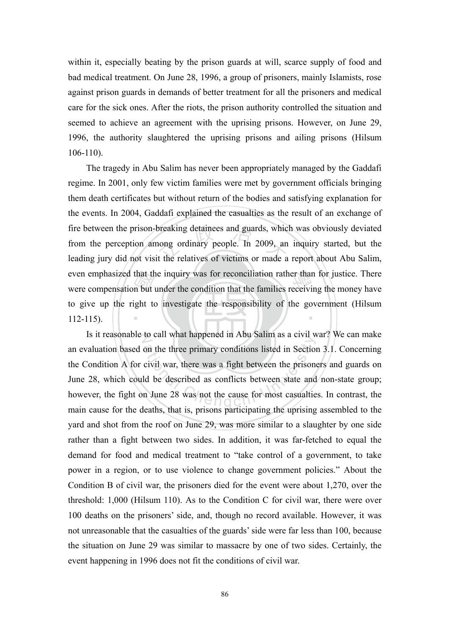within it, especially beating by the prison guards at will, scarce supply of food and bad medical treatment. On June 28, 1996, a group of prisoners, mainly Islamists, rose against prison guards in demands of better treatment for all the prisoners and medical care for the sick ones. After the riots, the prison authority controlled the situation and seemed to achieve an agreement with the uprising prisons. However, on June 29, 1996, the authority slaughtered the uprising prisons and ailing prisons (Hilsum 106-110).

that the<br>
n but<br>
ight to breaking detainees and guards, which<br>nong ordinary people. In 2009, and<br>it the relatives of victims or made a even emphasized that the inquiry was for reconciliation rather than for justice. There<br>were compensation but under the condition that the families receiving the money have ‧ The tragedy in Abu Salim has never been appropriately managed by the Gaddafi regime. In 2001, only few victim families were met by government officials bringing them death certificates but without return of the bodies and satisfying explanation for the events. In 2004, Gaddafi explained the casualties as the result of an exchange of fire between the prison-breaking detainees and guards, which was obviously deviated from the perception among ordinary people. In 2009, an inquiry started, but the leading jury did not visit the relatives of victims or made a report about Abu Salim, were compensation but under the condition that the families receiving the money have to give up the right to investigate the responsibility of the government (Hilsum 112-115).

Is it reasonable to call what happened in Abu Salim as a civil war? We can make to can what happened in Fred Banni as a civit word of the three primary conditions listed in Section<br>civil war, there was a fight between the prison<br>ld be described as conflicts between state and<br>n June 28 was not the caus an evaluation based on the three primary conditions listed in Section 3.1. Concerning the Condition A for civil war, there was a fight between the prisoners and guards on June 28, which could be described as conflicts between state and non-state group; however, the fight on June 28 was not the cause for most casualties. In contrast, the main cause for the deaths, that is, prisons participating the uprising assembled to the yard and shot from the roof on June 29, was more similar to a slaughter by one side rather than a fight between two sides. In addition, it was far-fetched to equal the demand for food and medical treatment to "take control of a government, to take power in a region, or to use violence to change government policies." About the Condition B of civil war, the prisoners died for the event were about 1,270, over the threshold: 1,000 (Hilsum 110). As to the Condition C for civil war, there were over 100 deaths on the prisoners' side, and, though no record available. However, it was not unreasonable that the casualties of the guards' side were far less than 100, because the situation on June 29 was similar to massacre by one of two sides. Certainly, the event happening in 1996 does not fit the conditions of civil war.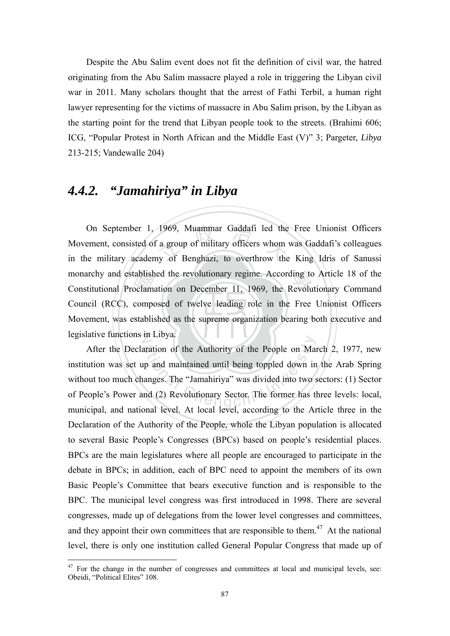Despite the Abu Salim event does not fit the definition of civil war, the hatred originating from the Abu Salim massacre played a role in triggering the Libyan civil war in 2011. Many scholars thought that the arrest of Fathi Terbil, a human right lawyer representing for the victims of massacre in Abu Salim prison, by the Libyan as the starting point for the trend that Libyan people took to the streets. (Brahimi 606; ICG, "Popular Protest in North African and the Middle East (V)" 3; Pargeter, *Libya* 213-215; Vandewalle 204)

#### *4.4.2. "Jamahiriya" in Libya*

1

Movement, was established as the supreme organization bearing both executive and ablish<br>pclama<br>compo<br>stablis 1969, Muammar Gaddafi led the<br>
i a group of military officers whom<br>
iv of Benghazi, to overthrow the monarchy and established the revolutionary regime. According to Article 18 of the<br>Constitutional Proclamation on December 11, 1969, the Revolutionary Command legislative functions in Libya. On September 1, 1969, Muammar Gaddafi led the Free Unionist Officers Movement, consisted of a group of military officers whom was Gaddafi's colleagues in the military academy of Benghazi, to overthrow the King Idris of Sanussi Constitutional Proclamation on December 11, 1969, the Revolutionary Command Council (RCC), composed of twelve leading role in the Free Unionist Officers

aration of the Authority of the People on Map<br>up and maintained until being toppled down in<br>anges. The "Jamahiriya" was divided into two s<br>nd (2) Revolutionary Sector. The former has t After the Declaration of the Authority of the People on March 2, 1977, new institution was set up and maintained until being toppled down in the Arab Spring without too much changes. The "Jamahiriya" was divided into two sectors: (1) Sector of People's Power and (2) Revolutionary Sector. The former has three levels: local, municipal, and national level. At local level, according to the Article three in the Declaration of the Authority of the People, whole the Libyan population is allocated to several Basic People's Congresses (BPCs) based on people's residential places. BPCs are the main legislatures where all people are encouraged to participate in the debate in BPCs; in addition, each of BPC need to appoint the members of its own Basic People's Committee that bears executive function and is responsible to the BPC. The municipal level congress was first introduced in 1998. There are several congresses, made up of delegations from the lower level congresses and committees, and they appoint their own committees that are responsible to them.<sup>47</sup> At the national level, there is only one institution called General Popular Congress that made up of

 $47$  For the change in the number of congresses and committees at local and municipal levels, see: Obeidi, "Political Elites" 108.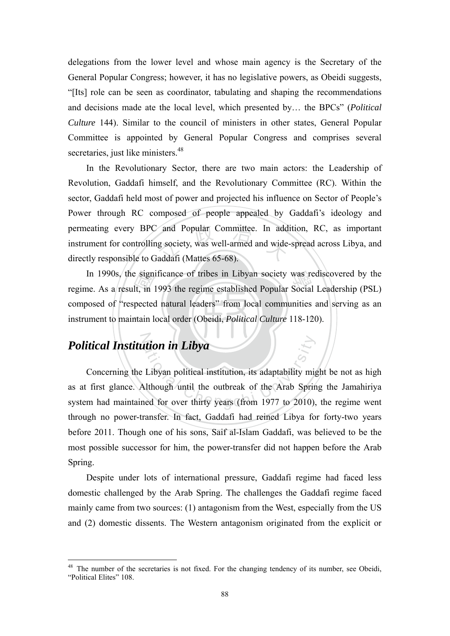delegations from the lower level and whose main agency is the Secretary of the General Popular Congress; however, it has no legislative powers, as Obeidi suggests, "[Its] role can be seen as coordinator, tabulating and shaping the recommendations and decisions made ate the local level, which presented by… the BPCs" (*Political Culture* 144). Similar to the council of ministers in other states, General Popular Committee is appointed by General Popular Congress and comprises several secretaries, just like ministers.<sup>48</sup>

and Popular Committee. In add<br>g society, was well-armed and wide<br>addafi (Mattes 65-68). In the Revolutionary Sector, there are two main actors: the Leadership of Revolution, Gaddafi himself, and the Revolutionary Committee (RC). Within the sector, Gaddafi held most of power and projected his influence on Sector of People's Power through RC composed of people appealed by Gaddafi's ideology and permeating every BPC and Popular Committee. In addition, RC, as important instrument for controlling society, was well-armed and wide-spread across Libya, and directly responsible to Gaddafi (Mattes 65-68).

**instrument to maintain local order (Obeidi,** *Political Culture* 118-120). e sign<br>lt, in<br>pected<br>ntain l In 1990s, the significance of tribes in Libyan society was rediscovered by the ne. As a result, in 1993 the regime established Popular Social Leadership (PSL) regime. As a result, in 1993 the regime established Popular Social Leadership (PSL) composed of "respected natural leaders" from local communities and serving as an

#### N *Political Institution in Libya*

1

**ation in Libya**<br>
Libyan political institution, its adaptability might<br>
although until the outbreak of the Arab Sprinced for over thirty years (from 1977 to 2010), Concerning the Libyan political institution, its adaptability might be not as high as at first glance. Although until the outbreak of the Arab Spring the Jamahiriya system had maintained for over thirty years (from 1977 to 2010), the regime went through no power-transfer. In fact, Gaddafi had reined Libya for forty-two years before 2011. Though one of his sons, Saif al-Islam Gaddafi, was believed to be the most possible successor for him, the power-transfer did not happen before the Arab Spring.

Despite under lots of international pressure, Gaddafi regime had faced less domestic challenged by the Arab Spring. The challenges the Gaddafi regime faced mainly came from two sources: (1) antagonism from the West, especially from the US and (2) domestic dissents. The Western antagonism originated from the explicit or

<sup>&</sup>lt;sup>48</sup> The number of the secretaries is not fixed. For the changing tendency of its number, see Obeidi, "Political Elites" 108.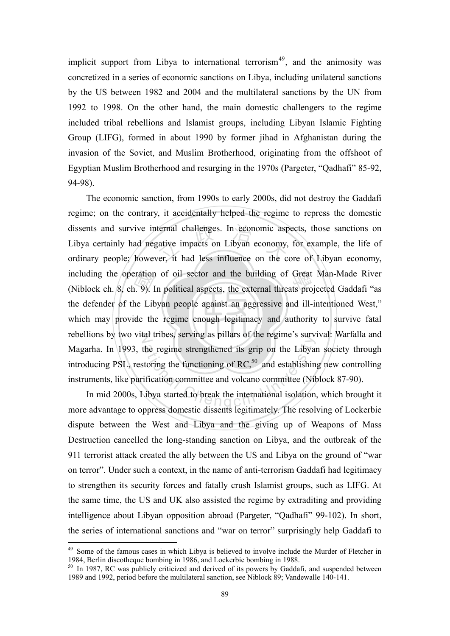implicit support from Libya to international terrorism<sup>49</sup>, and the animosity was concretized in a series of economic sanctions on Libya, including unilateral sanctions by the US between 1982 and 2004 and the multilateral sanctions by the UN from 1992 to 1998. On the other hand, the main domestic challengers to the regime included tribal rebellions and Islamist groups, including Libyan Islamic Fighting Group (LIFG), formed in about 1990 by former jihad in Afghanistan during the invasion of the Soviet, and Muslim Brotherhood, originating from the offshoot of Egyptian Muslim Brotherhood and resurging in the 1970s (Pargeter, "Qadhafi" 85-92, 94-98).

 $\sqrt{2}$ eration<br>1. 9). I<br>he Lib<br>ide the ternal challenges. In economic asp<br>gative impacts on Libyan economy,<br>ver, it had less influence on the c including the operation of oil sector and the building of Great Man-Made River<br>(Niblock ch. 8, ch. 9). In political aspects, the external threats projected Gaddafi "as which may provide the regime enough legitimacy and authority to survive fatal rebellions by two vital tribes, serving as pillars of the regime's survival: Warfalla and the regime strengthened its grip on the Libyar<br>toring the functioning of RC,<sup>50</sup> and establishin<br>ification committee and volcano committee (Nib<br>libya started to break the international isolation The economic sanction, from 1990s to early 2000s, did not destroy the Gaddafi regime; on the contrary, it accidentally helped the regime to repress the domestic dissents and survive internal challenges. In economic aspects, those sanctions on Libya certainly had negative impacts on Libyan economy, for example, the life of ordinary people; however, it had less influence on the core of Libyan economy, (Niblock ch. 8, ch. 9). In political aspects, the external threats projected Gaddafi "as the defender of the Libyan people against an aggressive and ill-intentioned West," Magarha. In 1993, the regime strengthened its grip on the Libyan society through introducing PSL, restoring the functioning of  $RC<sub>50</sub>$  and establishing new controlling instruments, like purification committee and volcano committee (Niblock 87-90).

In mid 2000s, Libya started to break the international isolation, which brought it more advantage to oppress domestic dissents legitimately. The resolving of Lockerbie dispute between the West and Libya and the giving up of Weapons of Mass Destruction cancelled the long-standing sanction on Libya, and the outbreak of the 911 terrorist attack created the ally between the US and Libya on the ground of "war on terror". Under such a context, in the name of anti-terrorism Gaddafi had legitimacy to strengthen its security forces and fatally crush Islamist groups, such as LIFG. At the same time, the US and UK also assisted the regime by extraditing and providing intelligence about Libyan opposition abroad (Pargeter, "Qadhafi" 99-102). In short, the series of international sanctions and "war on terror" surprisingly help Gaddafi to

<u>.</u>

 $^{49}$  Some of the famous cases in which Libya is believed to involve include the Murder of Fletcher in 1984, Berlin discotheque bombing in 1986, and Lockerbie bombing in 1988.

<sup>&</sup>lt;sup>50</sup> In 1987, RC was publicly criticized and derived of its powers by Gaddafi, and suspended between 1989 and 1992, period before the multilateral sanction, see Niblock 89; Vandewalle 140-141.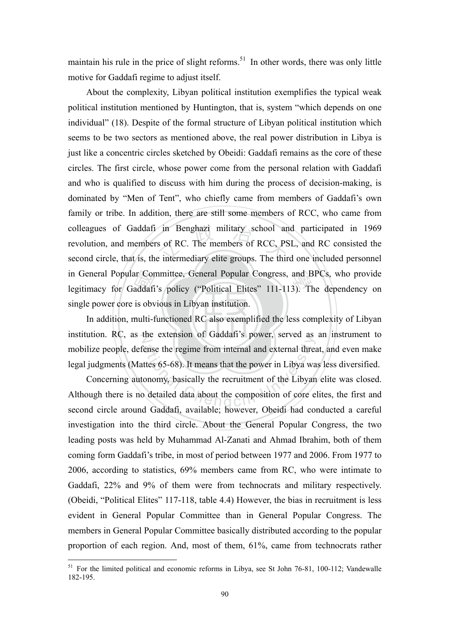maintain his rule in the price of slight reforms.<sup>51</sup> In other words, there was only little motive for Gaddafi regime to adjust itself.

ar Cor<br>addafi<br>is obv<br>multi-f colleagues of Gaddafi in Benghazi military school and participated in 1969<br>revolution, and members of RC. The members of RCC, PSL, and RC consisted the<br>second circle, that is, the intermediary elite groups. The third one i in General Popular Committee, General Popular Congress, and BPCs, who provide<br>legitimacy for Gaddafi's policy ("Political Elites" 111-113). The dependency on About the complexity, Libyan political institution exemplifies the typical weak political institution mentioned by Huntington, that is, system "which depends on one individual" (18). Despite of the formal structure of Libyan political institution which seems to be two sectors as mentioned above, the real power distribution in Libya is just like a concentric circles sketched by Obeidi: Gaddafi remains as the core of these circles. The first circle, whose power come from the personal relation with Gaddafi and who is qualified to discuss with him during the process of decision-making, is dominated by "Men of Tent", who chiefly came from members of Gaddafi's own family or tribe. In addition, there are still some members of RCC, who came from revolution, and members of RC. The members of RCC, PSL, and RC consisted the second circle, that is, the intermediary elite groups. The third one included personnel legitimacy for Gaddafi's policy ("Political Elites" 111-113). The dependency on single power core is obvious in Libyan institution.

In addition, multi-functioned RC also exemplified the less complexity of Libyan institution. RC, as the extension of Gaddafi's power, served as an instrument to The extension of Gaddan's power, served as<br>
Sense the regime from internal and external three<br>
ttes 65-68). It means that the power in Libya wa<br>
onomy, basically the recruitment of the Libyan<br>
detailed data about the compo mobilize people, defense the regime from internal and external threat, and even make legal judgments (Mattes 65-68). It means that the power in Libya was less diversified.

Concerning autonomy, basically the recruitment of the Libyan elite was closed. Although there is no detailed data about the composition of core elites, the first and second circle around Gaddafi, available; however, Obeidi had conducted a careful investigation into the third circle. About the General Popular Congress, the two leading posts was held by Muhammad Al-Zanati and Ahmad Ibrahim, both of them coming form Gaddafi's tribe, in most of period between 1977 and 2006. From 1977 to 2006, according to statistics, 69% members came from RC, who were intimate to Gaddafi, 22% and 9% of them were from technocrats and military respectively. (Obeidi, "Political Elites" 117-118, table 4.4) However, the bias in recruitment is less evident in General Popular Committee than in General Popular Congress. The members in General Popular Committee basically distributed according to the popular proportion of each region. And, most of them, 61%, came from technocrats rather

<sup>&</sup>lt;sup>51</sup> For the limited political and economic reforms in Libya, see St John 76-81, 100-112; Vandewalle 182-195.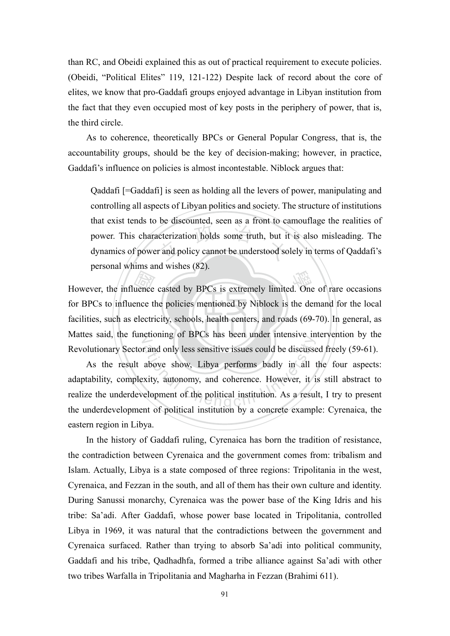than RC, and Obeidi explained this as out of practical requirement to execute policies. (Obeidi, "Political Elites" 119, 121-122) Despite lack of record about the core of elites, we know that pro-Gaddafi groups enjoyed advantage in Libyan institution from the fact that they even occupied most of key posts in the periphery of power, that is, the third circle.

As to coherence, theoretically BPCs or General Popular Congress, that is, the accountability groups, should be the key of decision-making; however, in practice, Gaddafi's influence on policies is almost incontestable. Niblock argues that:

acterization holds some truth, but it<br>r and policy cannot be understood so Qaddafi [=Gaddafi] is seen as holding all the levers of power, manipulating and controlling all aspects of Libyan politics and society. The structure of institutions that exist tends to be discounted, seen as a front to camouflage the realities of power. This characterization holds some truth, but it is also misleading. The dynamics of power and policy cannot be understood solely in terms of Qaddafi's personal whims and wishes (82).

facilities, such as electricity, schools, health centers, and roads (69-70). In general, as However, the influence casted by BPCs is extremely limited. One of rare occasions for BPCs to influence the policies mentioned by Niblock is the demand for the local facilities, such as electricity, schools, health centers N Mattes said, the functioning of BPCs has been under intensive intervention by the for BPCs to influence the policies mentioned by Niblock is the demand for the local Revolutionary Sector and only less sensitive issues could be discussed freely (59-61).

r and only less sensitive issues could be discusse<br>above show, Libya performs badly in all the show, Libya performs badly in all the same show, Libya performs badly in all the same shows. As the result above show, Libya performs badly in all the four aspects: adaptability, complexity, autonomy, and coherence. However, it is still abstract to realize the underdevelopment of the political institution. As a result, I try to present the underdevelopment of political institution by a concrete example: Cyrenaica, the eastern region in Libya.

 In the history of Gaddafi ruling, Cyrenaica has born the tradition of resistance, the contradiction between Cyrenaica and the government comes from: tribalism and Islam. Actually, Libya is a state composed of three regions: Tripolitania in the west, Cyrenaica, and Fezzan in the south, and all of them has their own culture and identity. During Sanussi monarchy, Cyrenaica was the power base of the King Idris and his tribe: Sa'adi. After Gaddafi, whose power base located in Tripolitania, controlled Libya in 1969, it was natural that the contradictions between the government and Cyrenaica surfaced. Rather than trying to absorb Sa'adi into political community, Gaddafi and his tribe, Qadhadhfa, formed a tribe alliance against Sa'adi with other two tribes Warfalla in Tripolitania and Magharha in Fezzan (Brahimi 611).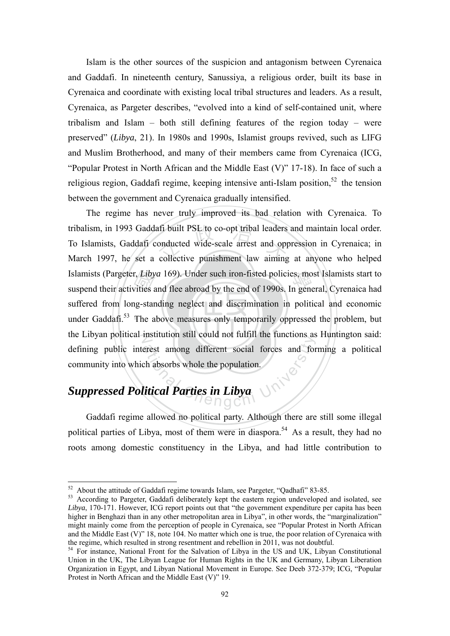Islam is the other sources of the suspicion and antagonism between Cyrenaica and Gaddafi. In nineteenth century, Sanussiya, a religious order, built its base in Cyrenaica and coordinate with existing local tribal structures and leaders. As a result, Cyrenaica, as Pargeter describes, "evolved into a kind of self-contained unit, where tribalism and Islam – both still defining features of the region today – were preserved" (*Libya*, 21). In 1980s and 1990s, Islamist groups revived, such as LIFG and Muslim Brotherhood, and many of their members came from Cyrenaica (ICG, "Popular Protest in North African and the Middle East (V)" 17-18). In face of such a religious region, Gaddafi regime, keeping intensive anti-Islam position,  $52$  the tension between the government and Cyrenaica gradually intensified.

‧r, *Liby*<br>vities a<br>ng-star<br>The a afi built PSL to co-opt tribal leaders<br>onducted wide-scale arrest and opp<br>collective punishment law aiming Islamists (Pargeter, *Libya* 169). Under such iron-fisted policies, most Islamists start to<br>suspend their activities and flee abroad by the end of 1990s. In general, Cyrenaica had under Gaddafi.<sup>53</sup> The above measures only temporarily oppressed the problem, but the Libyan political institution still could not fulfill the functions as Huntington said: Franchischer Schrift and Terms and Series and Series and Series and Series and Series and Series and Series and Series and Series and Series and Series and Series and Series and Series and Series and Series and Series and The regime has never truly improved its bad relation with Cyrenaica. To tribalism, in 1993 Gaddafi built PSL to co-opt tribal leaders and maintain local order. To Islamists, Gaddafi conducted wide-scale arrest and oppression in Cyrenaica; in March 1997, he set a collective punishment law aiming at anyone who helped suspend their activities and flee abroad by the end of 1990s. In general, Cyrenaica had suffered from long-standing neglect and discrimination in political and economic defining public interest among different social forces and forming a political community into which absorbs whole the population.

#### *Suppressed Political Parties in Libya*

1

 Gaddafi regime allowed no political party. Although there are still some illegal political parties of Libya, most of them were in diaspora.<sup>54</sup> As a result, they had no roots among domestic constituency in the Libya, and had little contribution to

 $52$  About the attitude of Gaddafi regime towards Islam, see Pargeter, "Qadhafi" 83-85.

<sup>&</sup>lt;sup>53</sup> According to Pargeter, Gaddafi deliberately kept the eastern region undeveloped and isolated, see *Libya*, 170-171. However, ICG report points out that "the government expenditure per capita has been higher in Benghazi than in any other metropolitan area in Libya", in other words, the "marginalization" might mainly come from the perception of people in Cyrenaica, see "Popular Protest in North African and the Middle East  $(V)$ " 18, note 104. No matter which one is true, the poor relation of Cyrenaica with the regime, which resulted in strong resentment and rebellion in 2011, was not doubtful.

 $54$  For instance, National Front for the Salvation of Libya in the US and UK, Libyan Constitutional Union in the UK, The Libyan League for Human Rights in the UK and Germany, Libyan Liberation Organization in Egypt, and Libyan National Movement in Europe. See Deeb 372-379; ICG, "Popular Protest in North African and the Middle East (V)" 19.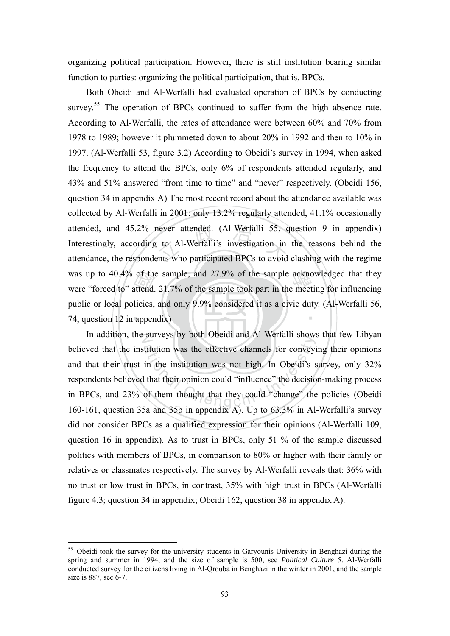organizing political participation. However, there is still institution bearing similar function to parties: organizing the political participation, that is, BPCs.

74, question  $12$  in appendix). of the<br>attend.<br>licies,<br>apper never attended. (Al-Werfalli 55, c<br>to Al-Werfalli's investigation in<br>ents who participated BPCs to avoid was up to 40.4% of the sample, and 27.9% of the sample acknowledged that they were "forced to" attend. 21.7% of the sample took part in the meeting for influencing ‧ Both Obeidi and Al-Werfalli had evaluated operation of BPCs by conducting survey.<sup>55</sup> The operation of BPCs continued to suffer from the high absence rate. According to Al-Werfalli, the rates of attendance were between 60% and 70% from 1978 to 1989; however it plummeted down to about 20% in 1992 and then to 10% in 1997. (Al-Werfalli 53, figure 3.2) According to Obeidi's survey in 1994, when asked the frequency to attend the BPCs, only 6% of respondents attended regularly, and 43% and 51% answered "from time to time" and "never" respectively. (Obeidi 156, question 34 in appendix A) The most recent record about the attendance available was collected by Al-Werfalli in 2001: only 13.2% regularly attended, 41.1% occasionally attended, and 45.2% never attended. (Al-Werfalli 55, question 9 in appendix) Interestingly, according to Al-Werfalli's investigation in the reasons behind the attendance, the respondents who participated BPCs to avoid clashing with the regime were "forced to" attend. 21.7% of the sample took part in the meeting for influencing public or local policies, and only 9.9% considered it as a civic duty. (Al-Werfalli 56,

In addition, the surveys by both Obeidi and Al-Werfalli shows that few Libyan states by both obedd and AT Welliam shows<br>it it disturbed with the institution was not high. In Obeidi's<br>all that their opinion could "influence" the decision<br>of them thought that they could "change" the<br>Sa and 35b in ann believed that the institution was the effective channels for conveying their opinions and that their trust in the institution was not high. In Obeidi's survey, only 32% respondents believed that their opinion could "influence" the decision-making process in BPCs, and 23% of them thought that they could "change" the policies (Obeidi 160-161, question 35a and 35b in appendix A). Up to 63.3% in Al-Werfalli's survey did not consider BPCs as a qualified expression for their opinions (Al-Werfalli 109, question 16 in appendix). As to trust in BPCs, only 51 % of the sample discussed politics with members of BPCs, in comparison to 80% or higher with their family or relatives or classmates respectively. The survey by Al-Werfalli reveals that: 36% with no trust or low trust in BPCs, in contrast, 35% with high trust in BPCs (Al-Werfalli figure 4.3; question 34 in appendix; Obeidi 162, question 38 in appendix A).

<u>.</u>

<sup>&</sup>lt;sup>55</sup> Obeidi took the survey for the university students in Garyounis University in Benghazi during the spring and summer in 1994, and the size of sample is 500, see *Political Culture* 5. Al-Werfalli conducted survey for the citizens living in Al-Qrouba in Benghazi in the winter in 2001, and the sample size is 887, see 6-7.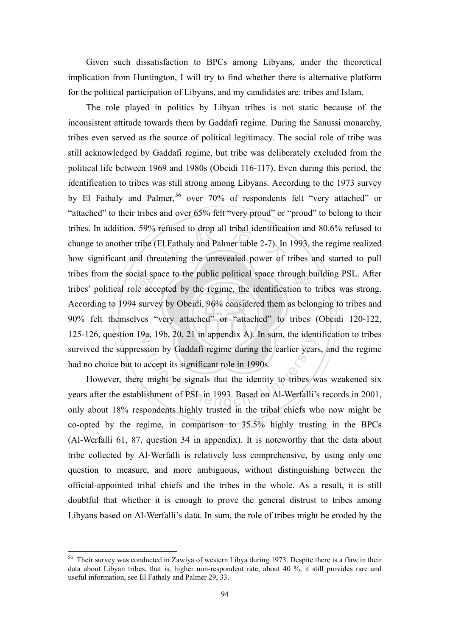Given such dissatisfaction to BPCs among Libyans, under the theoretical implication from Huntington, I will try to find whether there is alternative platform for the political participation of Libyans, and my candidates are: tribes and Islam.

‧cial sp<br>ble acc<br>4 surve refused to drop all tribal identificat<br>El Fathaly and Palmer table 2-7). In<br>eatening the unrevealed power of t tribes from the social space to the public political space through building PSL. After<br>tribes' political role accepted by the regime, the identification to tribes was strong. 90% felt themselves "very attached" or "attached" to tribes (Obeidi 120-122, 125-126, question 19a, 19b, 20, 21 in appendix A). In sum, the identification to tribes ation by Gaddafi regime during the earlier year<br>accept its significant role in 1990s.<br>might be signals that the identity to tribes wishment of PSL in 1993. Based on Al-Werfalli<sup>2</sup> The role played in politics by Libyan tribes is not static because of the inconsistent attitude towards them by Gaddafi regime. During the Sanussi monarchy, tribes even served as the source of political legitimacy. The social role of tribe was still acknowledged by Gaddafi regime, but tribe was deliberately excluded from the political life between 1969 and 1980s (Obeidi 116-117). Even during this period, the identification to tribes was still strong among Libyans. According to the 1973 survey by El Fathaly and Palmer,<sup>56</sup> over 70% of respondents felt "very attached" or "attached" to their tribes and over 65% felt "very proud" or "proud" to belong to their tribes. In addition, 59% refused to drop all tribal identification and 80.6% refused to change to another tribe (El Fathaly and Palmer table 2-7). In 1993, the regime realized how significant and threatening the unrevealed power of tribes and started to pull tribes' political role accepted by the regime, the identification to tribes was strong. According to 1994 survey by Obeidi, 96% considered them as belonging to tribes and survived the suppression by Gaddafi regime during the earlier years, and the regime had no choice but to accept its significant role in 1990s.

However, there might be signals that the identity to tribes was weakened six years after the establishment of PSL in 1993. Based on Al-Werfalli's records in 2001, only about 18% respondents highly trusted in the tribal chiefs who now might be co-opted by the regime, in comparison to 35.5% highly trusting in the BPCs (Al-Werfalli 61, 87, question 34 in appendix). It is noteworthy that the data about tribe collected by Al-Werfalli is relatively less comprehensive, by using only one question to measure, and more ambiguous, without distinguishing between the official-appointed tribal chiefs and the tribes in the whole. As a result, it is still doubtful that whether it is enough to prove the general distrust to tribes among Libyans based on Al-Werfalli's data. In sum, the role of tribes might be eroded by the

<sup>&</sup>lt;sup>56</sup> Their survey was conducted in Zawiya of western Libya during 1973. Despite there is a flaw in their data about Libyan tribes, that is, higher non-respondent rate, about 40 %, it still provides rare and useful information, see El Fathaly and Palmer 29, 33.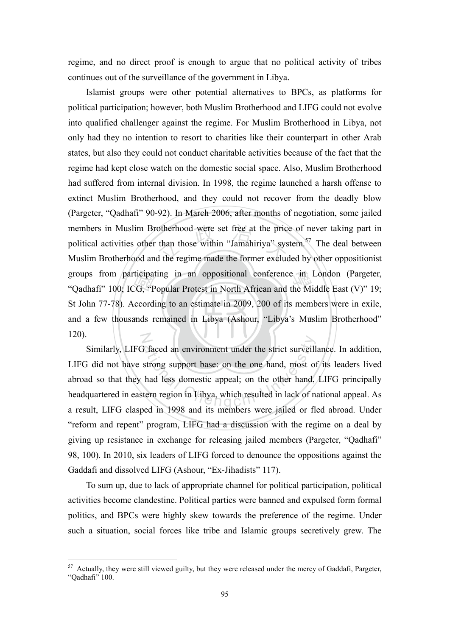regime, and no direct proof is enough to argue that no political activity of tribes continues out of the surveillance of the government in Libya.

and a few thousands remained in Libya (Ashour, "Libya's Muslim Brotherhood" ticipat<br>CG, "P<br>ccord<br>ands r otherhood were set free at the price<br>than those within "Jamahiriya" sys<br>d the regime made the former exclude groups from participating in an oppositional conference in London (Pargeter, "Oadhafi" 100; ICG, "Popular Protest in North African and the Middle East (V)" 19; N Islamist groups were other potential alternatives to BPCs, as platforms for political participation; however, both Muslim Brotherhood and LIFG could not evolve into qualified challenger against the regime. For Muslim Brotherhood in Libya, not only had they no intention to resort to charities like their counterpart in other Arab states, but also they could not conduct charitable activities because of the fact that the regime had kept close watch on the domestic social space. Also, Muslim Brotherhood had suffered from internal division. In 1998, the regime launched a harsh offense to extinct Muslim Brotherhood, and they could not recover from the deadly blow (Pargeter, "Qadhafi" 90-92). In March 2006, after months of negotiation, some jailed members in Muslim Brotherhood were set free at the price of never taking part in political activities other than those within "Jamahiriya" system.<sup>57</sup> The deal between Muslim Brotherhood and the regime made the former excluded by other oppositionist "Qadhafi" 100; ICG, "Popular Protest in North African and the Middle East (V)" 19; St John 77-78). According to an estimate in 2009, 200 of its members were in exile, 120).

Faced an environment under the strict surveill<br>strong support base: on the one hand, most of<br>had less domestic appeal; on the other hand,<br>tern region in Libya, which resulted in lack of n<br>and in 1008 and its members were j Similarly, LIFG faced an environment under the strict surveillance. In addition, LIFG did not have strong support base: on the one hand, most of its leaders lived abroad so that they had less domestic appeal; on the other hand, LIFG principally headquartered in eastern region in Libya, which resulted in lack of national appeal. As a result, LIFG clasped in 1998 and its members were jailed or fled abroad. Under "reform and repent" program, LIFG had a discussion with the regime on a deal by giving up resistance in exchange for releasing jailed members (Pargeter, "Qadhafi" 98, 100). In 2010, six leaders of LIFG forced to denounce the oppositions against the Gaddafi and dissolved LIFG (Ashour, "Ex-Jihadists" 117).

To sum up, due to lack of appropriate channel for political participation, political activities become clandestine. Political parties were banned and expulsed form formal politics, and BPCs were highly skew towards the preference of the regime. Under such a situation, social forces like tribe and Islamic groups secretively grew. The

<sup>&</sup>lt;sup>57</sup> Actually, they were still viewed guilty, but they were released under the mercy of Gaddafi, Pargeter, "Qadhafi" 100.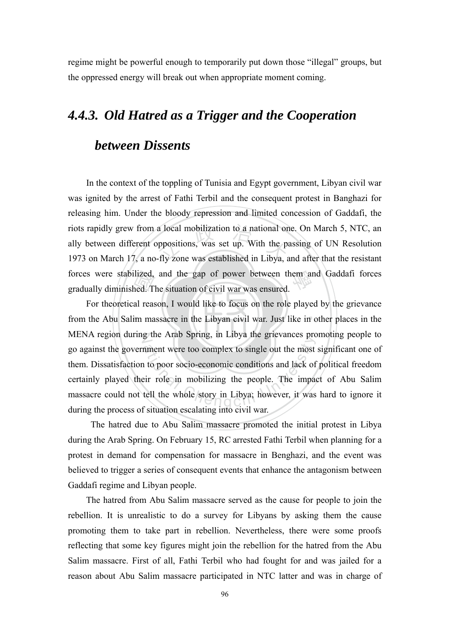regime might be powerful enough to temporarily put down those "illegal" groups, but the oppressed energy will break out when appropriate moment coming.

#### *4.4.3. Old Hatred as a Trigger and the Cooperation*

#### *between Dissents*

a local mobilization to a national or<br>pppositions, was set up. With the pa<br>fly zone was established in Libya, a forces were stabilized, and the gap of power between them and Gaddafi forces gradually diminished. The situation of civil war was ensured. In the context of the toppling of Tunisia and Egypt government, Libyan civil war was ignited by the arrest of Fathi Terbil and the consequent protest in Banghazi for releasing him. Under the bloody repression and limited concession of Gaddafi, the riots rapidly grew from a local mobilization to a national one. On March 5, NTC, an ally between different oppositions, was set up. With the passing of UN Resolution 1973 on March 17, a no-fly zone was established in Libya, and after that the resistant gradually diminished. The situation of civil war was ensured.

from the Abu Salim massacre in the Libyan civil war. Just like in other places in the llized,<br>ned. T<br>al reas<br>im ma N MENA region during the Arab Spring, in Libya the grievances promoting people to ate that Spring, in Erbya are grevances pro<br>nment were too complex to single out the most<br>it to poor socio-economic conditions and lack of<br>eir role in mobilizing the people. The impare-<br>tell the whole story in Libya; howev For theoretical reason, I would like to focus on the role played by the grievance go against the government were too complex to single out the most significant one of them. Dissatisfaction to poor socio-economic conditions and lack of political freedom certainly played their role in mobilizing the people. The impact of Abu Salim massacre could not tell the whole story in Libya; however, it was hard to ignore it during the process of situation escalating into civil war.

 The hatred due to Abu Salim massacre promoted the initial protest in Libya during the Arab Spring. On February 15, RC arrested Fathi Terbil when planning for a protest in demand for compensation for massacre in Benghazi, and the event was believed to trigger a series of consequent events that enhance the antagonism between Gaddafi regime and Libyan people.

 The hatred from Abu Salim massacre served as the cause for people to join the rebellion. It is unrealistic to do a survey for Libyans by asking them the cause promoting them to take part in rebellion. Nevertheless, there were some proofs reflecting that some key figures might join the rebellion for the hatred from the Abu Salim massacre. First of all, Fathi Terbil who had fought for and was jailed for a reason about Abu Salim massacre participated in NTC latter and was in charge of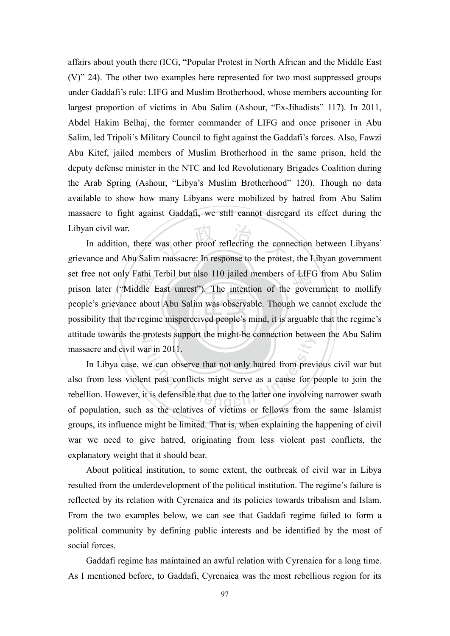affairs about youth there (ICG, "Popular Protest in North African and the Middle East (V)" 24). The other two examples here represented for two most suppressed groups under Gaddafi's rule: LIFG and Muslim Brotherhood, whose members accounting for largest proportion of victims in Abu Salim (Ashour, "Ex-Jihadists" 117). In 2011, Abdel Hakim Belhaj, the former commander of LIFG and once prisoner in Abu Salim, led Tripoli's Military Council to fight against the Gaddafi's forces. Also, Fawzi Abu Kitef, jailed members of Muslim Brotherhood in the same prison, held the deputy defense minister in the NTC and led Revolutionary Brigades Coalition during the Arab Spring (Ashour, "Libya's Muslim Brotherhood" 120). Though no data available to show how many Libyans were mobilized by hatred from Abu Salim massacre to fight against Gaddafi, we still cannot disregard its effect during the Libyan civil war.

possibility that the regime misperceived people's mind, it is arguable that the regime's Fathi<br>ddle<br>e abou<br>e regin was other proof reflecting the conn<br>n massacre: In response to the protes set free not only Fathi Terbil but also 110 jailed members of LIFG from Abu Salim<br>prison later ("Middle East unrest"). The intention of the government to mollify attitude towards the protests support the might-be connection between the Abu Salim In addition, there was other proof reflecting the connection between Libyans' grievance and Abu Salim massacre: In response to the protest, the Libyan government prison later ("Middle East unrest"). The intention of the government to mollify people's grievance about Abu Salim was observable. Though we cannot exclude the massacre and civil war in 2011.

ar in 2011.<br>
we can observe that not only hatred from previous area in 2011.<br>
we can observe that not only hatred from previous that conflicts might serve as a cause for p<br>
it is defensible that due to the latter one invol In Libya case, we can observe that not only hatred from previous civil war but also from less violent past conflicts might serve as a cause for people to join the rebellion. However, it is defensible that due to the latter one involving narrower swath of population, such as the relatives of victims or fellows from the same Islamist groups, its influence might be limited. That is, when explaining the happening of civil war we need to give hatred, originating from less violent past conflicts, the explanatory weight that it should bear.

About political institution, to some extent, the outbreak of civil war in Libya resulted from the underdevelopment of the political institution. The regime's failure is reflected by its relation with Cyrenaica and its policies towards tribalism and Islam. From the two examples below, we can see that Gaddafi regime failed to form a political community by defining public interests and be identified by the most of social forces.

Gaddafi regime has maintained an awful relation with Cyrenaica for a long time. As I mentioned before, to Gaddafi, Cyrenaica was the most rebellious region for its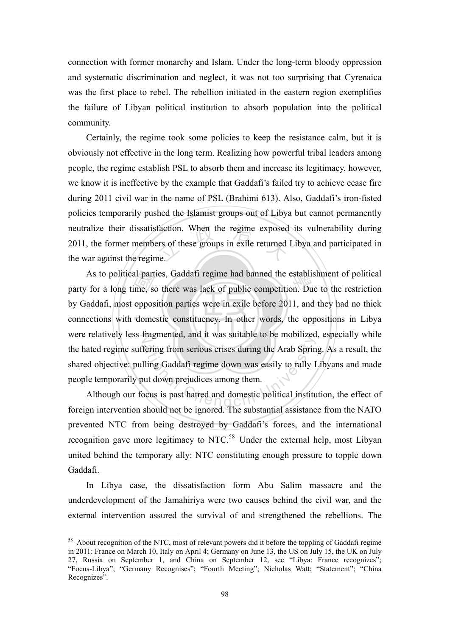connection with former monarchy and Islam. Under the long-term bloody oppression and systematic discrimination and neglect, it was not too surprising that Cyrenaica was the first place to rebel. The rebellion initiated in the eastern region exemplifies the failure of Libyan political institution to absorb population into the political community.

faction. When the regime exposed<br>ers of these groups in exile returned<br>ne. Certainly, the regime took some policies to keep the resistance calm, but it is obviously not effective in the long term. Realizing how powerful tribal leaders among people, the regime establish PSL to absorb them and increase its legitimacy, however, we know it is ineffective by the example that Gaddafi's failed try to achieve cease fire during 2011 civil war in the name of PSL (Brahimi 613). Also, Gaddafi's iron-fisted policies temporarily pushed the Islamist groups out of Libya but cannot permanently neutralize their dissatisfaction. When the regime exposed its vulnerability during 2011, the former members of these groups in exile returned Libya and participated in the war against the regime.

connections with domestic constituency. In other words, the oppositions in Libya al part<br>me, so<br>oppos<br>dome As to political parties, Gaddafi regime had banned the establishment of political<br>for a long time, so there was lack of public competition. Due to the restriction were relatively less fragmented, and it was suitable to be mobilized, especially while Example the Arab Spring from serious crises during the Arab Spring<br>Iling Gaddafi regime down was easily to rally I<br>at down prejudices among them.<br>Seus is past hatred and domestic political institutes party for a long time, so there was lack of public competition. Due to the restriction by Gaddafi, most opposition parties were in exile before 2011, and they had no thick the hated regime suffering from serious crises during the Arab Spring. As a result, the shared objective: pulling Gaddafi regime down was easily to rally Libyans and made people temporarily put down prejudices among them.

Although our focus is past hatred and domestic political institution, the effect of foreign intervention should not be ignored. The substantial assistance from the NATO prevented NTC from being destroyed by Gaddafi's forces, and the international recognition gave more legitimacy to NTC.<sup>58</sup> Under the external help, most Libyan united behind the temporary ally: NTC constituting enough pressure to topple down Gaddafi.

In Libya case, the dissatisfaction form Abu Salim massacre and the underdevelopment of the Jamahiriya were two causes behind the civil war, and the external intervention assured the survival of and strengthened the rebellions. The

<sup>&</sup>lt;sup>58</sup> About recognition of the NTC, most of relevant powers did it before the toppling of Gaddafi regime in 2011: France on March 10, Italy on April 4; Germany on June 13, the US on July 15, the UK on July 27, Russia on September 1, and China on September 12, see "Libya: France recognizes"; "Focus-Libya"; "Germany Recognises"; "Fourth Meeting"; Nicholas Watt; "Statement"; "China Recognizes".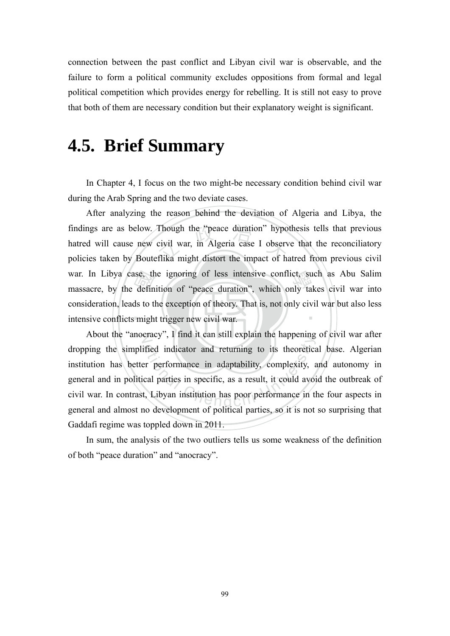connection between the past conflict and Libyan civil war is observable, and the failure to form a political community excludes oppositions from formal and legal political competition which provides energy for rebelling. It is still not easy to prove that both of them are necessary condition but their explanatory weight is significant.

### **4.5. Brief Summary**

In Chapter 4, I focus on the two might-be necessary condition behind civil war during the Arab Spring and the two deviate cases.

intensive conflicts might trigger new civil war. use, the<br>defin<br>ds to the findings are as below. Though the "peace duration" hypothesis tells that previous<br>hatred will cause new civil war, in Algeria case I observe that the reconciliatory<br>policies taken by Bouteflika might distort the impact of war. In Libya case, the ignoring of less intensive conflict, such as Abu Salim<br>massacre, by the definition of "peace duration", which only takes civil war into ‧ After analyzing the reason behind the deviation of Algeria and Libya, the hatred will cause new civil war, in Algeria case I observe that the reconciliatory policies taken by Bouteflika might distort the impact of hatred from previous civil massacre, by the definition of "peace duration", which only takes civil war into consideration, leads to the exception of theory. That is, not only civil war but also less

N About the "anocracy", I find it can still explain the happening of civil war after Exactly 3.1 That it can stin explain the happening<br>ified indicator and returning to its theoretical<br>er performance in adaptability, complexity, and<br>cal parties in specific, as a result, it could avoid<br>t, Libyan institutio dropping the simplified indicator and returning to its theoretical base. Algerian institution has better performance in adaptability, complexity, and autonomy in general and in political parties in specific, as a result, it could avoid the outbreak of civil war. In contrast, Libyan institution has poor performance in the four aspects in general and almost no development of political parties, so it is not so surprising that Gaddafi regime was toppled down in 2011.

In sum, the analysis of the two outliers tells us some weakness of the definition of both "peace duration" and "anocracy".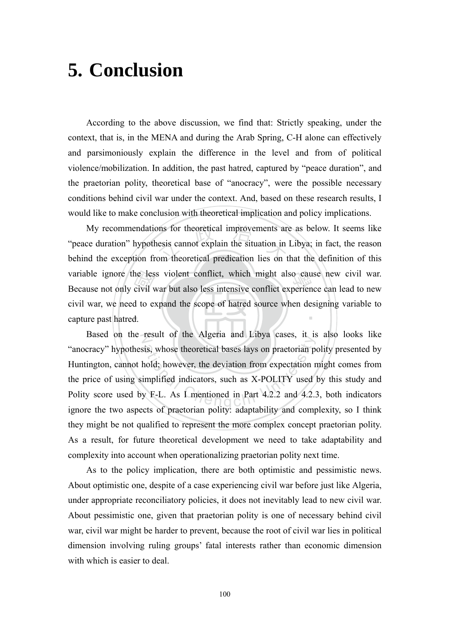# **5. Conclusion**

According to the above discussion, we find that: Strictly speaking, under the context, that is, in the MENA and during the Arab Spring, C-H alone can effectively and parsimoniously explain the difference in the level and from of political violence/mobilization. In addition, the past hatred, captured by "peace duration", and the praetorian polity, theoretical base of "anocracy", were the possible necessary conditions behind civil war under the context. And, based on these research results, I would like to make conclusion with theoretical implication and policy implications.

capture past hatred. he les<br>civil v<br>d to e:<br>d. ons for theoretical improvements are<br>
esis cannot explain the situation in<br>
om theoretical predication lies on t variable ignore the less violent conflict, which might also cause new civil war.<br>Because not only civil war but also less intensive conflict experience can lead to new ‧ My recommendations for theoretical improvements are as below. It seems like "peace duration" hypothesis cannot explain the situation in Libya; in fact, the reason behind the exception from theoretical predication lies on that the definition of this Because not only civil war but also less intensive conflict experience can lead to new civil war, we need to expand the scope of hatred source when designing variable to

N Based on the result of the Algeria and Libya cases, it is also looks like result of the Afgerta and Eloya cases, it is<br>sis, whose theoretical bases lays on praetorian p<br>hold; however, the deviation from expectation r<br>implified indicators, such as X-POLITY used<br>y F-L. As I mentioned in Part 4.2.2 "anocracy" hypothesis, whose theoretical bases lays on praetorian polity presented by Huntington, cannot hold; however, the deviation from expectation might comes from the price of using simplified indicators, such as X-POLITY used by this study and Polity score used by F-L. As I mentioned in Part 4.2.2 and 4.2.3, both indicators ignore the two aspects of praetorian polity: adaptability and complexity, so I think they might be not qualified to represent the more complex concept praetorian polity. As a result, for future theoretical development we need to take adaptability and complexity into account when operationalizing praetorian polity next time.

As to the policy implication, there are both optimistic and pessimistic news. About optimistic one, despite of a case experiencing civil war before just like Algeria, under appropriate reconciliatory policies, it does not inevitably lead to new civil war. About pessimistic one, given that praetorian polity is one of necessary behind civil war, civil war might be harder to prevent, because the root of civil war lies in political dimension involving ruling groups' fatal interests rather than economic dimension with which is easier to deal.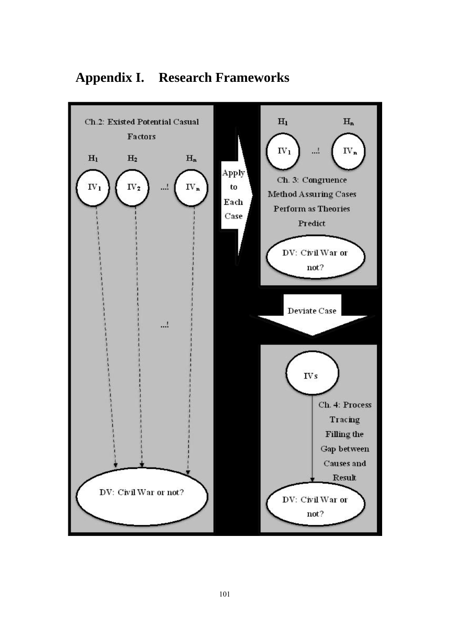

#### **Appendix I. Research Frameworks**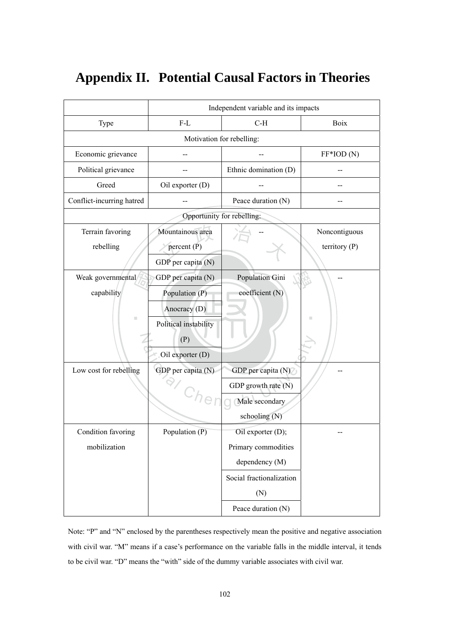|                               |                                                         | Independent variable and its impacts |                                  |
|-------------------------------|---------------------------------------------------------|--------------------------------------|----------------------------------|
| Type                          | $F-L$                                                   | $C-H$                                | Boix                             |
|                               | Motivation for rebelling:                               |                                      |                                  |
| Economic grievance            |                                                         |                                      | $FF*IOD(N)$                      |
| Political grievance           |                                                         | Ethnic domination (D)                |                                  |
| Greed                         | Oil exporter (D)                                        |                                      |                                  |
| Conflict-incurring hatred     |                                                         | Peace duration (N)                   |                                  |
|                               |                                                         | Opportunity for rebelling:           |                                  |
| Terrain favoring<br>rebelling | Mountainous area<br>percent $(P)$<br>GDP per capita (N) |                                      | Noncontiguous<br>territory $(P)$ |
| Weak governmental             | GDP per capita (N)                                      | Population Gini                      |                                  |
| capability                    | Population (P)                                          | coefficient (N)                      |                                  |
|                               | Anocracy (D)                                            |                                      |                                  |
| $\blacksquare$                | Political instability<br>(P)                            |                                      | ш                                |
|                               | Oil exporter (D)                                        |                                      |                                  |
| Low cost for rebelling        | GDP per capita (N)                                      | GDP per capita (N)                   |                                  |
|                               |                                                         | GDP growth rate (N)                  |                                  |
|                               | e                                                       | Male secondary                       |                                  |
|                               |                                                         | schooling (N)                        |                                  |
| Condition favoring            | Population $(P)$                                        | Oil exporter (D);                    |                                  |
| mobilization                  |                                                         | Primary commodities                  |                                  |
|                               |                                                         | dependency (M)                       |                                  |
|                               |                                                         | Social fractionalization             |                                  |
|                               |                                                         | (N)                                  |                                  |
|                               |                                                         | Peace duration (N)                   |                                  |

#### **Appendix II. Potential Causal Factors in Theories**

Note: "P" and "N" enclosed by the parentheses respectively mean the positive and negative association with civil war. "M" means if a case's performance on the variable falls in the middle interval, it tends to be civil war. "D" means the "with" side of the dummy variable associates with civil war.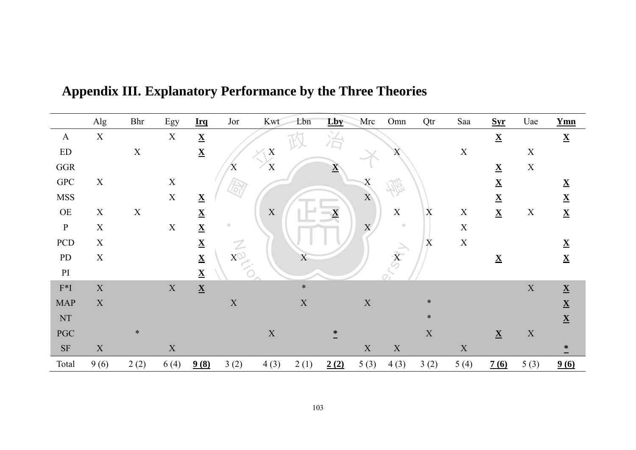|                            | Alg         | <b>Bhr</b>  | Egy         | <b>Irq</b>               | Jor                       | Kwt         | Lbn         | Lby                      | Mrc            | Omn                     | Qtr         | Saa         | <b>Syr</b>               | Uae         | $Ymn$                    |
|----------------------------|-------------|-------------|-------------|--------------------------|---------------------------|-------------|-------------|--------------------------|----------------|-------------------------|-------------|-------------|--------------------------|-------------|--------------------------|
| $\mathbf{A}$               | $\mathbf X$ |             | X           | $\underline{\mathbf{X}}$ |                           |             |             |                          |                |                         |             |             | $\underline{\mathbf{X}}$ |             | $\underline{\mathbf{X}}$ |
| $\mathop{\rm ED}\nolimits$ |             | $\mathbf X$ |             | $\underline{\mathbf{X}}$ |                           | X           |             |                          |                | $\rm X$                 |             | $\mathbf X$ |                          | $\mathbf X$ |                          |
| $_{\rm GGR}$               |             |             |             |                          | $\boldsymbol{\mathrm{X}}$ | X           |             | $\underline{\mathbf{X}}$ |                |                         |             |             | $\underline{\mathbf{X}}$ | $\mathbf X$ |                          |
| <b>GPC</b>                 | $\mathbf X$ |             | $\mathbf X$ |                          |                           |             |             |                          | X              |                         |             |             | $\underline{\mathbf{X}}$ |             | $\underline{\mathbf{X}}$ |
| <b>MSS</b>                 |             |             | $\mathbf X$ | $\underline{\mathbf{X}}$ |                           |             |             |                          | $\overline{X}$ |                         |             |             | $\underline{\mathbf{X}}$ |             | $\underline{\mathbf{X}}$ |
| <b>OE</b>                  | $\mathbf X$ | $\mathbf X$ |             | $\underline{\mathbf{X}}$ |                           | $\mathbf X$ |             | $\overline{\mathbf{X}}$  |                | $\mathbf X$             | X           | $\mathbf X$ | $\underline{\mathbf{X}}$ | $\mathbf X$ | $\underline{\mathbf{X}}$ |
| $\, {\bf P}$               | $\mathbf X$ |             | $\mathbf X$ | $\underline{\mathbf{X}}$ | D                         |             |             |                          | $\overline{X}$ | ш                       |             | $\mathbf X$ |                          |             |                          |
| PCD                        | $\mathbf X$ |             |             | $\mathbf{\underline{X}}$ |                           |             |             |                          |                |                         | X           | $\mathbf X$ |                          |             | $\mathbf{X}$             |
| PD                         | $\mathbf X$ |             |             | $\underline{\mathbf{X}}$ | $X^{\mathbb{Q}}$          |             | X           |                          |                | $\overline{\mathbf{x}}$ |             |             | $\underline{\mathbf{X}}$ |             | $\underline{\mathbf{X}}$ |
| $\mathop{\rm PI}\nolimits$ |             |             |             | $\underline{\mathbf{X}}$ |                           |             |             |                          |                |                         |             |             |                          |             |                          |
| $\mathbf{F}^* \mathbf{I}$  | $\mathbf X$ |             | $\mathbf X$ | $\underline{\mathbf{X}}$ |                           |             | $\ast$      |                          |                |                         |             |             |                          | $\mathbf X$ | $\underline{\mathbf{X}}$ |
| <b>MAP</b>                 | $\mathbf X$ |             |             |                          | $\mathbf X$               |             | $\mathbf X$ |                          | $\mathbf X$    |                         | $\ast$      |             |                          |             | $\underline{\mathbf{X}}$ |
| $\mathop{\rm NT}\nolimits$ |             |             |             |                          |                           |             |             |                          |                |                         | $\ast$      |             |                          |             | $\underline{\mathbf{X}}$ |
| <b>PGC</b>                 |             | $\ast$      |             |                          |                           | $\mathbf X$ |             | $*$                      |                |                         | $\mathbf X$ |             | $\underline{\mathbf{X}}$ | $\mathbf X$ |                          |
| <b>SF</b>                  | $\mathbf X$ |             | $\mathbf X$ |                          |                           |             |             |                          | $\mathbf X$    | $\mathbf X$             |             | $\mathbf X$ |                          |             | $\ddot{\cdot}$           |
| Total                      | 9(6)        | 2(2)        | 6(4)        | 9(8)                     | 3(2)                      | 4(3)        | 2(1)        | 2(2)                     | 5(3)           | 4(3)                    | 3(2)        | 5(4)        | 7(6)                     | 5(3)        | 9(6)                     |

Appendix III. Explanatory Performance by the Three Theories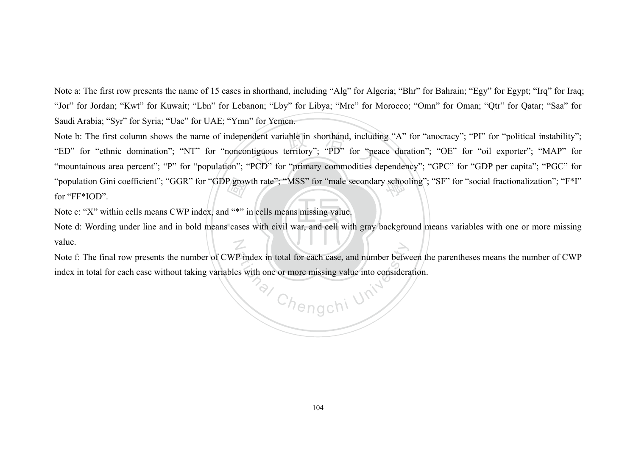Note a: The first row presents the name of 15 cases in shorthand, including "Alg" for Algeria; "Bhr" for Bahrain; "Egy" for Egypt; "Irq" for Iraq; "Jor" for Jordan; "Kwt" for Kuwait; "Lbn" for Lebanon; "Lby" for Libya; "Mrc" for Morocco; "Omn" for Oman; "Qtr" for Qatar; "Saa" for Saudi Arabia; "Syr" for Syria; "Uae" for UAE; "Ymn" for Yemen.

P grow<br>d<sup>"\*"</sup> i<br>cases "ED" for "ethnic domination"; "NT" for "noncontiguous territory"; "PD" for "peace duration"; "OE" for "oil exporter"; "MAP" for "mountainous area percent": "P" for "population": "PCD" for "primary commodities dependency": Note b: The first column shows the name of independent variable in shorthand, including "A" for "anocracy"; "PI" for "political instability";<br>"ED" for "othnia domination": "NT" for "proposationsus territory"; "PD" for "pos "population Gini coefficient"; "GGR" for "GDP growth rate"; "MSS" for "male secondary schooling"; "SF" for "social fractionalization"; "F\*I"<br>for "FF\*IOD" "mountainous area percent"; "P" for "population"; "PCD" for "primary commodities dependency"; "GPC" for "GDP per capita"; "PGC" for for "FF\*IOD".

Note c: "X" within cells means CWP index, and "\*" in cells means missing value.

Note d: Wording under line and in bold means cases with civil war, and cell with gray background means variables with one or more missing  $\mathcal I$ value.

P index in<br>  $\Rightarrow$  with one total for each case, and number between<br>
or more missing value into considerate<br>  $C/n$  engchi Note f: The final row presents the number of CWP index in total for each case, and number between the parentheses means the number of CWP index in total for each case without taking variables with one or more missing value into consideration.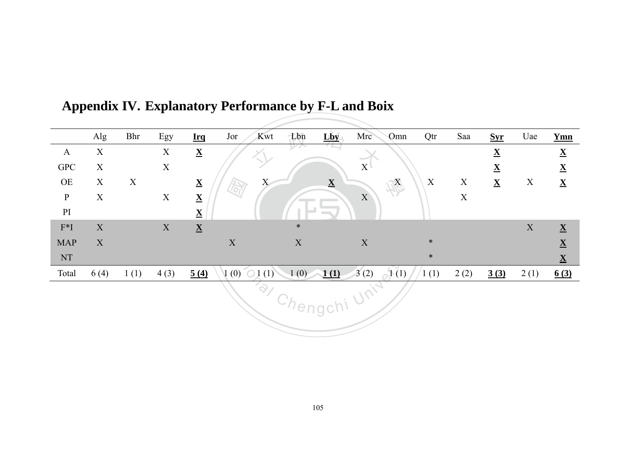|                        | Alg                       | Bhr  | Egy         | <b>Irq</b>               | Jor<br>Kwt                   | Lbn         | Lby                      | Mrc             | Omn  | Qtr              | Saa              | <b>Syr</b>               | Uae         | <b>Ymn</b>               |
|------------------------|---------------------------|------|-------------|--------------------------|------------------------------|-------------|--------------------------|-----------------|------|------------------|------------------|--------------------------|-------------|--------------------------|
| $\mathbf{A}$           | $\mathbf X$               |      | $\mathbf X$ | $\underline{\mathbf{X}}$ |                              | $V \wedge$  |                          | $\sim$          |      |                  |                  | $\underline{\mathbf{X}}$ |             | $\underline{\mathbf{X}}$ |
| <b>GPC</b>             | $\mathbf X$               |      | $\mathbf X$ |                          |                              |             |                          | $X^{\parallel}$ |      |                  |                  | $\underline{\mathbf{X}}$ |             | $\underline{\mathbf{X}}$ |
| OE                     | $\boldsymbol{X}$          | X    |             | $\underline{\mathbf{X}}$ | X<br>场                       |             | $\underline{\mathbf{X}}$ |                 | 縣    | $\boldsymbol{X}$ | $\boldsymbol{X}$ | $\underline{\mathbf{X}}$ | $\mathbf X$ | $\underline{\mathbf{X}}$ |
| $\, {\bf P}$           | $\mathbf X$               |      | $\mathbf X$ | $\underline{\mathbf{X}}$ |                              |             |                          | $\mathbf{X}$    |      |                  | $\mathbf X$      |                          |             |                          |
| $\mathbf{P}\mathbf{I}$ |                           |      |             | $\underline{\mathbf{X}}$ |                              |             | $\sim$                   |                 |      |                  |                  |                          |             |                          |
| $F^*I$                 | $\boldsymbol{\mathrm{X}}$ |      | $\mathbf X$ | $\underline{\mathbf{X}}$ |                              | $\ast$      |                          |                 |      |                  |                  |                          | $\mathbf X$ | $\underline{\mathbf{X}}$ |
| <b>MAP</b>             | X                         |      |             |                          | $\boldsymbol{\mathrm{X}}$    | $\mathbf X$ |                          | $\mathbf X$     |      | $\ast$           |                  |                          |             | $\underline{\mathbf{X}}$ |
| NT                     |                           |      |             |                          |                              |             |                          |                 |      | $\ast$           |                  |                          |             | $\underline{\mathbf{X}}$ |
| Total                  | 6(4)                      | 1(1) | 4(3)        | 5(4)                     | (0)<br>(1)<br>O <sub>1</sub> |             | $1(0)$ 1(1)              | 3(2)            | 1(1) | 1(1)             | 2(2)             | 3(3)                     | 2(1)        | 6(3)                     |
|                        |                           |      |             |                          | $\hat{\varphi}$              |             | Chengch <sup>i</sup>     | Uni-            |      |                  |                  |                          |             |                          |

### Appendix IV. Explanatory Performance by F-L and Boix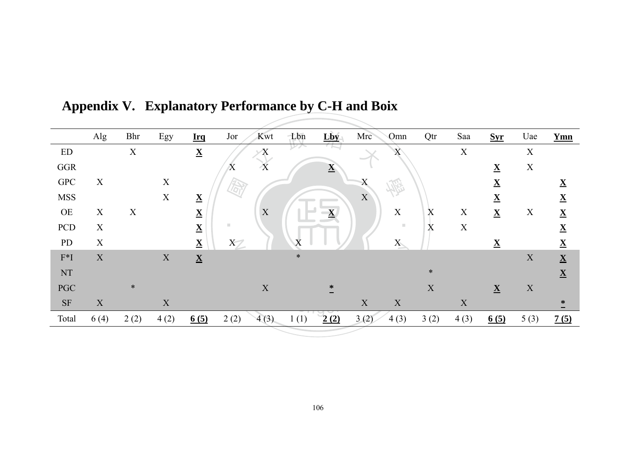|                               | Alg         | <b>Bhr</b>  | Egy         | <b>Irq</b>               | Jor<br>Kwt                                  | Lbn         | Lby                      | Mrc<br>Omn                 | Qtr                       | Saa                       | <b>Syr</b>               | Uae                       | <b>Ymn</b>               |
|-------------------------------|-------------|-------------|-------------|--------------------------|---------------------------------------------|-------------|--------------------------|----------------------------|---------------------------|---------------------------|--------------------------|---------------------------|--------------------------|
| ${\rm ED}$                    |             | $\mathbf X$ |             | $\underline{\mathbf{X}}$ | $\mathbf X$                                 | レンノ         |                          | $\boldsymbol{\mathrm{X}}$  |                           | $\boldsymbol{\mathrm{X}}$ |                          | $\mathbf X$               |                          |
| GGR                           |             |             |             |                          | $\overline{X}$<br>$\boldsymbol{\mathrm{X}}$ |             | $\underline{\mathbf{X}}$ |                            |                           |                           | $\underline{\mathbf{X}}$ | $\mathbf X$               |                          |
| <b>GPC</b>                    | X           |             | $\mathbf X$ |                          | $\widehat{\varpi}$                          |             |                          | X<br><b>AB</b>             |                           |                           | $\underline{\mathbf{X}}$ |                           | $\underline{\mathbf{X}}$ |
| <b>MSS</b>                    |             |             | $\mathbf X$ | $\underline{\mathbf{X}}$ |                                             |             |                          | $\mathbf X$                |                           |                           | $\underline{\mathbf{X}}$ |                           | $\underline{\mathbf{X}}$ |
| OE                            | $\mathbf X$ | $\mathbf X$ |             | $\underline{\mathbf{X}}$ | $\mathbf X$                                 |             | $\overline{\mathbf{X}}$  | $\mathbf X$                | X                         | $\mathbf X$               | $\underline{\mathbf{X}}$ | $\boldsymbol{\mathrm{X}}$ | $\underline{\mathbf{X}}$ |
| PCD                           | $\mathbf X$ |             |             | $\underline{\mathbf{X}}$ | $\blacksquare$                              |             |                          | ш                          | $\boldsymbol{\mathrm{X}}$ | $\boldsymbol{\mathrm{X}}$ |                          |                           | $\underline{\mathbf{X}}$ |
| PD                            | $\mathbf X$ |             |             | $\underline{\mathbf{X}}$ | $X\rightarrow$                              | $\mathbf v$ |                          | ${\bf X}$                  |                           |                           | $\underline{\mathbf{X}}$ |                           | $\underline{\mathbf{X}}$ |
| $\mathbf{F}^{\ast}\mathbf{I}$ | $\mathbf X$ |             | $\mathbf X$ | $\underline{\mathbf{X}}$ |                                             | $\ast$      |                          |                            |                           |                           |                          | X                         | $\underline{\mathbf{X}}$ |
| $\mathop{\rm NT}\nolimits$    |             |             |             |                          |                                             |             |                          |                            | $\ast$                    |                           |                          |                           | $\underline{\mathbf{X}}$ |
| <b>PGC</b>                    |             | $\ast$      |             |                          | $\mathbf X$                                 |             | ∗                        |                            | X                         |                           | $\underline{\mathbf{X}}$ | $\mathbf X$               |                          |
| <b>SF</b>                     | $\mathbf X$ |             | $\mathbf X$ |                          |                                             |             |                          | $\mathbf X$<br>$\mathbf X$ |                           | $\mathbf X$               |                          |                           | ∗                        |
| Total                         | 6(4)        | 2(2)        | 4(2)        | 6(5)                     | 2(2)<br>4(3)                                | 1(1)        | 2(2)                     | 3(2)<br>4(3)               | 3(2)                      | 4(3)                      | 6(5)                     | 5(3)                      | 7(5)                     |

Appendix V. Explanatory Performance by C-H and Boix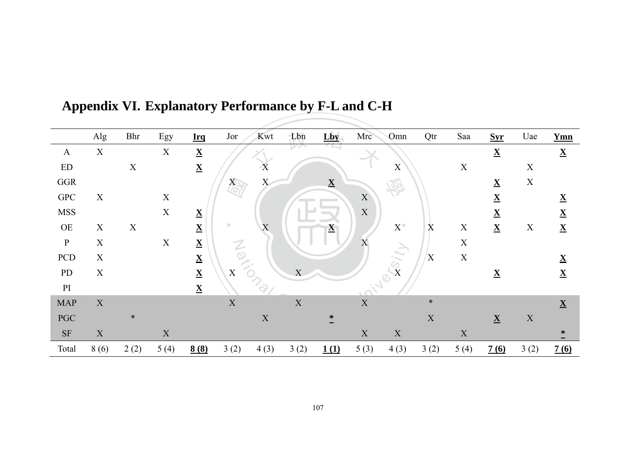|                            | Alg         | <b>Bhr</b>  | Egy         | <b>Irq</b>               | Jor                       | Kwt         | Lbn         | Lby                      | Mrc         | Omn                             | Qtr                       | Saa         | <b>Syr</b>               | Uae         | <b>Ymn</b>               |
|----------------------------|-------------|-------------|-------------|--------------------------|---------------------------|-------------|-------------|--------------------------|-------------|---------------------------------|---------------------------|-------------|--------------------------|-------------|--------------------------|
| $\mathbf{A}$               | $\mathbf X$ |             | $\mathbf X$ | $\underline{\mathbf{X}}$ |                           |             |             |                          |             |                                 |                           |             | $\underline{\mathbf{X}}$ |             | $\underline{\mathbf{X}}$ |
| $\mathop{\rm ED}\nolimits$ |             | $\mathbf X$ |             | $\underline{\mathbf{X}}$ |                           | X           |             |                          |             | $\mathbf X$                     |                           | $\mathbf X$ |                          | $\mathbf X$ |                          |
| $_{\rm GGR}$               |             |             |             |                          | $X_{\overline{C}}$        | X           |             | $\underline{\mathbf{X}}$ |             |                                 |                           |             | $\underline{\mathbf{X}}$ | $\mathbf X$ |                          |
| ${\rm GPC}$                | $\mathbf X$ |             | $\mathbf X$ |                          |                           |             |             |                          | $\mathbf X$ |                                 |                           |             | $\underline{\mathbf{X}}$ |             | $\underline{\mathbf{X}}$ |
| <b>MSS</b>                 |             |             | $\mathbf X$ | $\underline{\mathbf{X}}$ |                           |             |             |                          | $\mathbf X$ |                                 |                           |             | $\underline{\mathbf{X}}$ |             | $\underline{\mathbf{X}}$ |
| $OE$                       | $\mathbf X$ | $\mathbf X$ |             | $\underline{\mathbf{X}}$ | m.                        | X           |             | $\underline{\mathbf{X}}$ |             | $\mathbf{X}^-$                  | $\boldsymbol{\mathrm{X}}$ | $\mathbf X$ | $\underline{\mathbf{X}}$ | $\mathbf X$ | $\underline{\mathbf{X}}$ |
| $\, {\bf P}$               | $\mathbf X$ |             | $\mathbf X$ | $\underline{\mathbf{X}}$ | $\mathcal{Z}$             |             |             |                          | X           |                                 |                           | $\mathbf X$ |                          |             |                          |
| PCD                        | $\mathbf X$ |             |             | $\underline{\mathbf{X}}$ | $\overline{Q}$            |             |             |                          |             |                                 | X                         | $\mathbf X$ |                          |             | $\underline{\mathbf{X}}$ |
| PD                         | $\mathbf X$ |             |             | $\underline{\mathbf{X}}$ | $\boldsymbol{\mathrm{X}}$ |             | X           |                          |             | $\frac{1}{x}$<br>$\overline{O}$ |                           |             | $\underline{\mathbf{X}}$ |             | $\underline{\mathbf{X}}$ |
| PI                         |             |             |             | $\underline{\mathbf{X}}$ |                           | $P_{Q}$     |             |                          |             |                                 |                           |             |                          |             |                          |
| <b>MAP</b>                 | $\mathbf X$ |             |             |                          | X                         |             | $\mathbf X$ |                          | $\mathbf X$ |                                 | $\ast$                    |             |                          |             | $\underline{\mathbf{X}}$ |
| $\mathbf{PGC}$             |             | $\ast$      |             |                          |                           | $\mathbf X$ |             | ∗                        |             |                                 | $\mathbf X$               |             | $\underline{\mathbf{X}}$ | $\mathbf X$ |                          |
| $\rm{SF}$                  | $\mathbf X$ |             | $\mathbf X$ |                          |                           |             |             |                          | $\mathbf X$ | $\mathbf X$                     |                           | $\mathbf X$ |                          |             | ∗                        |
| Total                      | 8(6)        | 2(2)        | 5(4)        | 8(8)                     | 3(2)                      | 4(3)        | 3(2)        | 1(1)                     | 5(3)        | 4(3)                            | 3(2)                      | 5(4)        | 7(6)                     | 3(2)        | 7(6)                     |

### Appendix VI. Explanatory Performance by F-L and C-H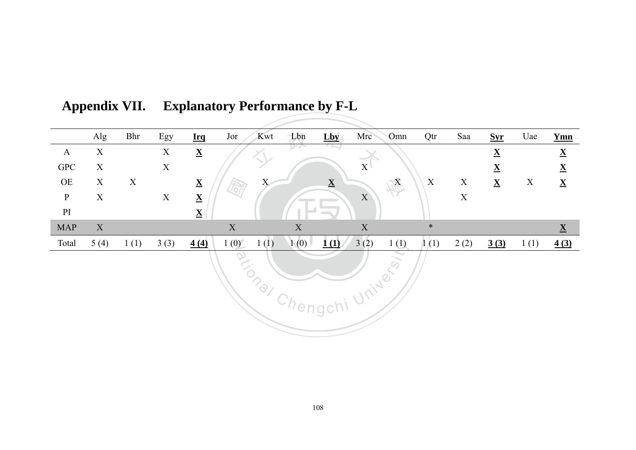|                   | Alg         | <b>Bhr</b>  | Egy                       | <b>Irq</b>               | Jor<br>Kwt      | Lbn         | Lby                      | Mrc             | Omn           | Qtr                       | Saa         | <b>Syr</b>               | Uae         | <b>Ymn</b>               |
|-------------------|-------------|-------------|---------------------------|--------------------------|-----------------|-------------|--------------------------|-----------------|---------------|---------------------------|-------------|--------------------------|-------------|--------------------------|
| $\mathbf{A}$      | $\mathbf X$ |             | $\boldsymbol{\mathrm{X}}$ | $\underline{\mathbf{X}}$ |                 |             |                          |                 |               |                           |             | $\underline{\mathbf{X}}$ |             | $\underline{\mathbf{X}}$ |
| <b>GPC</b>        | $\mathbf X$ |             | $\mathbf X$               |                          |                 |             |                          | $X^{\parallel}$ |               |                           |             | $\underline{\mathbf{X}}$ |             | $\underline{\mathbf{X}}$ |
| $\mbox{OE}$       | $\mathbf X$ | $\mathbf X$ |                           | $\underline{\mathbf{X}}$ | X<br>母          |             | $\underline{\mathbf{X}}$ |                 | JA            | $\boldsymbol{\mathrm{X}}$ | $\mathbf X$ | $\underline{\mathbf{X}}$ | $\mathbf X$ | $\underline{\mathbf{X}}$ |
| ${\bf P}$         | $\mathbf X$ |             | $\mathbf X$               | $\underline{\mathbf{X}}$ |                 |             |                          | $\mathbf X$     |               |                           | $\mathbf X$ |                          |             |                          |
| $\mathop{\rm PI}$ |             |             |                           | $\underline{\mathbf{X}}$ |                 |             | $\sim$                   |                 |               |                           |             |                          |             |                          |
| <b>MAP</b>        | X           |             |                           |                          | $\mathbf X$     | $\mathbf X$ |                          | $\mathbf X$     |               | $\ast$                    |             |                          |             | $\underline{\mathbf{X}}$ |
| Total             | 5(4)        | 1(1)        | 3(3)                      | 4(4)                     | 1(0)<br>1(1)    | 1(0)        | 1(1)                     | 3(2)            | 1(1)          | 1(1)                      | 2(2)        | 3(3)                     | 1(1)        | 4(3)                     |
|                   |             |             |                           |                          | <b>PATIONAL</b> |             | Chengchi                 | Universi        | $\mathcal{L}$ |                           |             |                          |             |                          |

| Appendix VII. Explanatory Performance by F-L |
|----------------------------------------------|
|                                              |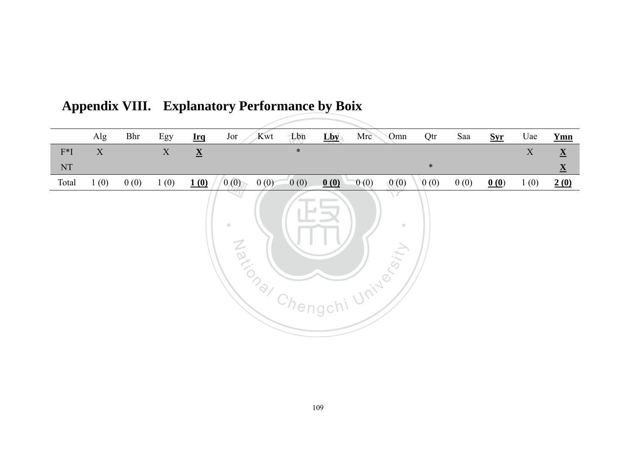|                            | Alg         | Bhr  | Egy         | <b>Irq</b>               | Kwt<br>Jor                | Lbn                               | Lby      | Mrc          | Qtr<br>Omn  | Saa  | <b>Syr</b> | Uae         | <b>Ymn</b>               |
|----------------------------|-------------|------|-------------|--------------------------|---------------------------|-----------------------------------|----------|--------------|-------------|------|------------|-------------|--------------------------|
| $F^*I$                     | $\mathbf X$ |      | $\mathbf X$ | $\underline{\mathbf{X}}$ |                           | $\ast$                            |          |              |             |      |            | $\mathbf X$ | $\underline{\mathbf{X}}$ |
| $\mathop{\rm NT}\nolimits$ |             |      |             |                          |                           |                                   |          |              | $\ast$      |      |            |             | $\underline{\mathbf{X}}$ |
| Total                      | 1(0)        | 0(0) | 1(0)        | 1(0)                     | 0(0)<br>0(0)              | 0(0)                              | 0(0)     | 0(0)         | 0(0)<br>(0) | 0(0) | 0(0)       | 1(0)        | 2(0)                     |
|                            |             |      |             |                          | $\mathcal{L}$<br>Maxional | <b>Contract Contract Contract</b> |          | , University | X<br>×.     |      |            |             |                          |
|                            |             |      |             |                          |                           |                                   | Chengchi |              |             |      |            |             |                          |

**Appendix VIII. Explanatory Performance by Boix**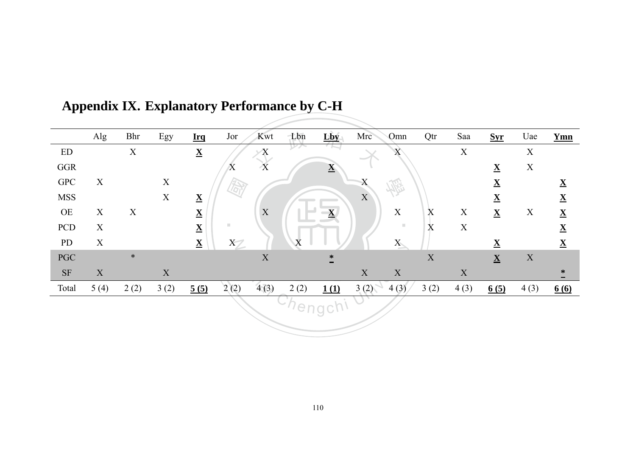|                        | Alg         | Bhr         | Egy         | <b>Irq</b>               | Jor                       | Kwt            | Lbn     | Lby                      | Mrc         | Omn                       | Qtr         | Saa         | <b>Syr</b>               | Uae              | <b>Ymn</b>               |
|------------------------|-------------|-------------|-------------|--------------------------|---------------------------|----------------|---------|--------------------------|-------------|---------------------------|-------------|-------------|--------------------------|------------------|--------------------------|
| ${\rm ED}$             |             | $\mathbf X$ |             | $\underline{\mathbf{X}}$ |                           | Χ              | レハ      |                          |             | $\boldsymbol{\mathrm{X}}$ |             | $\mathbf X$ |                          | $\mathbf X$      |                          |
| $_{\rm GGR}$           |             |             |             |                          | $\boldsymbol{\mathrm{X}}$ | $\overline{X}$ |         | $\underline{\mathbf{X}}$ |             |                           |             |             | $\underline{\mathbf{X}}$ | $\mathbf X$      |                          |
| ${\rm GPC}$            | X           |             | $\mathbf X$ |                          |                           |                |         |                          | X           | 恋                         |             |             | $\underline{\mathbf{X}}$ |                  | $\underline{\mathbf{X}}$ |
| <b>MSS</b>             |             |             | $\mathbf X$ | $\underline{\mathbf{X}}$ |                           |                |         |                          | $\mathbf X$ |                           |             |             | $\underline{\mathbf{X}}$ |                  | $\underline{\mathbf{X}}$ |
| $\overline{\text{OE}}$ | X           | $\mathbf X$ |             | $\underline{\mathbf{X}}$ |                           | X              |         | $\mathbf{X}$             |             | $\mathbf X$               | X           | $\mathbf X$ | $\underline{\mathbf{X}}$ | $\boldsymbol{X}$ | $\underline{\mathbf{X}}$ |
| PCD                    | $\mathbf X$ |             |             | $\underline{\mathbf{X}}$ | m.                        |                |         |                          |             | $\mathbb{R}^n$            | $\bf{X}$    | $\mathbf X$ |                          |                  | $\underline{\mathbf{X}}$ |
| PD                     | $\mathbf X$ |             |             | $\underline{\mathbf{X}}$ | $X\mathscr{D}$            |                | X       |                          |             | X                         |             |             | $\underline{\mathbf{X}}$ |                  | $\underline{\mathbf{X}}$ |
| PGC                    |             | $\ast$      |             |                          |                           | $\mathbf X$    |         | $\ast$                   |             |                           | $\mathbf X$ |             | $\underline{\mathbf{X}}$ | $\mathbf X$      |                          |
| $\rm{SF}$              | $\mathbf X$ |             | $\mathbf X$ |                          |                           |                |         |                          | $\mathbf X$ | $\mathbf X$               |             | $\mathbf X$ |                          |                  | ∗                        |
| Total                  | 5(4)        | 2(2)        | 3(2)        | 5(5)                     | 2(2)                      | 4(3)           | 2(2)    | 1(1)                     | 3(2)        | 4(3)                      | 3(2)        | 4(3)        | 6(5)                     | 4(3)             | 6(6)                     |
|                        |             |             |             |                          |                           |                | hengch' |                          |             |                           |             |             |                          |                  |                          |

### Appendix IX. Explanatory Performance by C-H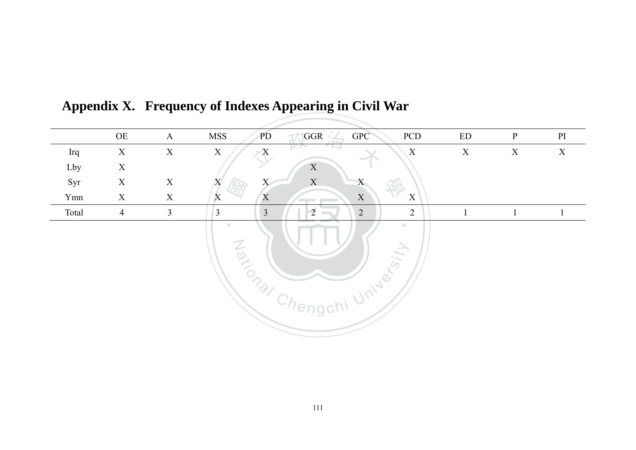|       | $\rm{OE}$      | $\mathbf{A}$   | <b>MSS</b><br>PD                 | GPC<br>GGR                       | PCD                                             | ${\rm ED}$   | $\mathbf{P}$ | PI           |
|-------|----------------|----------------|----------------------------------|----------------------------------|-------------------------------------------------|--------------|--------------|--------------|
| Irq   | $\mathbf X$    | $\mathbf X$    | $\mathbf X$                      | レンノ                              | X                                               | $\mathbf X$  | $\mathbf X$  | $\mathbf X$  |
| Lby   | $\mathbf X$    |                |                                  | $\mathbf X$                      |                                                 |              |              |              |
| Syr   | $\mathbf X$    | $\mathbf X$    | X<br>Χ                           | $\mathbf X$                      |                                                 |              |              |              |
| Ymn   | $\mathbf X$    | $\mathbf X$    | $\boldsymbol{\mathrm{X}}$<br>X   | $\mathbf X$                      | $\mathbf X$                                     |              |              |              |
| Total | $\overline{4}$ | $\mathfrak{Z}$ | $\overline{3}$<br>$\mathfrak{Z}$ | $\overline{2}$<br>$\overline{2}$ | $\overline{2}$                                  | $\mathbf{1}$ |              | $\mathbf{1}$ |
|       |                |                | $\mathbb{R}^n$<br><b>Zandra</b>  |                                  | u.<br>$\mathcal{S}$<br>$\overline{\mathcal{L}}$ |              |              |              |

**Appendix X. Frequency of Indexes Appearing in Civil War**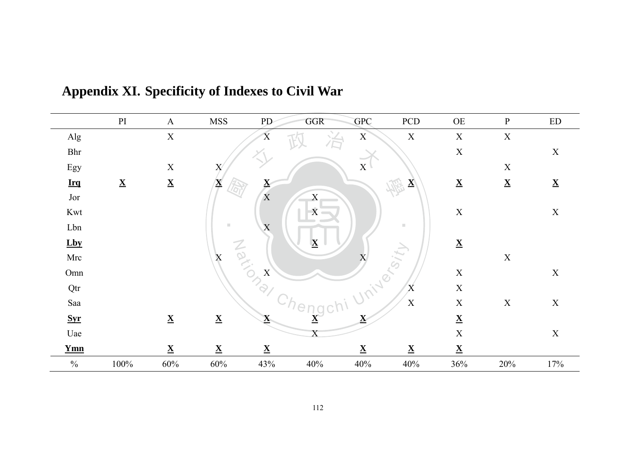|               | PI                       | $\mathbf{A}$             | <b>MSS</b>                                  | PD-                      | GGR                      | <b>GPC</b>               | PCD                      | $\overline{\text{OE}}$   | $\, {\bf p}$              | $\mathop{\rm ED}\nolimits$ |
|---------------|--------------------------|--------------------------|---------------------------------------------|--------------------------|--------------------------|--------------------------|--------------------------|--------------------------|---------------------------|----------------------------|
| Alg           |                          | $\mathbf X$              |                                             | $\overline{\mathrm{X}}$  |                          | $\mathbf X$              | X                        | $\mathbf X$              | $\boldsymbol{\mathrm{X}}$ |                            |
| Bhr           |                          |                          |                                             |                          |                          |                          |                          | $\mathbf X$              |                           | $\mathbf X$                |
| Egy           |                          | $\mathbf X$              | X                                           |                          |                          | $\mathbf X$              |                          |                          | $\mathbf X$               |                            |
| Irrq          | $\underline{\mathbf{X}}$ | $\underline{\mathbf{X}}$ | $\mathbf{\underline{X}}$                    | $\mathbf{\underline{X}}$ |                          |                          | $\mathbf{X}$             | $\underline{\mathbf{X}}$ | $\underline{\mathbf{X}}$  | $\underline{\mathbf{X}}$   |
| Jor           |                          |                          |                                             | $\mathbf X$              | $\mathbf X$              |                          |                          |                          |                           |                            |
| Kwt           |                          |                          |                                             |                          | $\mathbf X$              |                          |                          | $\mathbf X$              |                           | $\mathbf X$                |
| Lbn           |                          |                          | $\mathbb{R}^n$                              | $\mathbf X$              |                          |                          | m.                       |                          |                           |                            |
| Lby           |                          |                          |                                             |                          | $\overline{\mathbf{X}}$  |                          |                          | $\underline{\mathbf{X}}$ |                           |                            |
| Mrc           |                          |                          | $\overline{O}$<br>$\boldsymbol{\mathrm{X}}$ |                          |                          | X                        |                          |                          | $\mathbf X$               |                            |
| Omn           |                          |                          |                                             | X                        |                          | $\overline{C}$           |                          | $\mathbf X$              |                           | $\mathbf X$                |
| Qtr           |                          |                          |                                             | $\mathcal{D}_{Q}$        |                          |                          | X                        | $\mathbf X$              |                           |                            |
| Saa           |                          |                          |                                             |                          |                          |                          | $\mathbf X$              | $\mathbf X$              | $\mathbf X$               | $\mathbf X$                |
| Syr           |                          | $\underline{\mathbf{X}}$ | $\underline{\mathbf{X}}$                    | $\underline{\mathbf{X}}$ | $\underline{\mathbf{X}}$ | $\underline{\mathbf{X}}$ |                          | $\underline{\mathbf{X}}$ |                           |                            |
| Uae           |                          |                          |                                             |                          |                          |                          |                          | $\mathbf X$              |                           | $\mathbf X$                |
| <b>Ymn</b>    |                          | $\underline{\mathbf{X}}$ | $\underline{\mathbf{X}}$                    | $\underline{\mathbf{X}}$ |                          | $\underline{\mathbf{X}}$ | $\underline{\mathbf{X}}$ | $\underline{\mathbf{X}}$ |                           |                            |
| $\frac{0}{0}$ | 100%                     | 60%                      | $60\%$                                      | 43%                      | 40%                      | 40%                      | 40%                      | 36%                      | 20%                       | 17%                        |

### Appendix XI. Specificity of Indexes to Civil War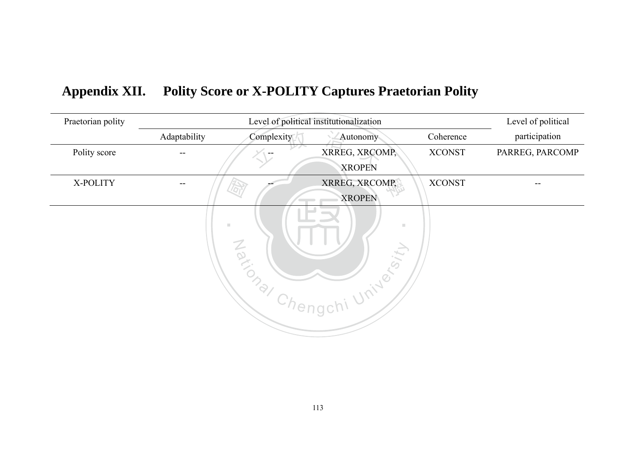| Praetorian polity | Level of political institutionalization |                                        |                     |               | Level of political |
|-------------------|-----------------------------------------|----------------------------------------|---------------------|---------------|--------------------|
|                   | Adaptability                            | Complexity                             | Autonomy            | Coherence     | participation      |
| Polity score      | --                                      |                                        | XRREG, XRCOMP,      | <b>XCONST</b> | PARREG, PARCOMP    |
|                   |                                         |                                        | <b>XROPEN</b>       |               |                    |
| X-POLITY          | --                                      |                                        | XRREG, XRCOMP,      | <b>XCONST</b> |                    |
|                   |                                         |                                        | <b>XROPEN</b>       |               |                    |
|                   |                                         | m,<br>Taxional<br>Chengch <sup>®</sup> | ×.<br>hi University |               |                    |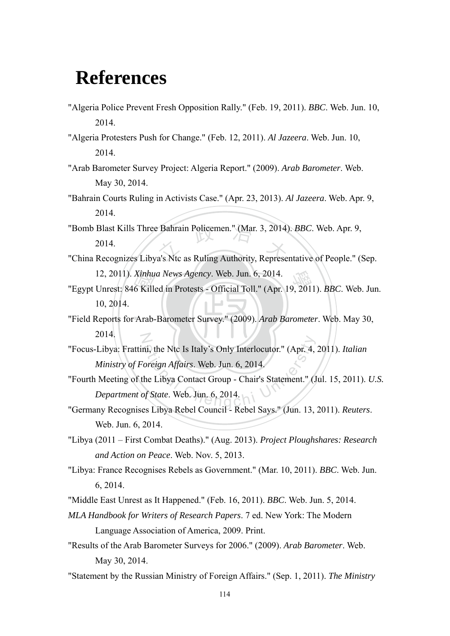## **References**

- "Algeria Police Prevent Fresh Opposition Rally." (Feb. 19, 2011). *BBC*. Web. Jun. 10, 2014.
- "Algeria Protesters Push for Change." (Feb. 12, 2011). *Al Jazeera*. Web. Jun. 10, 2014.
- "Arab Barometer Survey Project: Algeria Report." (2009). *Arab Barometer*. Web. May 30, 2014.
- "Bahrain Courts Ruling in Activists Case." (Apr. 23, 2013). *Al Jazeera*. Web. Apr. 9, 2014.
- "Bomb Blast Kills Three Bahrain Policemen." (Mar. 3, 2014). *BBC*. Web. Apr. 9, 2014.<br>"China Recognizes Libya's Ntc as Ruling Authority, Representative of People." (9) 2014.
- "China Recognizes Libya's Ntc as Ruling Authority, Representative of People." (Sep. 12, 2011). *Xinhua News Agency*. Web. Jun. 6, 2014.
- 12, 2011). *Xinhua News Agency*. Web. Jun. 6, 2014.<br>
"Egypt Unrest: 846 Killed in Protests Official Toll." (Apr. 19, 2011). *BBC*. Web. Jun.<br>
10, 2014.<br>
"Field Reports for Arab-Barometer Survey." (2009). *Arab Barometer* 10, 2014.
- "Field Reports for Arab-Barometer Survey." (2009). *Arab Barometer*. Web. May 30, N 2014.
- mi, the Ntc Is Italy's Only Interlocutor." (Apr. 4,<br> *oreign Affairs*. Web. Jun. 6, 2014.<br>
he Libya Contact Group Chair's Statement." (Josef State. Web. Jun. 6, 2014. "Focus-Libya: Frattini, the Ntc Is Italy's Only Interlocutor." (Apr. 4, 2011). *Italian Ministry of Foreign Affairs*. Web. Jun. 6, 2014.
- "Fourth Meeting of the Libya Contact Group Chair's Statement." (Jul. 15, 2011). *U.S. Department of State*. Web. Jun. 6, 2014.
- "Germany Recognises Libya Rebel Council Rebel Says." (Jun. 13, 2011). *Reuters*. Web. Jun. 6, 2014.
- "Libya (2011 First Combat Deaths)." (Aug. 2013). *Project Ploughshares: Research and Action on Peace*. Web. Nov. 5, 2013.
- "Libya: France Recognises Rebels as Government." (Mar. 10, 2011). *BBC*. Web. Jun. 6, 2014.

"Middle East Unrest as It Happened." (Feb. 16, 2011). *BBC*. Web. Jun. 5, 2014.

- *MLA Handbook for Writers of Research Papers*. 7 ed. New York: The Modern Language Association of America, 2009. Print.
- "Results of the Arab Barometer Surveys for 2006." (2009). *Arab Barometer*. Web. May 30, 2014.
- "Statement by the Russian Ministry of Foreign Affairs." (Sep. 1, 2011). *The Ministry*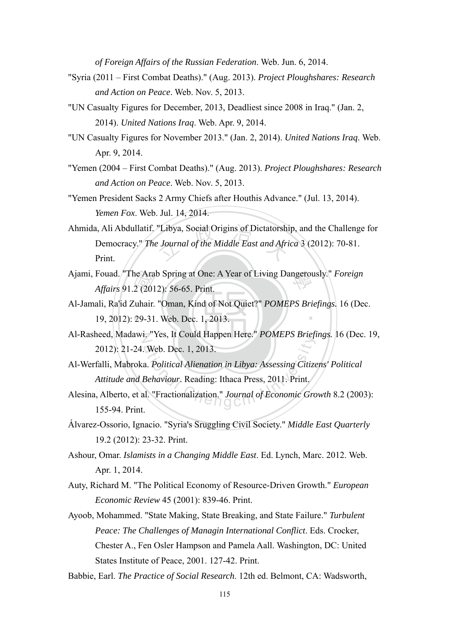*of Foreign Affairs of the Russian Federation*. Web. Jun. 6, 2014.

- "Syria (2011 First Combat Deaths)." (Aug. 2013). *Project Ploughshares: Research and Action on Peace*. Web. Nov. 5, 2013.
- "UN Casualty Figures for December, 2013, Deadliest since 2008 in Iraq." (Jan. 2, 2014). *United Nations Iraq*. Web. Apr. 9, 2014.
- "UN Casualty Figures for November 2013." (Jan. 2, 2014). *United Nations Iraq*. Web. Apr. 9, 2014.
- "Yemen (2004 First Combat Deaths)." (Aug. 2013). *Project Ploughshares: Research and Action on Peace*. Web. Nov. 5, 2013.
- "Yemen President Sacks 2 Army Chiefs after Houthis Advance." (Jul. 13, 2014). *Yemen Fox*. Web. Jul. 14, 2014.
- Ahmida, Ali Abdullatif. "Libya, Social Origins of Dictatorship, and the Challenge for<br>Democracy." The Journal of the Middle East and Africa 3 (2012): 70-81.<br>Print. Democracy." *The Journal of the Middle East and Africa* 3 (2012): 70-81. Print.
- Ajami, Fouad. "The Arab Spring at One: A Year of Living Dangerously." *Foreign Affairs* 91.2 (2012): 56-65. Print. *Affairs* 91.2 (2012): 56-65. Print.
- ‧19, 2012): 29-31. Web. Dec. 1, 2013. ne Ara<br>2 (201<br>¦uhair.<br>29-31 ‧ Al-Jamali, Ra'id Zuhair. "Oman, Kind of Not Quiet?" *POMEPS Briefings.* 16 (Dec.
- N Al-Rasheed, Madawi. "Yes, It Could Happen Here." *POMEPS Briefings.* 16 (Dec. 19, 2012): 21-24. Web. Dec. 1, 2013.
- ational Chengel Press, a Company and Trendy.<br>
a. Political Alienation in Libya: Assessing Citize<br>
Behaviour. Reading: Ithaca Press, 2011. Print.<br>
al. "Fractionalization." Journal of Economic Gro Al-Werfalli, Mabroka. *Political Alienation in Libya: Assessing Citizens' Political Attitude and Behaviour*. Reading: Ithaca Press, 2011. Print.
- Alesina, Alberto, et al. "Fractionalization." *Journal of Economic Growth* 8.2 (2003): 155-94. Print.
- Álvarez-Ossorio, Ignacio. "Syria's Sruggling Civil Society." *Middle East Quarterly*  19.2 (2012): 23-32. Print.
- Ashour, Omar. *Islamists in a Changing Middle East*. Ed. Lynch, Marc. 2012. Web. Apr. 1, 2014.
- Auty, Richard M. "The Political Economy of Resource-Driven Growth." *European Economic Review* 45 (2001): 839-46. Print.
- Ayoob, Mohammed. "State Making, State Breaking, and State Failure." *Turbulent Peace: The Challenges of Managin International Conflict*. Eds. Crocker, Chester A., Fen Osler Hampson and Pamela Aall. Washington, DC: United States Institute of Peace, 2001. 127-42. Print.

Babbie, Earl. *The Practice of Social Research*. 12th ed. Belmont, CA: Wadsworth,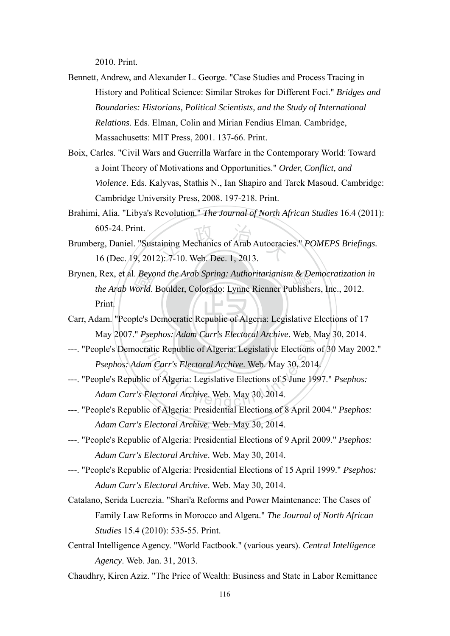2010. Print.

- Bennett, Andrew, and Alexander L. George. "Case Studies and Process Tracing in History and Political Science: Similar Strokes for Different Foci." *Bridges and Boundaries: Historians, Political Scientists, and the Study of International Relations*. Eds. Elman, Colin and Mirian Fendius Elman. Cambridge, Massachusetts: MIT Press, 2001. 137-66. Print.
- Boix, Carles. "Civil Wars and Guerrilla Warfare in the Contemporary World: Toward a Joint Theory of Motivations and Opportunities." *Order, Conflict, and Violence*. Eds. Kalyvas, Stathis N., Ian Shapiro and Tarek Masoud. Cambridge: Cambridge University Press, 2008. 197-218. Print.
- Brahimi, Alia. "Libya's Revolution." *The Journal of North African Studies* 16.4 (2011): 605-24. Print.
- Example 2013<br>
The Mechanics of Arab Autocraci<br>
2): 7-10. Web. Dec. 1, 2013. Brumberg, Daniel. "Sustaining Mechanics of Arab Autocracies." *POMEPS Briefings.* 16 (Dec. 19, 2012): 7-10. Web. Dec. 1, 2013.
- . *Beyo*<br>Vorld.<br><mark>ole's</mark> D Brynen, Rex, et al. *Beyond the Arab Spring: Authoritarianism & Democratization in*<br>*the Arab World.* Boulder. Colorado: Lynne Rienner Publishers, Inc., 2012. *the Arab World*. Boulder, Colorado: Lynne Rienner Publishers, Inc., 2012. Print.
- ‧Carr, Adam. "People's Democratic Republic of Algeria: Legislative Elections of 17 N May 2007." *Psephos: Adam Carr's Electoral Archive*. Web. May 30, 2014.
- ---. "People's Democratic Republic of Algeria: Legislative Elections of 30 May 2002." *Psephos: Adam Carr's Electoral Archive*. Web. May 30, 2014.
- sephos. Adam Carr's Electroni Archive. Web. 1<br>ratic Republic of Algeria: Legislative Elections<br>am Carr's Electoral Archive. Web. May 30, 2014<br>Electoral Archive. Web. May 30, 2014. ---. "People's Republic of Algeria: Legislative Elections of 5 June 1997." *Psephos: Adam Carr's Electoral Archive*. Web. May 30, 2014.
- ---. "People's Republic of Algeria: Presidential Elections of 8 April 2004." *Psephos: Adam Carr's Electoral Archive*. Web. May 30, 2014.
- ---. "People's Republic of Algeria: Presidential Elections of 9 April 2009." *Psephos: Adam Carr's Electoral Archive*. Web. May 30, 2014.
- ---. "People's Republic of Algeria: Presidential Elections of 15 April 1999." *Psephos: Adam Carr's Electoral Archive*. Web. May 30, 2014.
- Catalano, Serida Lucrezia. "Shari'a Reforms and Power Maintenance: The Cases of Family Law Reforms in Morocco and Algera." *The Journal of North African Studies* 15.4 (2010): 535-55. Print.
- Central Intelligence Agency. "World Factbook." (various years). *Central Intelligence Agency*. Web. Jan. 31, 2013.
- Chaudhry, Kiren Aziz. "The Price of Wealth: Business and State in Labor Remittance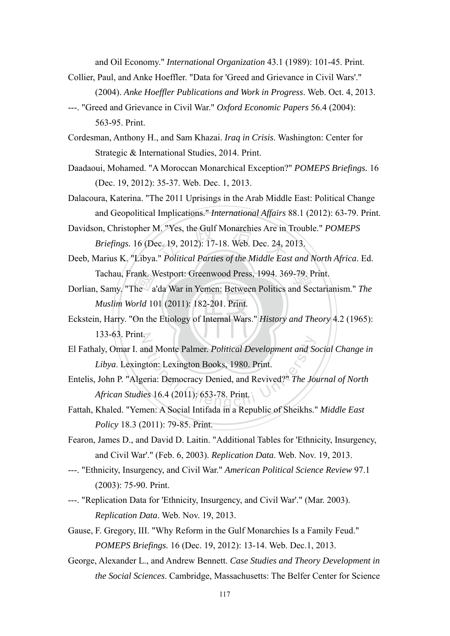and Oil Economy." *International Organization* 43.1 (1989): 101-45. Print.

- Collier, Paul, and Anke Hoeffler. "Data for 'Greed and Grievance in Civil Wars'." (2004). *Anke Hoeffler Publications and Work in Progress*. Web. Oct. 4, 2013.
- ---. "Greed and Grievance in Civil War." *Oxford Economic Papers* 56.4 (2004): 563-95. Print.

Cordesman, Anthony H., and Sam Khazai. *Iraq in Crisis*. Washington: Center for Strategic & International Studies, 2014. Print.

- Daadaoui, Mohamed. "A Moroccan Monarchical Exception?" *POMEPS Briefings.* 16 (Dec. 19, 2012): 35-37. Web. Dec. 1, 2013.
- Dalacoura, Katerina. "The 2011 Uprisings in the Arab Middle East: Political Change and Geopolitical Implications." *International Affairs* 88.1 (2012): 63-79. Print.
- A. "Yes, the Gulf Monarchies Are in<br>.c. 19, 2012): 17-18. Web. Dec. 24, 2<br>." *Political Parties of the Middle Eas* Davidson, Christopher M. "Yes, the Gulf Monarchies Are in Trouble." *POMEPS Briefings.* 16 (Dec. 19, 2012): 17-18. Web. Dec. 24, 2013.
- Tachau, Frank. Westport: Greenwood Press, 1994. 369-79. Print.<br>Samy. "The a'da War in Yemen: Between Politics and Sectaria. Deeb, Marius K. "Libya." *Political Parties of the Middle East and North Africa*. Ed.
- ank. V<br>he<br>*orld* 10<br>On the Dorlian, Samy. "The a'da War in Yemen: Between Politics and Sectarianism." *The Muslim World* 101 (2011): 182-201. Print.
- Eckstein, Harry. "On the Etiology of Internal Wars." *History and Theory* 4.2 (1965): 133-63. Print.
- and Monte Palmer. *Political Development and Solvens*: Lexington Books, 1980. Print.<br>
eria: Democracy Denied, and Revived?" *The Jones* 16.4 (2011): 653-78. Print. El Fathaly, Omar I. and Monte Palmer. *Political Development and Social Change in Libya*. Lexington: Lexington Books, 1980. Print.
- Entelis, John P. "Algeria: Democracy Denied, and Revived?" *The Journal of North African Studies* 16.4 (2011): 653-78. Print.
- Fattah, Khaled. "Yemen: A Social Intifada in a Republic of Sheikhs." *Middle East Policy* 18.3 (2011): 79-85. Print.
- Fearon, James D., and David D. Laitin. "Additional Tables for 'Ethnicity, Insurgency, and Civil War'." (Feb. 6, 2003). *Replication Data*. Web. Nov. 19, 2013.
- ---. "Ethnicity, Insurgency, and Civil War." *American Political Science Review* 97.1 (2003): 75-90. Print.
- ---. "Replication Data for 'Ethnicity, Insurgency, and Civil War'." (Mar. 2003). *Replication Data*. Web. Nov. 19, 2013.
- Gause, F. Gregory, III. "Why Reform in the Gulf Monarchies Is a Family Feud." *POMEPS Briefings.* 16 (Dec. 19, 2012): 13-14. Web. Dec.1, 2013.
- George, Alexander L., and Andrew Bennett. *Case Studies and Theory Development in the Social Sciences*. Cambridge, Massachusetts: The Belfer Center for Science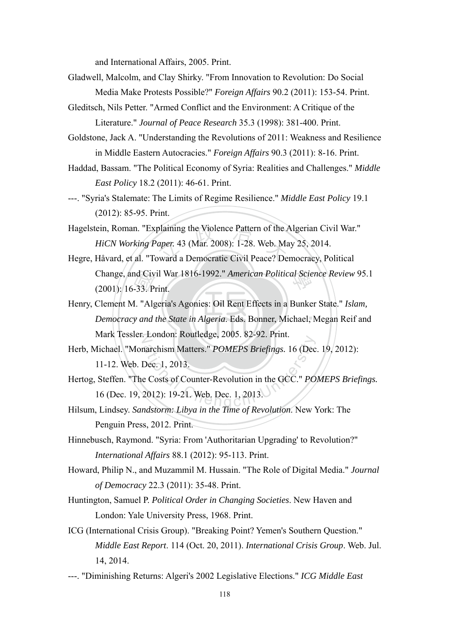and International Affairs, 2005. Print.

- Gladwell, Malcolm, and Clay Shirky. "From Innovation to Revolution: Do Social Media Make Protests Possible?" *Foreign Affairs* 90.2 (2011): 153-54. Print.
- Gleditsch, Nils Petter. "Armed Conflict and the Environment: A Critique of the Literature." *Journal of Peace Research* 35.3 (1998): 381-400. Print.
- Goldstone, Jack A. "Understanding the Revolutions of 2011: Weakness and Resilience in Middle Eastern Autocracies." *Foreign Affairs* 90.3 (2011): 8-16. Print.
- Haddad, Bassam. "The Political Economy of Syria: Realities and Challenges." *Middle East Policy* 18.2 (2011): 46-61. Print.
- ---. "Syria's Stalemate: The Limits of Regime Resilience." *Middle East Policy* 19.1 (2012): 85-95. Print.
- plaining the Violence Pattern of the Apper. 43 (Mar. 2008): 1-28. Web. Ma<br>hydra a Democratic Civil Peace? De Hagelstein, Roman. "Explaining the Violence Pattern of the Algerian Civil War." *HiCN Working Paper.* 43 (Mar. 2008): 1-28. Web. May 25, 2014.
- 學 Change, and Civil War 1816-1992." *American Political Science Review* 95.1 Hegre, Håvard, et al. "Toward a Democratic Civil Peace? Democracy, Political (2001): 16-33. Print.
- **Democracy and the State in Algeria. Eds. Bonner, Michael, Megan Reif and** nd Civ<br>-33. P<br>I. "Alg<br>y *and* N Mark Tessler. London: Routledge, 2005. 82-92. Print. Henry, Clement M. "Algeria's Agonies: Oil Rent Effects in a Bunker State." *Islam,*
- Example 1. Condon: Roddedge, 2009: 02 92: 1 Inn.<br>
narchism Matters." *POMEPS Briefings*. 16 (Dec<br>
Dec. 1, 2013.<br>
e Costs of Counter-Revolution in the GCC." *PO*<br>
2012): 19-21. Web. Dec. 1, 2013. Herb, Michael. "Monarchism Matters." *POMEPS Briefings.* 16 (Dec. 19, 2012): 11-12. Web. Dec. 1, 2013.
- Hertog, Steffen. "The Costs of Counter-Revolution in the GCC." *POMEPS Briefings.* 16 (Dec. 19, 2012): 19-21. Web. Dec. 1, 2013.
- Hilsum, Lindsey. *Sandstorm: Libya in the Time of Revolution*. New York: The Penguin Press, 2012. Print.
- Hinnebusch, Raymond. "Syria: From 'Authoritarian Upgrading' to Revolution?" *International Affairs* 88.1 (2012): 95-113. Print.
- Howard, Philip N., and Muzammil M. Hussain. "The Role of Digital Media." *Journal of Democracy* 22.3 (2011): 35-48. Print.
- Huntington, Samuel P. *Political Order in Changing Societies*. New Haven and London: Yale University Press, 1968. Print.
- ICG (International Crisis Group). "Breaking Point? Yemen's Southern Question." *Middle East Report*. 114 (Oct. 20, 2011). *International Crisis Group*. Web. Jul. 14, 2014.
- ---. "Diminishing Returns: Algeri's 2002 Legislative Elections." *ICG Middle East*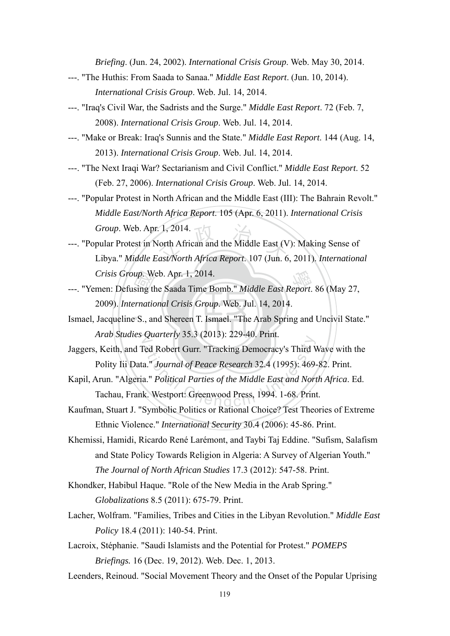*Briefing*. (Jun. 24, 2002). *International Crisis Group*. Web. May 30, 2014.

- ---. "The Huthis: From Saada to Sanaa." *Middle East Report*. (Jun. 10, 2014). *International Crisis Group*. Web. Jul. 14, 2014.
- ---. "Iraq's Civil War, the Sadrists and the Surge." *Middle East Report*. 72 (Feb. 7, 2008). *International Crisis Group*. Web. Jul. 14, 2014.
- ---. "Make or Break: Iraq's Sunnis and the State." *Middle East Report*. 144 (Aug. 14, 2013). *International Crisis Group*. Web. Jul. 14, 2014.
- ---. "The Next Iraqi War? Sectarianism and Civil Conflict." *Middle East Report*. 52 (Feb. 27, 2006). *International Crisis Group*. Web. Jul. 14, 2014.
- ---. "Popular Protest in North African and the Middle East (III): The Bahrain Revolt." *Middle East/North Africa Report*. 105 (Apr. 6, 2011). *International Crisis Group*. Web. Apr. 1, 2014.
- . 1, 2014.<br>North African and the Middle East (V<br>*cast/North Africa Report*. 107 (Jun. 6) ---. "Popular Protest in North African and the Middle East (V): Making Sense of Libya." *Middle East/North Africa Report*. 107 (Jun. 6, 2011). *International Crisis Group*. Web. Apr. 1, 2014.
- Crisis Group. Web. Apr. 1, 2014.<br>
---. "Yemen: Defusing the Saada Time Bomb." *Middle East Report*. 86 (May 27, 2009). *International Crisis Group*. Web. Jul. 14, 2014.<br>
Ismael, Jacqueline S., and Shereen T. Ismael. "The A 2009). *International Crisis Group*. Web. Jul. 14, 2014.
- Ismael, Jacqueline S., and Shereen T. Ismael. "The Arab Spring and Uncivil State." N *Arab Studies Quarterly* 35.3 (2013): 229-40. Print.
- Examely 33.3 (2013): 223 40.111.1.<br>Ted Robert Gurr. "Tracking Democracy's Third V<br>a." *Journal of Peace Research* 32.4 (1995): 469.<br>a." *Political Parties of the Middle East and Nori*<br>k. Westport: Greenwood Press, 1994. 1-Jaggers, Keith, and Ted Robert Gurr. "Tracking Democracy's Third Wave with the Polity Iii Data." *Journal of Peace Research* 32.4 (1995): 469-82. Print.
- Kapil, Arun. "Algeria." *Political Parties of the Middle East and North Africa*. Ed. Tachau, Frank. Westport: Greenwood Press, 1994. 1-68. Print.
- Kaufman, Stuart J. "Symbolic Politics or Rational Choice? Test Theories of Extreme Ethnic Violence." *International Security* 30.4 (2006): 45-86. Print.
- Khemissi, Hamidi, Ricardo René Larémont, and Taybi Taj Eddine. "Sufism, Salafism and State Policy Towards Religion in Algeria: A Survey of Algerian Youth." *The Journal of North African Studies* 17.3 (2012): 547-58. Print.
- Khondker, Habibul Haque. "Role of the New Media in the Arab Spring." *Globalizations* 8.5 (2011): 675-79. Print.
- Lacher, Wolfram. "Families, Tribes and Cities in the Libyan Revolution." *Middle East Policy* 18.4 (2011): 140-54. Print.
- Lacroix, Stéphanie. "Saudi Islamists and the Potential for Protest." *POMEPS Briefings.* 16 (Dec. 19, 2012). Web. Dec. 1, 2013.
- Leenders, Reinoud. "Social Movement Theory and the Onset of the Popular Uprising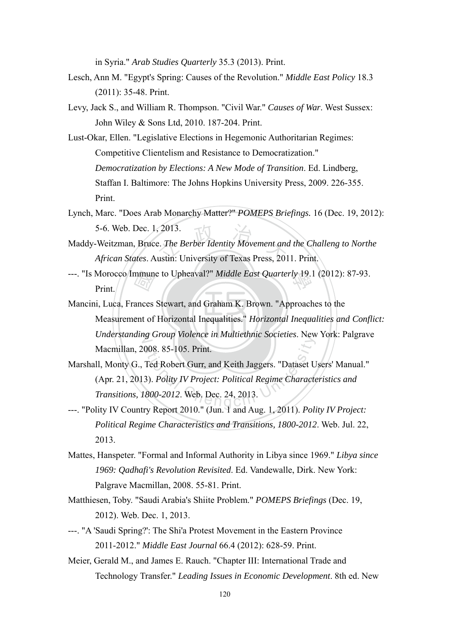in Syria." *Arab Studies Quarterly* 35.3 (2013). Print.

- Lesch, Ann M. "Egypt's Spring: Causes of the Revolution." *Middle East Policy* 18.3 (2011): 35-48. Print.
- Levy, Jack S., and William R. Thompson. "Civil War." *Causes of War*. West Sussex: John Wiley & Sons Ltd, 2010. 187-204. Print.
- Lust-Okar, Ellen. "Legislative Elections in Hegemonic Authoritarian Regimes: Competitive Clientelism and Resistance to Democratization." *Democratization by Elections: A New Mode of Transition*. Ed. Lindberg, Staffan I. Baltimore: The Johns Hopkins University Press, 2009. 226-355. Print.
- Lynch, Marc. "Does Arab Monarchy Matter?" *POMEPS Briefings.* 16 (Dec. 19, 2012): 5-6. Web. Dec. 1, 2013.
- , 2013.<br>E. *The Berber Identity Movement and*<br>ustin: University of Texas Press, 201 Maddy-Weitzman, Bruce. *The Berber Identity Movement and the Challeng to Northe African States*. Austin: University of Texas Press, 2011. Print.
- 學 ---. "Is Morocco Immune to Upheaval?" *Middle East Quarterly* 19.1 (2012): 87-93. Print.
- **Measurement of Horizontal Inequalities."** *Horizontal Inequalities and Conflict:*  $\frac{\sqrt{a_1}}{\sqrt{a_1}}$ <br>ances<br>ent of N *Understanding Group Violence in Multiethnic Societies*. New York: Palgrave Mancini, Luca, Frances Stewart, and Graham K. Brown. "Approaches to the Macmillan, 2008. 85-105. Print.
- ational Chenge Witchestern Societies. New<br>
2008. 85-105. Print.<br>
Ted Robert Gurr, and Keith Jaggers. "Dataset U<br>
3). Polity IV Project: Political Regime Character<br>
2000-2012. Web. Dec. 24, 2013. Marshall, Monty G., Ted Robert Gurr, and Keith Jaggers. "Dataset Users' Manual." (Apr. 21, 2013). *Polity IV Project: Political Regime Characteristics and Transitions, 1800-2012*. Web. Dec. 24, 2013.
- ---. "Polity IV Country Report 2010." (Jun. 1 and Aug. 1, 2011). *Polity IV Project: Political Regime Characteristics and Transitions, 1800-2012*. Web. Jul. 22, 2013.
- Mattes, Hanspeter. "Formal and Informal Authority in Libya since 1969." *Libya since 1969: Qadhafi's Revolution Revisited*. Ed. Vandewalle, Dirk. New York: Palgrave Macmillan, 2008. 55-81. Print.
- Matthiesen, Toby. "Saudi Arabia's Shiite Problem." *POMEPS Briefings* (Dec. 19, 2012). Web. Dec. 1, 2013.
- ---. "A 'Saudi Spring?': The Shi'a Protest Movement in the Eastern Province 2011-2012." *Middle East Journal* 66.4 (2012): 628-59. Print.
- Meier, Gerald M., and James E. Rauch. "Chapter III: International Trade and Technology Transfer." *Leading Issues in Economic Development*. 8th ed. New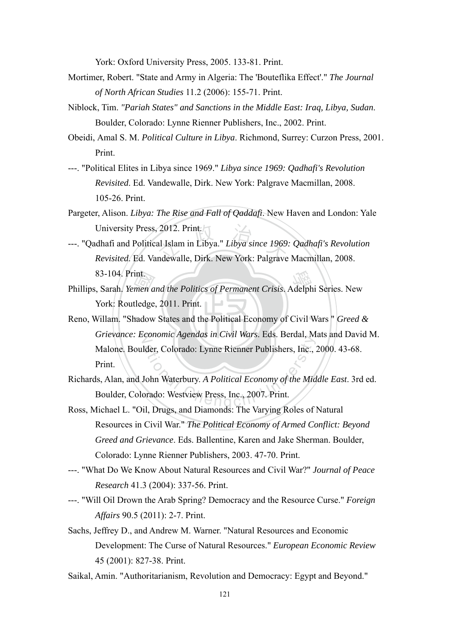York: Oxford University Press, 2005. 133-81. Print.

- Mortimer, Robert. "State and Army in Algeria: The 'Bouteflika Effect'." *The Journal of North African Studies* 11.2 (2006): 155-71. Print.
- Niblock, Tim. *"Pariah States" and Sanctions in the Middle East: Iraq, Libya, Sudan*. Boulder, Colorado: Lynne Rienner Publishers, Inc., 2002. Print.
- Obeidi, Amal S. M. *Political Culture in Libya*. Richmond, Surrey: Curzon Press, 2001. Print.
- ---. "Political Elites in Libya since 1969." *Libya since 1969: Qadhafi's Revolution Revisited*. Ed. Vandewalle, Dirk. New York: Palgrave Macmillan, 2008. 105-26. Print.
- Pargeter, Alison. *Libya: The Rise and Fall of Qaddafi*. New Haven and London: Yale University Press, 2012. Print.
- 2012. Print.<br>al Islam in Libya." *Libya since 1969*.<br>ndewalle, Dirk. New York: Palgrave ---. "Qadhafi and Political Islam in Libya." *Libya since 1969: Qadhafi's Revolution Revisited*. Ed. Vandewalle, Dirk. New York: Palgrave Macmillan, 2008. 83-104. Print.
- 83-104. Print.<br>
Phillips, Sarah. *Yemen and the Politics of Permanent Crisis*. Adelphi Series. New<br>
York: Routledge, 2011. Print.<br>
Reno, Willam. "Shadow States and the Political Economy of Civil Wars " Greed of York: Routledge, 2011. Print.
- Reno, Willam. "Shadow States and the Political Economy of Civil Wars " *Greed &* N *Grievance: Economic Agendas in Civil Wars*. Eds. Berdal, Mats and David M. Eder, Colorado: Lynne Rienner Publishers, Inc., 2014<br>John Waterbury. A Political Economy of the Mid<br>Strado: Westview Press, Inc., 2007. Print. Malone. Boulder, Colorado: Lynne Rienner Publishers, Inc., 2000. 43-68. Print.
- Richards, Alan, and John Waterbury. *A Political Economy of the Middle East*. 3rd ed. Boulder, Colorado: Westview Press, Inc., 2007. Print.
- Ross, Michael L. "Oil, Drugs, and Diamonds: The Varying Roles of Natural Resources in Civil War." *The Political Economy of Armed Conflict: Beyond Greed and Grievance*. Eds. Ballentine, Karen and Jake Sherman. Boulder, Colorado: Lynne Rienner Publishers, 2003. 47-70. Print.
- ---. "What Do We Know About Natural Resources and Civil War?" *Journal of Peace Research* 41.3 (2004): 337-56. Print.
- ---. "Will Oil Drown the Arab Spring? Democracy and the Resource Curse." *Foreign Affairs* 90.5 (2011): 2-7. Print.
- Sachs, Jeffrey D., and Andrew M. Warner. "Natural Resources and Economic Development: The Curse of Natural Resources." *European Economic Review*  45 (2001): 827-38. Print.
- Saikal, Amin. "Authoritarianism, Revolution and Democracy: Egypt and Beyond."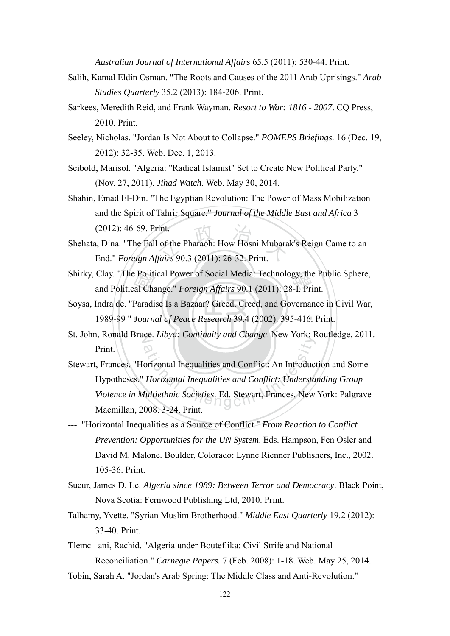*Australian Journal of International Affairs* 65.5 (2011): 530-44. Print.

- Salih, Kamal Eldin Osman. "The Roots and Causes of the 2011 Arab Uprisings." *Arab Studies Quarterly* 35.2 (2013): 184-206. Print.
- Sarkees, Meredith Reid, and Frank Wayman. *Resort to War: 1816 2007*. CQ Press, 2010. Print.
- Seeley, Nicholas. "Jordan Is Not About to Collapse." *POMEPS Briefings.* 16 (Dec. 19, 2012): 32-35. Web. Dec. 1, 2013.
- Seibold, Marisol. "Algeria: "Radical Islamist" Set to Create New Political Party." (Nov. 27, 2011). *Jihad Watch*. Web. May 30, 2014.
- Shahin, Emad El-Din. "The Egyptian Revolution: The Power of Mass Mobilization and the Spirit of Tahrir Square." *Journal of the Middle East and Africa* 3 (2012): 46-69. Print.
- Fint.<br>
1991 of the Pharaoh: How Hosni Mubara<br>
1992 of Alian (2011): 26-32. Print. Shehata, Dina. "The Fall of the Pharaoh: How Hosni Mubarak's Reign Came to an End." *Foreign Affairs* 90.3 (2011): 26-32. Print.
- Shirky, Clay. "The Political Power of Social Media: Technology, the Public Sphere,<br>and Political Change." *Foreign Affairs* 90.1 (2011): 28-I. Print. and Political Change." *Foreign Affairs* 90.1 (2011): 28-I. Print.
- 1989-99 " *Journal of Peace Research* 39.4 (2002): 395-416. Print. e Polit<br>al Cha<br>Paradi<br>Journ Soysa, Indra de. "Paradise Is a Bazaar? Greed, Creed, and Governance in Civil War,
- St. John, Ronald Bruce. *Libya: Continuity and Change*. New York: Routledge, 2011. Print.
- ational Inequalities and Conflict: An Introduction<br>Individual Inequalities and Conflict: Understa<br>Aultiethnic Societies. Ed. Stewart, Frances. New Stewart, Frances. "Horizontal Inequalities and Conflict: An Introduction and Some Hypotheses." *Horizontal Inequalities and Conflict: Understanding Group Violence in Multiethnic Societies*. Ed. Stewart, Frances. New York: Palgrave Macmillan, 2008. 3-24. Print.
- ---. "Horizontal Inequalities as a Source of Conflict." *From Reaction to Conflict Prevention: Opportunities for the UN System*. Eds. Hampson, Fen Osler and David M. Malone. Boulder, Colorado: Lynne Rienner Publishers, Inc., 2002. 105-36. Print.
- Sueur, James D. Le. *Algeria since 1989: Between Terror and Democracy*. Black Point, Nova Scotia: Fernwood Publishing Ltd, 2010. Print.
- Talhamy, Yvette. "Syrian Muslim Brotherhood." *Middle East Quarterly* 19.2 (2012): 33-40. Print.
- Tlemcani, Rachid. "Algeria under Bouteflika: Civil Strife and National Reconciliation." *Carnegie Papers.* 7 (Feb. 2008): 1-18. Web. May 25, 2014.
- Tobin, Sarah A. "Jordan's Arab Spring: The Middle Class and Anti-Revolution."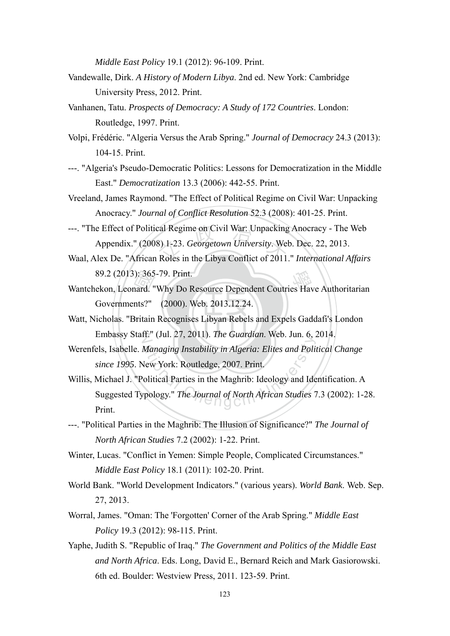*Middle East Policy* 19.1 (2012): 96-109. Print.

- Vandewalle, Dirk. *A History of Modern Libya*. 2nd ed. New York: Cambridge University Press, 2012. Print.
- Vanhanen, Tatu. *Prospects of Democracy: A Study of 172 Countries*. London: Routledge, 1997. Print.
- Volpi, Frédéric. "Algeria Versus the Arab Spring." *Journal of Democracy* 24.3 (2013): 104-15. Print.
- ---. "Algeria's Pseudo-Democratic Politics: Lessons for Democratization in the Middle East." *Democratization* 13.3 (2006): 442-55. Print.
- Vreeland, James Raymond. "The Effect of Political Regime on Civil War: Unpacking Anocracy." *Journal of Conflict Resolution* 52.3 (2008): 401-25. Print.
- cal Regime on Civil War: Unpacking<br>8) 1-23. *Georgetown University*. Wel<br>Roles in the Libya Conflict of 2011 ---. "The Effect of Political Regime on Civil War: Unpacking Anocracy - The Web Appendix." (2008) 1-23. *Georgetown University*. Web. Dec. 22, 2013.
- Waal, Alex De. "African Roles in the Libya Conflict of 2011." *International Affairs*  89.2 (2013): 365-79. Print.
- 89.2 (2013): 365-79. Print.<br>
Wantchekon, Leonard. "Why Do Resource Dependent Coutries Have Authoritarian<br>
Governments?" (2000). Web. 2013.12.24.<br>
Watt, Nicholas. "Britain Recognises Libyan Rebels and Expels Gaddafi's Londo Governments?" (2000). Web. 2013.12.24.
- Watt, Nicholas. "Britain Recognises Libyan Rebels and Expels Gaddafi's London N Embassy Staff." (Jul. 27, 2011). *The Guardian*. Web. Jun. 6, 2014.
- Werenfels, Isabelle. *Managing Instability in Algeria: Elites and Political Change since 1995*. New York: Routledge, 2007. Print.
- ational Chengcia: Chengcia: Chengcia: Chengcia: Managing Instability in Algeria: Elites and Political Parties in the Maghrib: Ideology and Idepology." The Journal of North African Studies 7 Willis, Michael J. "Political Parties in the Maghrib: Ideology and Identification. A Suggested Typology." *The Journal of North African Studies* 7.3 (2002): 1-28. Print.
- ---. "Political Parties in the Maghrib: The Illusion of Significance?" *The Journal of North African Studies* 7.2 (2002): 1-22. Print.
- Winter, Lucas. "Conflict in Yemen: Simple People, Complicated Circumstances." *Middle East Policy* 18.1 (2011): 102-20. Print.
- World Bank. "World Development Indicators." (various years). *World Bank*. Web. Sep. 27, 2013.
- Worral, James. "Oman: The 'Forgotten' Corner of the Arab Spring." *Middle East Policy* 19.3 (2012): 98-115. Print.
- Yaphe, Judith S. "Republic of Iraq." *The Government and Politics of the Middle East and North Africa*. Eds. Long, David E., Bernard Reich and Mark Gasiorowski. 6th ed. Boulder: Westview Press, 2011. 123-59. Print.